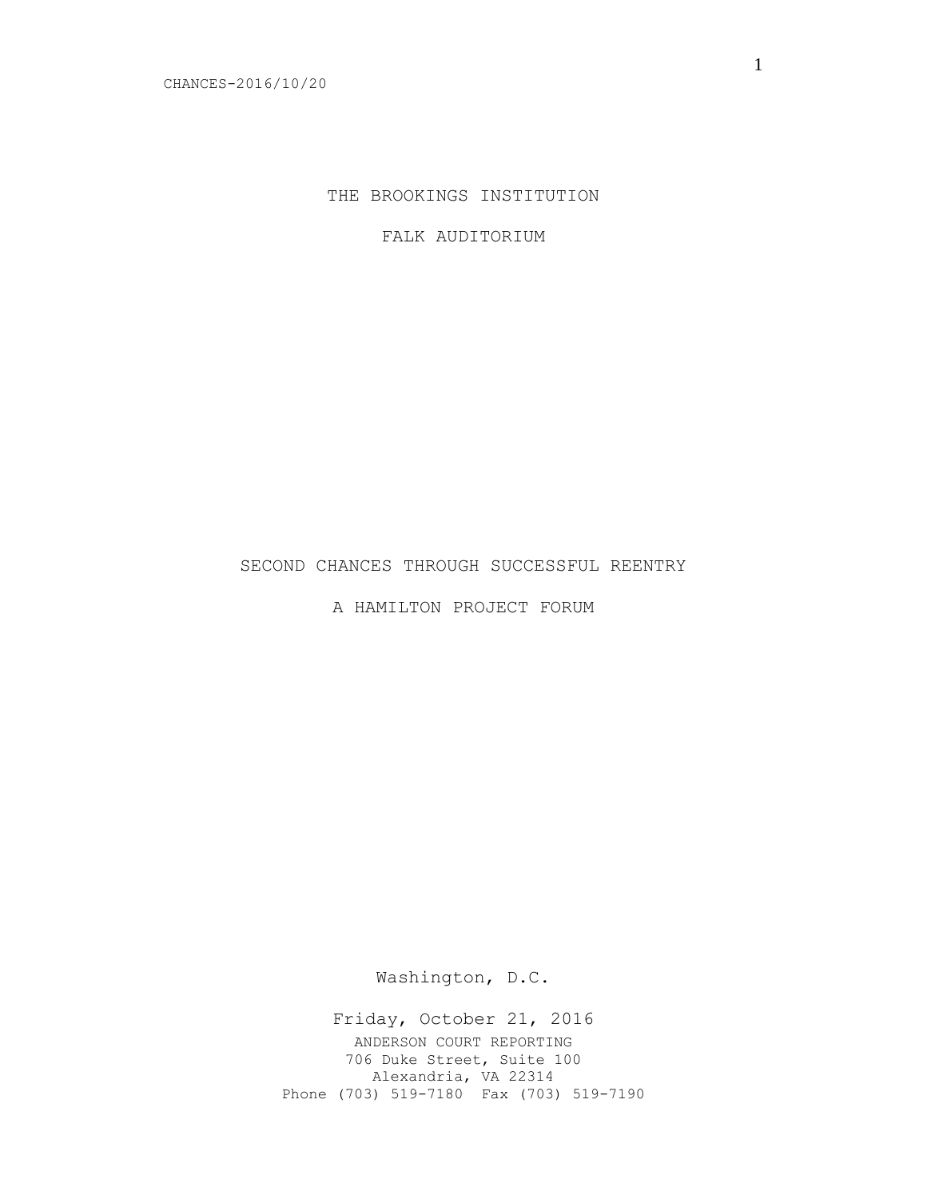CHANCES-2016/10/20

THE BROOKINGS INSTITUTION

FALK AUDITORIUM

## SECOND CHANCES THROUGH SUCCESSFUL REENTRY

A HAMILTON PROJECT FORUM

Washington, D.C.

ANDERSON COURT REPORTING 706 Duke Street, Suite 100 Alexandria, VA 22314 Phone (703) 519-7180 Fax (703) 519-7190 Friday, October 21, 2016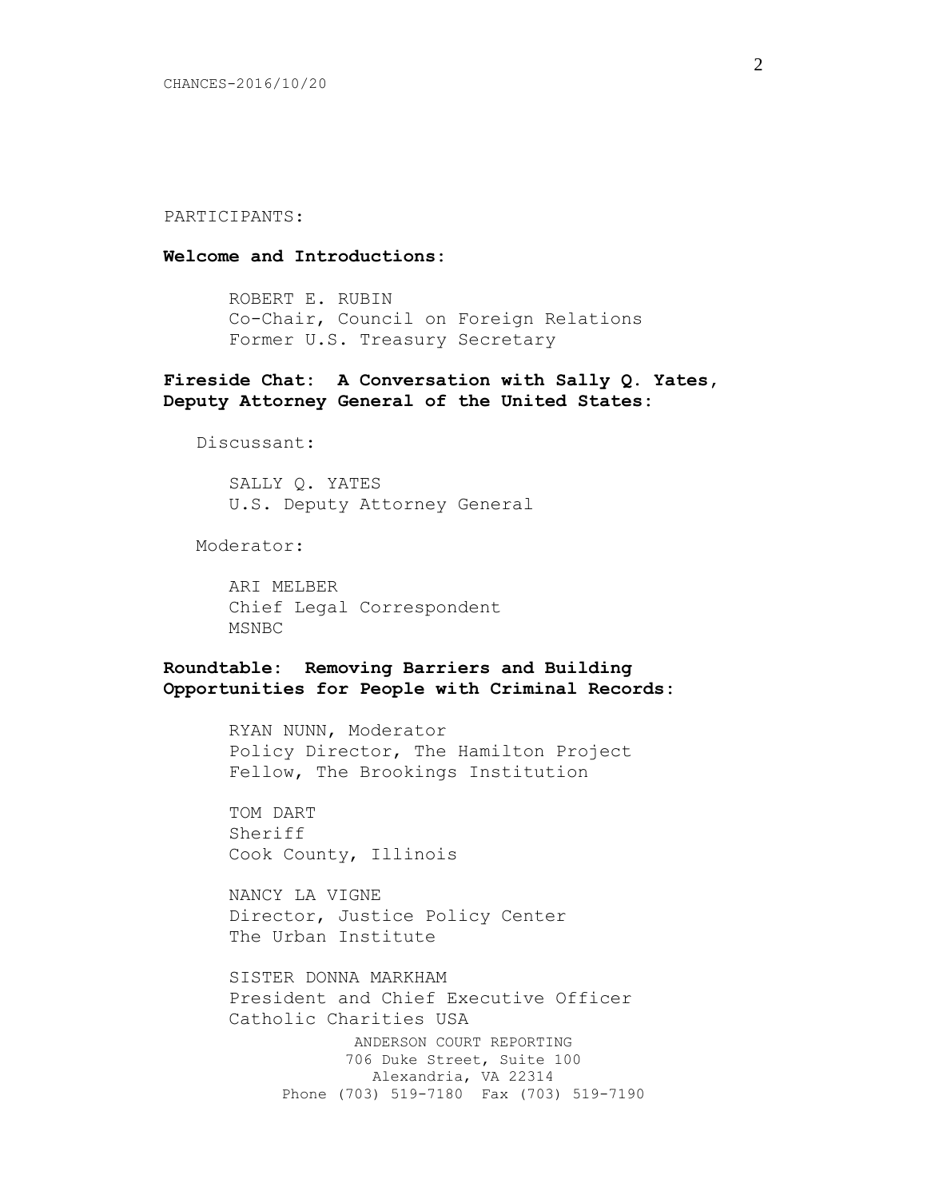## PARTICIPANTS:

**Welcome and Introductions:**

ROBERT E. RUBIN Co-Chair, Council on Foreign Relations Former U.S. Treasury Secretary

## **Fireside Chat: A Conversation with Sally Q. Yates, Deputy Attorney General of the United States:**

Discussant:

SALLY Q. YATES U.S. Deputy Attorney General

Moderator:

ARI MELBER Chief Legal Correspondent MSNBC

**Roundtable: Removing Barriers and Building Opportunities for People with Criminal Records:**

> RYAN NUNN, Moderator Policy Director, The Hamilton Project Fellow, The Brookings Institution

TOM DART Sheriff Cook County, Illinois

NANCY LA VIGNE Director, Justice Policy Center The Urban Institute

SISTER DONNA MARKHAM President and Chief Executive Officer Catholic Charities USA

> ANDERSON COURT REPORTING 706 Duke Street, Suite 100 Alexandria, VA 22314 Phone (703) 519-7180 Fax (703) 519-7190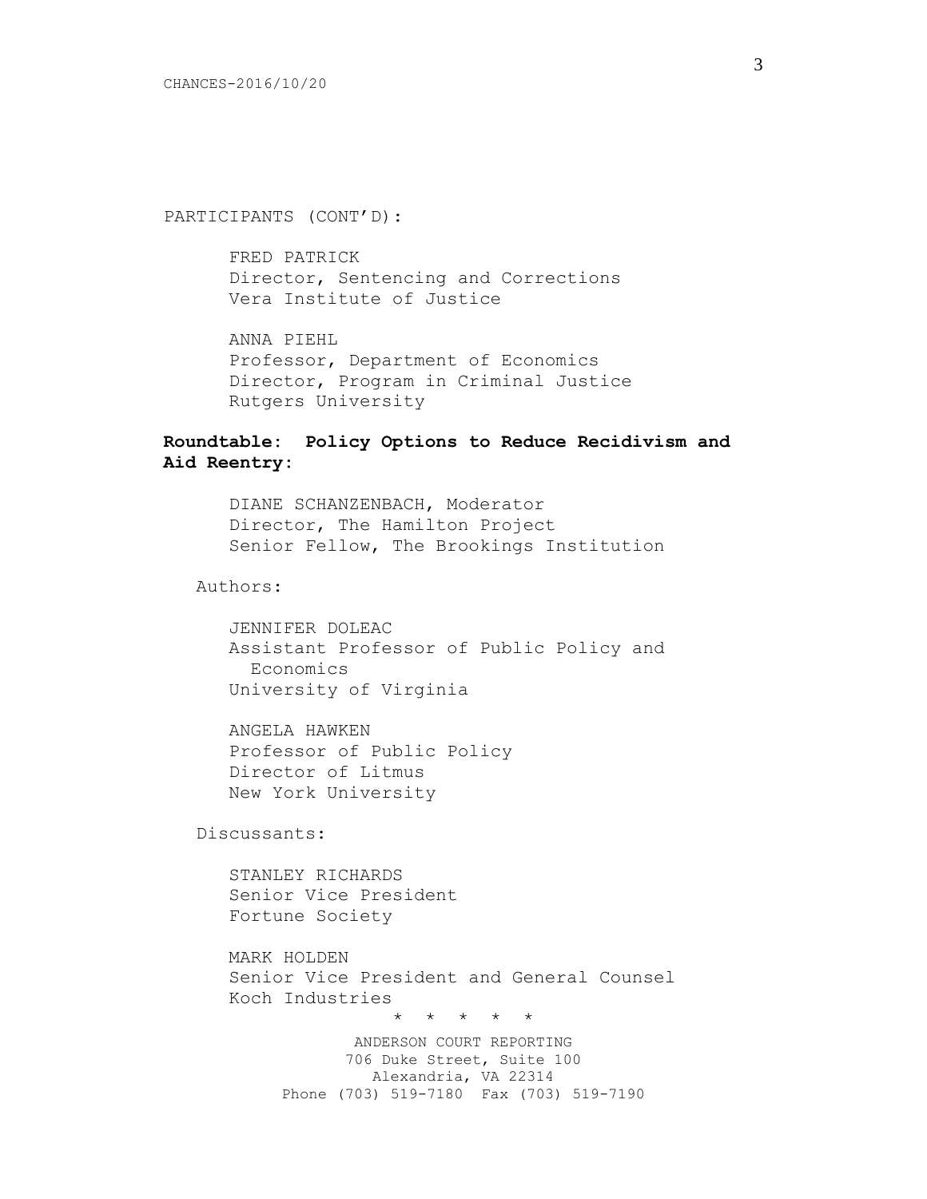PARTICIPANTS (CONT'D):

FRED PATRICK Director, Sentencing and Corrections Vera Institute of Justice

ANNA PIEHL Professor, Department of Economics Director, Program in Criminal Justice Rutgers University

## **Roundtable: Policy Options to Reduce Recidivism and Aid Reentry:**

DIANE SCHANZENBACH, Moderator Director, The Hamilton Project Senior Fellow, The Brookings Institution

Authors:

JENNIFER DOLEAC Assistant Professor of Public Policy and Economics University of Virginia

ANGELA HAWKEN Professor of Public Policy Director of Litmus New York University

Discussants:

STANLEY RICHARDS Senior Vice President Fortune Society

MARK HOLDEN Senior Vice President and General Counsel Koch Industries \* \* \* \* \*

> ANDERSON COURT REPORTING 706 Duke Street, Suite 100 Alexandria, VA 22314 Phone (703) 519-7180 Fax (703) 519-7190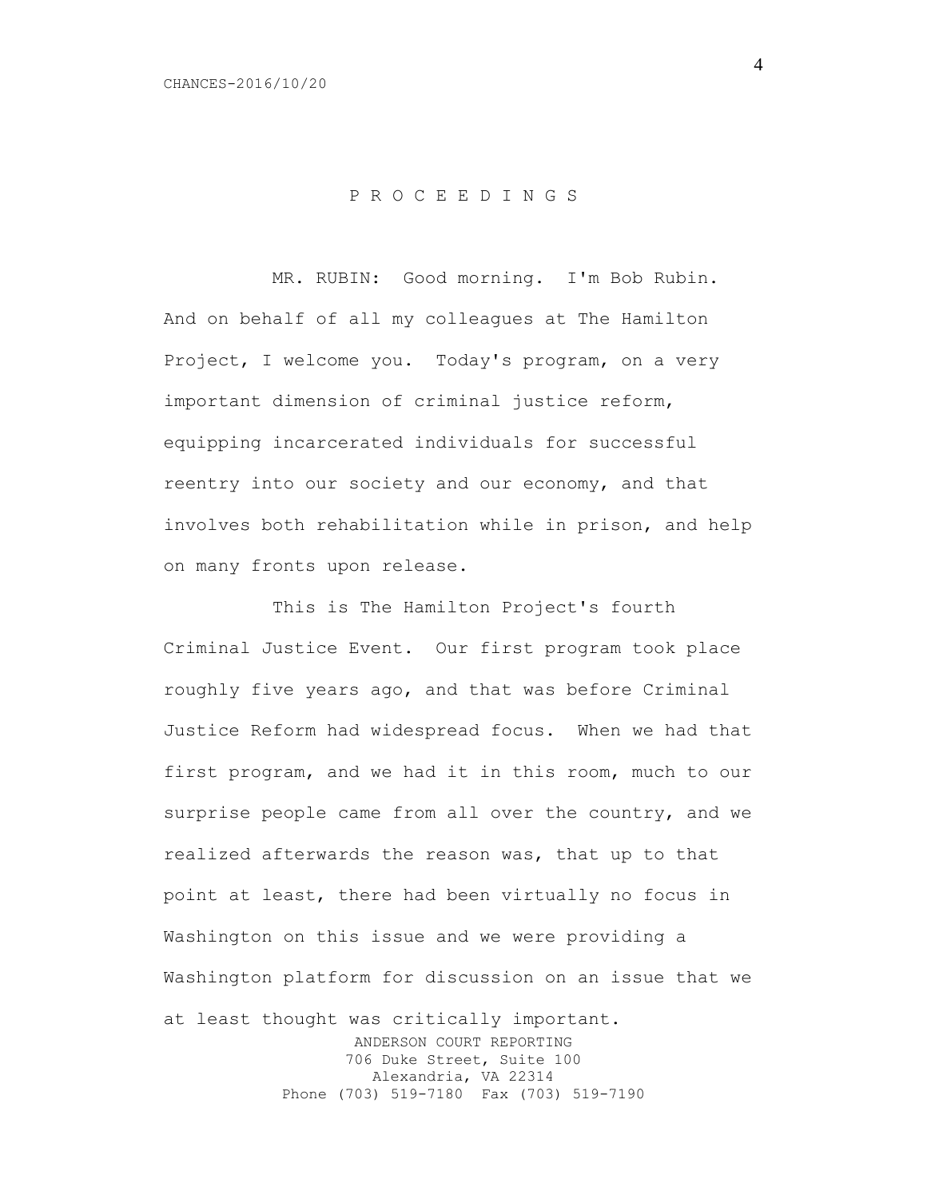P R O C E E D I N G S

MR. RUBIN: Good morning. I'm Bob Rubin. And on behalf of all my colleagues at The Hamilton Project, I welcome you. Today's program, on a very important dimension of criminal justice reform, equipping incarcerated individuals for successful reentry into our society and our economy, and that involves both rehabilitation while in prison, and help on many fronts upon release.

ANDERSON COURT REPORTING 706 Duke Street, Suite 100 Alexandria, VA 22314 Phone (703) 519-7180 Fax (703) 519-7190 This is The Hamilton Project's fourth Criminal Justice Event. Our first program took place roughly five years ago, and that was before Criminal Justice Reform had widespread focus. When we had that first program, and we had it in this room, much to our surprise people came from all over the country, and we realized afterwards the reason was, that up to that point at least, there had been virtually no focus in Washington on this issue and we were providing a Washington platform for discussion on an issue that we at least thought was critically important.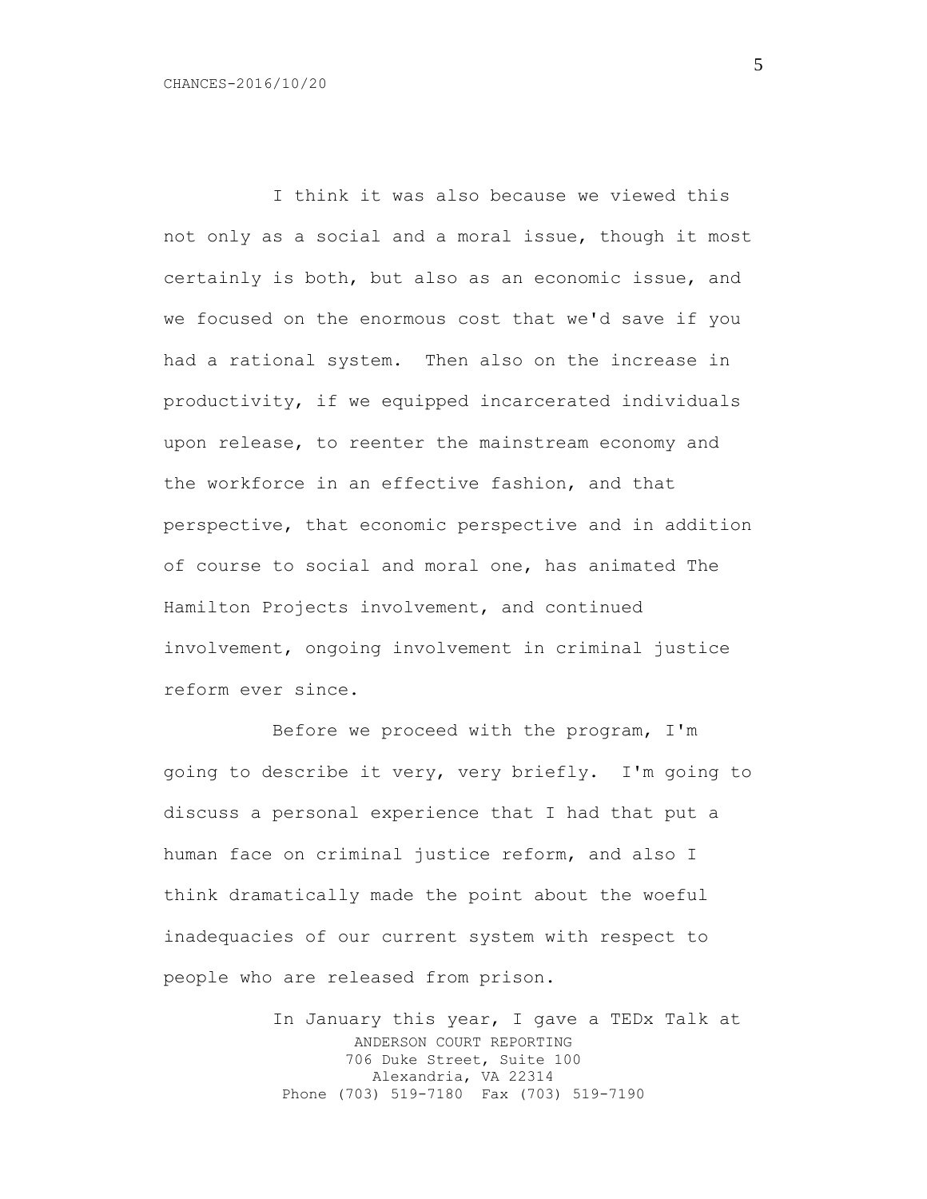I think it was also because we viewed this not only as a social and a moral issue, though it most certainly is both, but also as an economic issue, and we focused on the enormous cost that we'd save if you had a rational system. Then also on the increase in productivity, if we equipped incarcerated individuals upon release, to reenter the mainstream economy and the workforce in an effective fashion, and that perspective, that economic perspective and in addition of course to social and moral one, has animated The Hamilton Projects involvement, and continued involvement, ongoing involvement in criminal justice reform ever since.

Before we proceed with the program, I'm going to describe it very, very briefly. I'm going to discuss a personal experience that I had that put a human face on criminal justice reform, and also I think dramatically made the point about the woeful inadequacies of our current system with respect to people who are released from prison.

> ANDERSON COURT REPORTING 706 Duke Street, Suite 100 Alexandria, VA 22314 Phone (703) 519-7180 Fax (703) 519-7190 In January this year, I gave a TEDx Talk at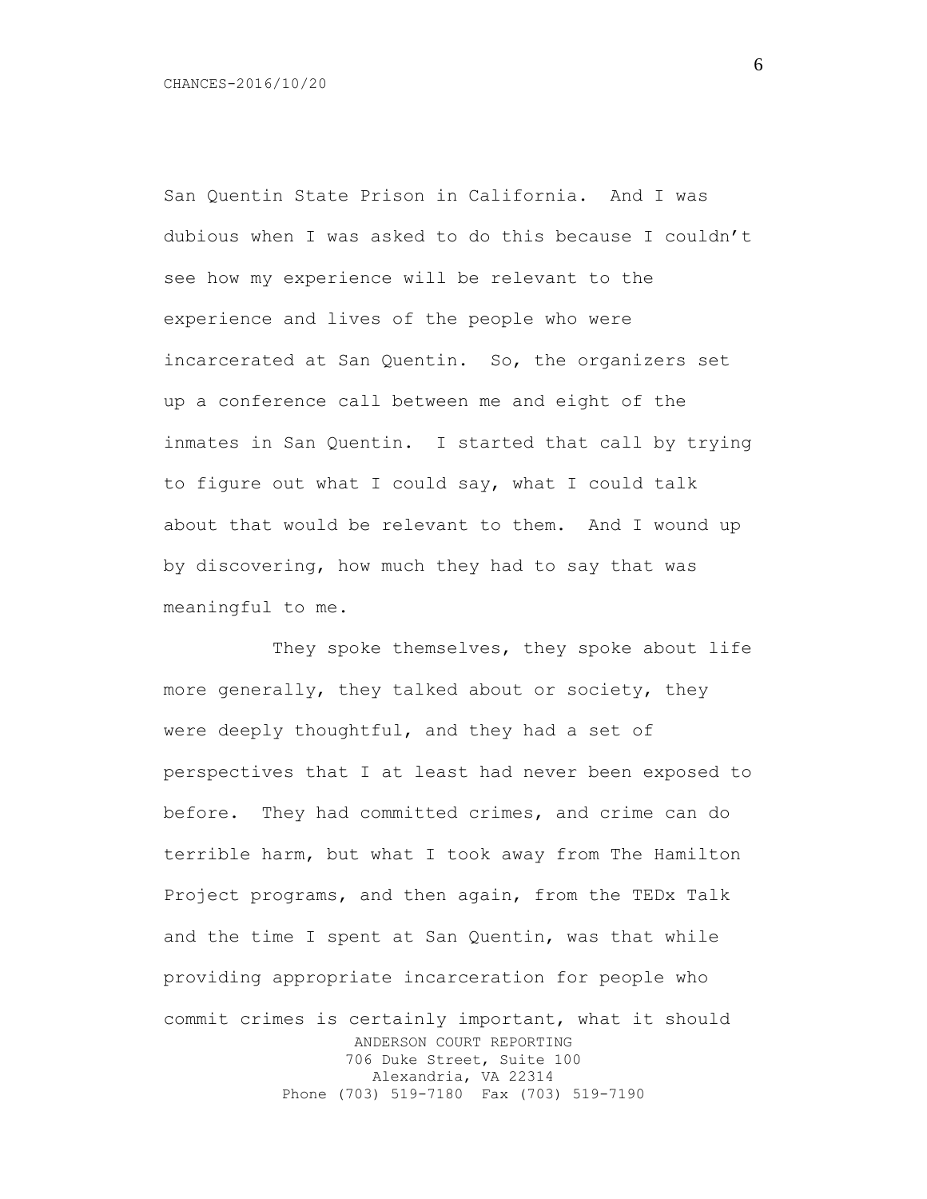San Quentin State Prison in California. And I was dubious when I was asked to do this because I couldn't see how my experience will be relevant to the experience and lives of the people who were incarcerated at San Quentin. So, the organizers set up a conference call between me and eight of the inmates in San Quentin. I started that call by trying to figure out what I could say, what I could talk about that would be relevant to them. And I wound up by discovering, how much they had to say that was meaningful to me.

ANDERSON COURT REPORTING 706 Duke Street, Suite 100 Alexandria, VA 22314 Phone (703) 519-7180 Fax (703) 519-7190 They spoke themselves, they spoke about life more generally, they talked about or society, they were deeply thoughtful, and they had a set of perspectives that I at least had never been exposed to before. They had committed crimes, and crime can do terrible harm, but what I took away from The Hamilton Project programs, and then again, from the TEDx Talk and the time I spent at San Quentin, was that while providing appropriate incarceration for people who commit crimes is certainly important, what it should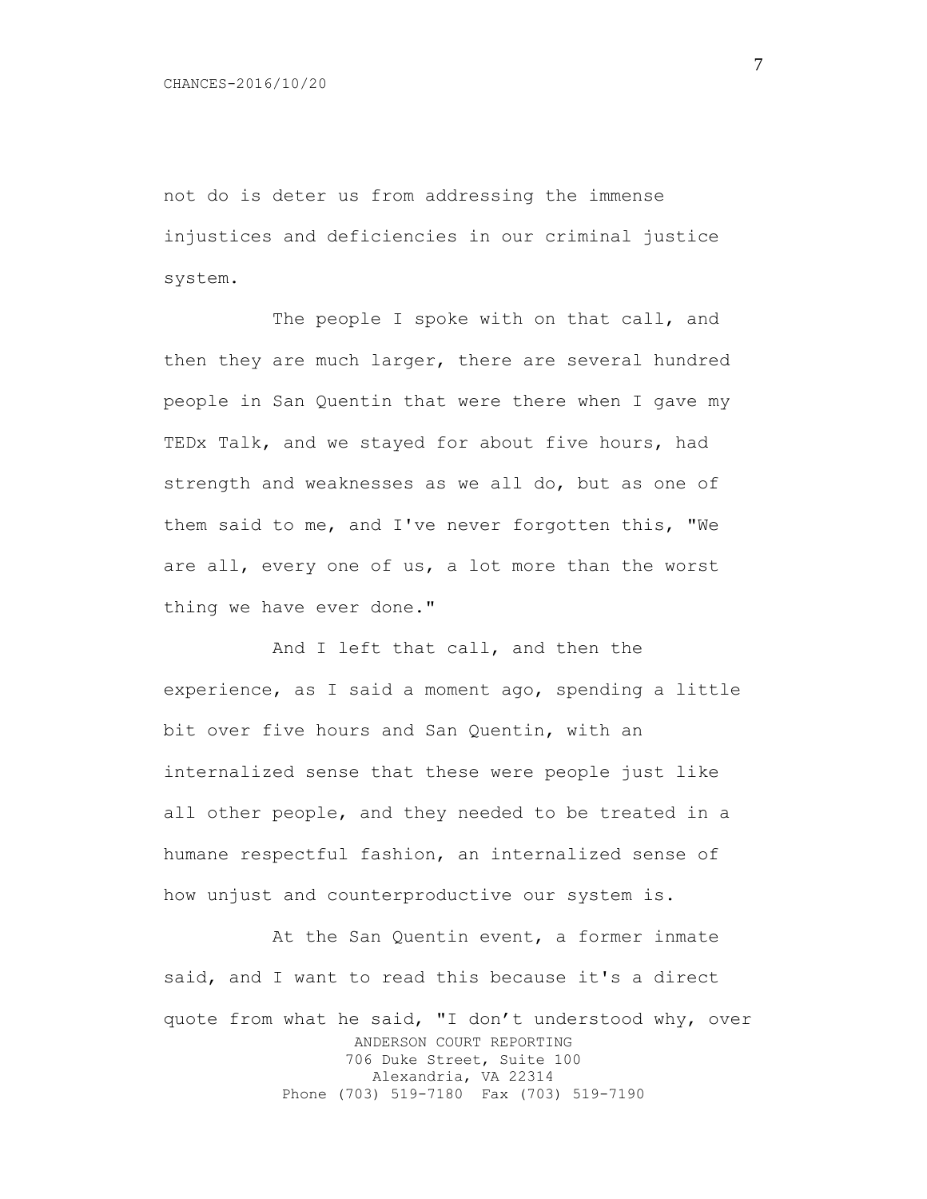not do is deter us from addressing the immense injustices and deficiencies in our criminal justice system.

The people I spoke with on that call, and then they are much larger, there are several hundred people in San Quentin that were there when I gave my TEDx Talk, and we stayed for about five hours, had strength and weaknesses as we all do, but as one of them said to me, and I've never forgotten this, "We are all, every one of us, a lot more than the worst thing we have ever done."

And I left that call, and then the experience, as I said a moment ago, spending a little bit over five hours and San Quentin, with an internalized sense that these were people just like all other people, and they needed to be treated in a humane respectful fashion, an internalized sense of how unjust and counterproductive our system is.

ANDERSON COURT REPORTING 706 Duke Street, Suite 100 Alexandria, VA 22314 Phone (703) 519-7180 Fax (703) 519-7190 At the San Quentin event, a former inmate said, and I want to read this because it's a direct quote from what he said, "I don't understood why, over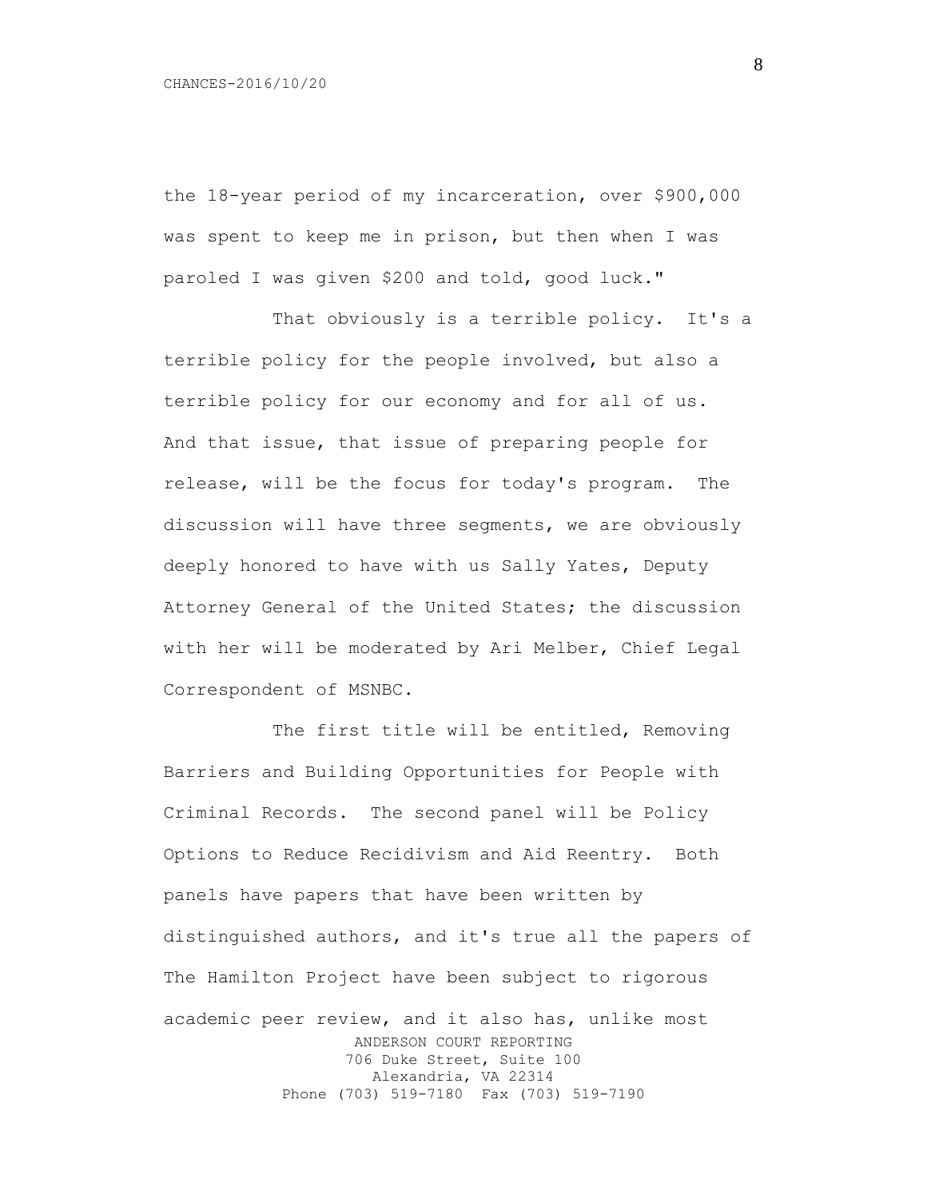the 18-year period of my incarceration, over \$900,000 was spent to keep me in prison, but then when I was paroled I was given \$200 and told, good luck."

That obviously is a terrible policy. It's a terrible policy for the people involved, but also a terrible policy for our economy and for all of us. And that issue, that issue of preparing people for release, will be the focus for today's program. The discussion will have three segments, we are obviously deeply honored to have with us Sally Yates, Deputy Attorney General of the United States; the discussion with her will be moderated by Ari Melber, Chief Legal Correspondent of MSNBC.

ANDERSON COURT REPORTING 706 Duke Street, Suite 100 Alexandria, VA 22314 Phone (703) 519-7180 Fax (703) 519-7190 The first title will be entitled, Removing Barriers and Building Opportunities for People with Criminal Records. The second panel will be Policy Options to Reduce Recidivism and Aid Reentry. Both panels have papers that have been written by distinguished authors, and it's true all the papers of The Hamilton Project have been subject to rigorous academic peer review, and it also has, unlike most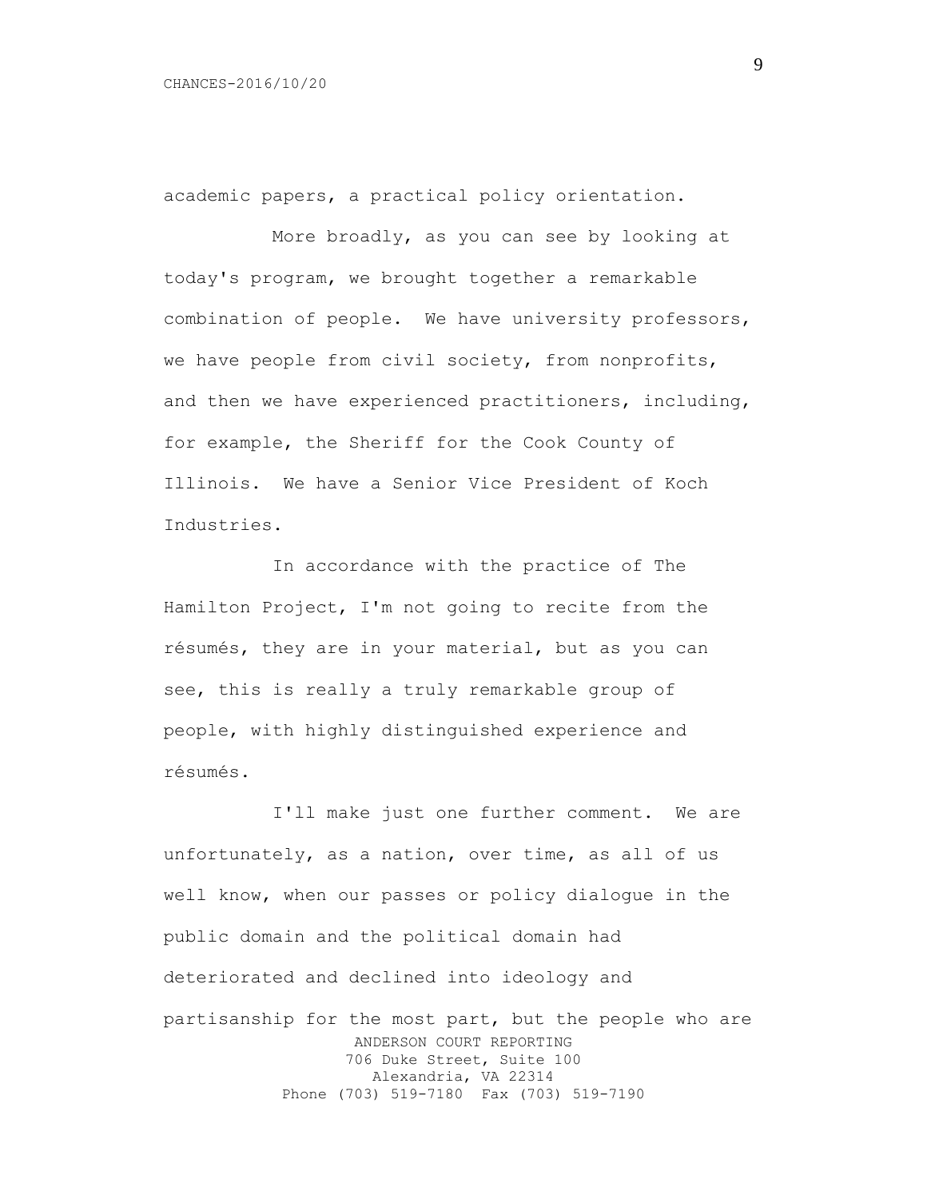academic papers, a practical policy orientation.

More broadly, as you can see by looking at today's program, we brought together a remarkable combination of people. We have university professors, we have people from civil society, from nonprofits, and then we have experienced practitioners, including, for example, the Sheriff for the Cook County of Illinois. We have a Senior Vice President of Koch Industries.

In accordance with the practice of The Hamilton Project, I'm not going to recite from the résumés, they are in your material, but as you can see, this is really a truly remarkable group of people, with highly distinguished experience and résumés.

ANDERSON COURT REPORTING 706 Duke Street, Suite 100 Alexandria, VA 22314 Phone (703) 519-7180 Fax (703) 519-7190 I'll make just one further comment. We are unfortunately, as a nation, over time, as all of us well know, when our passes or policy dialogue in the public domain and the political domain had deteriorated and declined into ideology and partisanship for the most part, but the people who are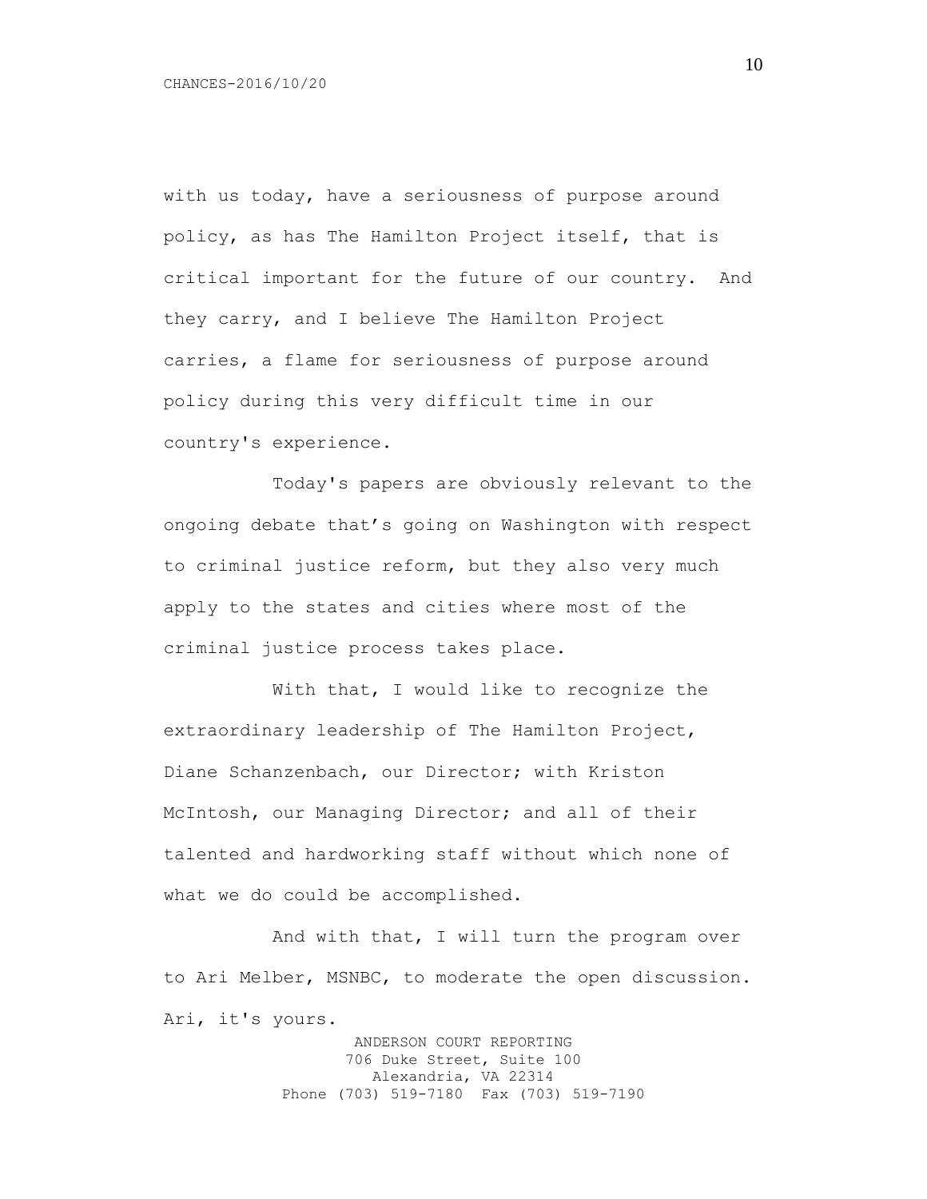with us today, have a seriousness of purpose around policy, as has The Hamilton Project itself, that is critical important for the future of our country. And they carry, and I believe The Hamilton Project carries, a flame for seriousness of purpose around policy during this very difficult time in our country's experience.

Today's papers are obviously relevant to the ongoing debate that's going on Washington with respect to criminal justice reform, but they also very much apply to the states and cities where most of the criminal justice process takes place.

With that, I would like to recognize the extraordinary leadership of The Hamilton Project, Diane Schanzenbach, our Director; with Kriston McIntosh, our Managing Director; and all of their talented and hardworking staff without which none of what we do could be accomplished.

And with that, I will turn the program over to Ari Melber, MSNBC, to moderate the open discussion. Ari, it's yours.

> ANDERSON COURT REPORTING 706 Duke Street, Suite 100 Alexandria, VA 22314 Phone (703) 519-7180 Fax (703) 519-7190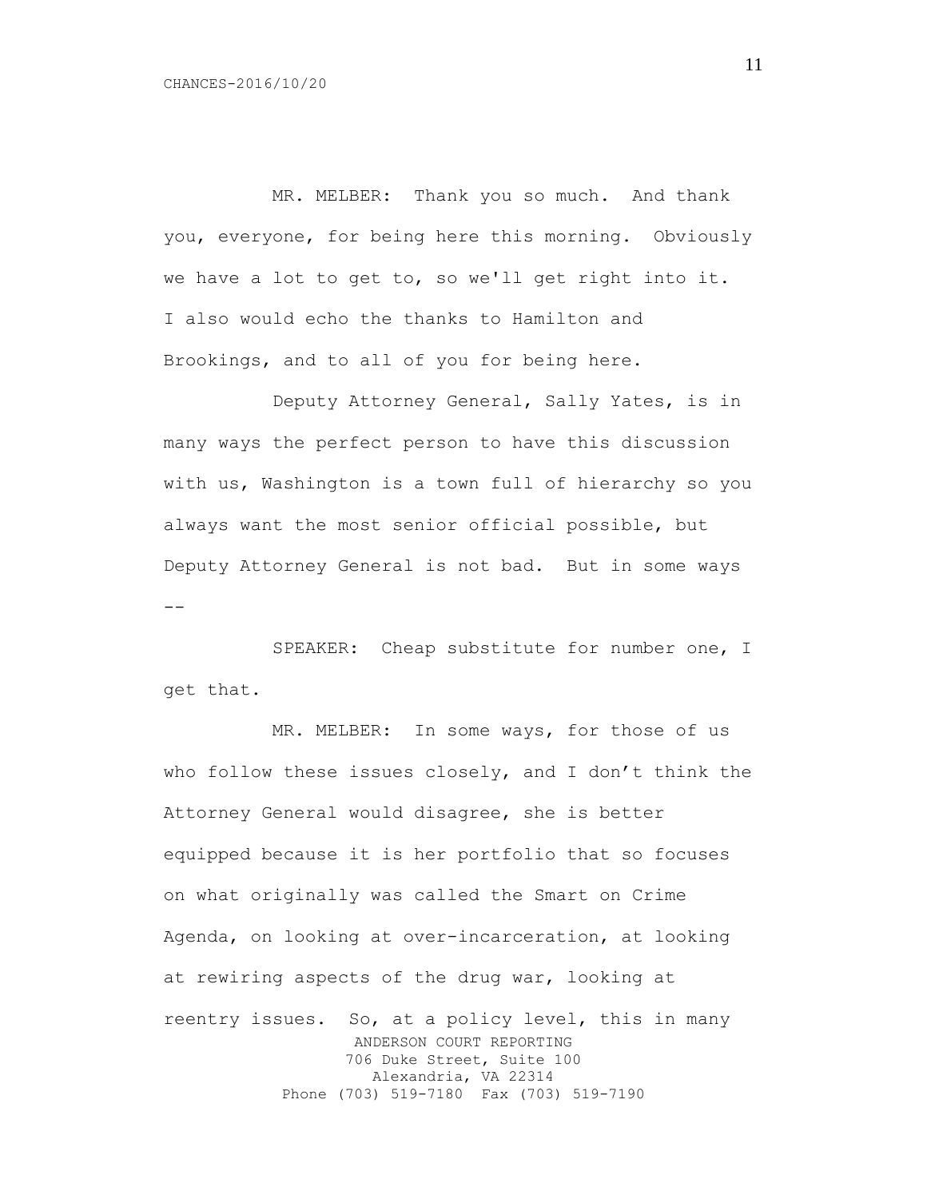MR. MELBER: Thank you so much. And thank you, everyone, for being here this morning. Obviously we have a lot to get to, so we'll get right into it. I also would echo the thanks to Hamilton and Brookings, and to all of you for being here.

Deputy Attorney General, Sally Yates, is in many ways the perfect person to have this discussion with us, Washington is a town full of hierarchy so you always want the most senior official possible, but Deputy Attorney General is not bad. But in some ways --

SPEAKER: Cheap substitute for number one, I get that.

ANDERSON COURT REPORTING 706 Duke Street, Suite 100 Alexandria, VA 22314 Phone (703) 519-7180 Fax (703) 519-7190 MR. MELBER: In some ways, for those of us who follow these issues closely, and I don't think the Attorney General would disagree, she is better equipped because it is her portfolio that so focuses on what originally was called the Smart on Crime Agenda, on looking at over-incarceration, at looking at rewiring aspects of the drug war, looking at reentry issues. So, at a policy level, this in many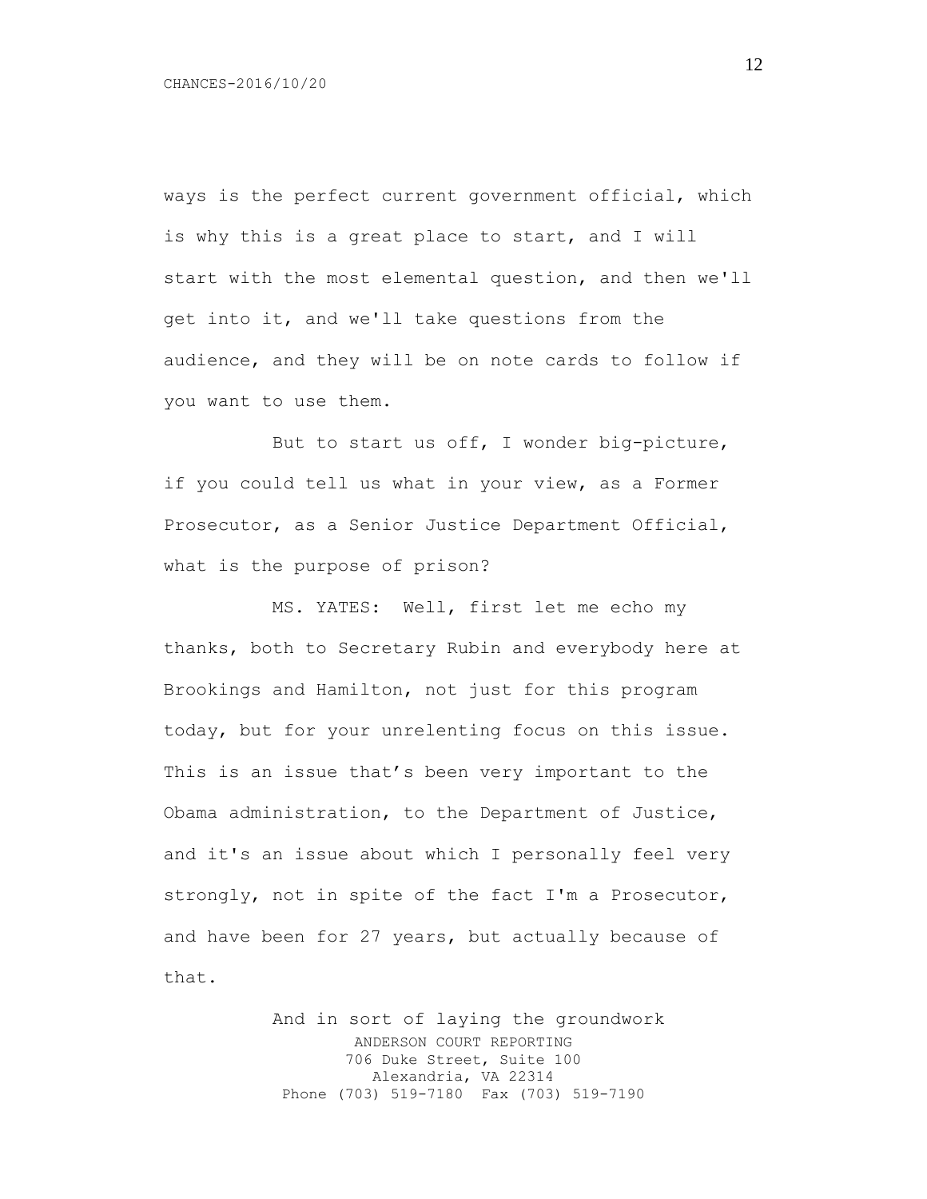ways is the perfect current government official, which is why this is a great place to start, and I will start with the most elemental question, and then we'll get into it, and we'll take questions from the audience, and they will be on note cards to follow if you want to use them.

But to start us off, I wonder big-picture, if you could tell us what in your view, as a Former Prosecutor, as a Senior Justice Department Official, what is the purpose of prison?

MS. YATES: Well, first let me echo my thanks, both to Secretary Rubin and everybody here at Brookings and Hamilton, not just for this program today, but for your unrelenting focus on this issue. This is an issue that's been very important to the Obama administration, to the Department of Justice, and it's an issue about which I personally feel very strongly, not in spite of the fact I'm a Prosecutor, and have been for 27 years, but actually because of that.

> ANDERSON COURT REPORTING 706 Duke Street, Suite 100 Alexandria, VA 22314 Phone (703) 519-7180 Fax (703) 519-7190 And in sort of laying the groundwork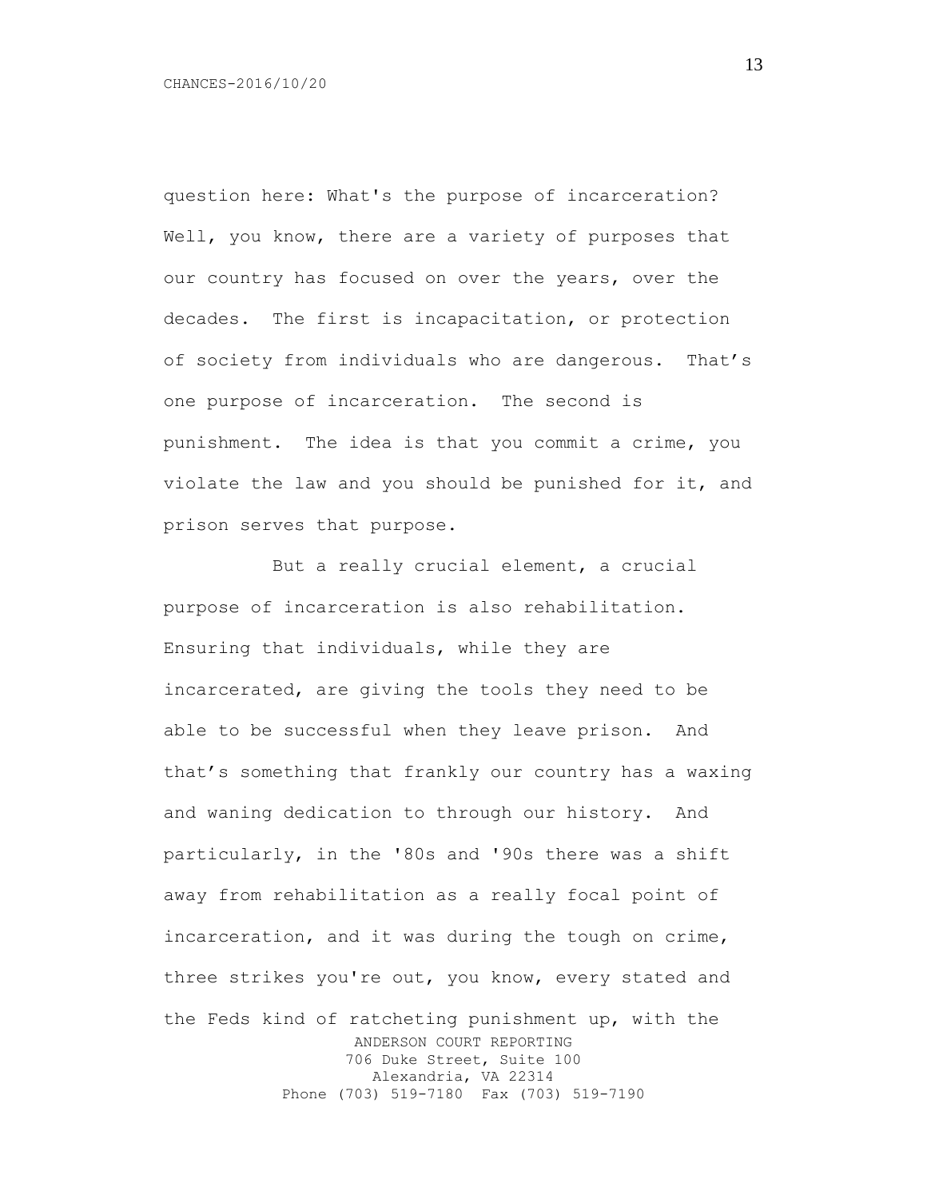question here: What's the purpose of incarceration? Well, you know, there are a variety of purposes that our country has focused on over the years, over the decades. The first is incapacitation, or protection of society from individuals who are dangerous. That's one purpose of incarceration. The second is punishment. The idea is that you commit a crime, you violate the law and you should be punished for it, and prison serves that purpose.

ANDERSON COURT REPORTING 706 Duke Street, Suite 100 Alexandria, VA 22314 Phone (703) 519-7180 Fax (703) 519-7190 But a really crucial element, a crucial purpose of incarceration is also rehabilitation. Ensuring that individuals, while they are incarcerated, are giving the tools they need to be able to be successful when they leave prison. And that's something that frankly our country has a waxing and waning dedication to through our history. And particularly, in the '80s and '90s there was a shift away from rehabilitation as a really focal point of incarceration, and it was during the tough on crime, three strikes you're out, you know, every stated and the Feds kind of ratcheting punishment up, with the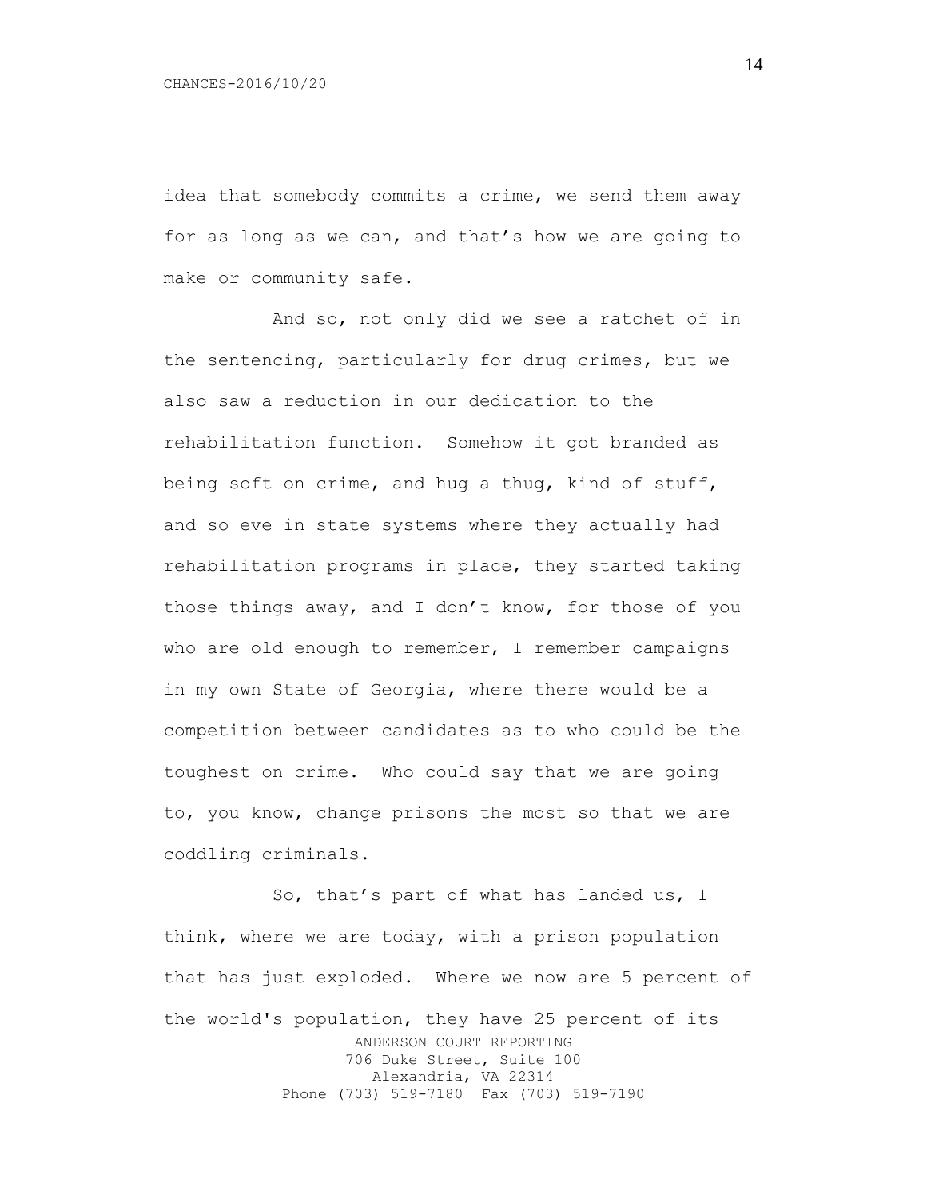idea that somebody commits a crime, we send them away for as long as we can, and that's how we are going to make or community safe.

And so, not only did we see a ratchet of in the sentencing, particularly for drug crimes, but we also saw a reduction in our dedication to the rehabilitation function. Somehow it got branded as being soft on crime, and hug a thug, kind of stuff, and so eve in state systems where they actually had rehabilitation programs in place, they started taking those things away, and I don't know, for those of you who are old enough to remember, I remember campaigns in my own State of Georgia, where there would be a competition between candidates as to who could be the toughest on crime. Who could say that we are going to, you know, change prisons the most so that we are coddling criminals.

ANDERSON COURT REPORTING 706 Duke Street, Suite 100 Alexandria, VA 22314 Phone (703) 519-7180 Fax (703) 519-7190 So, that's part of what has landed us, I think, where we are today, with a prison population that has just exploded. Where we now are 5 percent of the world's population, they have 25 percent of its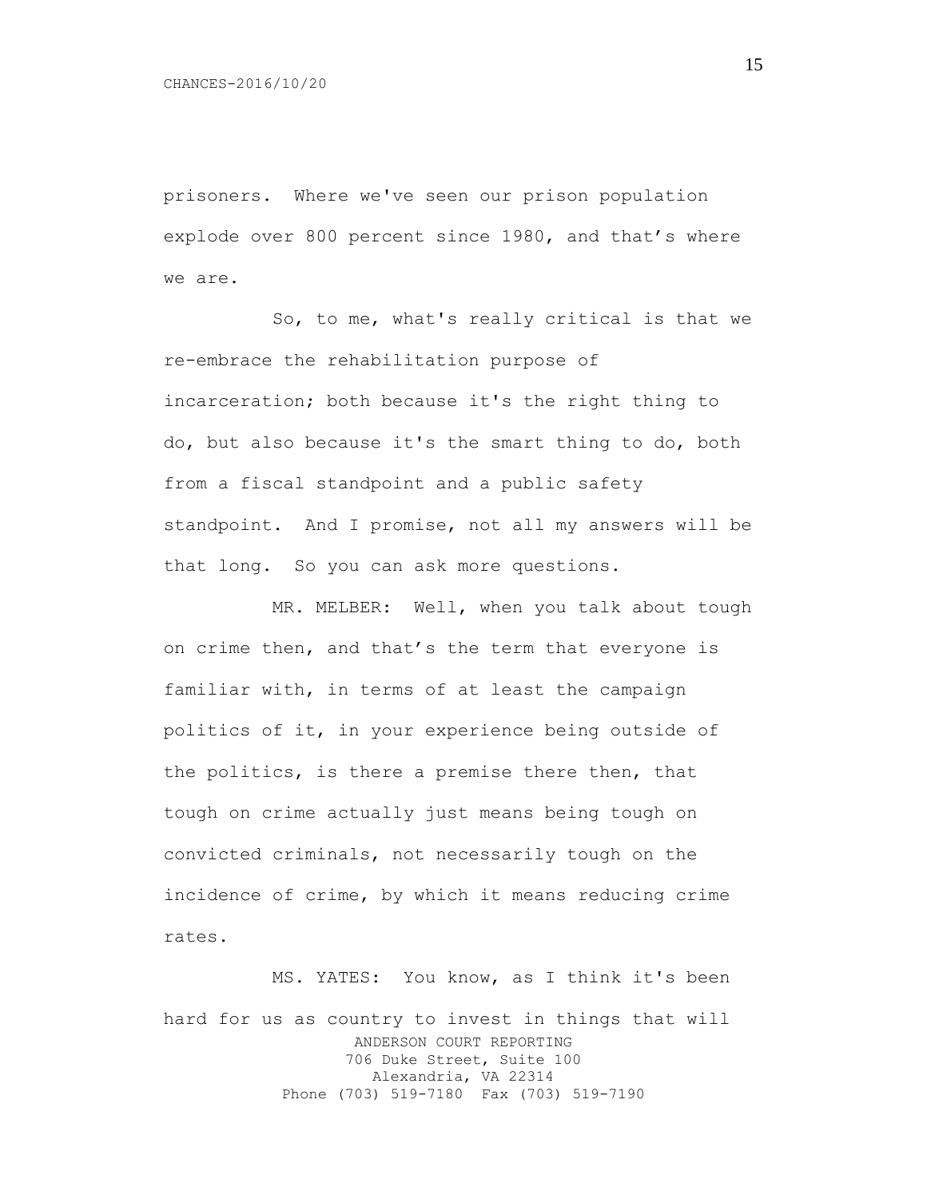prisoners. Where we've seen our prison population explode over 800 percent since 1980, and that's where we are.

So, to me, what's really critical is that we re-embrace the rehabilitation purpose of incarceration; both because it's the right thing to do, but also because it's the smart thing to do, both from a fiscal standpoint and a public safety standpoint. And I promise, not all my answers will be that long. So you can ask more questions.

MR. MELBER: Well, when you talk about tough on crime then, and that's the term that everyone is familiar with, in terms of at least the campaign politics of it, in your experience being outside of the politics, is there a premise there then, that tough on crime actually just means being tough on convicted criminals, not necessarily tough on the incidence of crime, by which it means reducing crime rates.

ANDERSON COURT REPORTING 706 Duke Street, Suite 100 Alexandria, VA 22314 Phone (703) 519-7180 Fax (703) 519-7190 MS. YATES: You know, as I think it's been hard for us as country to invest in things that will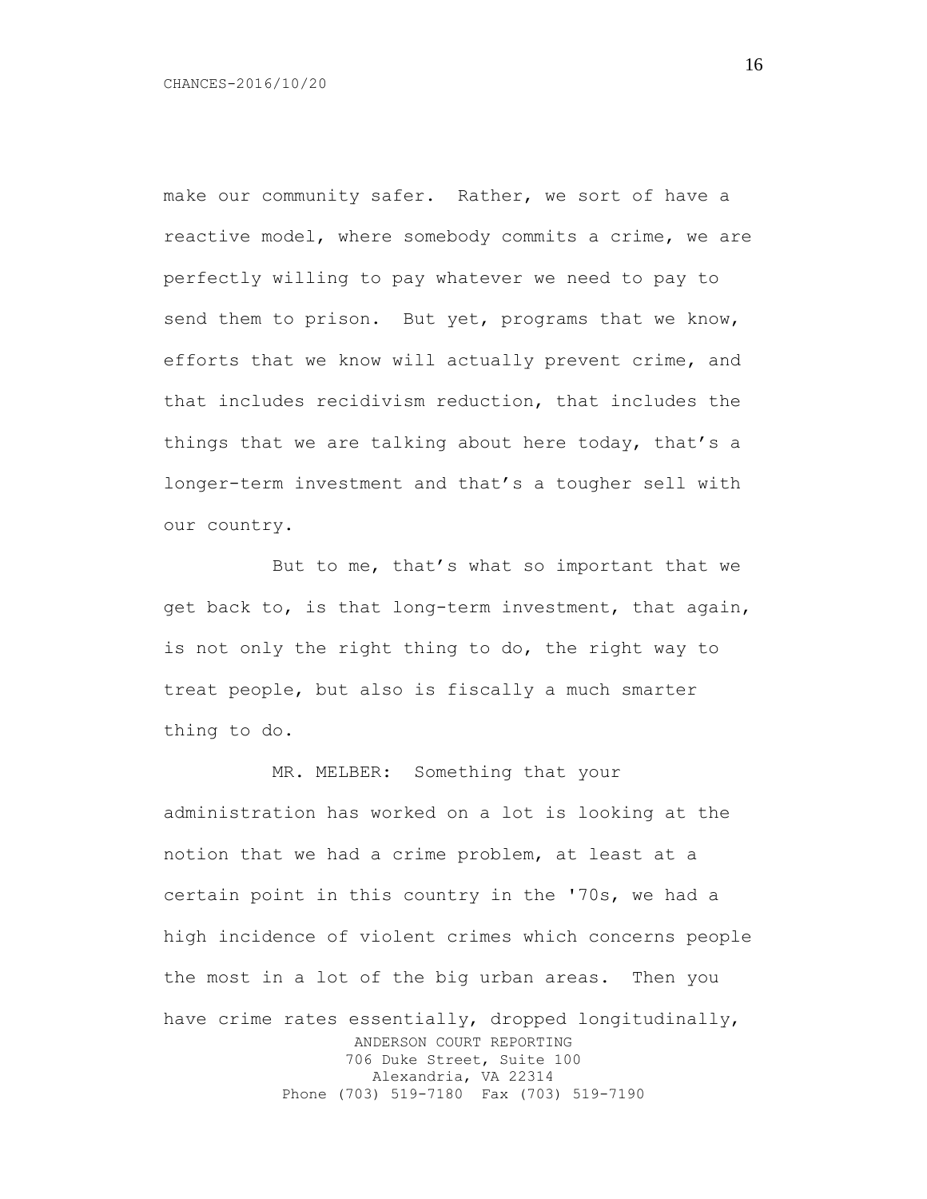make our community safer. Rather, we sort of have a reactive model, where somebody commits a crime, we are perfectly willing to pay whatever we need to pay to send them to prison. But yet, programs that we know, efforts that we know will actually prevent crime, and that includes recidivism reduction, that includes the things that we are talking about here today, that's a longer-term investment and that's a tougher sell with our country.

But to me, that's what so important that we get back to, is that long-term investment, that again, is not only the right thing to do, the right way to treat people, but also is fiscally a much smarter thing to do.

ANDERSON COURT REPORTING 706 Duke Street, Suite 100 Alexandria, VA 22314 Phone (703) 519-7180 Fax (703) 519-7190 MR. MELBER: Something that your administration has worked on a lot is looking at the notion that we had a crime problem, at least at a certain point in this country in the '70s, we had a high incidence of violent crimes which concerns people the most in a lot of the big urban areas. Then you have crime rates essentially, dropped longitudinally,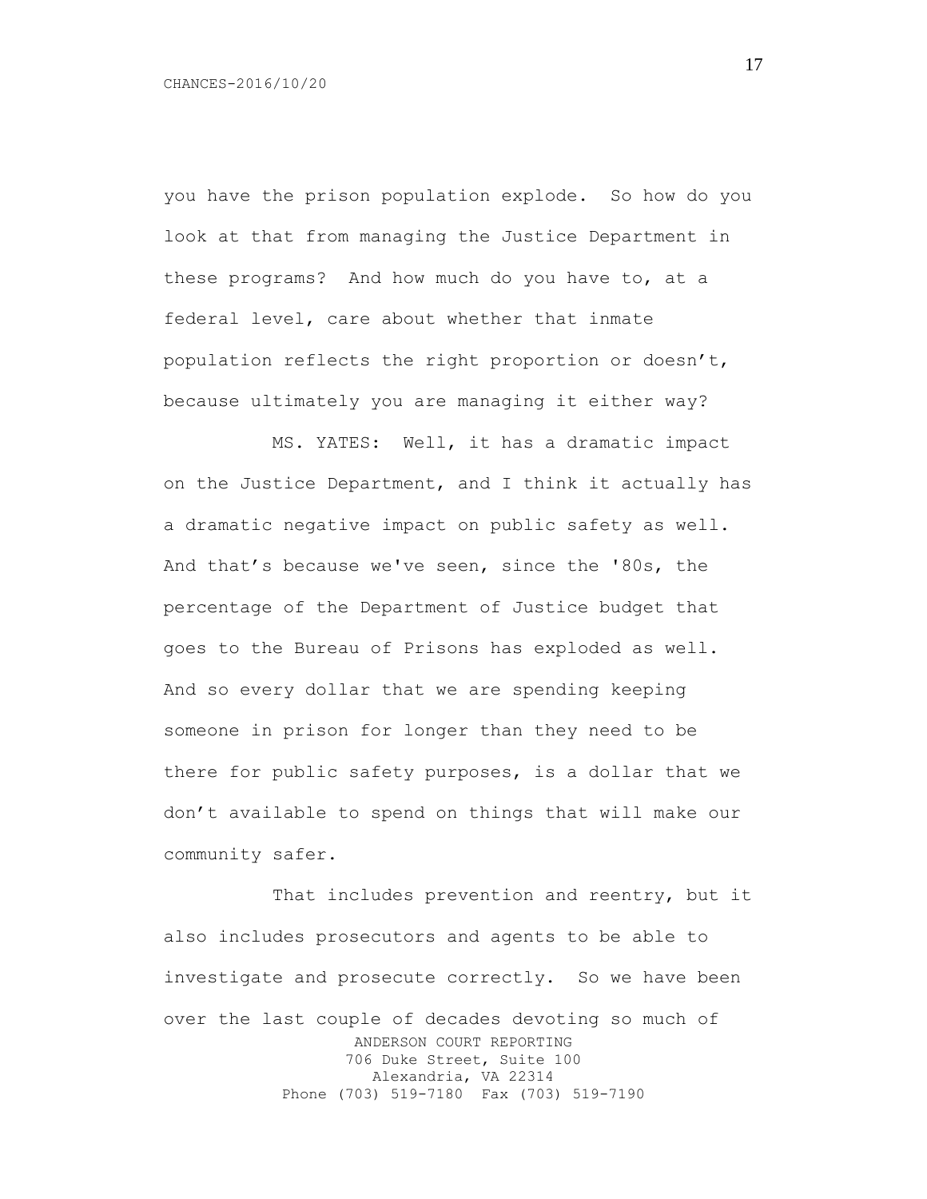you have the prison population explode. So how do you look at that from managing the Justice Department in these programs? And how much do you have to, at a federal level, care about whether that inmate population reflects the right proportion or doesn't, because ultimately you are managing it either way?

MS. YATES: Well, it has a dramatic impact on the Justice Department, and I think it actually has a dramatic negative impact on public safety as well. And that's because we've seen, since the '80s, the percentage of the Department of Justice budget that goes to the Bureau of Prisons has exploded as well. And so every dollar that we are spending keeping someone in prison for longer than they need to be there for public safety purposes, is a dollar that we don't available to spend on things that will make our community safer.

ANDERSON COURT REPORTING 706 Duke Street, Suite 100 Alexandria, VA 22314 Phone (703) 519-7180 Fax (703) 519-7190 That includes prevention and reentry, but it also includes prosecutors and agents to be able to investigate and prosecute correctly. So we have been over the last couple of decades devoting so much of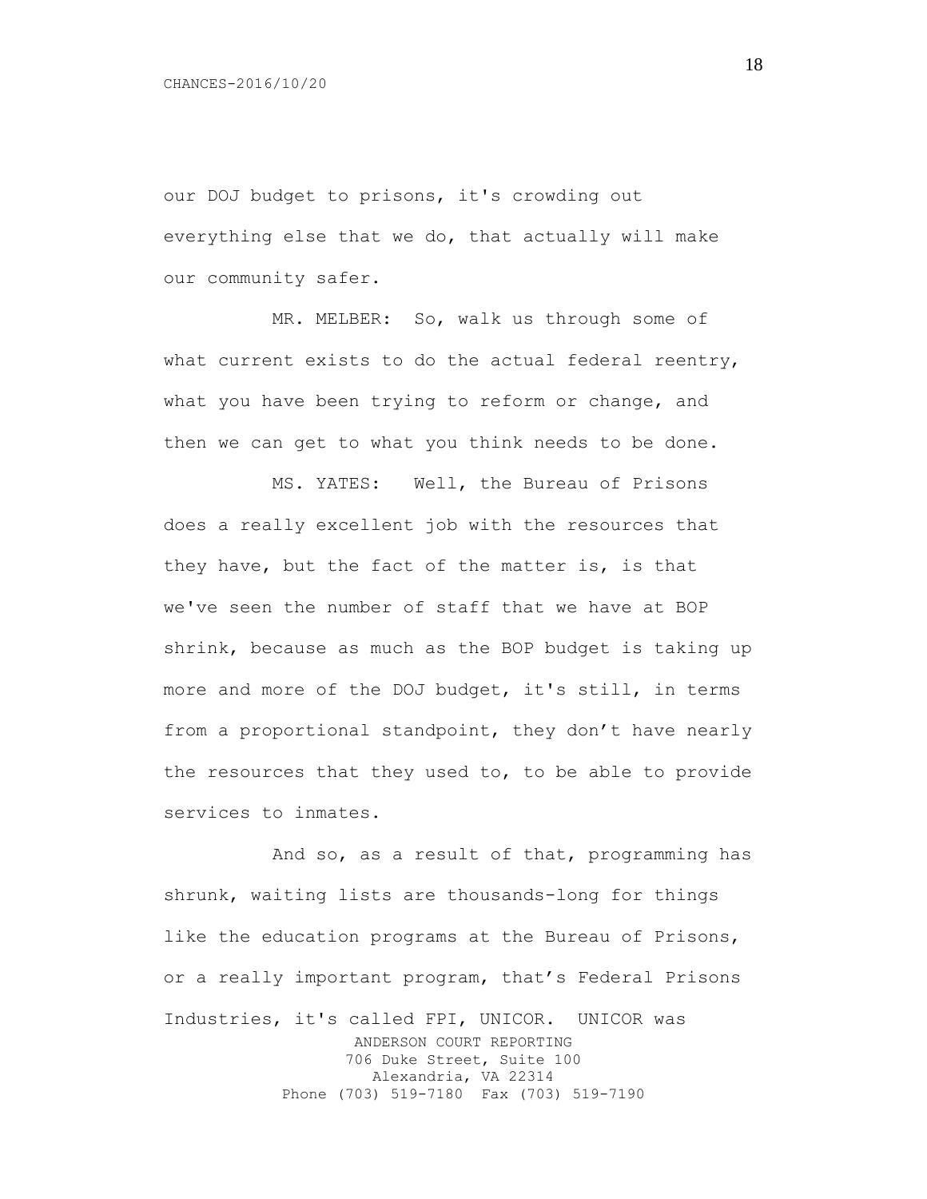our DOJ budget to prisons, it's crowding out everything else that we do, that actually will make our community safer.

MR. MELBER: So, walk us through some of what current exists to do the actual federal reentry, what you have been trying to reform or change, and then we can get to what you think needs to be done.

MS. YATES: Well, the Bureau of Prisons does a really excellent job with the resources that they have, but the fact of the matter is, is that we've seen the number of staff that we have at BOP shrink, because as much as the BOP budget is taking up more and more of the DOJ budget, it's still, in terms from a proportional standpoint, they don't have nearly the resources that they used to, to be able to provide services to inmates.

ANDERSON COURT REPORTING 706 Duke Street, Suite 100 Alexandria, VA 22314 Phone (703) 519-7180 Fax (703) 519-7190 And so, as a result of that, programming has shrunk, waiting lists are thousands-long for things like the education programs at the Bureau of Prisons, or a really important program, that's Federal Prisons Industries, it's called FPI, UNICOR. UNICOR was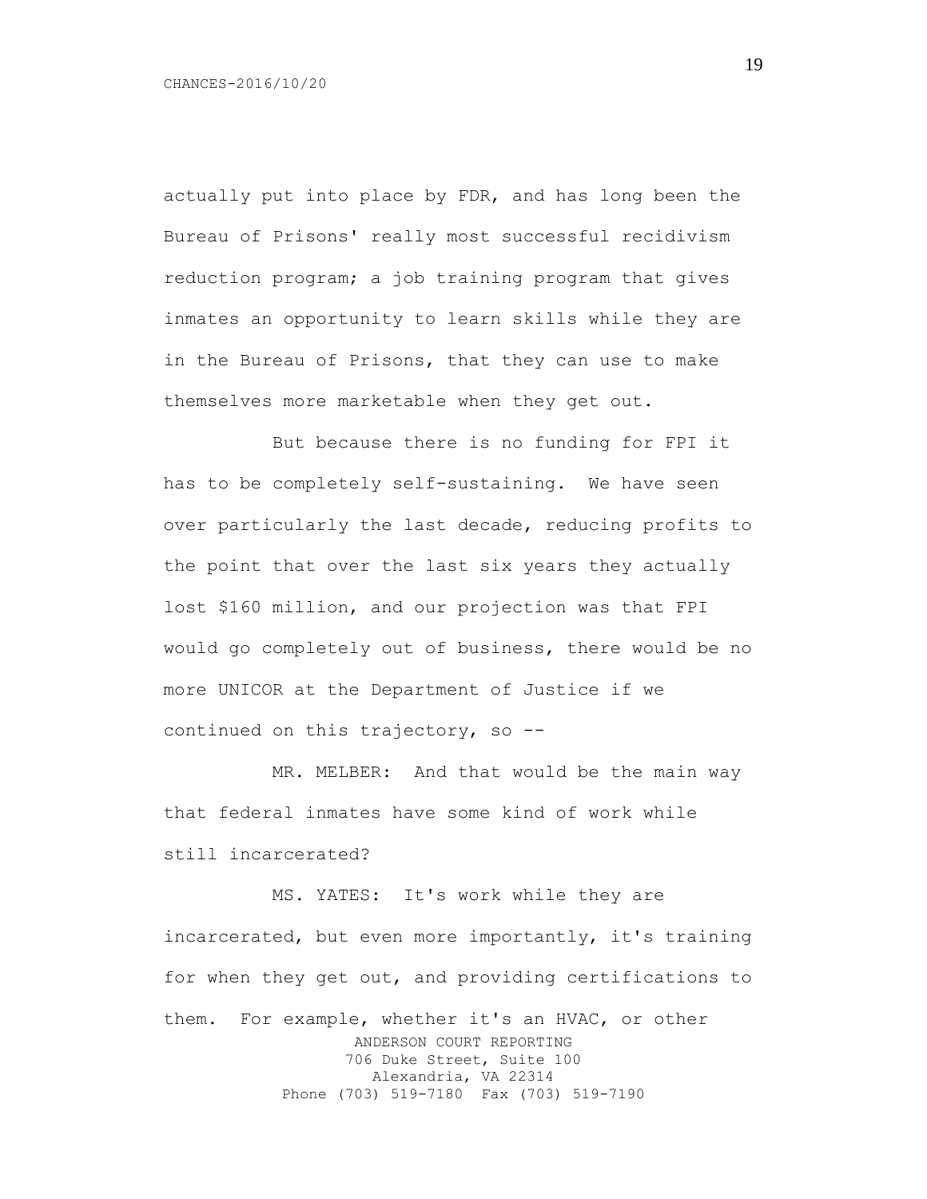actually put into place by FDR, and has long been the Bureau of Prisons' really most successful recidivism reduction program; a job training program that gives inmates an opportunity to learn skills while they are in the Bureau of Prisons, that they can use to make themselves more marketable when they get out.

But because there is no funding for FPI it has to be completely self-sustaining. We have seen over particularly the last decade, reducing profits to the point that over the last six years they actually lost \$160 million, and our projection was that FPI would go completely out of business, there would be no more UNICOR at the Department of Justice if we continued on this trajectory, so --

MR. MELBER: And that would be the main way that federal inmates have some kind of work while still incarcerated?

ANDERSON COURT REPORTING 706 Duke Street, Suite 100 Alexandria, VA 22314 Phone (703) 519-7180 Fax (703) 519-7190 MS. YATES: It's work while they are incarcerated, but even more importantly, it's training for when they get out, and providing certifications to them. For example, whether it's an HVAC, or other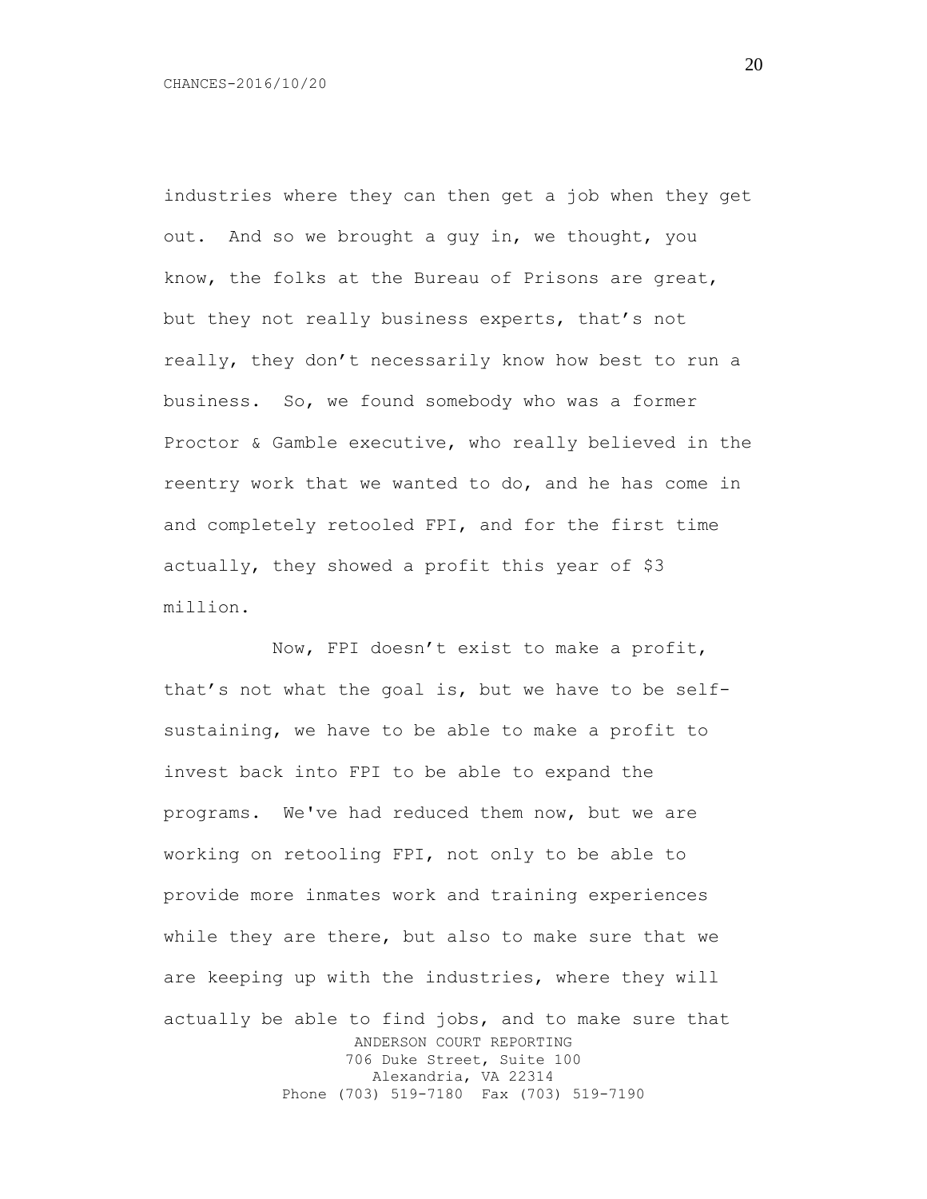industries where they can then get a job when they get out. And so we brought a guy in, we thought, you know, the folks at the Bureau of Prisons are great, but they not really business experts, that's not really, they don't necessarily know how best to run a business. So, we found somebody who was a former Proctor & Gamble executive, who really believed in the reentry work that we wanted to do, and he has come in and completely retooled FPI, and for the first time actually, they showed a profit this year of \$3 million.

ANDERSON COURT REPORTING 706 Duke Street, Suite 100 Alexandria, VA 22314 Phone (703) 519-7180 Fax (703) 519-7190 Now, FPI doesn't exist to make a profit, that's not what the goal is, but we have to be selfsustaining, we have to be able to make a profit to invest back into FPI to be able to expand the programs. We've had reduced them now, but we are working on retooling FPI, not only to be able to provide more inmates work and training experiences while they are there, but also to make sure that we are keeping up with the industries, where they will actually be able to find jobs, and to make sure that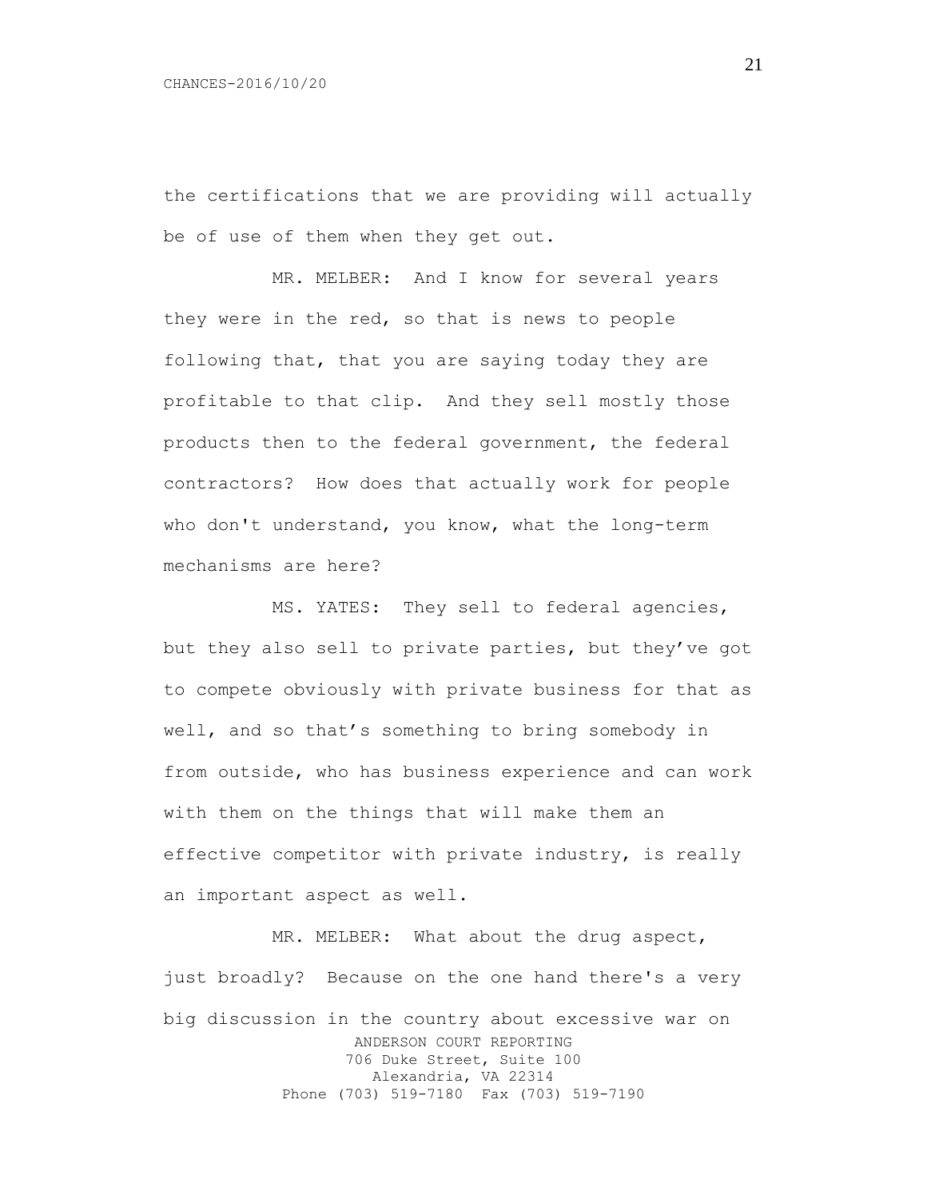the certifications that we are providing will actually be of use of them when they get out.

MR. MELBER: And I know for several years they were in the red, so that is news to people following that, that you are saying today they are profitable to that clip. And they sell mostly those products then to the federal government, the federal contractors? How does that actually work for people who don't understand, you know, what the long-term mechanisms are here?

MS. YATES: They sell to federal agencies, but they also sell to private parties, but they've got to compete obviously with private business for that as well, and so that's something to bring somebody in from outside, who has business experience and can work with them on the things that will make them an effective competitor with private industry, is really an important aspect as well.

ANDERSON COURT REPORTING 706 Duke Street, Suite 100 Alexandria, VA 22314 Phone (703) 519-7180 Fax (703) 519-7190 MR. MELBER: What about the drug aspect, just broadly? Because on the one hand there's a very big discussion in the country about excessive war on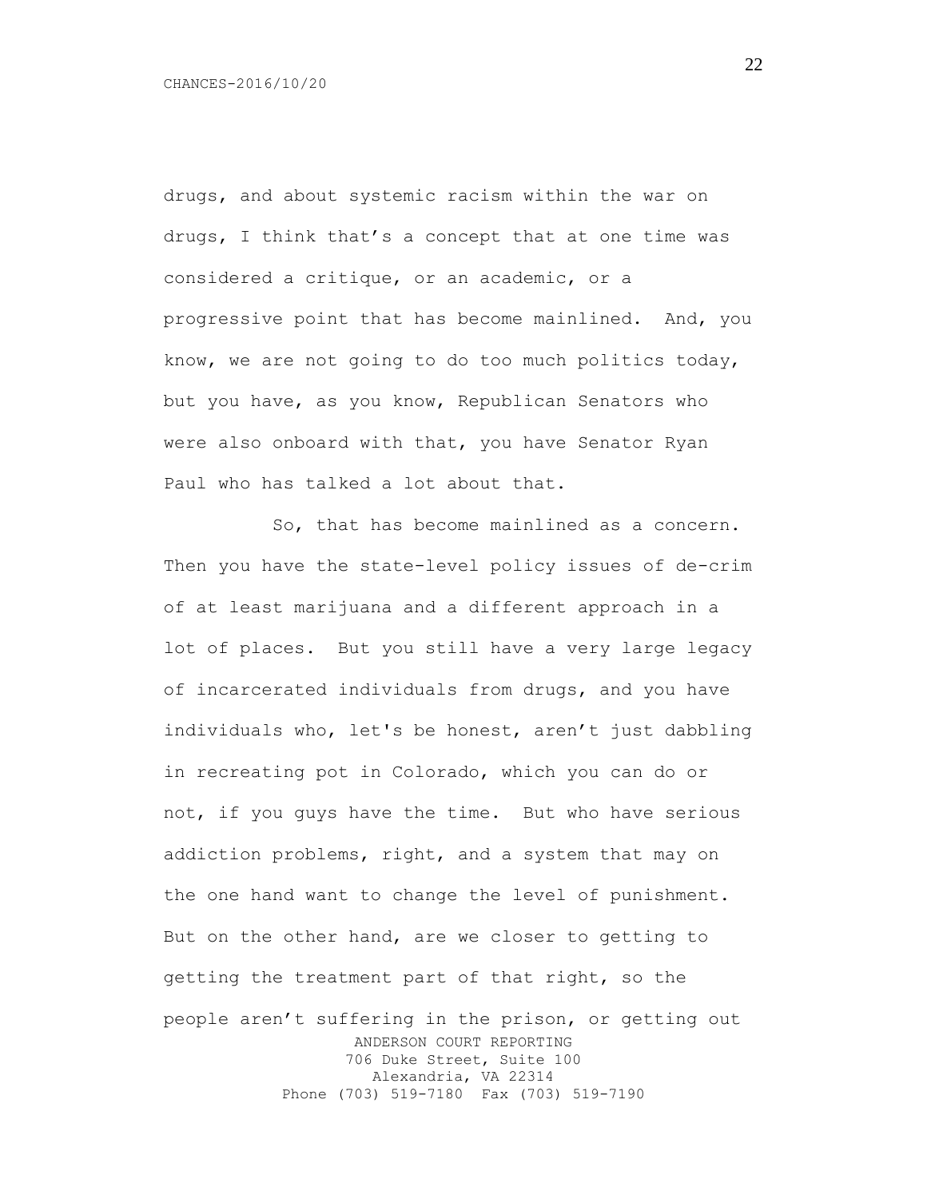drugs, and about systemic racism within the war on drugs, I think that's a concept that at one time was considered a critique, or an academic, or a progressive point that has become mainlined. And, you know, we are not going to do too much politics today, but you have, as you know, Republican Senators who were also onboard with that, you have Senator Ryan Paul who has talked a lot about that.

ANDERSON COURT REPORTING 706 Duke Street, Suite 100 Alexandria, VA 22314 Phone (703) 519-7180 Fax (703) 519-7190 So, that has become mainlined as a concern. Then you have the state-level policy issues of de-crim of at least marijuana and a different approach in a lot of places. But you still have a very large legacy of incarcerated individuals from drugs, and you have individuals who, let's be honest, aren't just dabbling in recreating pot in Colorado, which you can do or not, if you guys have the time. But who have serious addiction problems, right, and a system that may on the one hand want to change the level of punishment. But on the other hand, are we closer to getting to getting the treatment part of that right, so the people aren't suffering in the prison, or getting out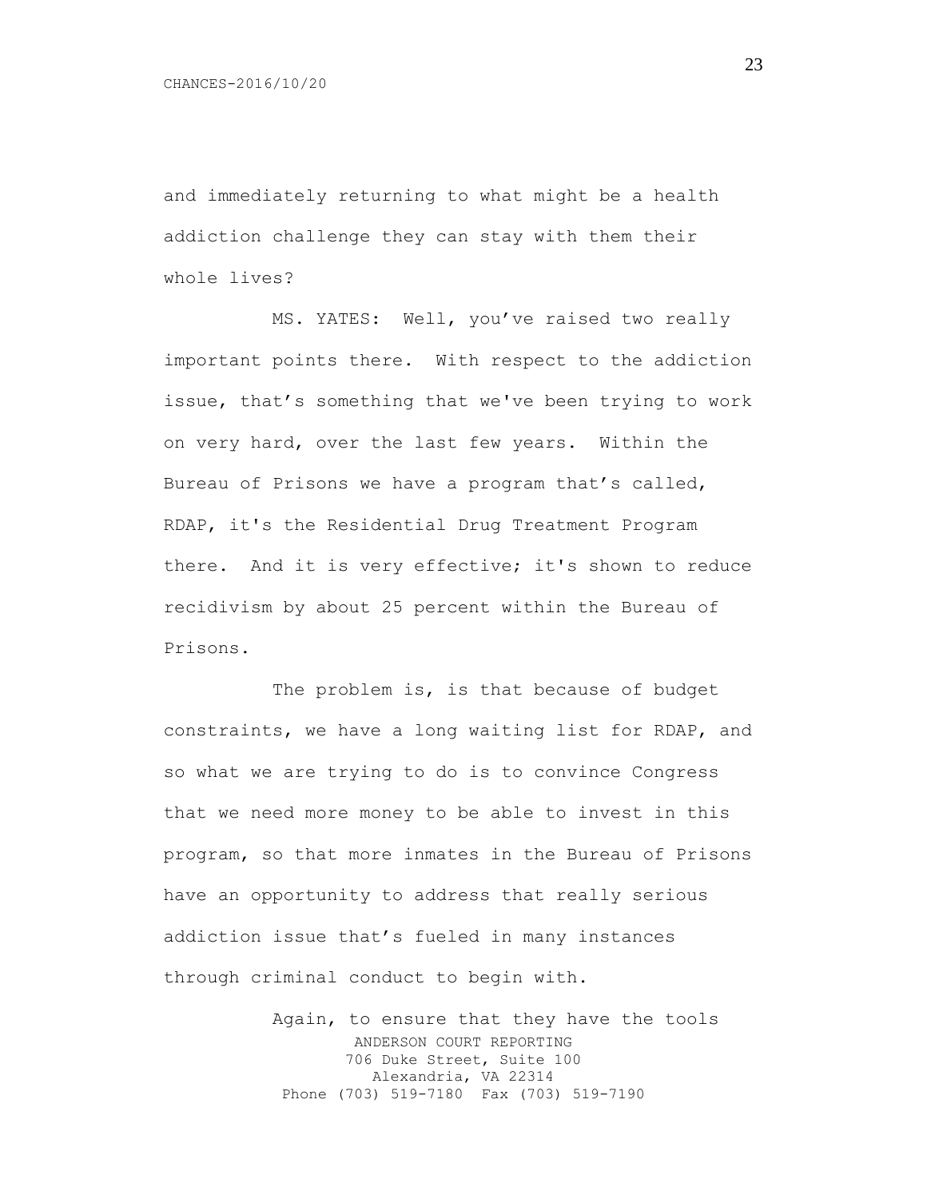and immediately returning to what might be a health addiction challenge they can stay with them their whole lives?

MS. YATES: Well, you've raised two really important points there. With respect to the addiction issue, that's something that we've been trying to work on very hard, over the last few years. Within the Bureau of Prisons we have a program that's called, RDAP, it's the Residential Drug Treatment Program there. And it is very effective; it's shown to reduce recidivism by about 25 percent within the Bureau of Prisons.

The problem is, is that because of budget constraints, we have a long waiting list for RDAP, and so what we are trying to do is to convince Congress that we need more money to be able to invest in this program, so that more inmates in the Bureau of Prisons have an opportunity to address that really serious addiction issue that's fueled in many instances through criminal conduct to begin with.

> ANDERSON COURT REPORTING 706 Duke Street, Suite 100 Alexandria, VA 22314 Phone (703) 519-7180 Fax (703) 519-7190 Again, to ensure that they have the tools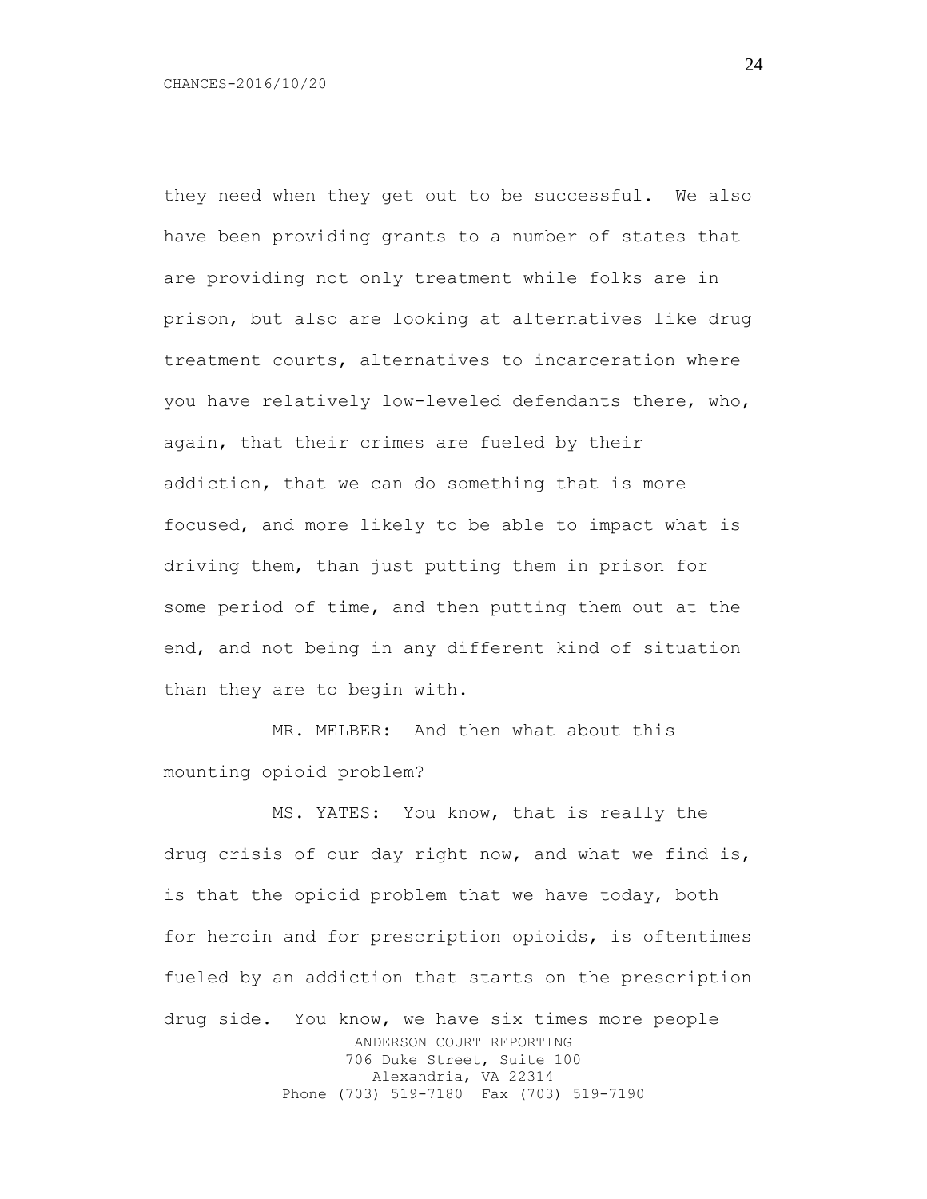they need when they get out to be successful. We also have been providing grants to a number of states that are providing not only treatment while folks are in prison, but also are looking at alternatives like drug treatment courts, alternatives to incarceration where you have relatively low-leveled defendants there, who, again, that their crimes are fueled by their addiction, that we can do something that is more focused, and more likely to be able to impact what is driving them, than just putting them in prison for some period of time, and then putting them out at the end, and not being in any different kind of situation than they are to begin with.

MR. MELBER: And then what about this mounting opioid problem?

ANDERSON COURT REPORTING 706 Duke Street, Suite 100 Alexandria, VA 22314 Phone (703) 519-7180 Fax (703) 519-7190 MS. YATES: You know, that is really the drug crisis of our day right now, and what we find is, is that the opioid problem that we have today, both for heroin and for prescription opioids, is oftentimes fueled by an addiction that starts on the prescription drug side. You know, we have six times more people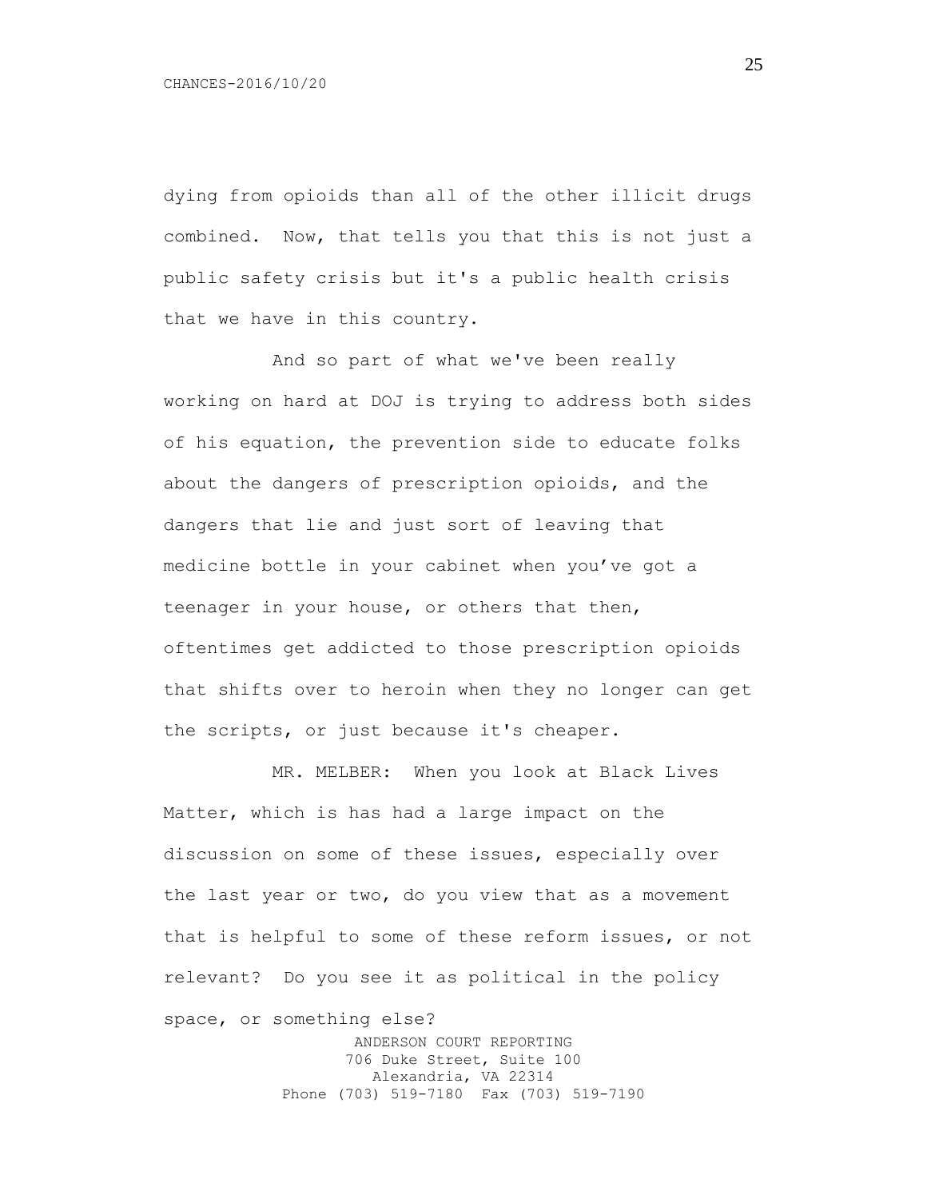dying from opioids than all of the other illicit drugs combined. Now, that tells you that this is not just a public safety crisis but it's a public health crisis that we have in this country.

And so part of what we've been really working on hard at DOJ is trying to address both sides of his equation, the prevention side to educate folks about the dangers of prescription opioids, and the dangers that lie and just sort of leaving that medicine bottle in your cabinet when you've got a teenager in your house, or others that then, oftentimes get addicted to those prescription opioids that shifts over to heroin when they no longer can get the scripts, or just because it's cheaper.

ANDERSON COURT REPORTING MR. MELBER: When you look at Black Lives Matter, which is has had a large impact on the discussion on some of these issues, especially over the last year or two, do you view that as a movement that is helpful to some of these reform issues, or not relevant? Do you see it as political in the policy space, or something else?

706 Duke Street, Suite 100 Alexandria, VA 22314 Phone (703) 519-7180 Fax (703) 519-7190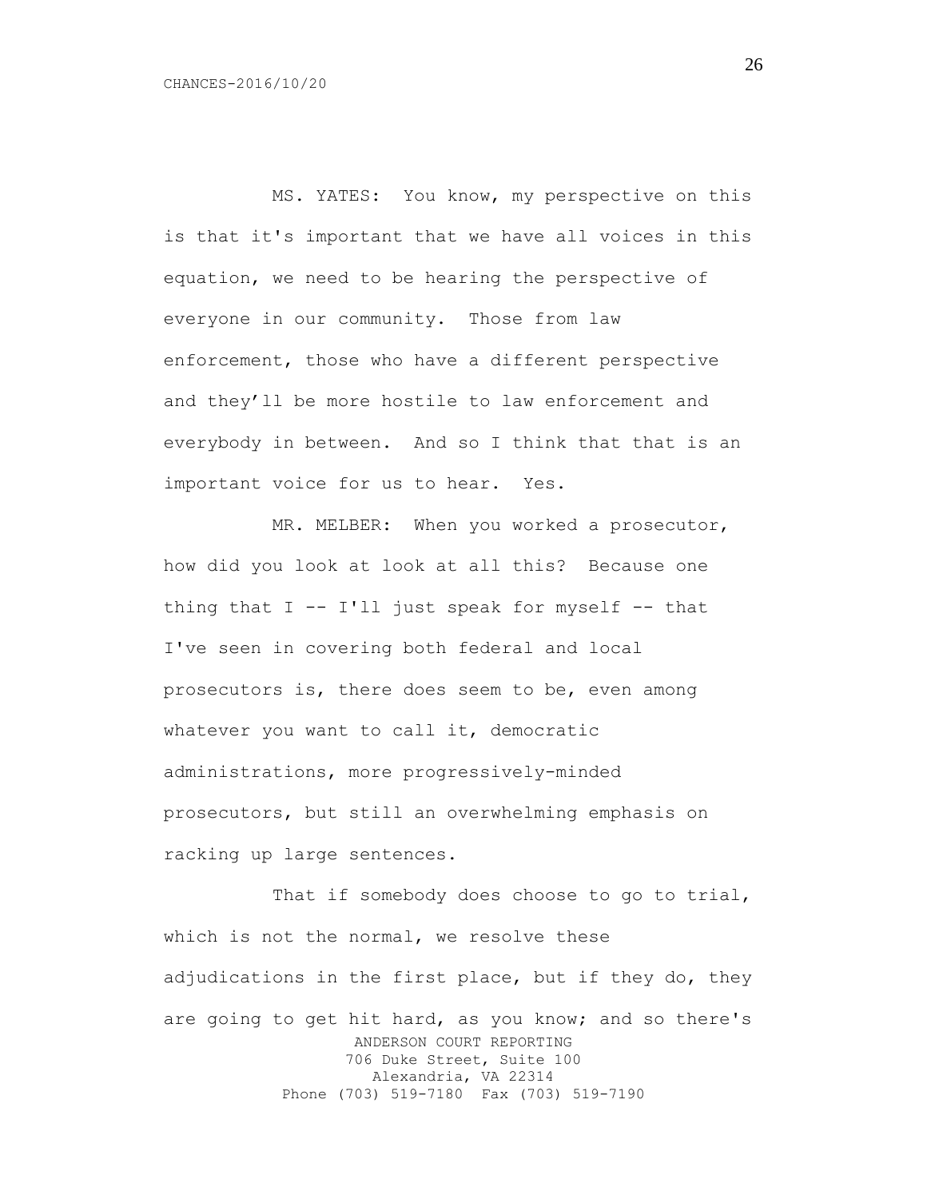MS. YATES: You know, my perspective on this is that it's important that we have all voices in this equation, we need to be hearing the perspective of everyone in our community. Those from law enforcement, those who have a different perspective and they'll be more hostile to law enforcement and everybody in between. And so I think that that is an important voice for us to hear. Yes.

MR. MELBER: When you worked a prosecutor, how did you look at look at all this? Because one thing that  $I$  --  $I'11$  just speak for myself -- that I've seen in covering both federal and local prosecutors is, there does seem to be, even among whatever you want to call it, democratic administrations, more progressively-minded prosecutors, but still an overwhelming emphasis on racking up large sentences.

ANDERSON COURT REPORTING 706 Duke Street, Suite 100 Alexandria, VA 22314 Phone (703) 519-7180 Fax (703) 519-7190 That if somebody does choose to go to trial, which is not the normal, we resolve these adjudications in the first place, but if they do, they are going to get hit hard, as you know; and so there's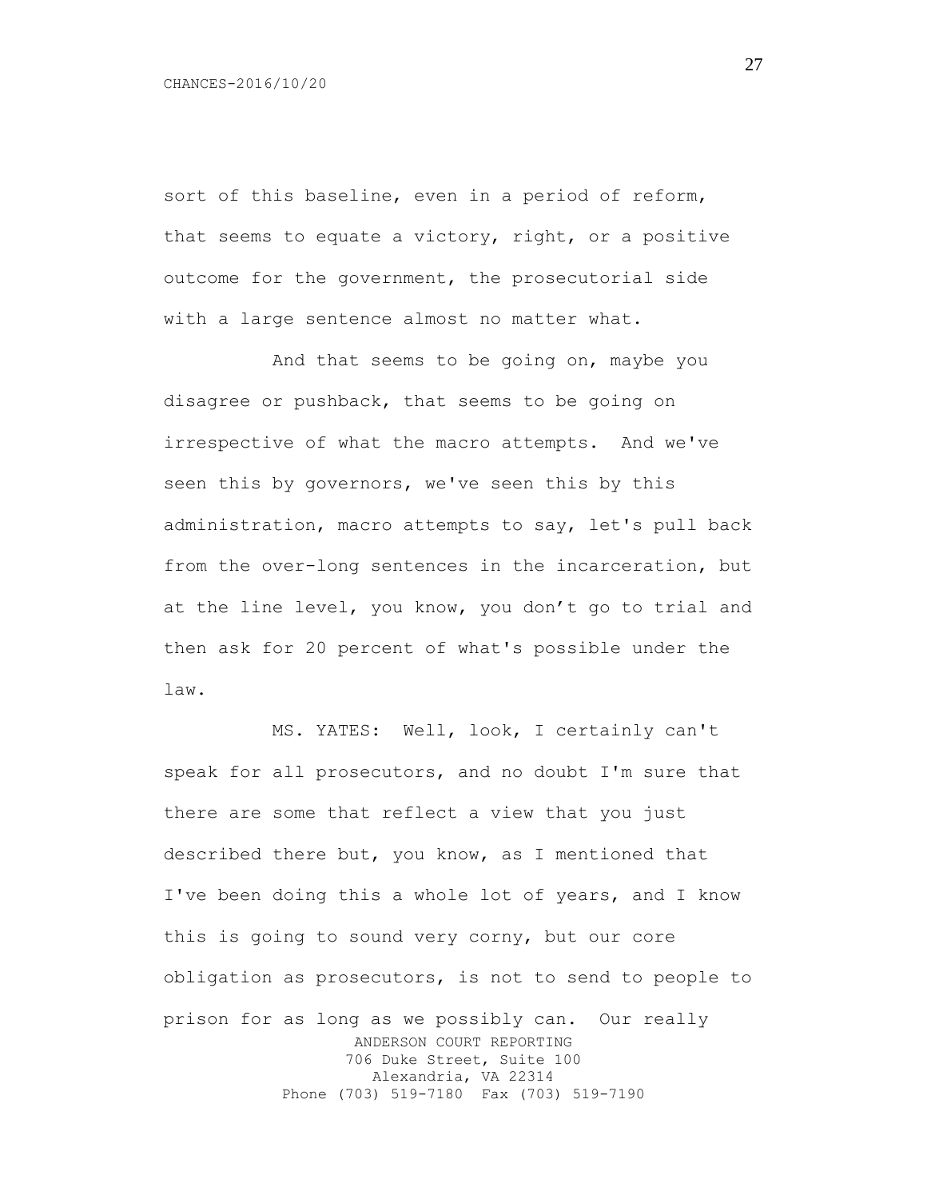sort of this baseline, even in a period of reform, that seems to equate a victory, right, or a positive outcome for the government, the prosecutorial side with a large sentence almost no matter what.

And that seems to be going on, maybe you disagree or pushback, that seems to be going on irrespective of what the macro attempts. And we've seen this by governors, we've seen this by this administration, macro attempts to say, let's pull back from the over-long sentences in the incarceration, but at the line level, you know, you don't go to trial and then ask for 20 percent of what's possible under the law.

ANDERSON COURT REPORTING 706 Duke Street, Suite 100 Alexandria, VA 22314 Phone (703) 519-7180 Fax (703) 519-7190 MS. YATES: Well, look, I certainly can't speak for all prosecutors, and no doubt I'm sure that there are some that reflect a view that you just described there but, you know, as I mentioned that I've been doing this a whole lot of years, and I know this is going to sound very corny, but our core obligation as prosecutors, is not to send to people to prison for as long as we possibly can. Our really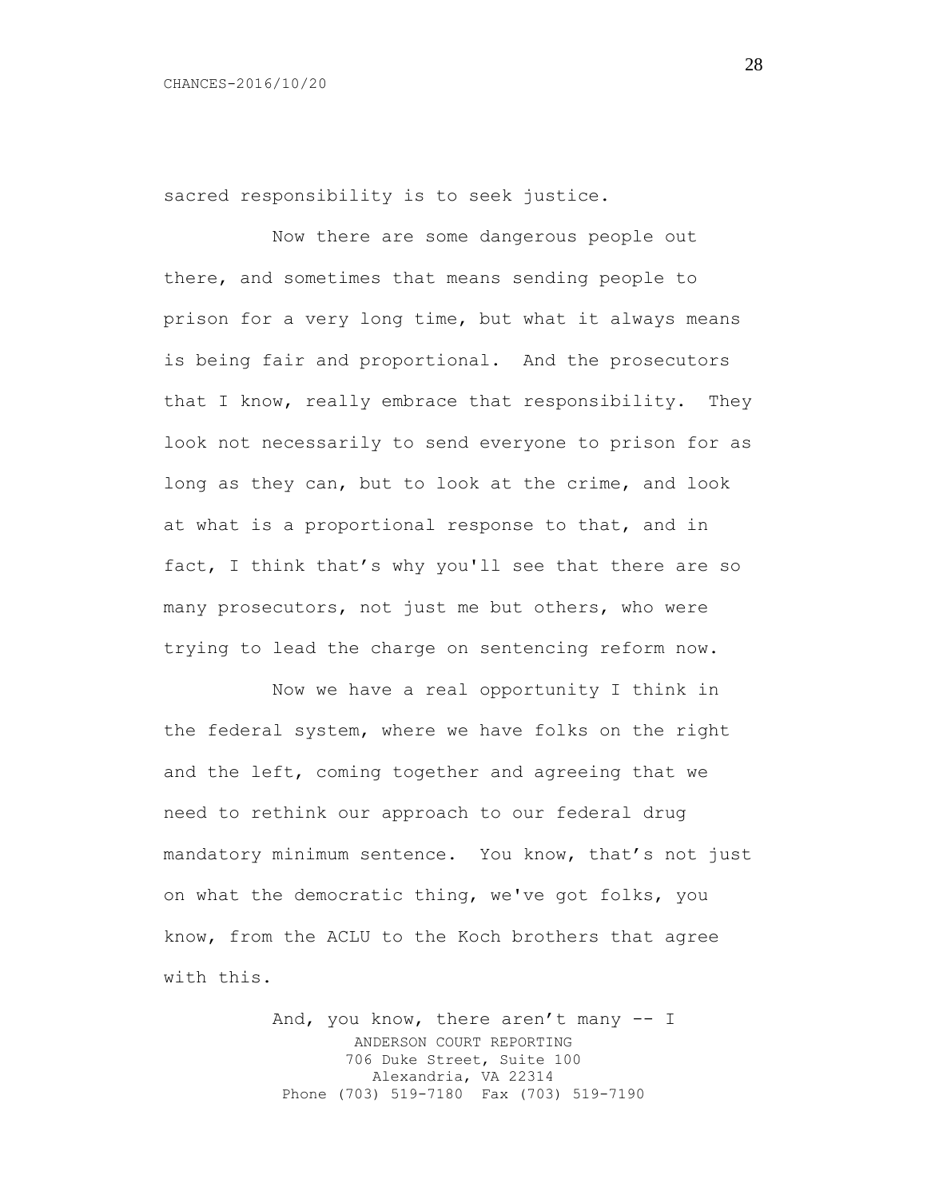sacred responsibility is to seek justice.

Now there are some dangerous people out there, and sometimes that means sending people to prison for a very long time, but what it always means is being fair and proportional. And the prosecutors that I know, really embrace that responsibility. They look not necessarily to send everyone to prison for as long as they can, but to look at the crime, and look at what is a proportional response to that, and in fact, I think that's why you'll see that there are so many prosecutors, not just me but others, who were trying to lead the charge on sentencing reform now.

Now we have a real opportunity I think in the federal system, where we have folks on the right and the left, coming together and agreeing that we need to rethink our approach to our federal drug mandatory minimum sentence. You know, that's not just on what the democratic thing, we've got folks, you know, from the ACLU to the Koch brothers that agree with this.

> ANDERSON COURT REPORTING 706 Duke Street, Suite 100 Alexandria, VA 22314 Phone (703) 519-7180 Fax (703) 519-7190 And, you know, there aren't many -- I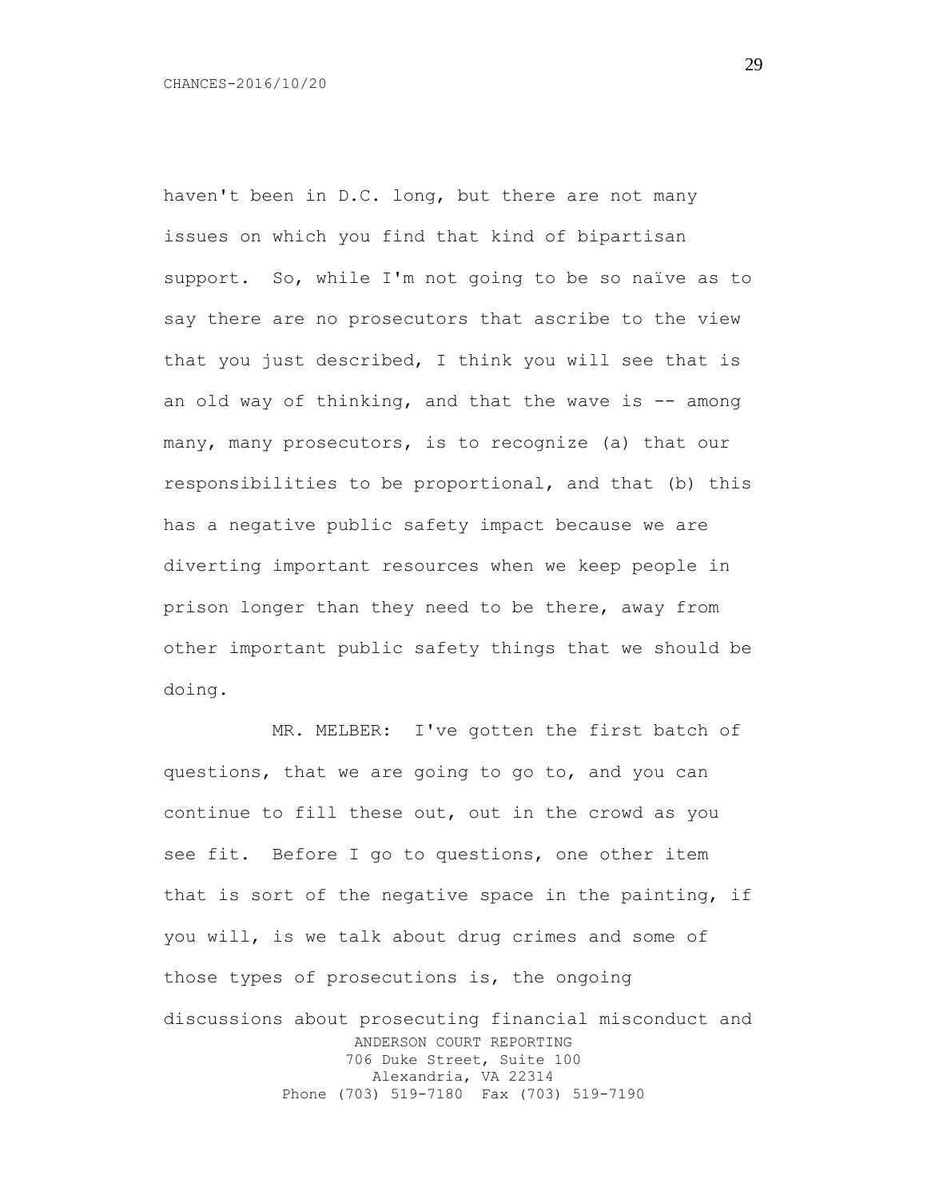haven't been in D.C. long, but there are not many issues on which you find that kind of bipartisan support. So, while I'm not going to be so naïve as to say there are no prosecutors that ascribe to the view that you just described, I think you will see that is an old way of thinking, and that the wave is  $-$  among many, many prosecutors, is to recognize (a) that our responsibilities to be proportional, and that (b) this has a negative public safety impact because we are diverting important resources when we keep people in prison longer than they need to be there, away from other important public safety things that we should be doing.

ANDERSON COURT REPORTING 706 Duke Street, Suite 100 Alexandria, VA 22314 Phone (703) 519-7180 Fax (703) 519-7190 MR. MELBER: I've gotten the first batch of questions, that we are going to go to, and you can continue to fill these out, out in the crowd as you see fit. Before I go to questions, one other item that is sort of the negative space in the painting, if you will, is we talk about drug crimes and some of those types of prosecutions is, the ongoing discussions about prosecuting financial misconduct and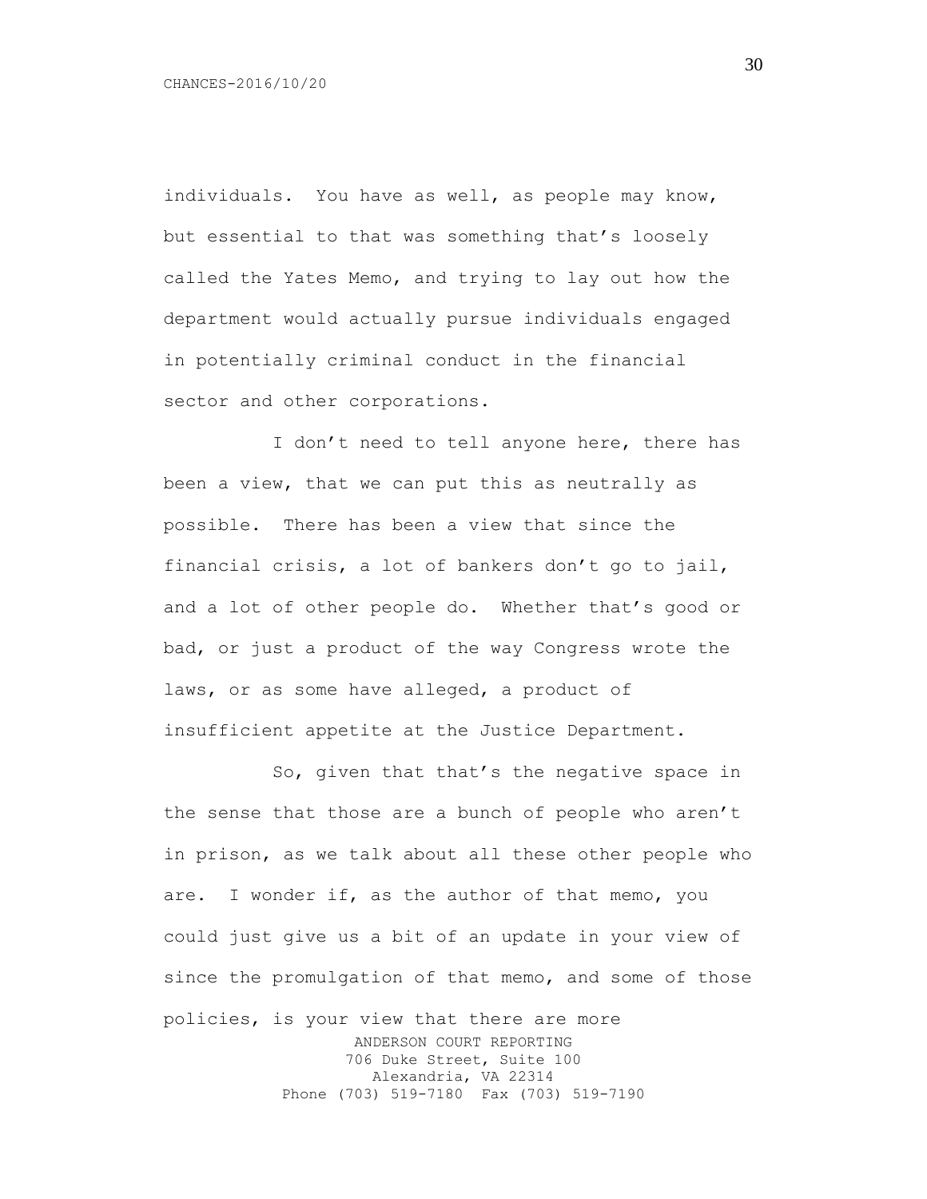individuals. You have as well, as people may know, but essential to that was something that's loosely called the Yates Memo, and trying to lay out how the department would actually pursue individuals engaged in potentially criminal conduct in the financial sector and other corporations.

I don't need to tell anyone here, there has been a view, that we can put this as neutrally as possible. There has been a view that since the financial crisis, a lot of bankers don't go to jail, and a lot of other people do. Whether that's good or bad, or just a product of the way Congress wrote the laws, or as some have alleged, a product of insufficient appetite at the Justice Department.

ANDERSON COURT REPORTING 706 Duke Street, Suite 100 Alexandria, VA 22314 Phone (703) 519-7180 Fax (703) 519-7190 So, given that that's the negative space in the sense that those are a bunch of people who aren't in prison, as we talk about all these other people who are. I wonder if, as the author of that memo, you could just give us a bit of an update in your view of since the promulgation of that memo, and some of those policies, is your view that there are more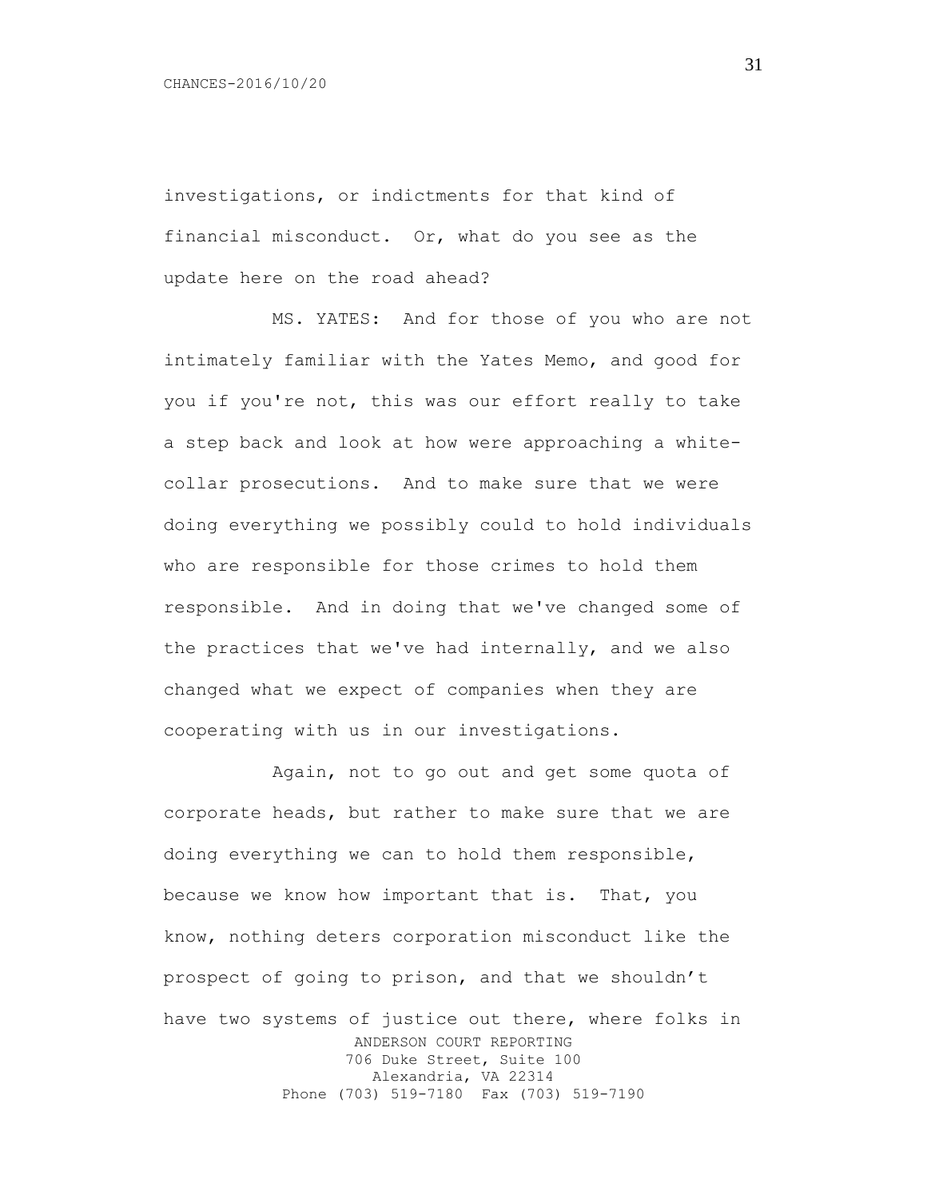investigations, or indictments for that kind of financial misconduct. Or, what do you see as the update here on the road ahead?

MS. YATES: And for those of you who are not intimately familiar with the Yates Memo, and good for you if you're not, this was our effort really to take a step back and look at how were approaching a whitecollar prosecutions. And to make sure that we were doing everything we possibly could to hold individuals who are responsible for those crimes to hold them responsible. And in doing that we've changed some of the practices that we've had internally, and we also changed what we expect of companies when they are cooperating with us in our investigations.

ANDERSON COURT REPORTING 706 Duke Street, Suite 100 Alexandria, VA 22314 Phone (703) 519-7180 Fax (703) 519-7190 Again, not to go out and get some quota of corporate heads, but rather to make sure that we are doing everything we can to hold them responsible, because we know how important that is. That, you know, nothing deters corporation misconduct like the prospect of going to prison, and that we shouldn't have two systems of justice out there, where folks in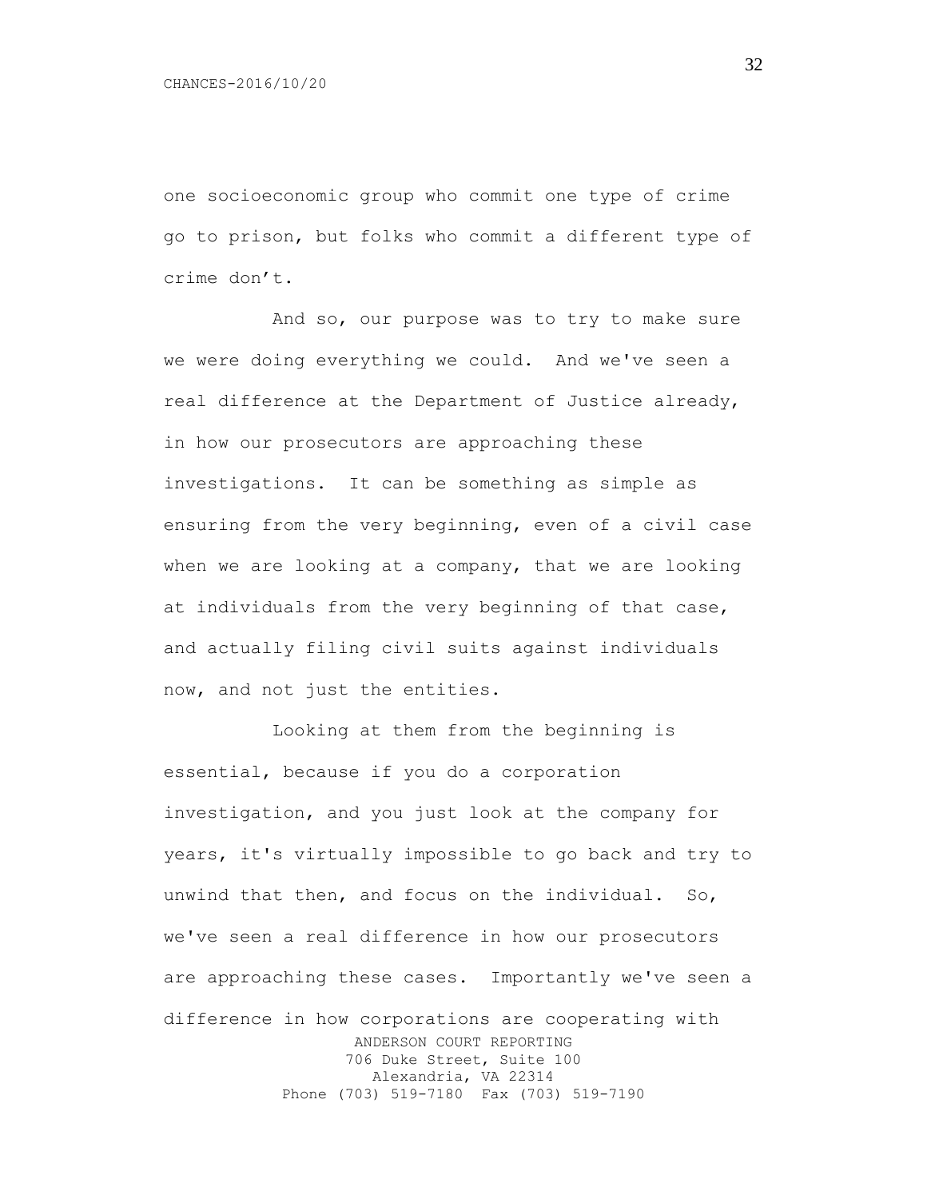one socioeconomic group who commit one type of crime go to prison, but folks who commit a different type of crime don't.

And so, our purpose was to try to make sure we were doing everything we could. And we've seen a real difference at the Department of Justice already, in how our prosecutors are approaching these investigations. It can be something as simple as ensuring from the very beginning, even of a civil case when we are looking at a company, that we are looking at individuals from the very beginning of that case, and actually filing civil suits against individuals now, and not just the entities.

ANDERSON COURT REPORTING 706 Duke Street, Suite 100 Alexandria, VA 22314 Phone (703) 519-7180 Fax (703) 519-7190 Looking at them from the beginning is essential, because if you do a corporation investigation, and you just look at the company for years, it's virtually impossible to go back and try to unwind that then, and focus on the individual. So, we've seen a real difference in how our prosecutors are approaching these cases. Importantly we've seen a difference in how corporations are cooperating with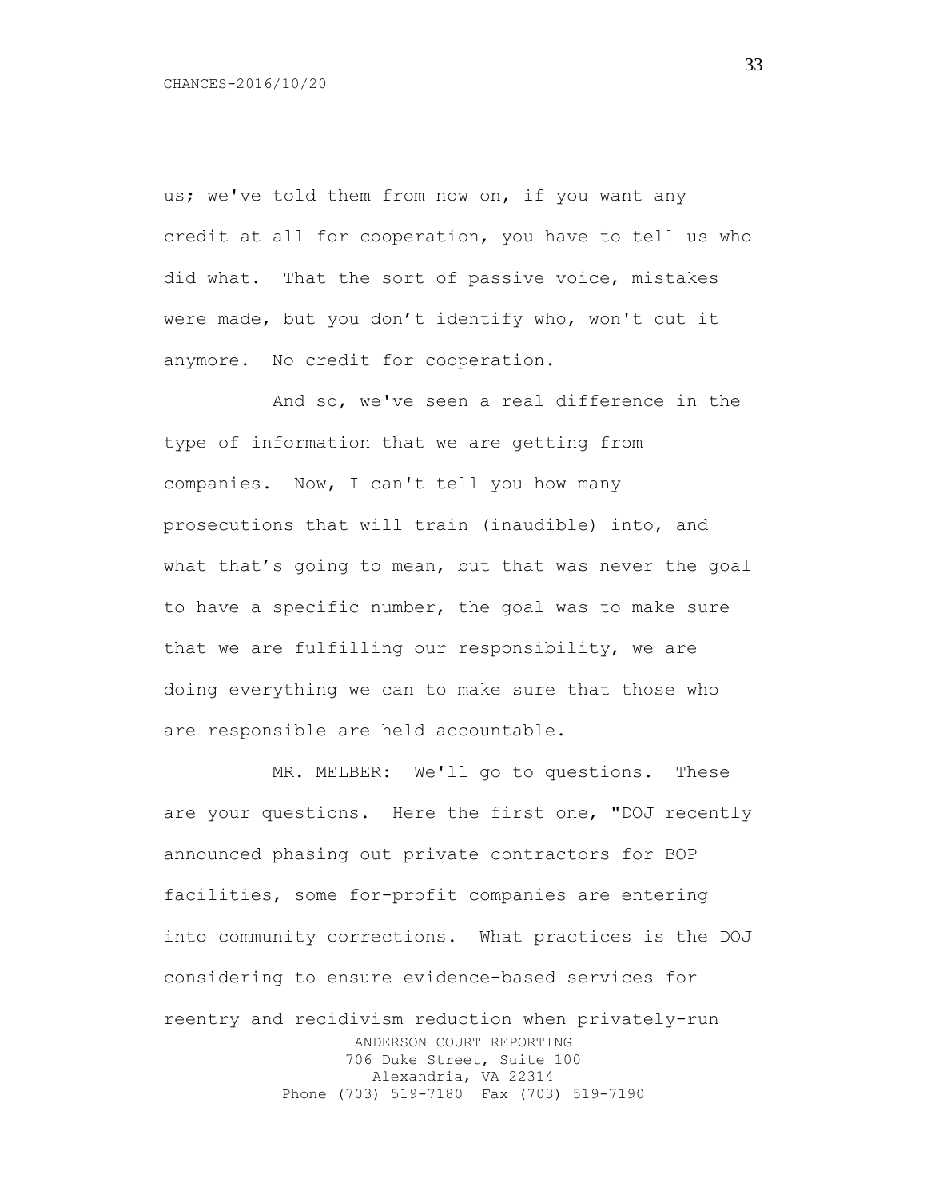us; we've told them from now on, if you want any credit at all for cooperation, you have to tell us who did what. That the sort of passive voice, mistakes were made, but you don't identify who, won't cut it anymore. No credit for cooperation.

And so, we've seen a real difference in the type of information that we are getting from companies. Now, I can't tell you how many prosecutions that will train (inaudible) into, and what that's going to mean, but that was never the goal to have a specific number, the goal was to make sure that we are fulfilling our responsibility, we are doing everything we can to make sure that those who are responsible are held accountable.

ANDERSON COURT REPORTING 706 Duke Street, Suite 100 Alexandria, VA 22314 Phone (703) 519-7180 Fax (703) 519-7190 MR. MELBER: We'll go to questions. These are your questions. Here the first one, "DOJ recently announced phasing out private contractors for BOP facilities, some for-profit companies are entering into community corrections. What practices is the DOJ considering to ensure evidence-based services for reentry and recidivism reduction when privately-run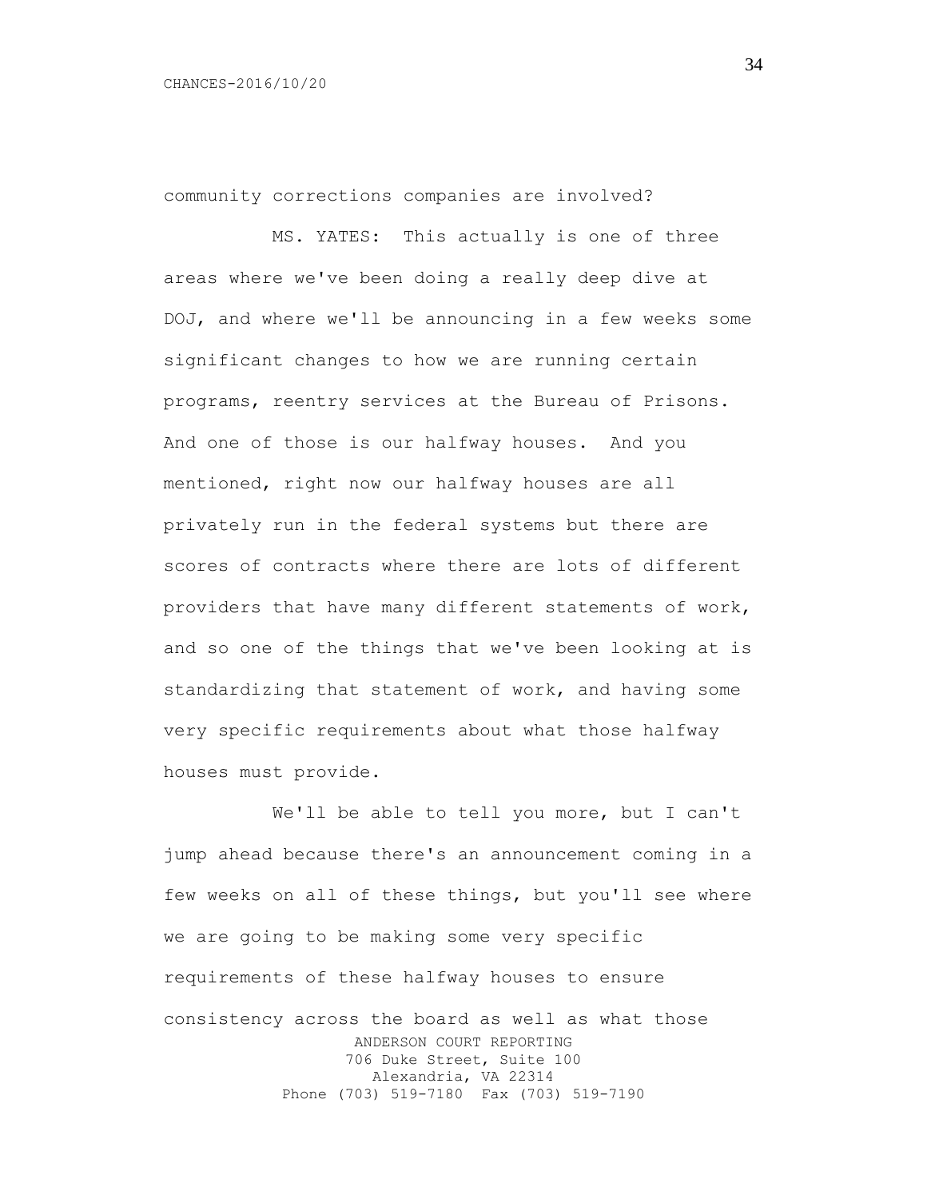community corrections companies are involved?

MS. YATES: This actually is one of three areas where we've been doing a really deep dive at DOJ, and where we'll be announcing in a few weeks some significant changes to how we are running certain programs, reentry services at the Bureau of Prisons. And one of those is our halfway houses. And you mentioned, right now our halfway houses are all privately run in the federal systems but there are scores of contracts where there are lots of different providers that have many different statements of work, and so one of the things that we've been looking at is standardizing that statement of work, and having some very specific requirements about what those halfway houses must provide.

ANDERSON COURT REPORTING 706 Duke Street, Suite 100 Alexandria, VA 22314 Phone (703) 519-7180 Fax (703) 519-7190 We'll be able to tell you more, but I can't jump ahead because there's an announcement coming in a few weeks on all of these things, but you'll see where we are going to be making some very specific requirements of these halfway houses to ensure consistency across the board as well as what those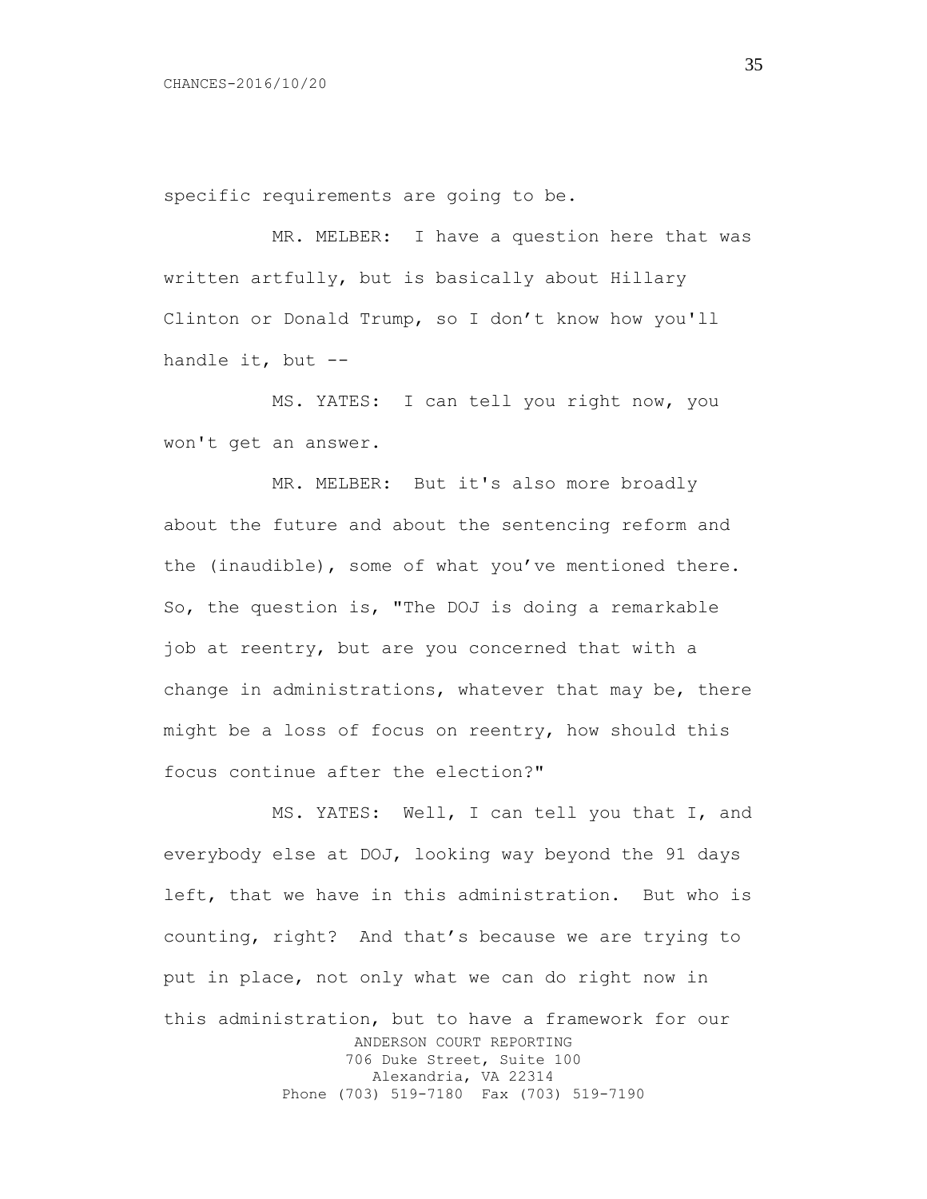specific requirements are going to be.

MR. MELBER: I have a question here that was written artfully, but is basically about Hillary Clinton or Donald Trump, so I don't know how you'll handle it, but --

MS. YATES: I can tell you right now, you won't get an answer.

MR. MELBER: But it's also more broadly about the future and about the sentencing reform and the (inaudible), some of what you've mentioned there. So, the question is, "The DOJ is doing a remarkable job at reentry, but are you concerned that with a change in administrations, whatever that may be, there might be a loss of focus on reentry, how should this focus continue after the election?"

ANDERSON COURT REPORTING 706 Duke Street, Suite 100 Alexandria, VA 22314 Phone (703) 519-7180 Fax (703) 519-7190 MS. YATES: Well, I can tell you that I, and everybody else at DOJ, looking way beyond the 91 days left, that we have in this administration. But who is counting, right? And that's because we are trying to put in place, not only what we can do right now in this administration, but to have a framework for our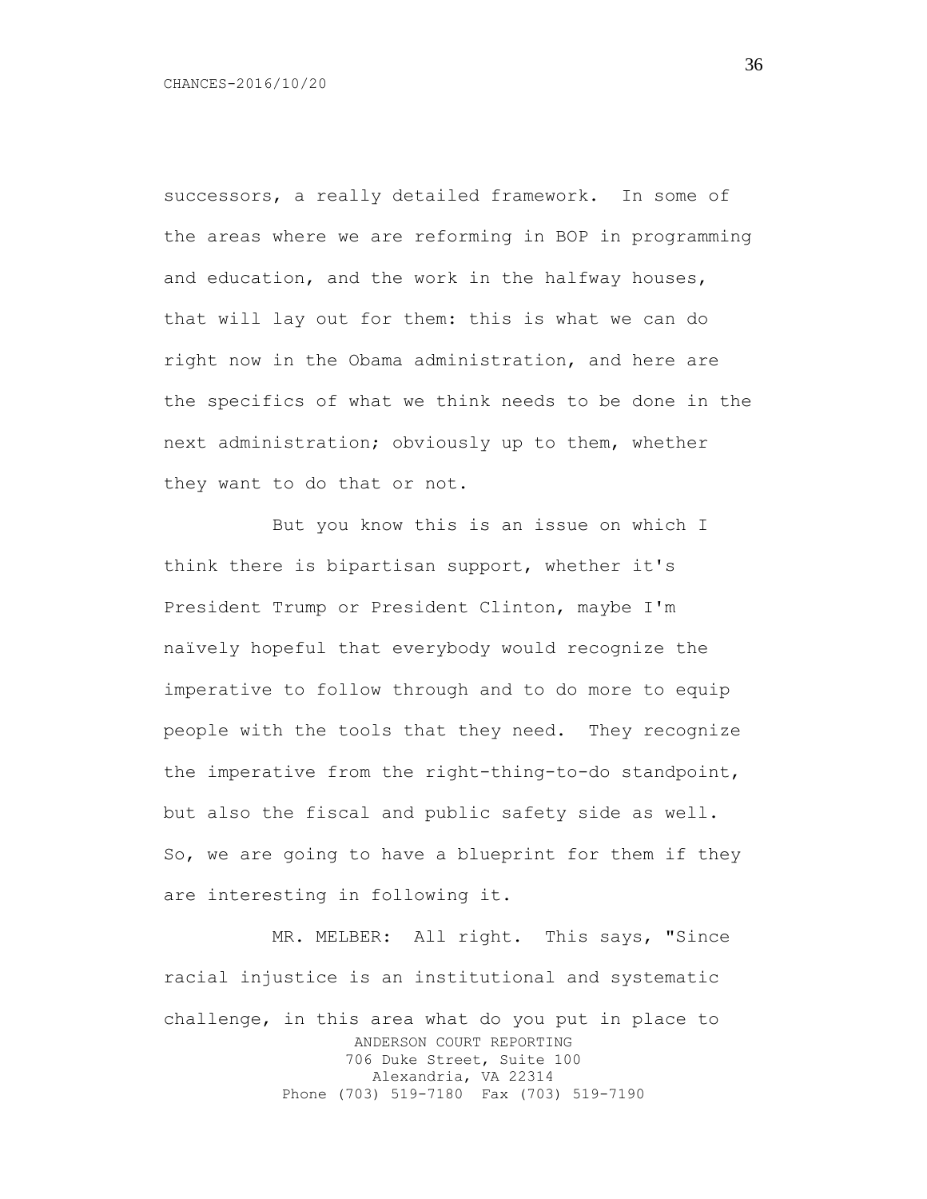successors, a really detailed framework. In some of the areas where we are reforming in BOP in programming and education, and the work in the halfway houses, that will lay out for them: this is what we can do right now in the Obama administration, and here are the specifics of what we think needs to be done in the next administration; obviously up to them, whether they want to do that or not.

But you know this is an issue on which I think there is bipartisan support, whether it's President Trump or President Clinton, maybe I'm naïvely hopeful that everybody would recognize the imperative to follow through and to do more to equip people with the tools that they need. They recognize the imperative from the right-thing-to-do standpoint, but also the fiscal and public safety side as well. So, we are going to have a blueprint for them if they are interesting in following it.

ANDERSON COURT REPORTING 706 Duke Street, Suite 100 Alexandria, VA 22314 Phone (703) 519-7180 Fax (703) 519-7190 MR. MELBER: All right. This says, "Since racial injustice is an institutional and systematic challenge, in this area what do you put in place to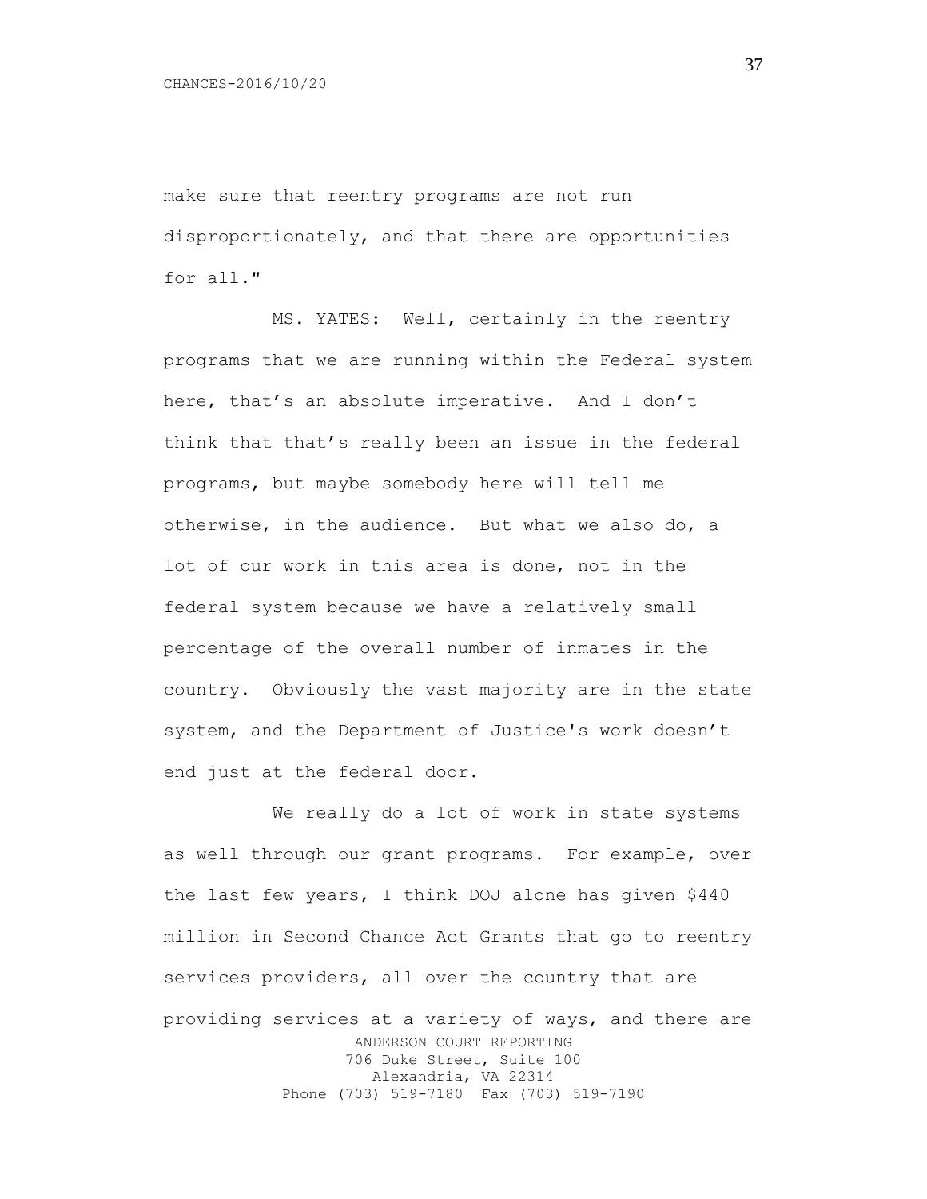make sure that reentry programs are not run disproportionately, and that there are opportunities for all."

MS. YATES: Well, certainly in the reentry programs that we are running within the Federal system here, that's an absolute imperative. And I don't think that that's really been an issue in the federal programs, but maybe somebody here will tell me otherwise, in the audience. But what we also do, a lot of our work in this area is done, not in the federal system because we have a relatively small percentage of the overall number of inmates in the country. Obviously the vast majority are in the state system, and the Department of Justice's work doesn't end just at the federal door.

ANDERSON COURT REPORTING 706 Duke Street, Suite 100 Alexandria, VA 22314 Phone (703) 519-7180 Fax (703) 519-7190 We really do a lot of work in state systems as well through our grant programs. For example, over the last few years, I think DOJ alone has given \$440 million in Second Chance Act Grants that go to reentry services providers, all over the country that are providing services at a variety of ways, and there are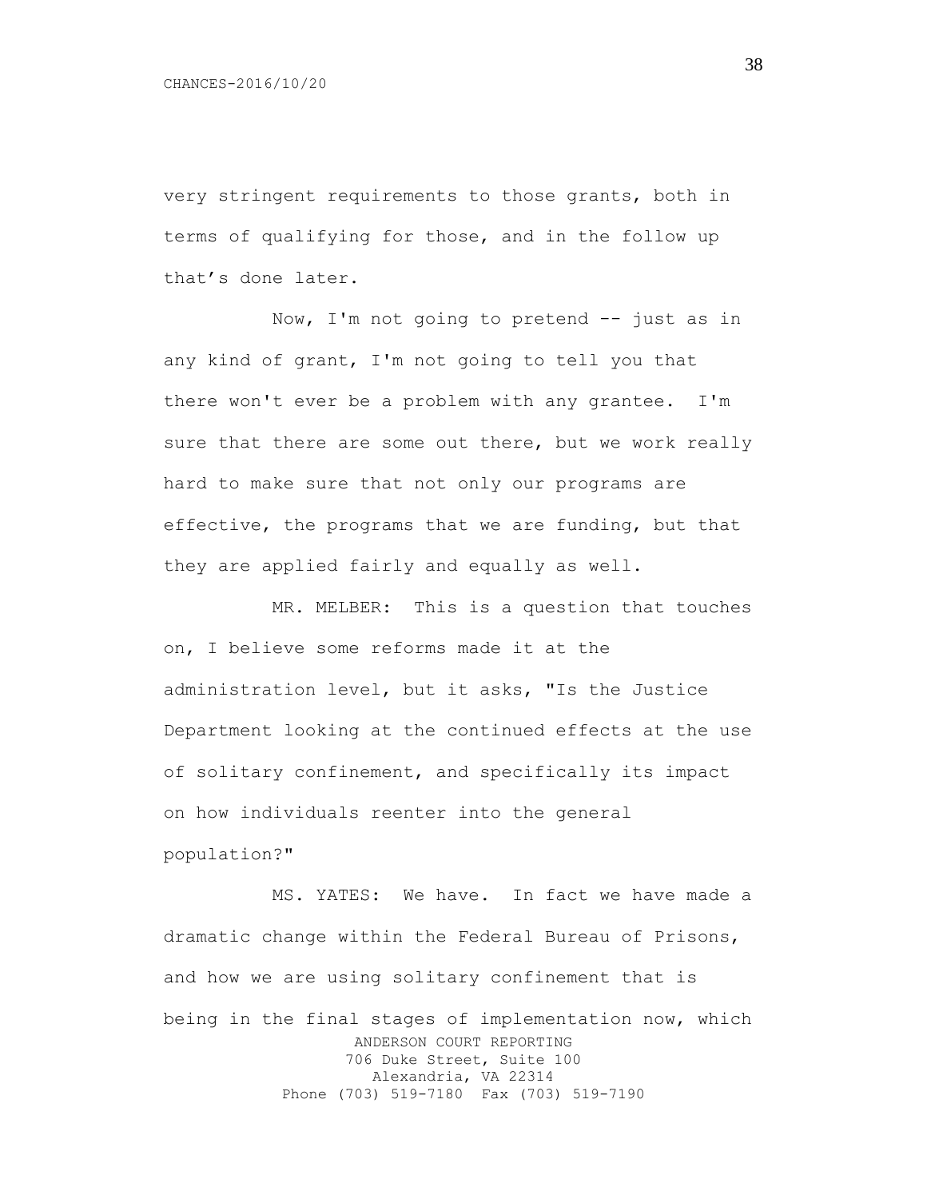very stringent requirements to those grants, both in terms of qualifying for those, and in the follow up that's done later.

Now, I'm not going to pretend -- just as in any kind of grant, I'm not going to tell you that there won't ever be a problem with any grantee. I'm sure that there are some out there, but we work really hard to make sure that not only our programs are effective, the programs that we are funding, but that they are applied fairly and equally as well.

MR. MELBER: This is a question that touches on, I believe some reforms made it at the administration level, but it asks, "Is the Justice Department looking at the continued effects at the use of solitary confinement, and specifically its impact on how individuals reenter into the general population?"

ANDERSON COURT REPORTING 706 Duke Street, Suite 100 Alexandria, VA 22314 Phone (703) 519-7180 Fax (703) 519-7190 MS. YATES: We have. In fact we have made a dramatic change within the Federal Bureau of Prisons, and how we are using solitary confinement that is being in the final stages of implementation now, which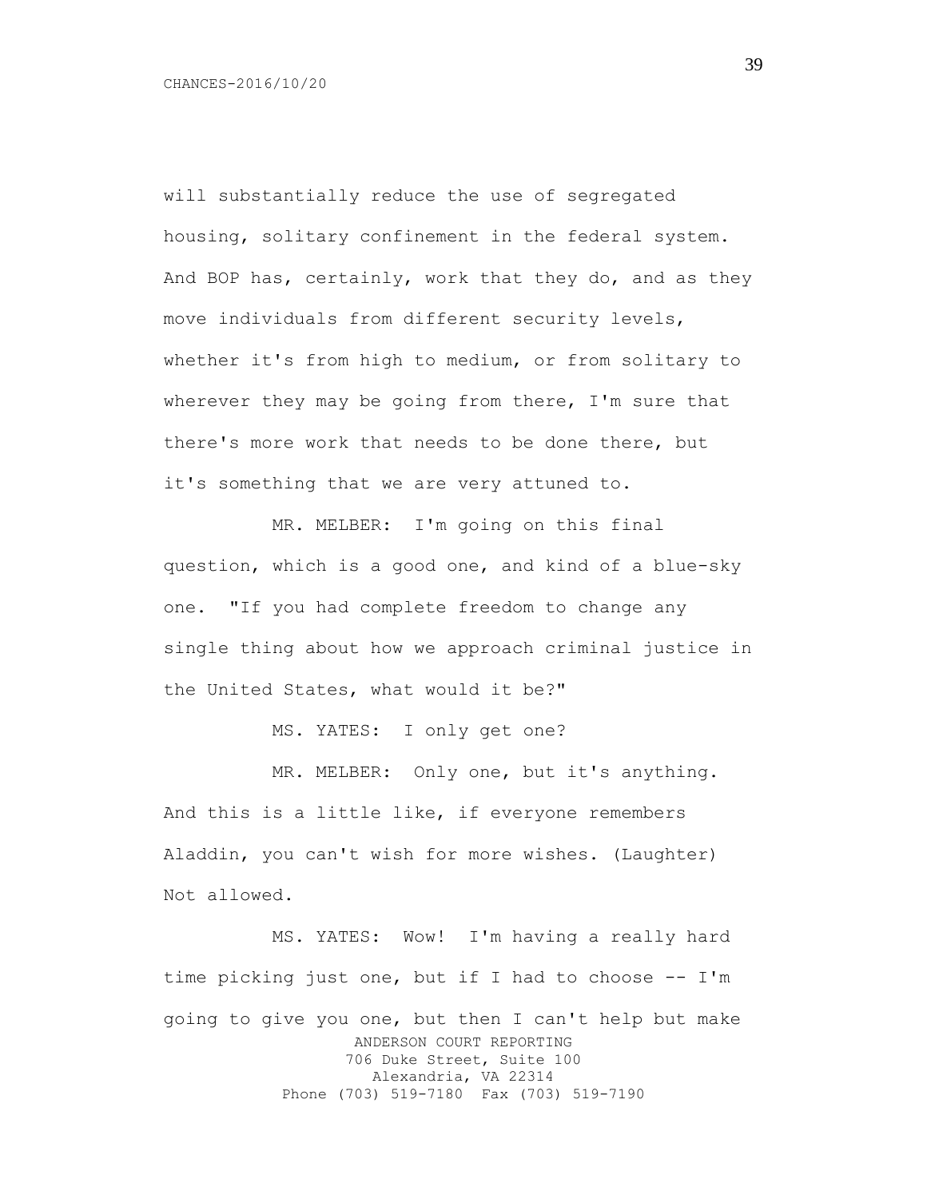will substantially reduce the use of segregated housing, solitary confinement in the federal system. And BOP has, certainly, work that they do, and as they move individuals from different security levels, whether it's from high to medium, or from solitary to wherever they may be going from there, I'm sure that there's more work that needs to be done there, but it's something that we are very attuned to.

MR. MELBER: I'm going on this final question, which is a good one, and kind of a blue-sky one. "If you had complete freedom to change any single thing about how we approach criminal justice in the United States, what would it be?"

MS. YATES: I only get one?

MR. MELBER: Only one, but it's anything. And this is a little like, if everyone remembers Aladdin, you can't wish for more wishes. (Laughter) Not allowed.

ANDERSON COURT REPORTING 706 Duke Street, Suite 100 Alexandria, VA 22314 Phone (703) 519-7180 Fax (703) 519-7190 MS. YATES: Wow! I'm having a really hard time picking just one, but if I had to choose -- I'm going to give you one, but then I can't help but make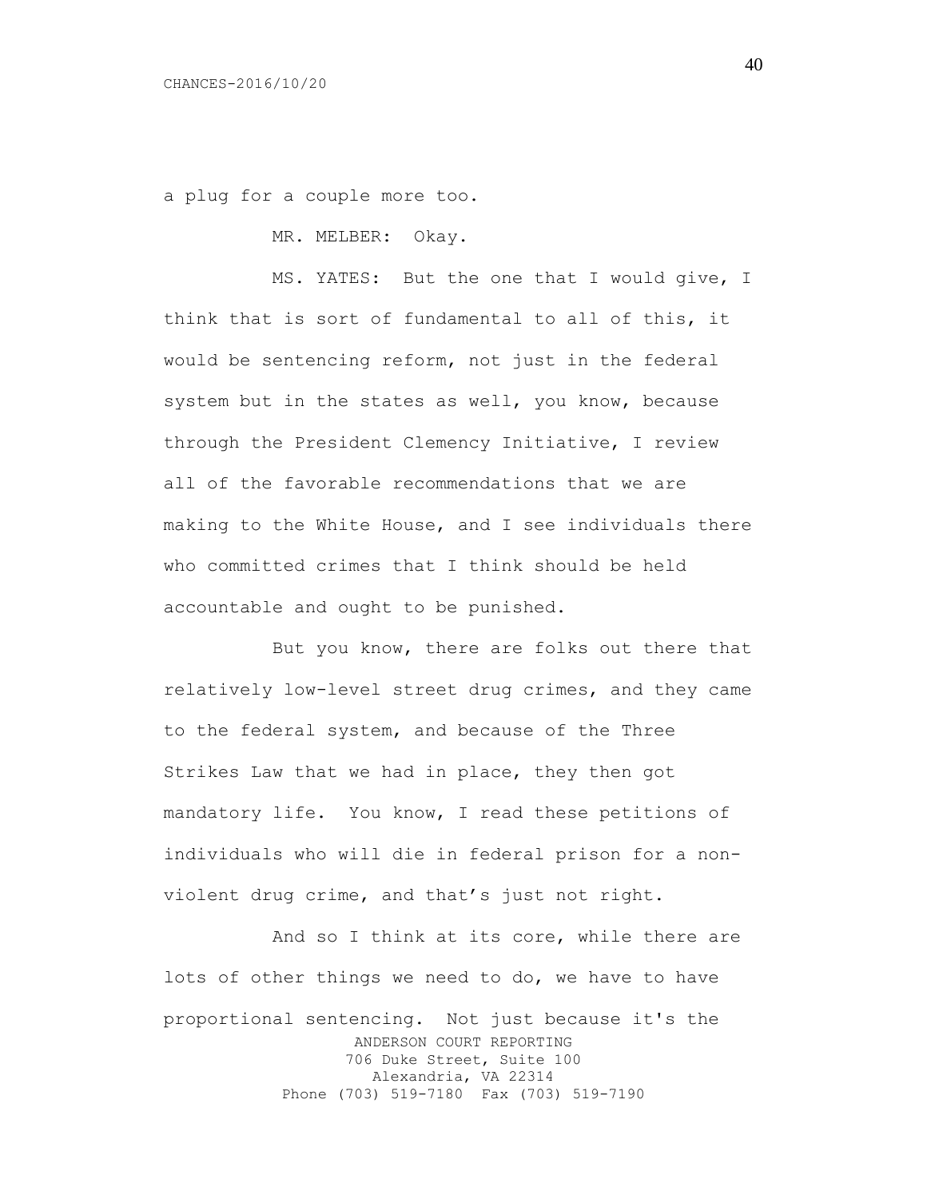a plug for a couple more too.

MR. MELBER: Okay.

MS. YATES: But the one that I would give, I think that is sort of fundamental to all of this, it would be sentencing reform, not just in the federal system but in the states as well, you know, because through the President Clemency Initiative, I review all of the favorable recommendations that we are making to the White House, and I see individuals there who committed crimes that I think should be held accountable and ought to be punished.

But you know, there are folks out there that relatively low-level street drug crimes, and they came to the federal system, and because of the Three Strikes Law that we had in place, they then got mandatory life. You know, I read these petitions of individuals who will die in federal prison for a nonviolent drug crime, and that's just not right.

ANDERSON COURT REPORTING 706 Duke Street, Suite 100 Alexandria, VA 22314 Phone (703) 519-7180 Fax (703) 519-7190 And so I think at its core, while there are lots of other things we need to do, we have to have proportional sentencing. Not just because it's the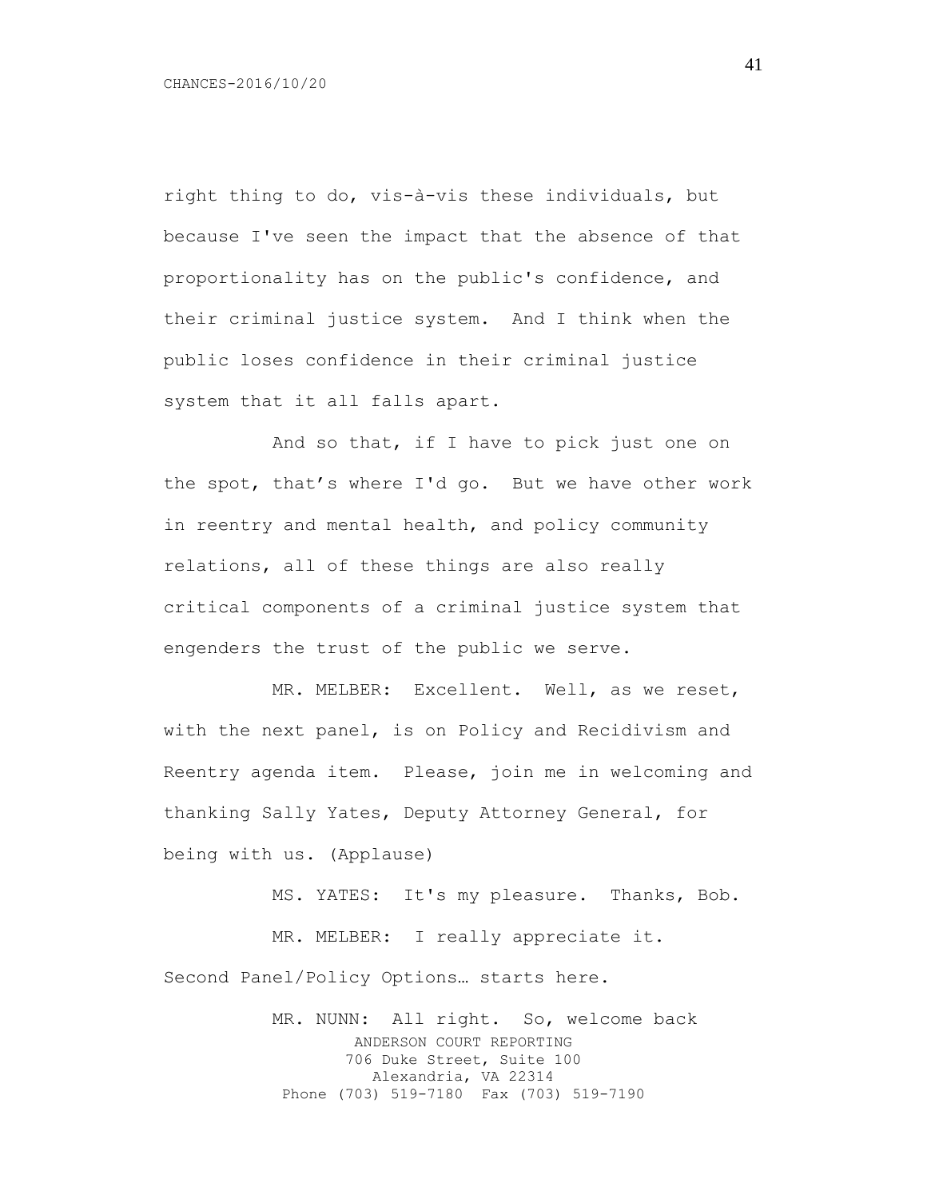right thing to do, vis-à-vis these individuals, but because I've seen the impact that the absence of that proportionality has on the public's confidence, and their criminal justice system. And I think when the public loses confidence in their criminal justice system that it all falls apart.

And so that, if I have to pick just one on the spot, that's where I'd go. But we have other work in reentry and mental health, and policy community relations, all of these things are also really critical components of a criminal justice system that engenders the trust of the public we serve.

MR. MELBER: Excellent. Well, as we reset, with the next panel, is on Policy and Recidivism and Reentry agenda item. Please, join me in welcoming and thanking Sally Yates, Deputy Attorney General, for being with us. (Applause)

MS. YATES: It's my pleasure. Thanks, Bob. MR. MELBER: I really appreciate it. Second Panel/Policy Options… starts here.

> ANDERSON COURT REPORTING 706 Duke Street, Suite 100 Alexandria, VA 22314 Phone (703) 519-7180 Fax (703) 519-7190 MR. NUNN: All right. So, welcome back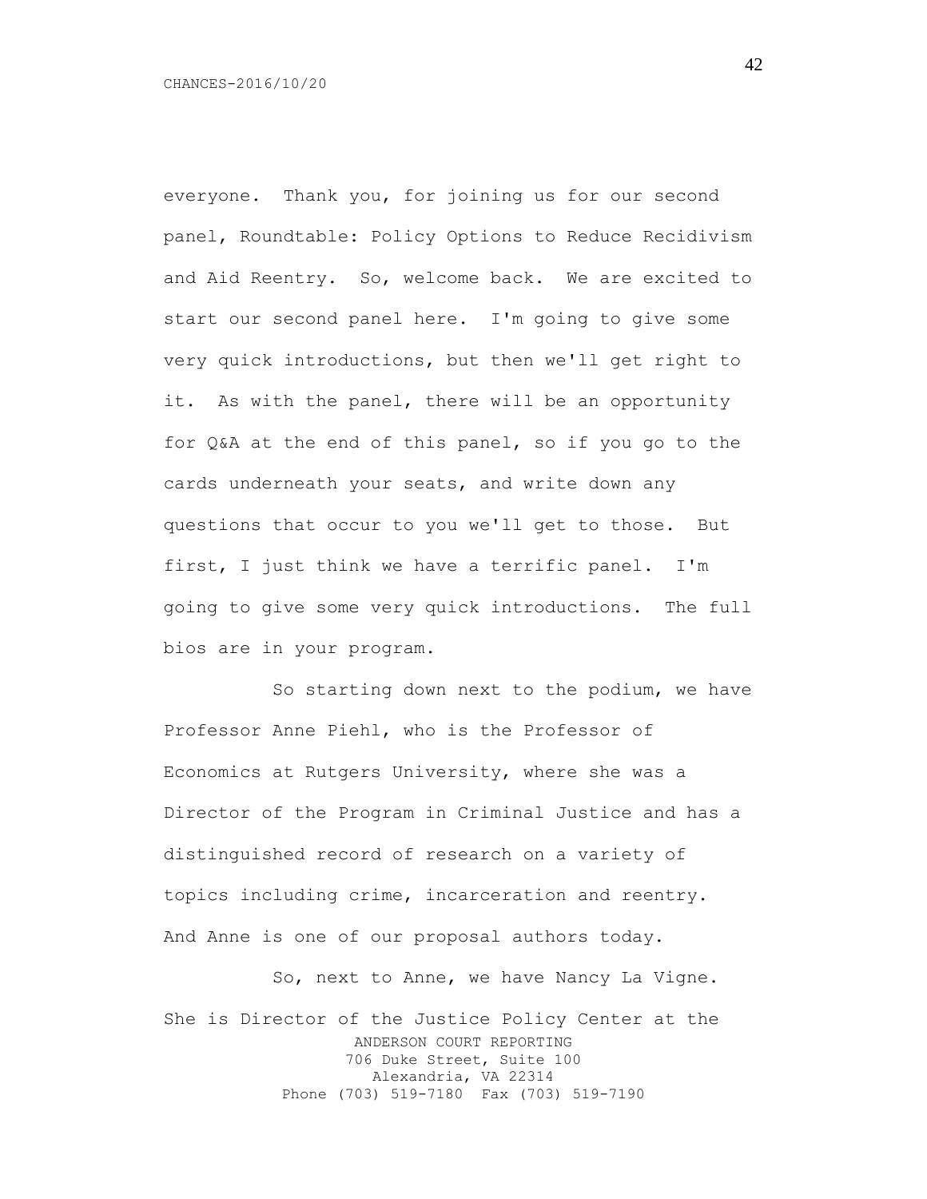everyone. Thank you, for joining us for our second panel, Roundtable: Policy Options to Reduce Recidivism and Aid Reentry. So, welcome back. We are excited to start our second panel here. I'm going to give some very quick introductions, but then we'll get right to it. As with the panel, there will be an opportunity for Q&A at the end of this panel, so if you go to the cards underneath your seats, and write down any questions that occur to you we'll get to those. But first, I just think we have a terrific panel. I'm going to give some very quick introductions. The full bios are in your program.

So starting down next to the podium, we have Professor Anne Piehl, who is the Professor of Economics at Rutgers University, where she was a Director of the Program in Criminal Justice and has a distinguished record of research on a variety of topics including crime, incarceration and reentry. And Anne is one of our proposal authors today.

ANDERSON COURT REPORTING 706 Duke Street, Suite 100 Alexandria, VA 22314 Phone (703) 519-7180 Fax (703) 519-7190 So, next to Anne, we have Nancy La Vigne. She is Director of the Justice Policy Center at the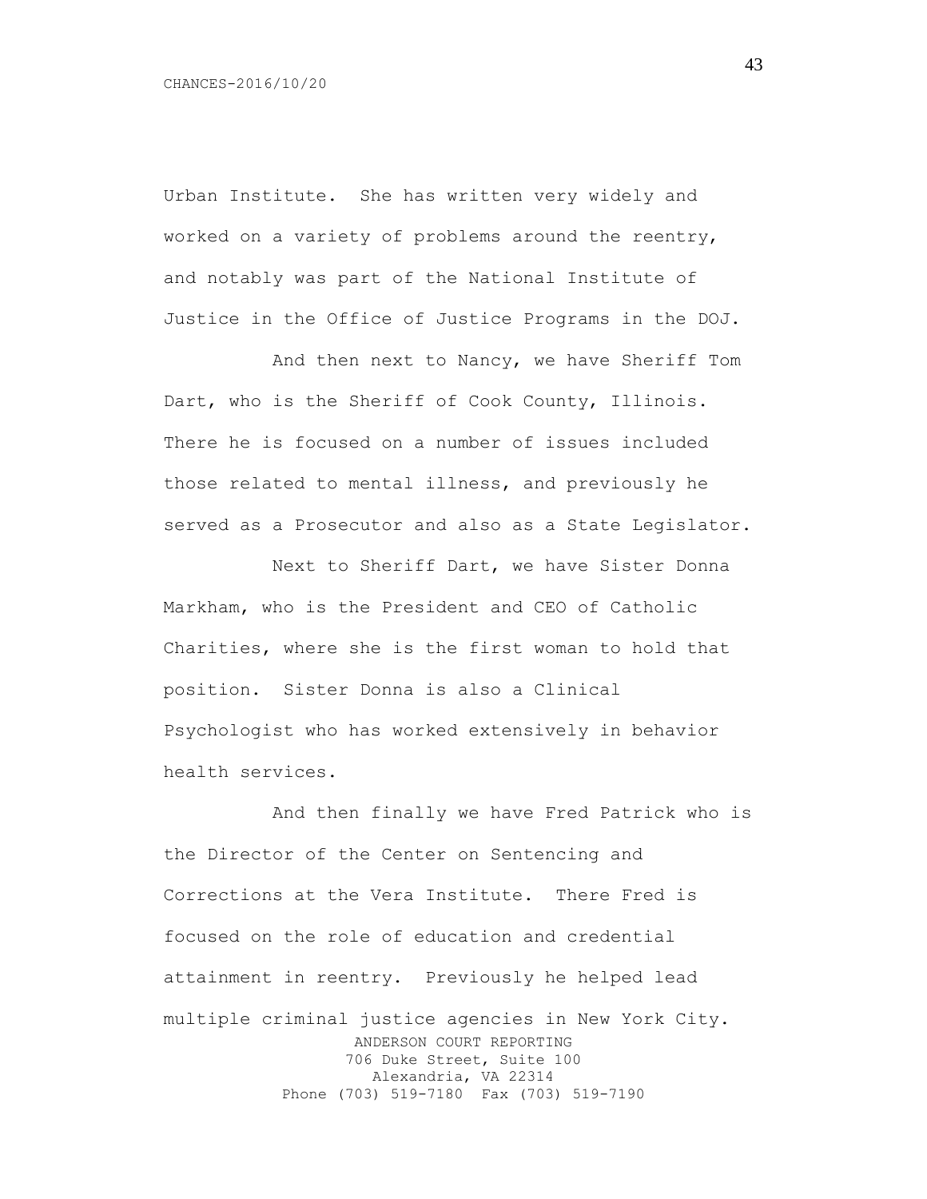Urban Institute. She has written very widely and worked on a variety of problems around the reentry, and notably was part of the National Institute of Justice in the Office of Justice Programs in the DOJ.

And then next to Nancy, we have Sheriff Tom Dart, who is the Sheriff of Cook County, Illinois. There he is focused on a number of issues included those related to mental illness, and previously he served as a Prosecutor and also as a State Legislator.

Next to Sheriff Dart, we have Sister Donna Markham, who is the President and CEO of Catholic Charities, where she is the first woman to hold that position. Sister Donna is also a Clinical Psychologist who has worked extensively in behavior health services.

ANDERSON COURT REPORTING 706 Duke Street, Suite 100 Alexandria, VA 22314 Phone (703) 519-7180 Fax (703) 519-7190 And then finally we have Fred Patrick who is the Director of the Center on Sentencing and Corrections at the Vera Institute. There Fred is focused on the role of education and credential attainment in reentry. Previously he helped lead multiple criminal justice agencies in New York City.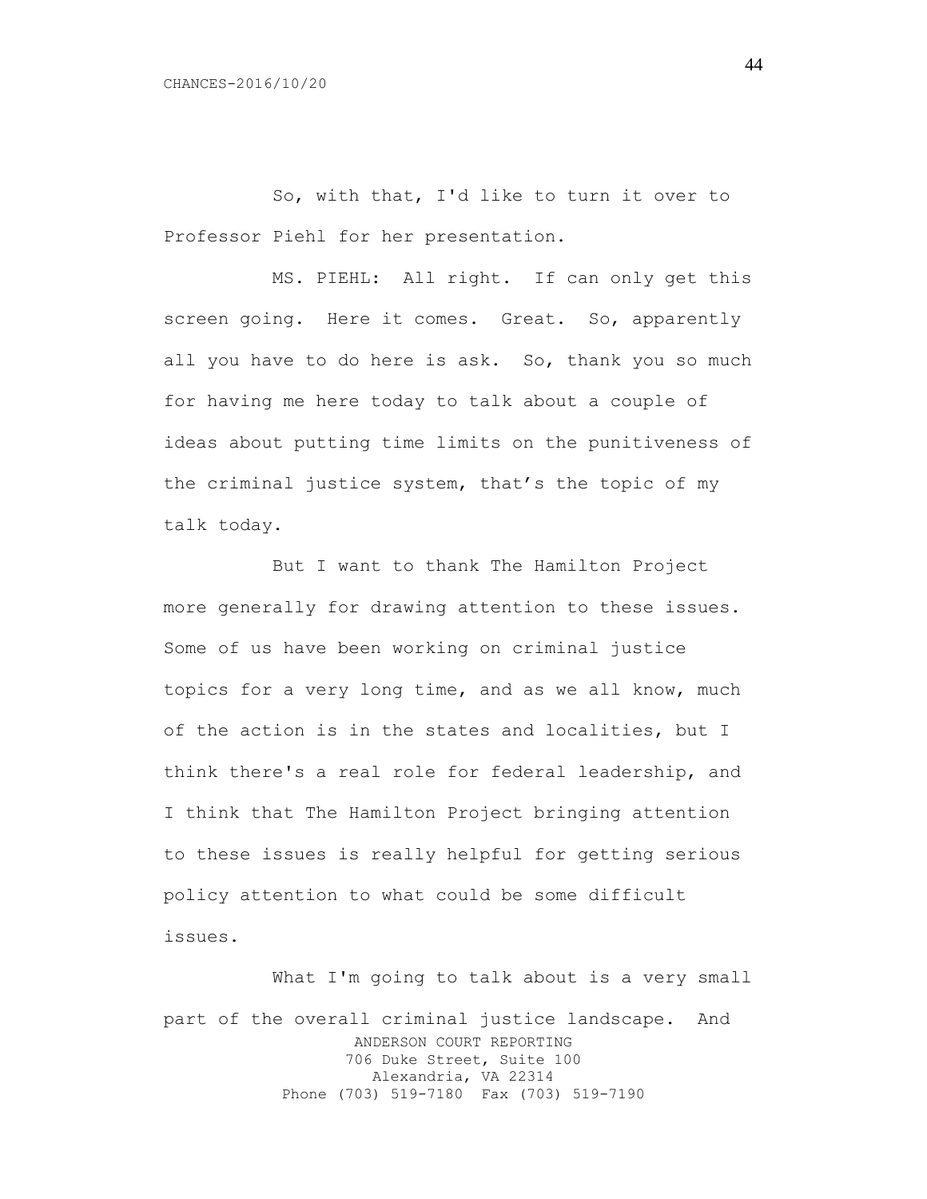So, with that, I'd like to turn it over to Professor Piehl for her presentation.

MS. PIEHL: All right. If can only get this screen going. Here it comes. Great. So, apparently all you have to do here is ask. So, thank you so much for having me here today to talk about a couple of ideas about putting time limits on the punitiveness of the criminal justice system, that's the topic of my talk today.

But I want to thank The Hamilton Project more generally for drawing attention to these issues. Some of us have been working on criminal justice topics for a very long time, and as we all know, much of the action is in the states and localities, but I think there's a real role for federal leadership, and I think that The Hamilton Project bringing attention to these issues is really helpful for getting serious policy attention to what could be some difficult issues.

ANDERSON COURT REPORTING 706 Duke Street, Suite 100 Alexandria, VA 22314 Phone (703) 519-7180 Fax (703) 519-7190 What I'm going to talk about is a very small part of the overall criminal justice landscape. And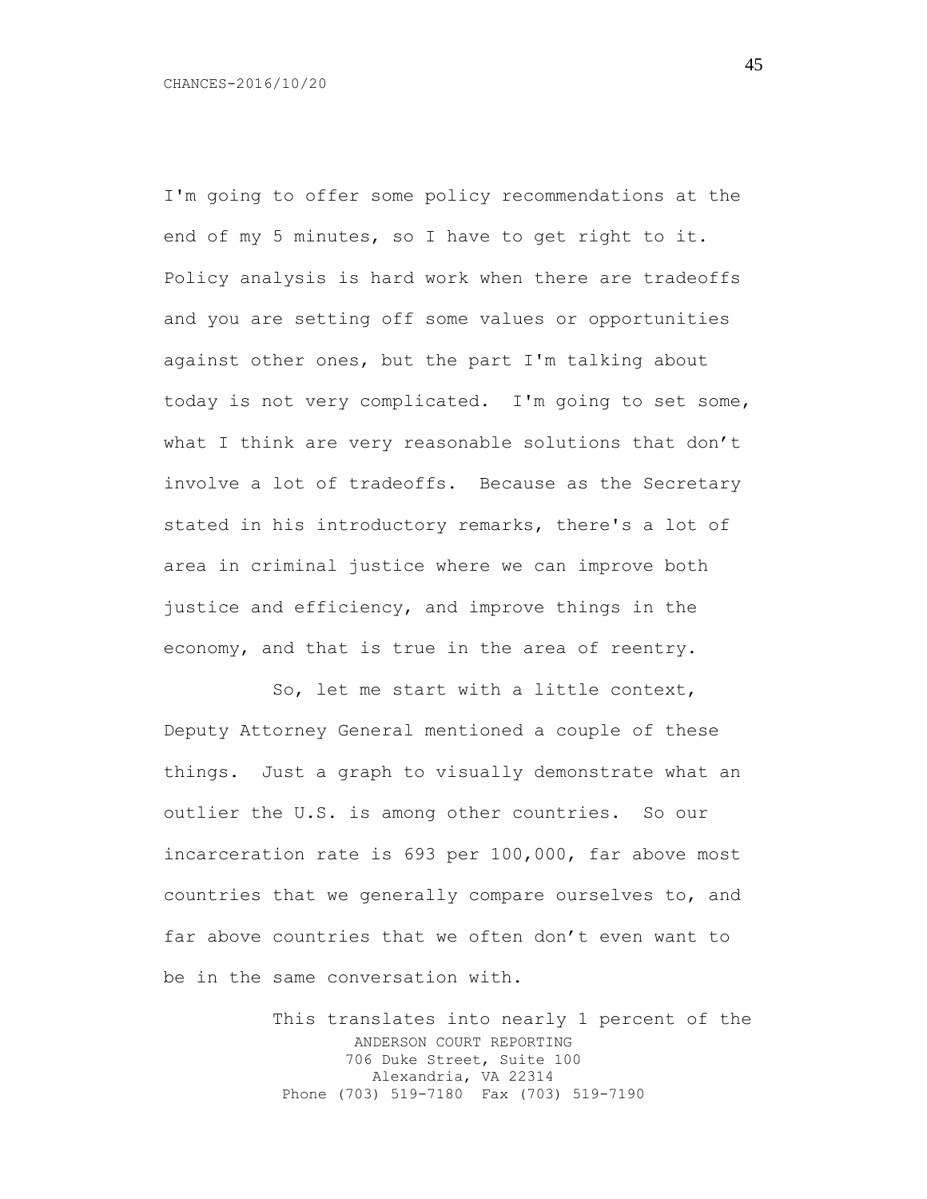I'm going to offer some policy recommendations at the end of my 5 minutes, so I have to get right to it. Policy analysis is hard work when there are tradeoffs and you are setting off some values or opportunities against other ones, but the part I'm talking about today is not very complicated. I'm going to set some, what I think are very reasonable solutions that don't involve a lot of tradeoffs. Because as the Secretary stated in his introductory remarks, there's a lot of area in criminal justice where we can improve both justice and efficiency, and improve things in the economy, and that is true in the area of reentry.

So, let me start with a little context, Deputy Attorney General mentioned a couple of these things. Just a graph to visually demonstrate what an outlier the U.S. is among other countries. So our incarceration rate is 693 per 100,000, far above most countries that we generally compare ourselves to, and far above countries that we often don't even want to be in the same conversation with.

> ANDERSON COURT REPORTING 706 Duke Street, Suite 100 Alexandria, VA 22314 Phone (703) 519-7180 Fax (703) 519-7190 This translates into nearly 1 percent of the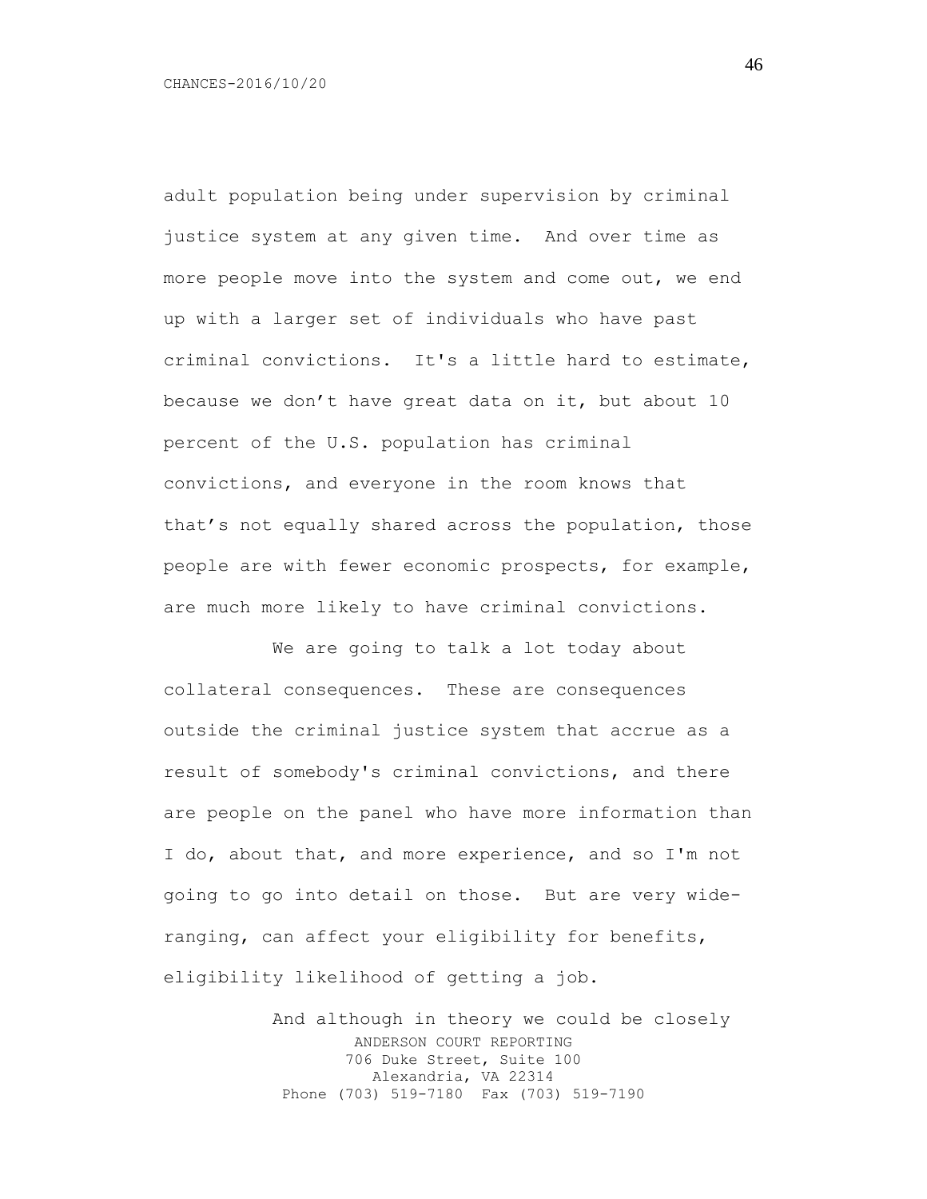adult population being under supervision by criminal justice system at any given time. And over time as more people move into the system and come out, we end up with a larger set of individuals who have past criminal convictions. It's a little hard to estimate, because we don't have great data on it, but about 10 percent of the U.S. population has criminal convictions, and everyone in the room knows that that's not equally shared across the population, those people are with fewer economic prospects, for example, are much more likely to have criminal convictions.

We are going to talk a lot today about collateral consequences. These are consequences outside the criminal justice system that accrue as a result of somebody's criminal convictions, and there are people on the panel who have more information than I do, about that, and more experience, and so I'm not going to go into detail on those. But are very wideranging, can affect your eligibility for benefits, eligibility likelihood of getting a job.

> ANDERSON COURT REPORTING 706 Duke Street, Suite 100 Alexandria, VA 22314 Phone (703) 519-7180 Fax (703) 519-7190 And although in theory we could be closely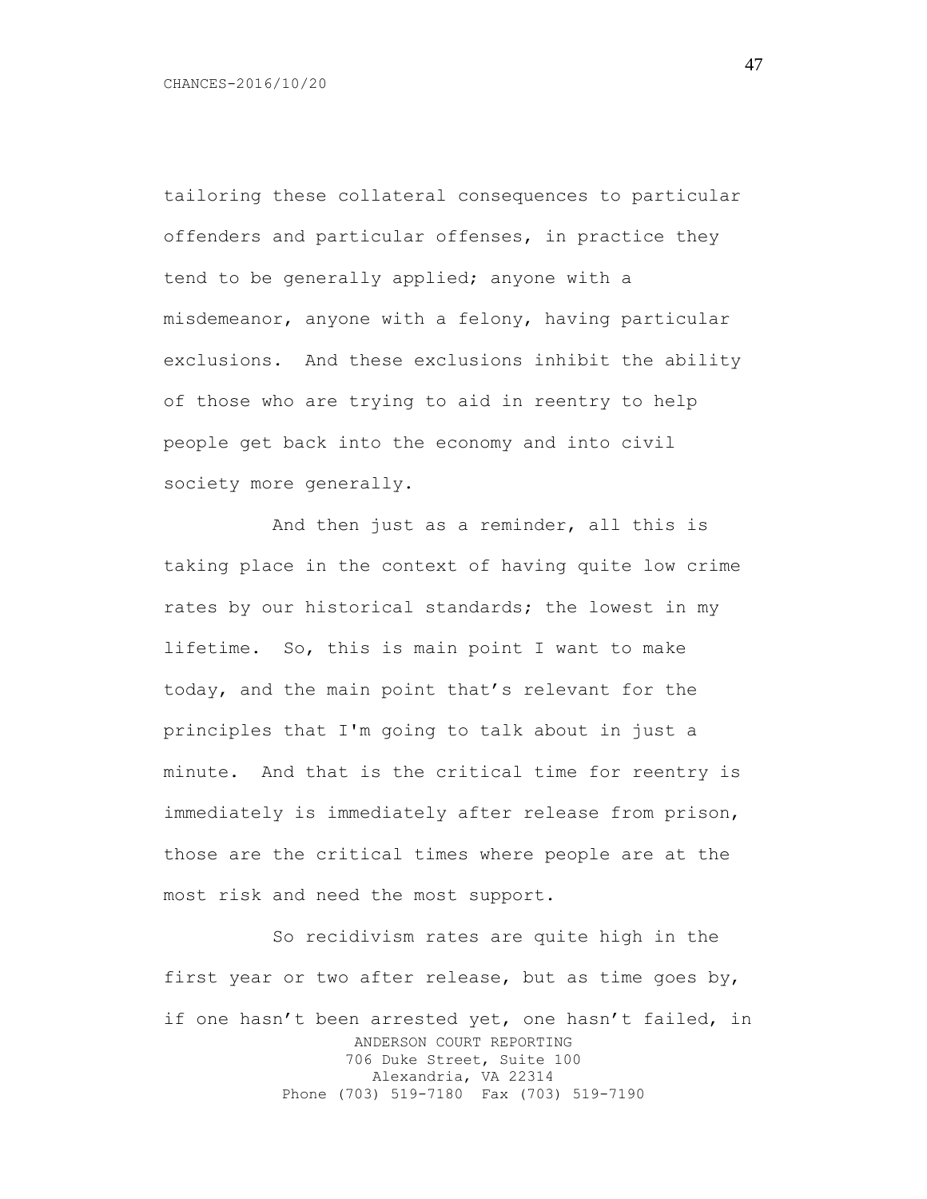tailoring these collateral consequences to particular offenders and particular offenses, in practice they tend to be generally applied; anyone with a misdemeanor, anyone with a felony, having particular exclusions. And these exclusions inhibit the ability of those who are trying to aid in reentry to help people get back into the economy and into civil society more generally.

And then just as a reminder, all this is taking place in the context of having quite low crime rates by our historical standards; the lowest in my lifetime. So, this is main point I want to make today, and the main point that's relevant for the principles that I'm going to talk about in just a minute. And that is the critical time for reentry is immediately is immediately after release from prison, those are the critical times where people are at the most risk and need the most support.

ANDERSON COURT REPORTING 706 Duke Street, Suite 100 Alexandria, VA 22314 Phone (703) 519-7180 Fax (703) 519-7190 So recidivism rates are quite high in the first year or two after release, but as time goes by, if one hasn't been arrested yet, one hasn't failed, in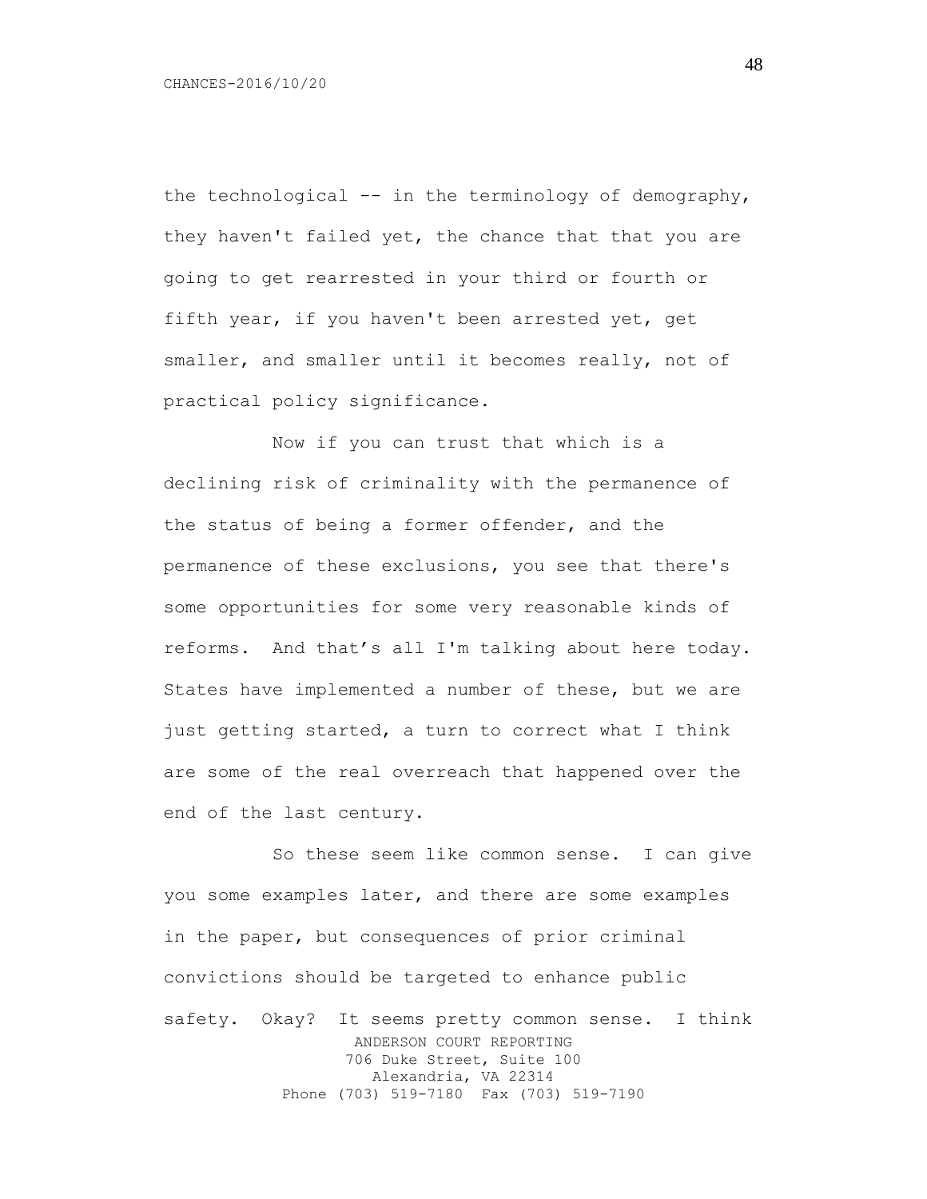the technological -- in the terminology of demography, they haven't failed yet, the chance that that you are going to get rearrested in your third or fourth or fifth year, if you haven't been arrested yet, get smaller, and smaller until it becomes really, not of practical policy significance.

Now if you can trust that which is a declining risk of criminality with the permanence of the status of being a former offender, and the permanence of these exclusions, you see that there's some opportunities for some very reasonable kinds of reforms. And that's all I'm talking about here today. States have implemented a number of these, but we are just getting started, a turn to correct what I think are some of the real overreach that happened over the end of the last century.

ANDERSON COURT REPORTING 706 Duke Street, Suite 100 Alexandria, VA 22314 Phone (703) 519-7180 Fax (703) 519-7190 So these seem like common sense. I can give you some examples later, and there are some examples in the paper, but consequences of prior criminal convictions should be targeted to enhance public safety. Okay? It seems pretty common sense. I think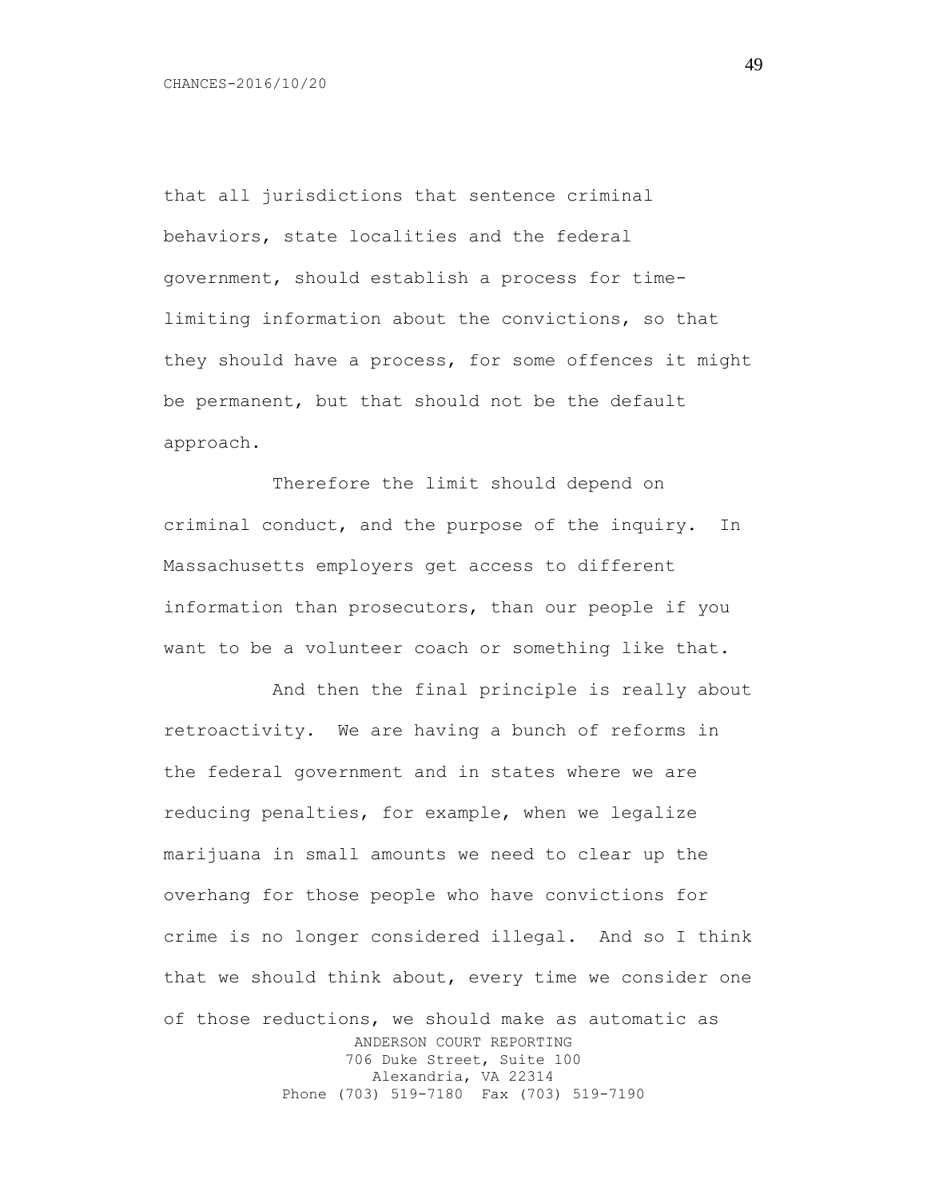that all jurisdictions that sentence criminal behaviors, state localities and the federal government, should establish a process for timelimiting information about the convictions, so that they should have a process, for some offences it might be permanent, but that should not be the default approach.

Therefore the limit should depend on criminal conduct, and the purpose of the inquiry. In Massachusetts employers get access to different information than prosecutors, than our people if you want to be a volunteer coach or something like that.

ANDERSON COURT REPORTING 706 Duke Street, Suite 100 Alexandria, VA 22314 Phone (703) 519-7180 Fax (703) 519-7190 And then the final principle is really about retroactivity. We are having a bunch of reforms in the federal government and in states where we are reducing penalties, for example, when we legalize marijuana in small amounts we need to clear up the overhang for those people who have convictions for crime is no longer considered illegal. And so I think that we should think about, every time we consider one of those reductions, we should make as automatic as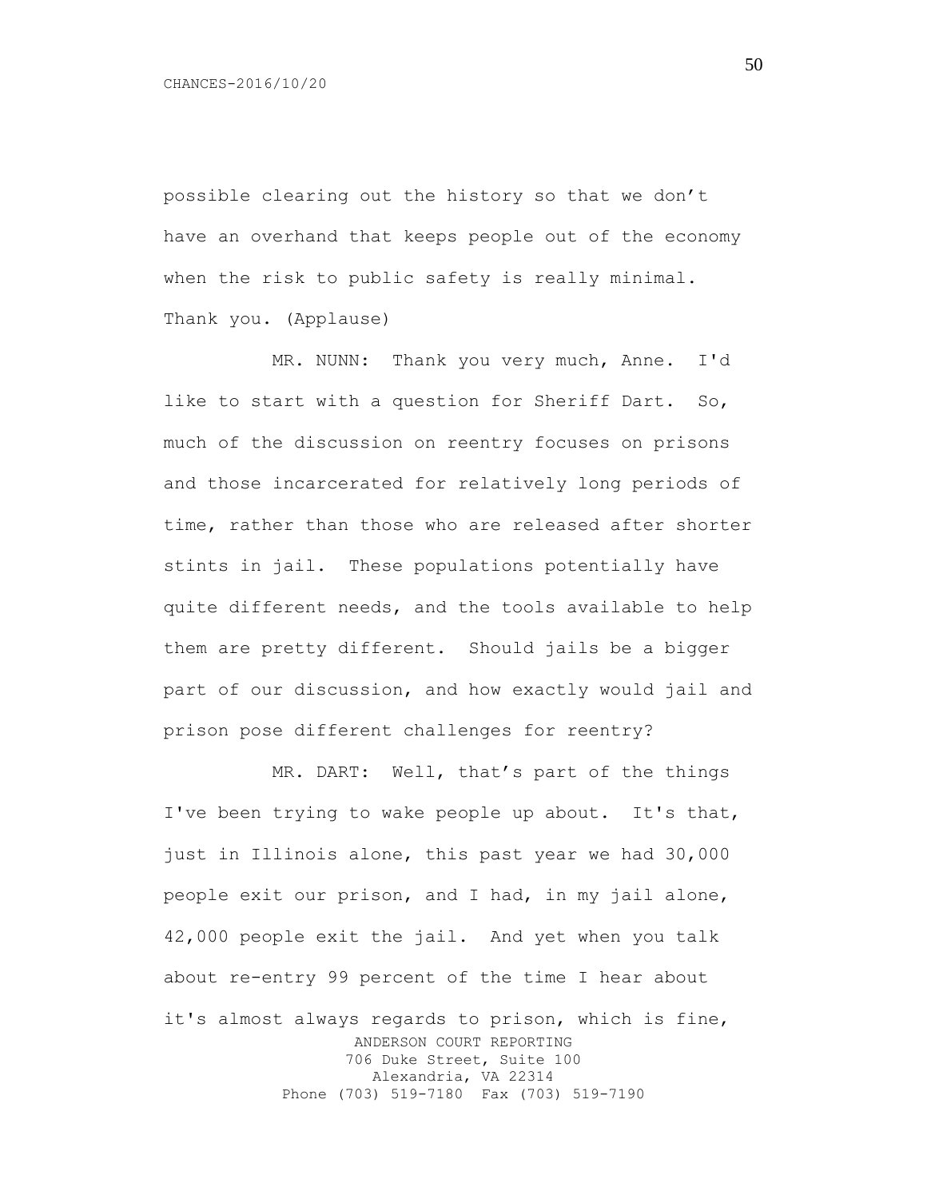possible clearing out the history so that we don't have an overhand that keeps people out of the economy when the risk to public safety is really minimal. Thank you. (Applause)

MR. NUNN: Thank you very much, Anne. I'd like to start with a question for Sheriff Dart. So, much of the discussion on reentry focuses on prisons and those incarcerated for relatively long periods of time, rather than those who are released after shorter stints in jail. These populations potentially have quite different needs, and the tools available to help them are pretty different. Should jails be a bigger part of our discussion, and how exactly would jail and prison pose different challenges for reentry?

ANDERSON COURT REPORTING 706 Duke Street, Suite 100 Alexandria, VA 22314 Phone (703) 519-7180 Fax (703) 519-7190 MR. DART: Well, that's part of the things I've been trying to wake people up about. It's that, just in Illinois alone, this past year we had 30,000 people exit our prison, and I had, in my jail alone, 42,000 people exit the jail. And yet when you talk about re-entry 99 percent of the time I hear about it's almost always regards to prison, which is fine,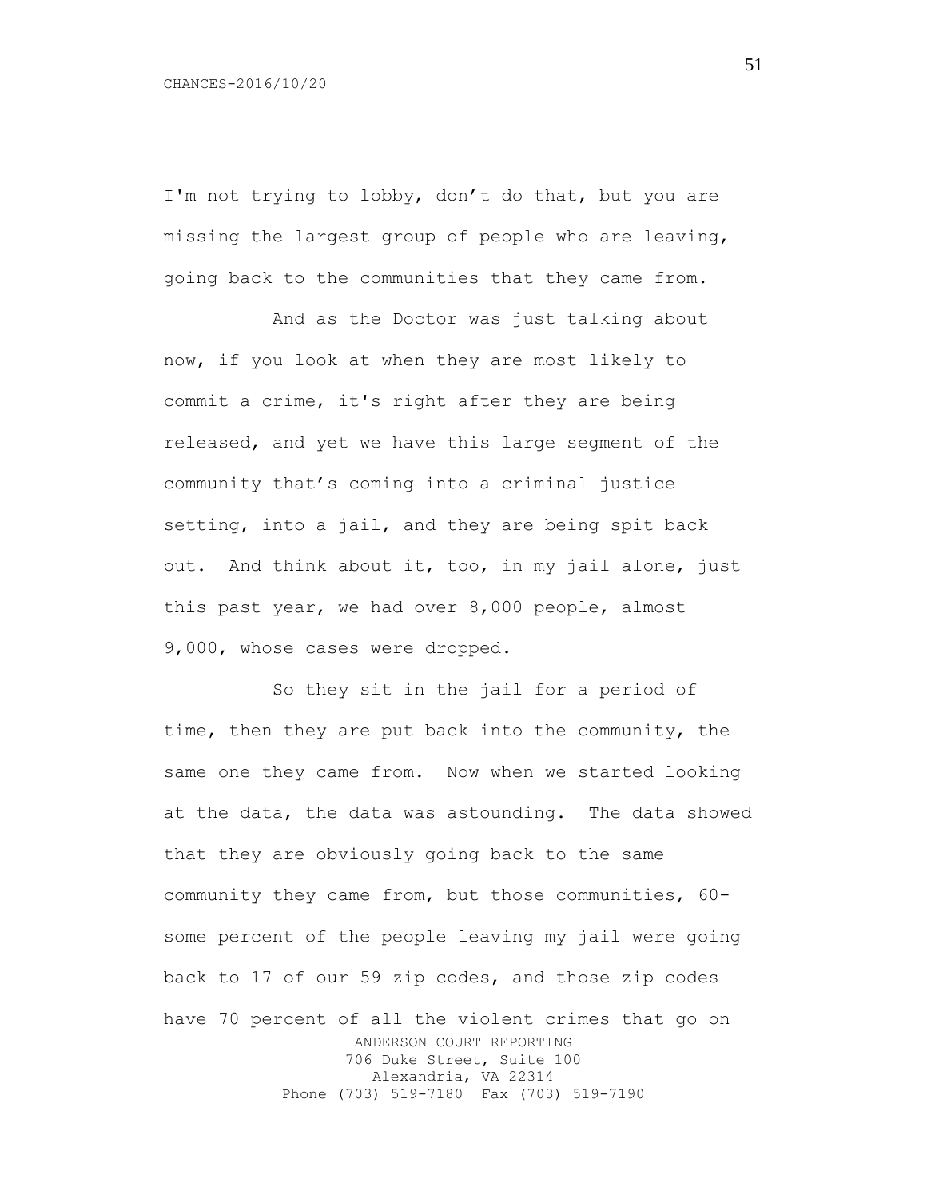I'm not trying to lobby, don't do that, but you are missing the largest group of people who are leaving, going back to the communities that they came from.

And as the Doctor was just talking about now, if you look at when they are most likely to commit a crime, it's right after they are being released, and yet we have this large segment of the community that's coming into a criminal justice setting, into a jail, and they are being spit back out. And think about it, too, in my jail alone, just this past year, we had over 8,000 people, almost 9,000, whose cases were dropped.

ANDERSON COURT REPORTING 706 Duke Street, Suite 100 Alexandria, VA 22314 Phone (703) 519-7180 Fax (703) 519-7190 So they sit in the jail for a period of time, then they are put back into the community, the same one they came from. Now when we started looking at the data, the data was astounding. The data showed that they are obviously going back to the same community they came from, but those communities, 60 some percent of the people leaving my jail were going back to 17 of our 59 zip codes, and those zip codes have 70 percent of all the violent crimes that go on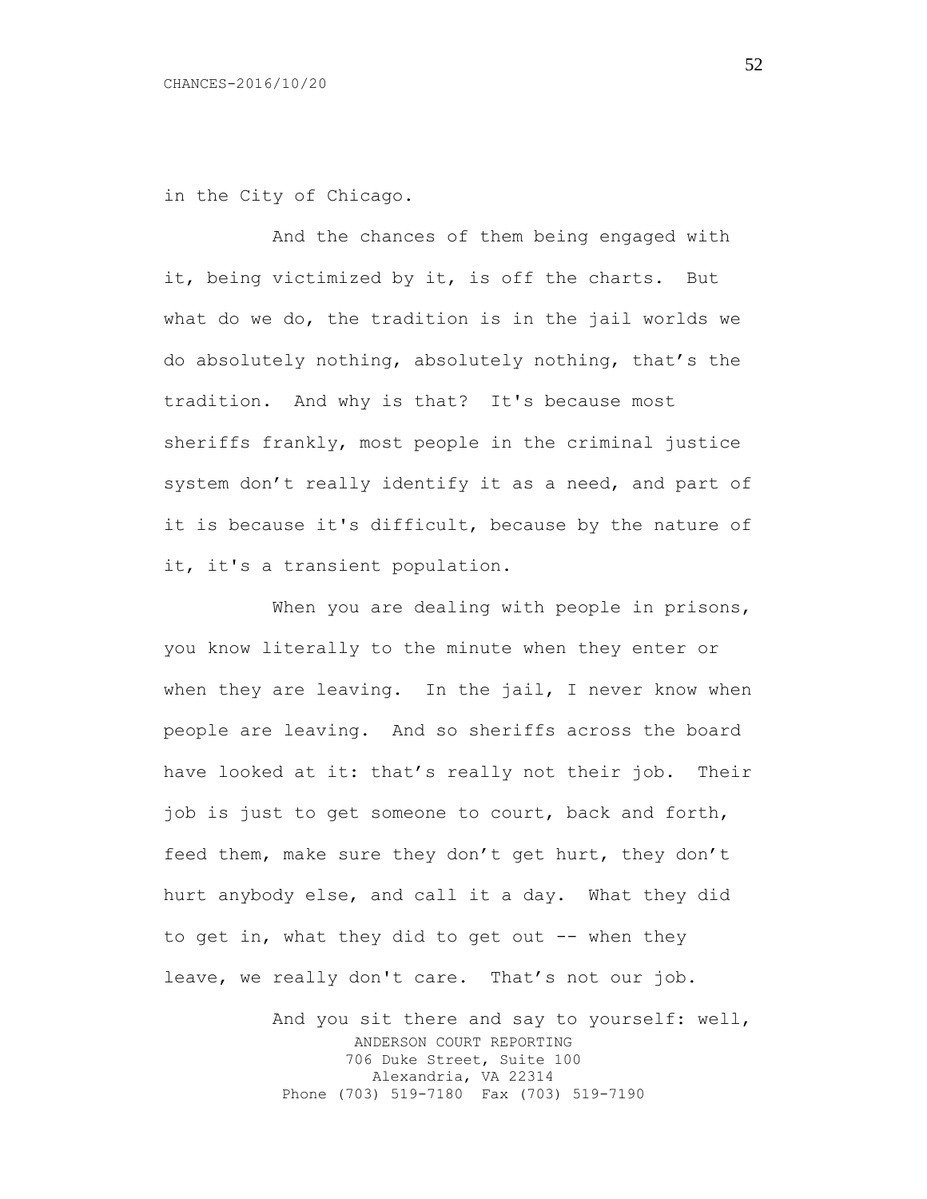in the City of Chicago.

And the chances of them being engaged with it, being victimized by it, is off the charts. But what do we do, the tradition is in the jail worlds we do absolutely nothing, absolutely nothing, that's the tradition. And why is that? It's because most sheriffs frankly, most people in the criminal justice system don't really identify it as a need, and part of it is because it's difficult, because by the nature of it, it's a transient population.

When you are dealing with people in prisons, you know literally to the minute when they enter or when they are leaving. In the jail, I never know when people are leaving. And so sheriffs across the board have looked at it: that's really not their job. Their job is just to get someone to court, back and forth, feed them, make sure they don't get hurt, they don't hurt anybody else, and call it a day. What they did to get in, what they did to get out  $--$  when they leave, we really don't care. That's not our job.

> ANDERSON COURT REPORTING 706 Duke Street, Suite 100 Alexandria, VA 22314 Phone (703) 519-7180 Fax (703) 519-7190 And you sit there and say to yourself: well,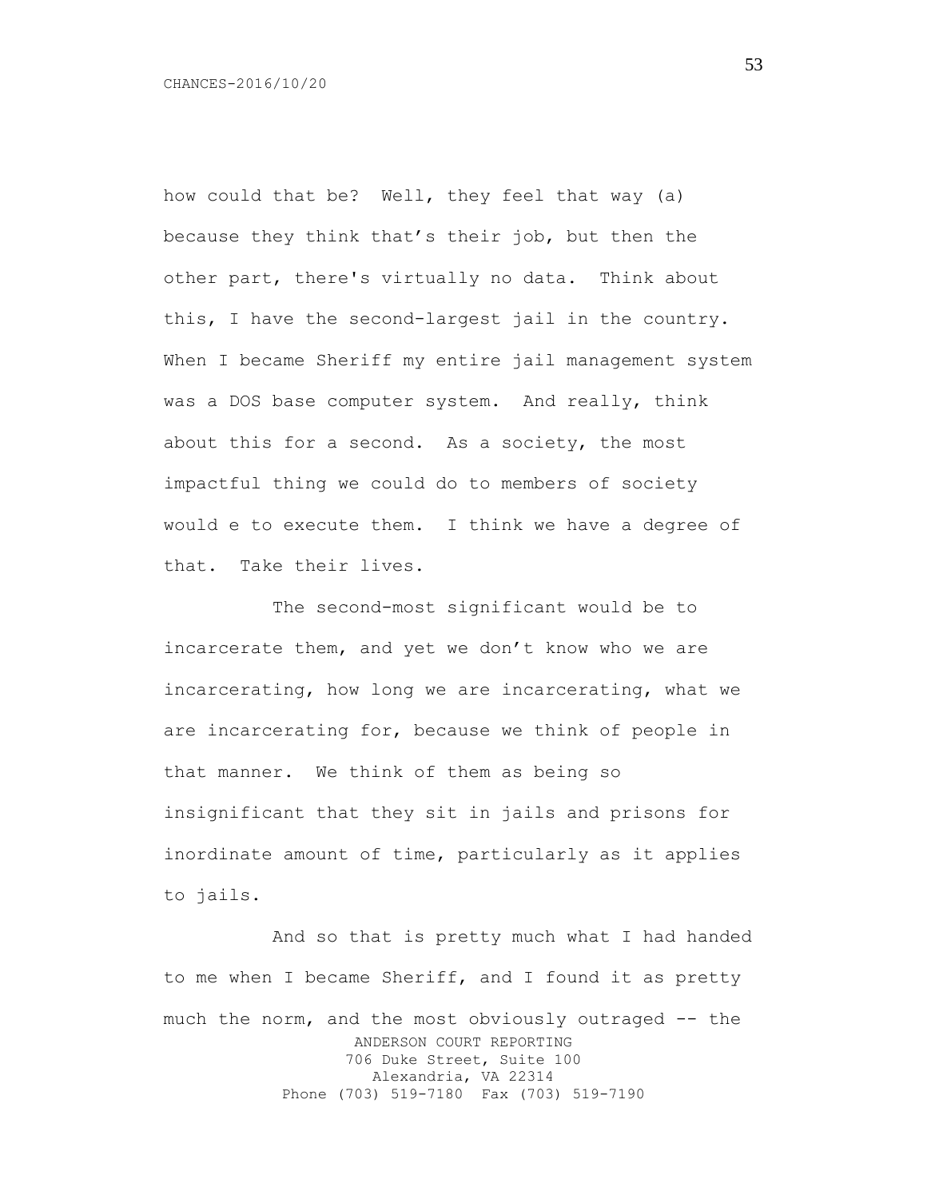how could that be? Well, they feel that way (a) because they think that's their job, but then the other part, there's virtually no data. Think about this, I have the second-largest jail in the country. When I became Sheriff my entire jail management system was a DOS base computer system. And really, think about this for a second. As a society, the most impactful thing we could do to members of society would e to execute them. I think we have a degree of that. Take their lives.

The second-most significant would be to incarcerate them, and yet we don't know who we are incarcerating, how long we are incarcerating, what we are incarcerating for, because we think of people in that manner. We think of them as being so insignificant that they sit in jails and prisons for inordinate amount of time, particularly as it applies to jails.

ANDERSON COURT REPORTING 706 Duke Street, Suite 100 Alexandria, VA 22314 Phone (703) 519-7180 Fax (703) 519-7190 And so that is pretty much what I had handed to me when I became Sheriff, and I found it as pretty much the norm, and the most obviously outraged -- the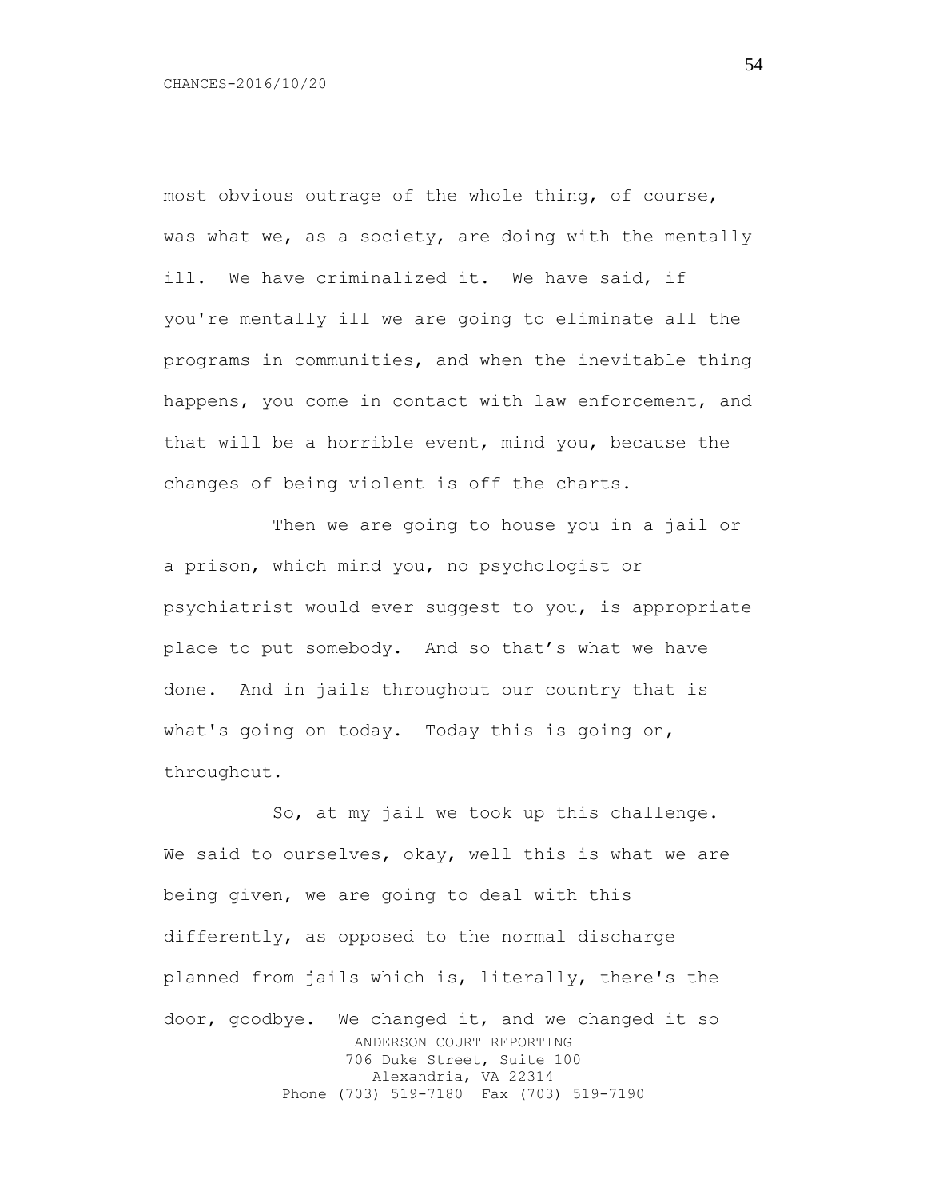most obvious outrage of the whole thing, of course, was what we, as a society, are doing with the mentally ill. We have criminalized it. We have said, if you're mentally ill we are going to eliminate all the programs in communities, and when the inevitable thing happens, you come in contact with law enforcement, and that will be a horrible event, mind you, because the changes of being violent is off the charts.

Then we are going to house you in a jail or a prison, which mind you, no psychologist or psychiatrist would ever suggest to you, is appropriate place to put somebody. And so that's what we have done. And in jails throughout our country that is what's going on today. Today this is going on, throughout.

ANDERSON COURT REPORTING 706 Duke Street, Suite 100 Alexandria, VA 22314 Phone (703) 519-7180 Fax (703) 519-7190 So, at my jail we took up this challenge. We said to ourselves, okay, well this is what we are being given, we are going to deal with this differently, as opposed to the normal discharge planned from jails which is, literally, there's the door, goodbye. We changed it, and we changed it so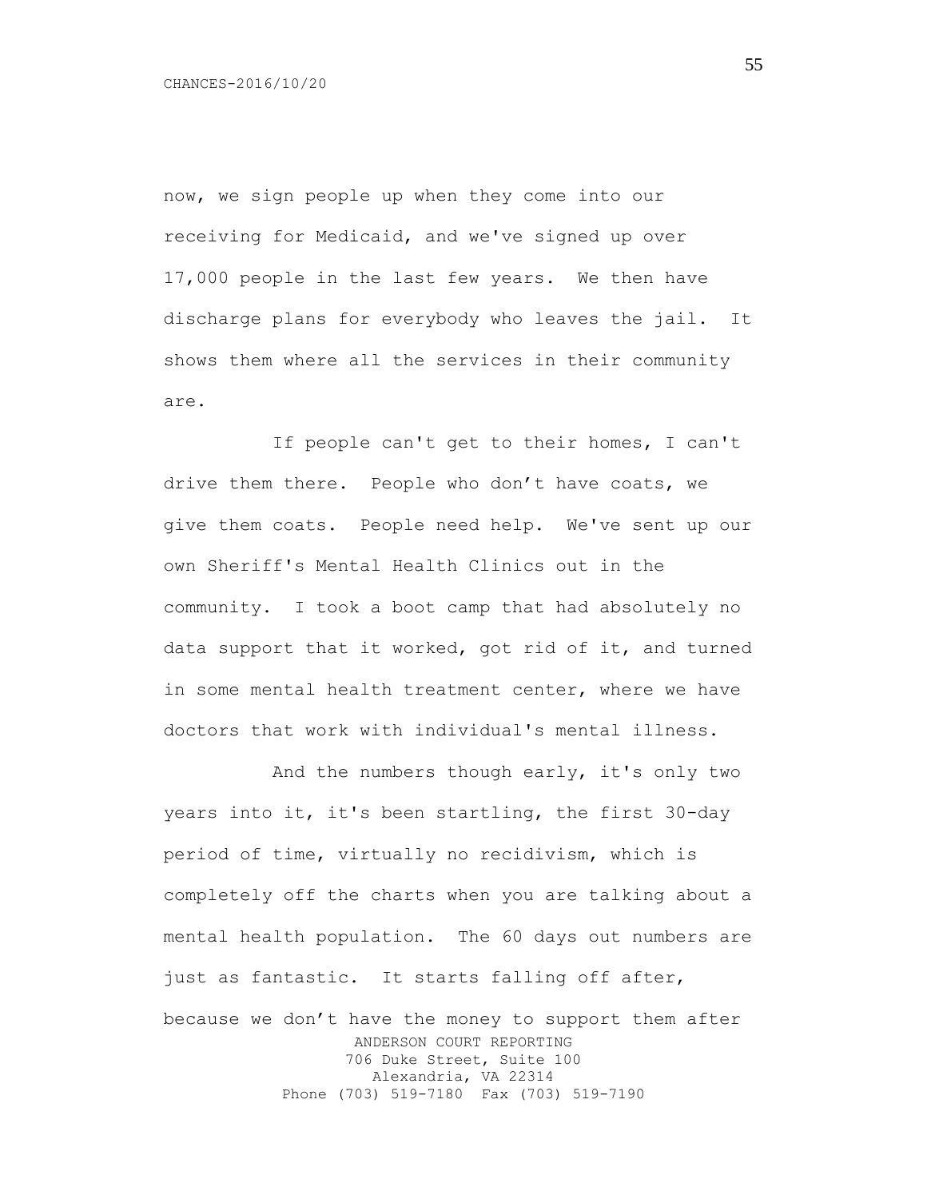now, we sign people up when they come into our receiving for Medicaid, and we've signed up over 17,000 people in the last few years. We then have discharge plans for everybody who leaves the jail. It shows them where all the services in their community are.

If people can't get to their homes, I can't drive them there. People who don't have coats, we give them coats. People need help. We've sent up our own Sheriff's Mental Health Clinics out in the community. I took a boot camp that had absolutely no data support that it worked, got rid of it, and turned in some mental health treatment center, where we have doctors that work with individual's mental illness.

ANDERSON COURT REPORTING 706 Duke Street, Suite 100 Alexandria, VA 22314 Phone (703) 519-7180 Fax (703) 519-7190 And the numbers though early, it's only two years into it, it's been startling, the first 30-day period of time, virtually no recidivism, which is completely off the charts when you are talking about a mental health population. The 60 days out numbers are just as fantastic. It starts falling off after, because we don't have the money to support them after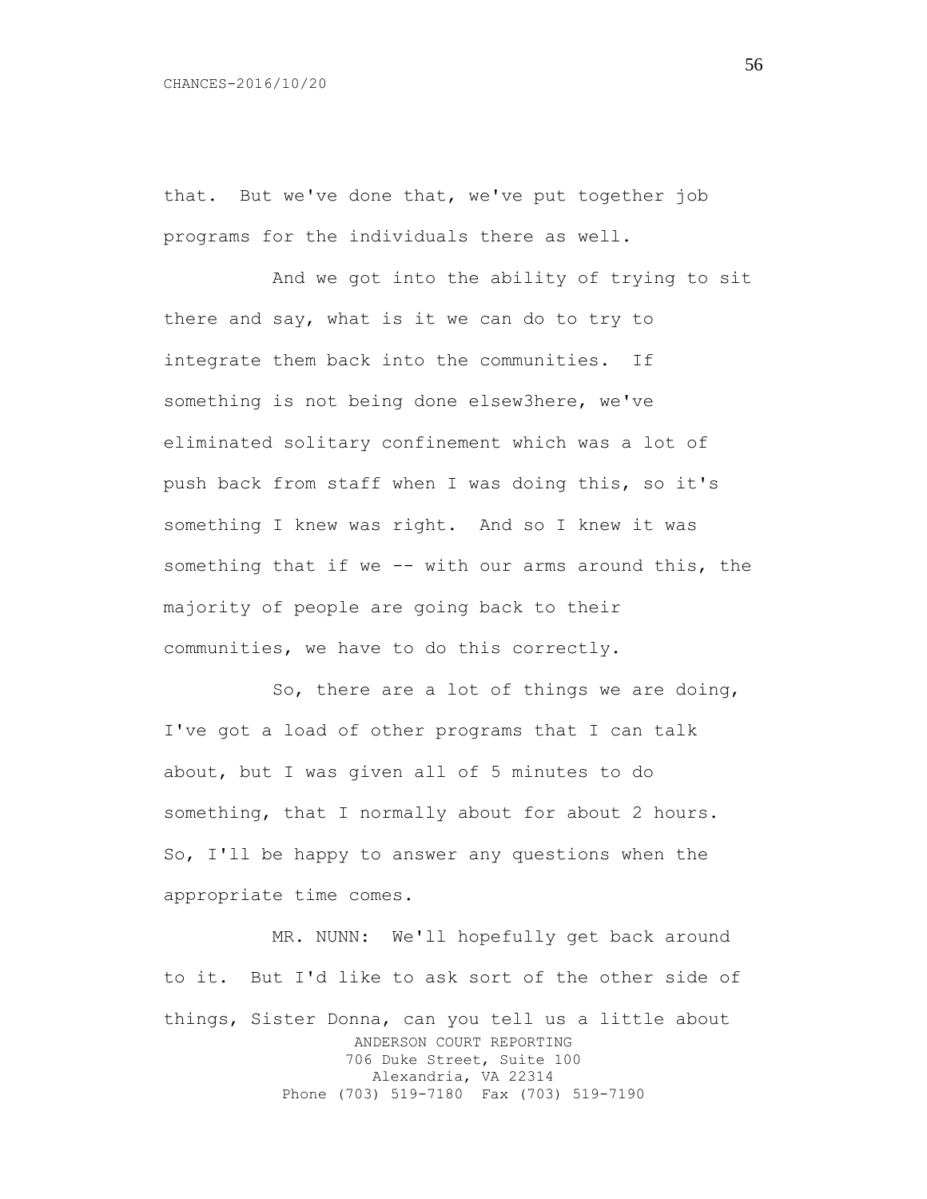that. But we've done that, we've put together job programs for the individuals there as well.

And we got into the ability of trying to sit there and say, what is it we can do to try to integrate them back into the communities. If something is not being done elsew3here, we've eliminated solitary confinement which was a lot of push back from staff when I was doing this, so it's something I knew was right. And so I knew it was something that if we -- with our arms around this, the majority of people are going back to their communities, we have to do this correctly.

So, there are a lot of things we are doing, I've got a load of other programs that I can talk about, but I was given all of 5 minutes to do something, that I normally about for about 2 hours. So, I'll be happy to answer any questions when the appropriate time comes.

ANDERSON COURT REPORTING 706 Duke Street, Suite 100 Alexandria, VA 22314 Phone (703) 519-7180 Fax (703) 519-7190 MR. NUNN: We'll hopefully get back around to it. But I'd like to ask sort of the other side of things, Sister Donna, can you tell us a little about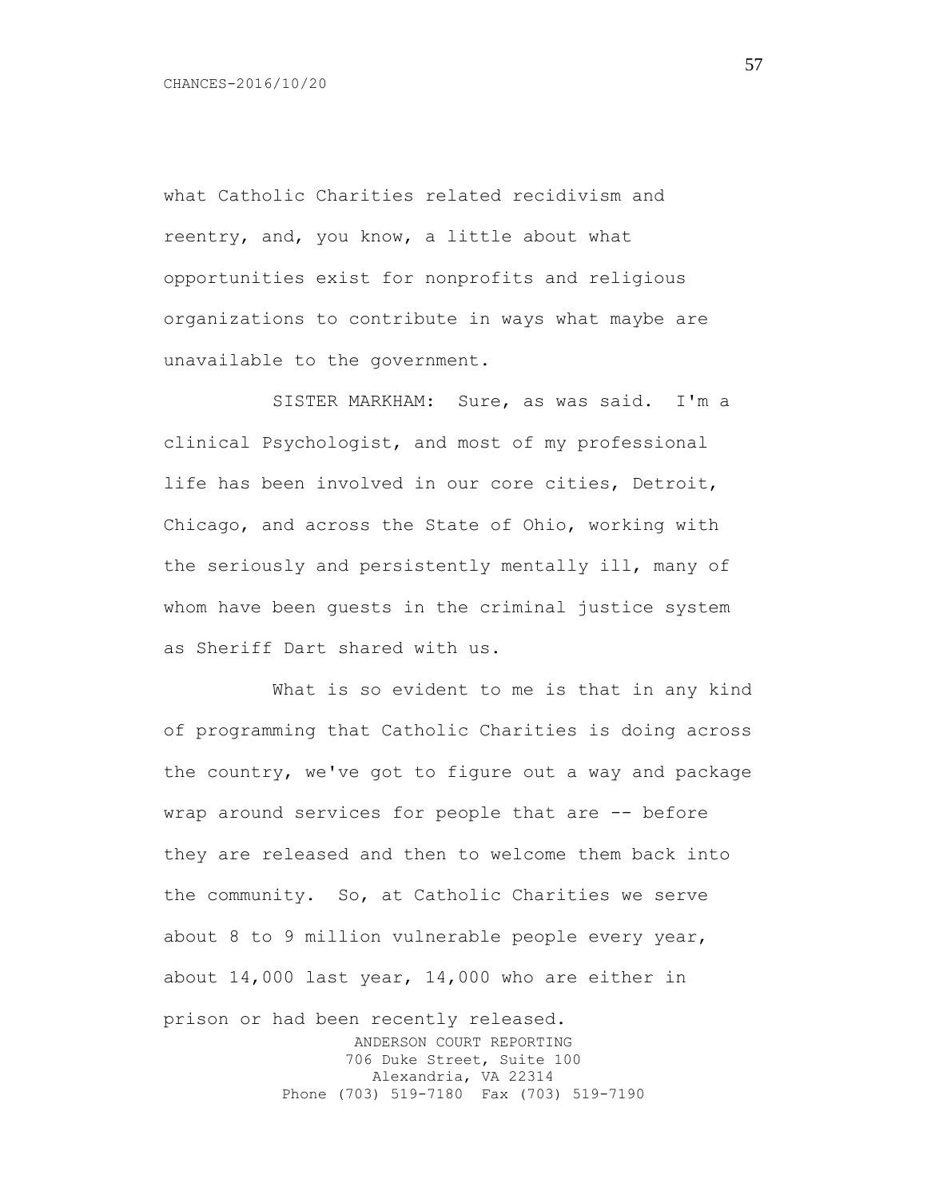what Catholic Charities related recidivism and reentry, and, you know, a little about what opportunities exist for nonprofits and religious organizations to contribute in ways what maybe are unavailable to the government.

SISTER MARKHAM: Sure, as was said. I'm a clinical Psychologist, and most of my professional life has been involved in our core cities, Detroit, Chicago, and across the State of Ohio, working with the seriously and persistently mentally ill, many of whom have been guests in the criminal justice system as Sheriff Dart shared with us.

ANDERSON COURT REPORTING 706 Duke Street, Suite 100 Alexandria, VA 22314 What is so evident to me is that in any kind of programming that Catholic Charities is doing across the country, we've got to figure out a way and package wrap around services for people that are -- before they are released and then to welcome them back into the community. So, at Catholic Charities we serve about 8 to 9 million vulnerable people every year, about 14,000 last year, 14,000 who are either in prison or had been recently released.

Phone (703) 519-7180 Fax (703) 519-7190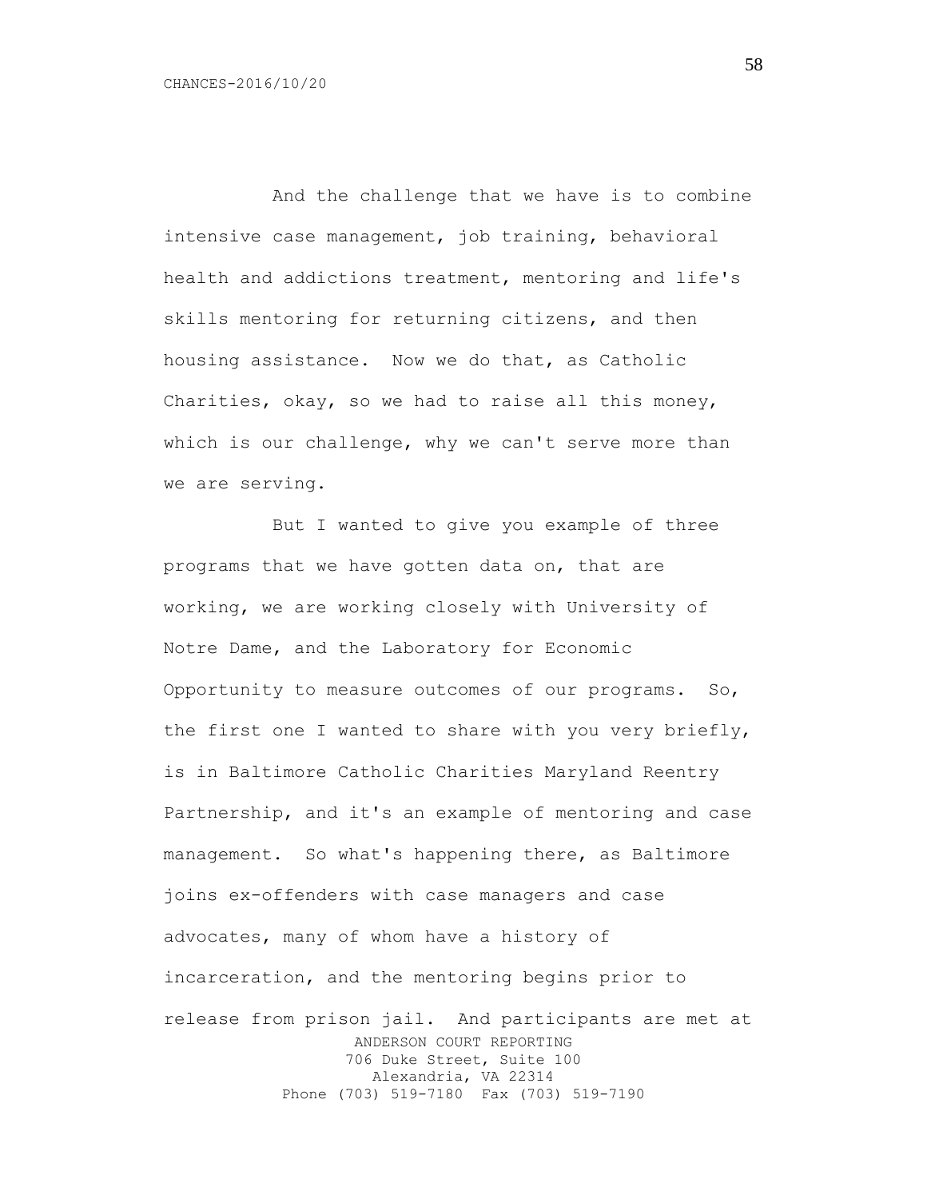And the challenge that we have is to combine intensive case management, job training, behavioral health and addictions treatment, mentoring and life's skills mentoring for returning citizens, and then housing assistance. Now we do that, as Catholic Charities, okay, so we had to raise all this money, which is our challenge, why we can't serve more than we are serving.

ANDERSON COURT REPORTING 706 Duke Street, Suite 100 Alexandria, VA 22314 Phone (703) 519-7180 Fax (703) 519-7190 But I wanted to give you example of three programs that we have gotten data on, that are working, we are working closely with University of Notre Dame, and the Laboratory for Economic Opportunity to measure outcomes of our programs. So, the first one I wanted to share with you very briefly, is in Baltimore Catholic Charities Maryland Reentry Partnership, and it's an example of mentoring and case management. So what's happening there, as Baltimore joins ex-offenders with case managers and case advocates, many of whom have a history of incarceration, and the mentoring begins prior to release from prison jail. And participants are met at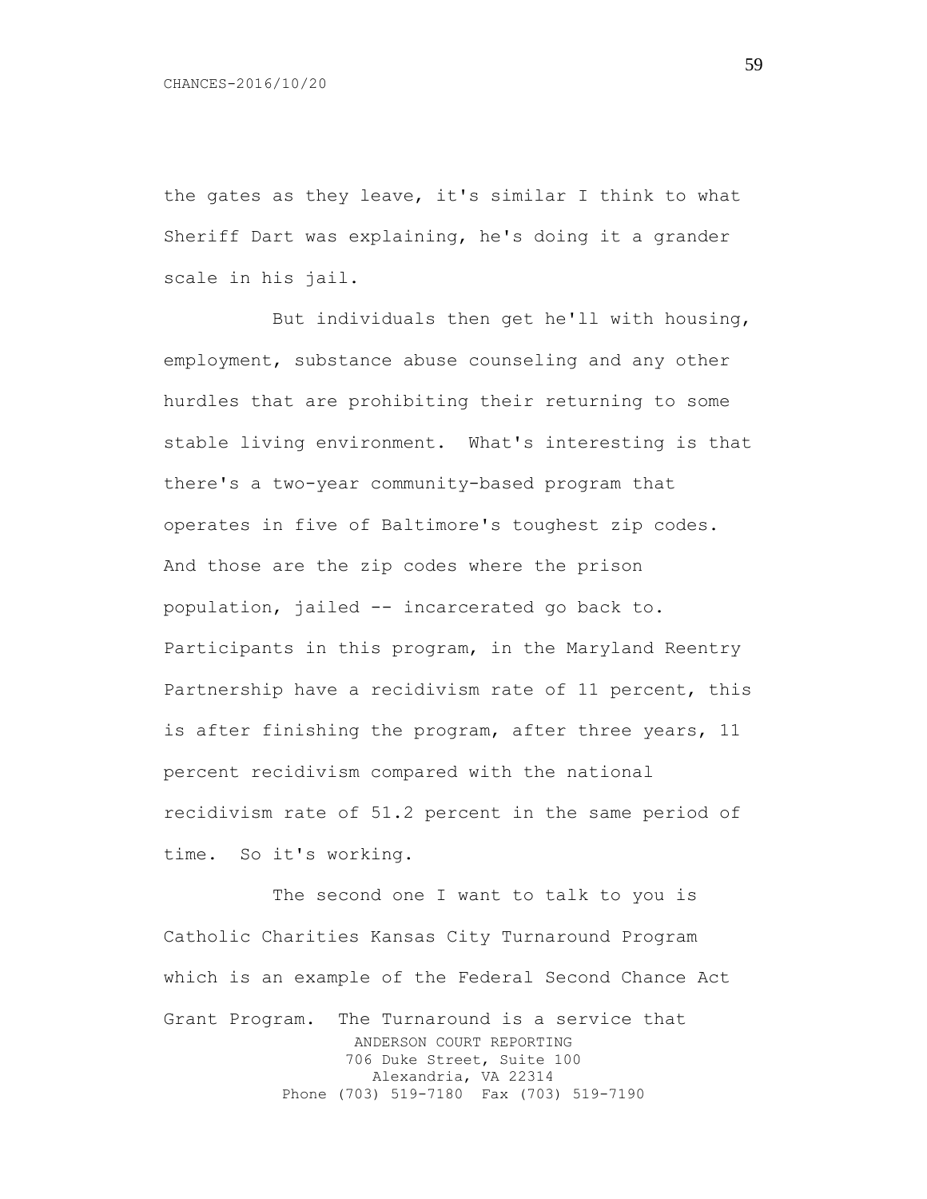the gates as they leave, it's similar I think to what Sheriff Dart was explaining, he's doing it a grander scale in his jail.

But individuals then get he'll with housing, employment, substance abuse counseling and any other hurdles that are prohibiting their returning to some stable living environment. What's interesting is that there's a two-year community-based program that operates in five of Baltimore's toughest zip codes. And those are the zip codes where the prison population, jailed -- incarcerated go back to. Participants in this program, in the Maryland Reentry Partnership have a recidivism rate of 11 percent, this is after finishing the program, after three years, 11 percent recidivism compared with the national recidivism rate of 51.2 percent in the same period of time. So it's working.

ANDERSON COURT REPORTING 706 Duke Street, Suite 100 Alexandria, VA 22314 Phone (703) 519-7180 Fax (703) 519-7190 The second one I want to talk to you is Catholic Charities Kansas City Turnaround Program which is an example of the Federal Second Chance Act Grant Program. The Turnaround is a service that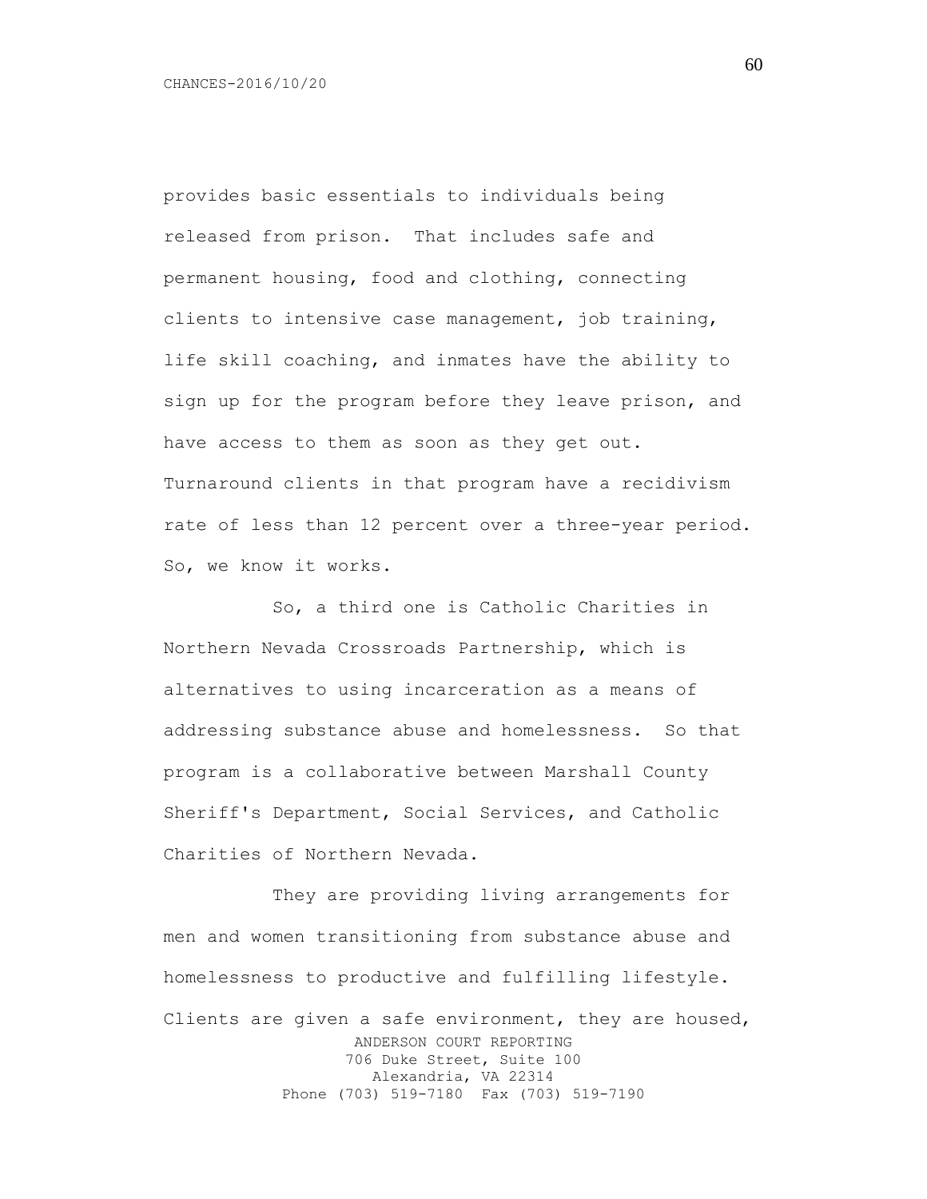provides basic essentials to individuals being released from prison. That includes safe and permanent housing, food and clothing, connecting clients to intensive case management, job training, life skill coaching, and inmates have the ability to sign up for the program before they leave prison, and have access to them as soon as they get out. Turnaround clients in that program have a recidivism rate of less than 12 percent over a three-year period. So, we know it works.

So, a third one is Catholic Charities in Northern Nevada Crossroads Partnership, which is alternatives to using incarceration as a means of addressing substance abuse and homelessness. So that program is a collaborative between Marshall County Sheriff's Department, Social Services, and Catholic Charities of Northern Nevada.

ANDERSON COURT REPORTING 706 Duke Street, Suite 100 Alexandria, VA 22314 Phone (703) 519-7180 Fax (703) 519-7190 They are providing living arrangements for men and women transitioning from substance abuse and homelessness to productive and fulfilling lifestyle. Clients are given a safe environment, they are housed,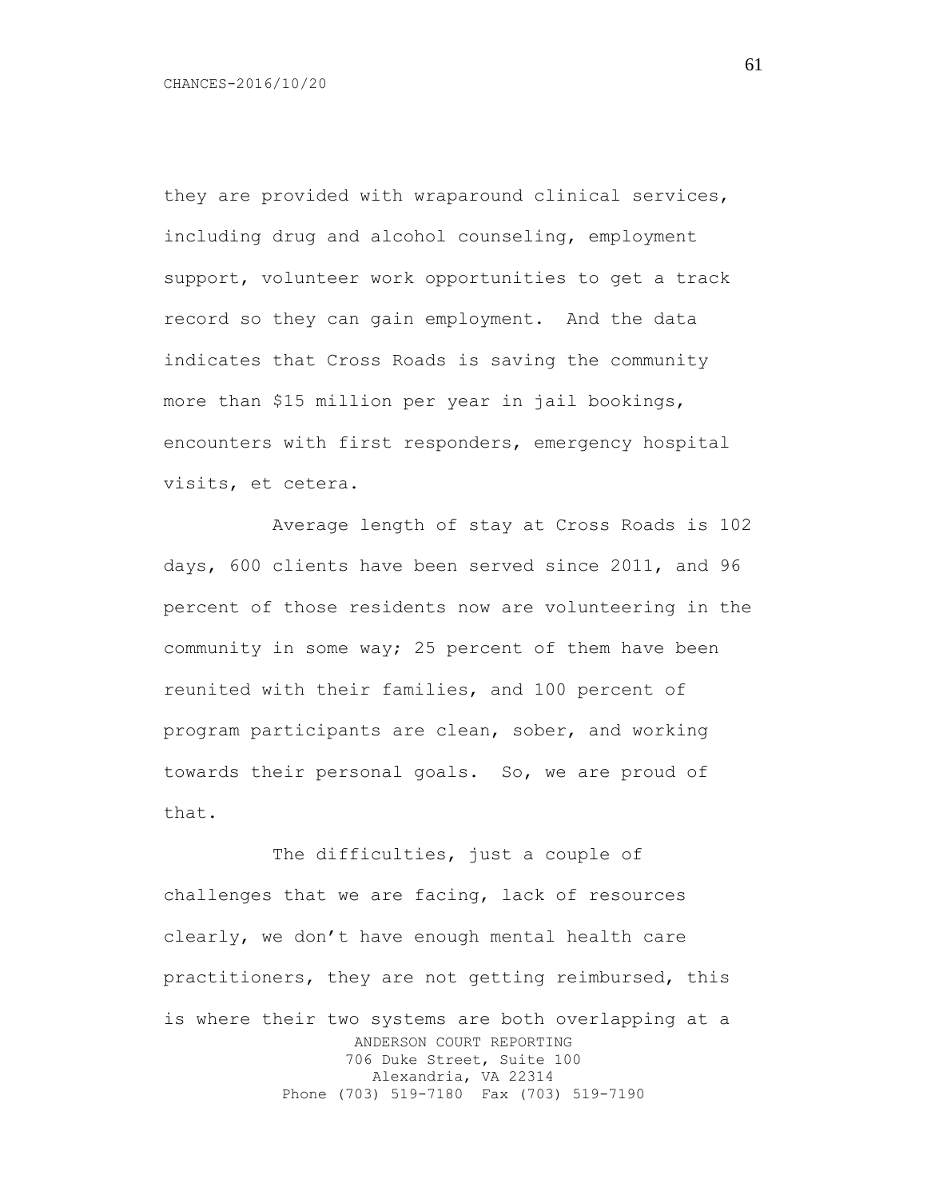they are provided with wraparound clinical services, including drug and alcohol counseling, employment support, volunteer work opportunities to get a track record so they can gain employment. And the data indicates that Cross Roads is saving the community more than \$15 million per year in jail bookings, encounters with first responders, emergency hospital visits, et cetera.

Average length of stay at Cross Roads is 102 days, 600 clients have been served since 2011, and 96 percent of those residents now are volunteering in the community in some way; 25 percent of them have been reunited with their families, and 100 percent of program participants are clean, sober, and working towards their personal goals. So, we are proud of that.

ANDERSON COURT REPORTING 706 Duke Street, Suite 100 Alexandria, VA 22314 Phone (703) 519-7180 Fax (703) 519-7190 The difficulties, just a couple of challenges that we are facing, lack of resources clearly, we don't have enough mental health care practitioners, they are not getting reimbursed, this is where their two systems are both overlapping at a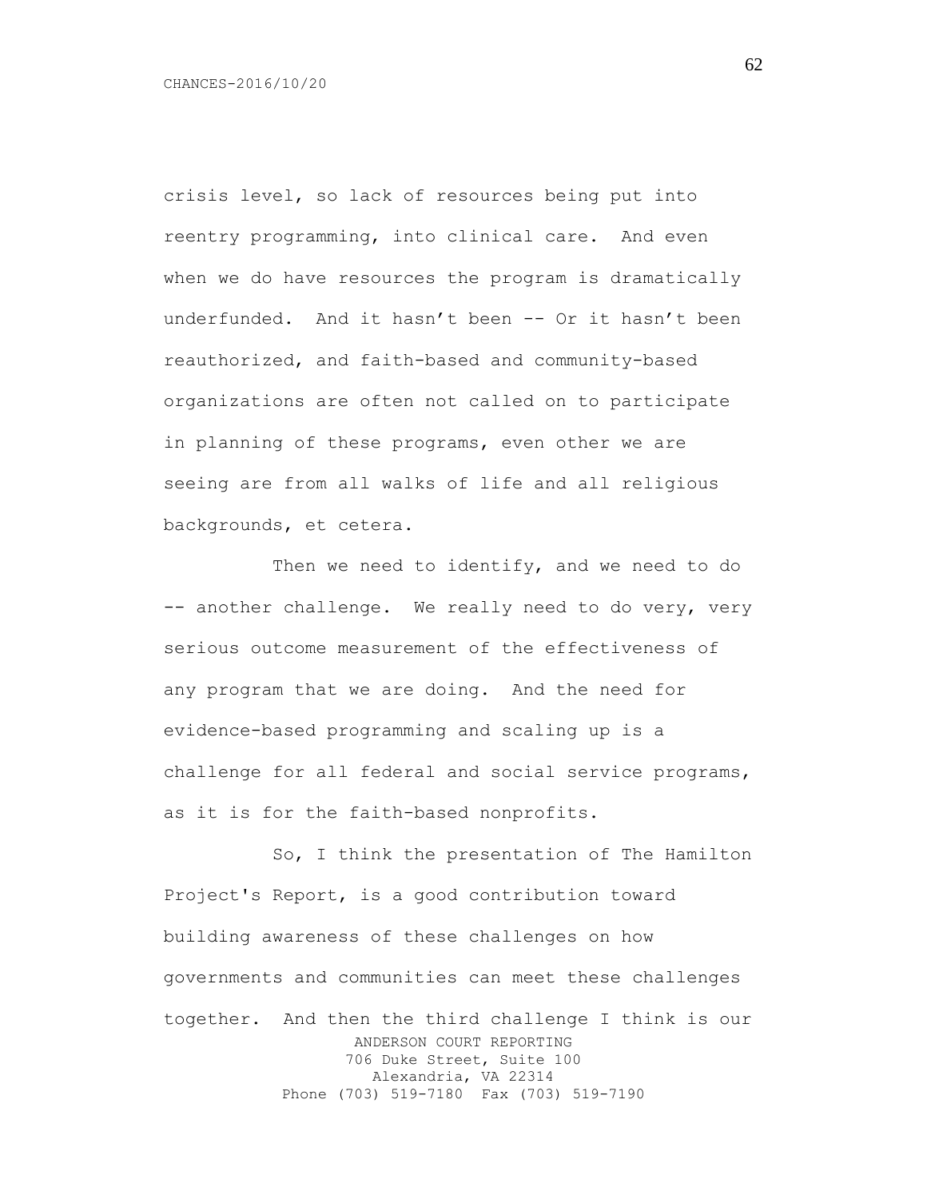crisis level, so lack of resources being put into reentry programming, into clinical care. And even when we do have resources the program is dramatically underfunded. And it hasn't been -- Or it hasn't been reauthorized, and faith-based and community-based organizations are often not called on to participate in planning of these programs, even other we are seeing are from all walks of life and all religious backgrounds, et cetera.

Then we need to identify, and we need to do -- another challenge. We really need to do very, very serious outcome measurement of the effectiveness of any program that we are doing. And the need for evidence-based programming and scaling up is a challenge for all federal and social service programs, as it is for the faith-based nonprofits.

ANDERSON COURT REPORTING 706 Duke Street, Suite 100 Alexandria, VA 22314 Phone (703) 519-7180 Fax (703) 519-7190 So, I think the presentation of The Hamilton Project's Report, is a good contribution toward building awareness of these challenges on how governments and communities can meet these challenges together. And then the third challenge I think is our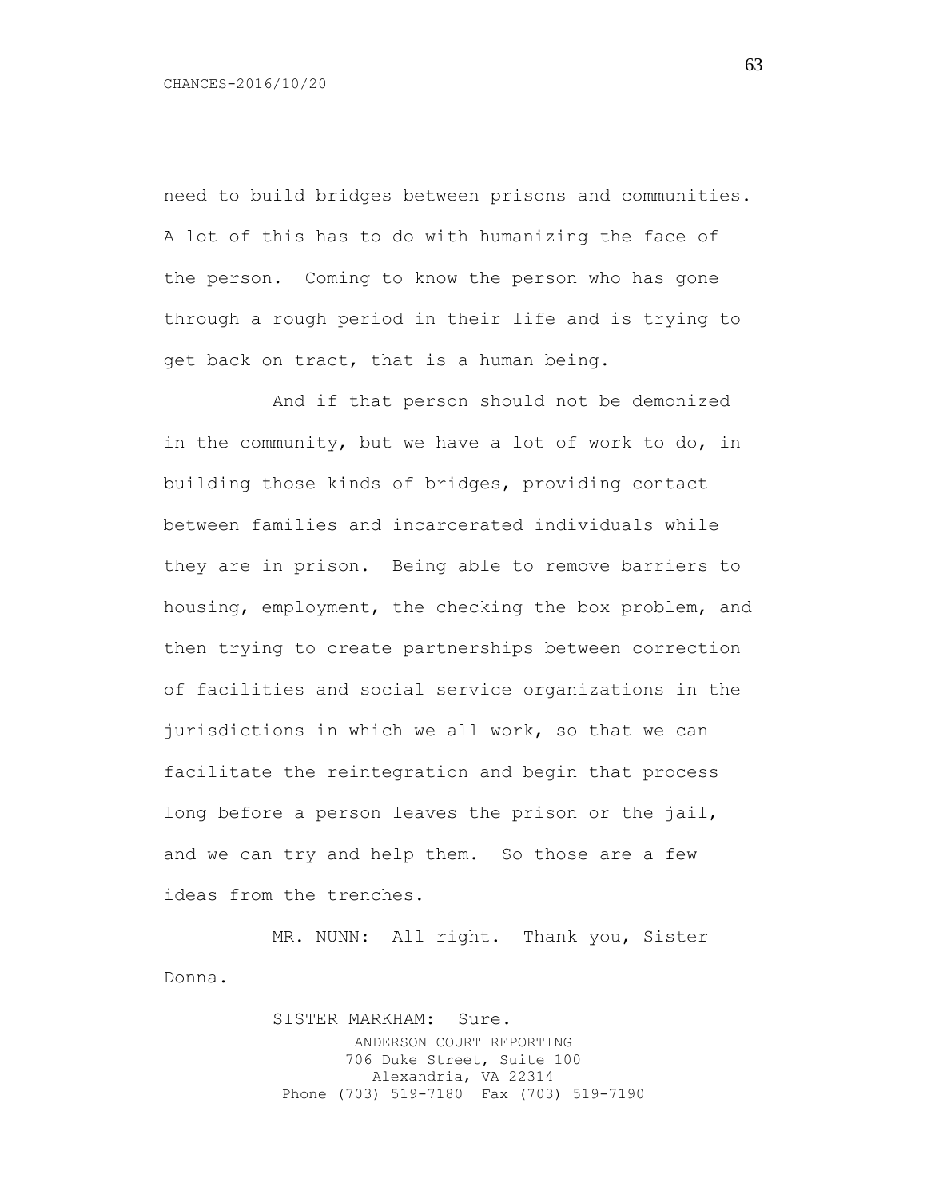need to build bridges between prisons and communities. A lot of this has to do with humanizing the face of the person. Coming to know the person who has gone through a rough period in their life and is trying to get back on tract, that is a human being.

And if that person should not be demonized in the community, but we have a lot of work to do, in building those kinds of bridges, providing contact between families and incarcerated individuals while they are in prison. Being able to remove barriers to housing, employment, the checking the box problem, and then trying to create partnerships between correction of facilities and social service organizations in the jurisdictions in which we all work, so that we can facilitate the reintegration and begin that process long before a person leaves the prison or the jail, and we can try and help them. So those are a few ideas from the trenches.

MR. NUNN: All right. Thank you, Sister Donna.

> ANDERSON COURT REPORTING 706 Duke Street, Suite 100 Alexandria, VA 22314 Phone (703) 519-7180 Fax (703) 519-7190 SISTER MARKHAM: Sure.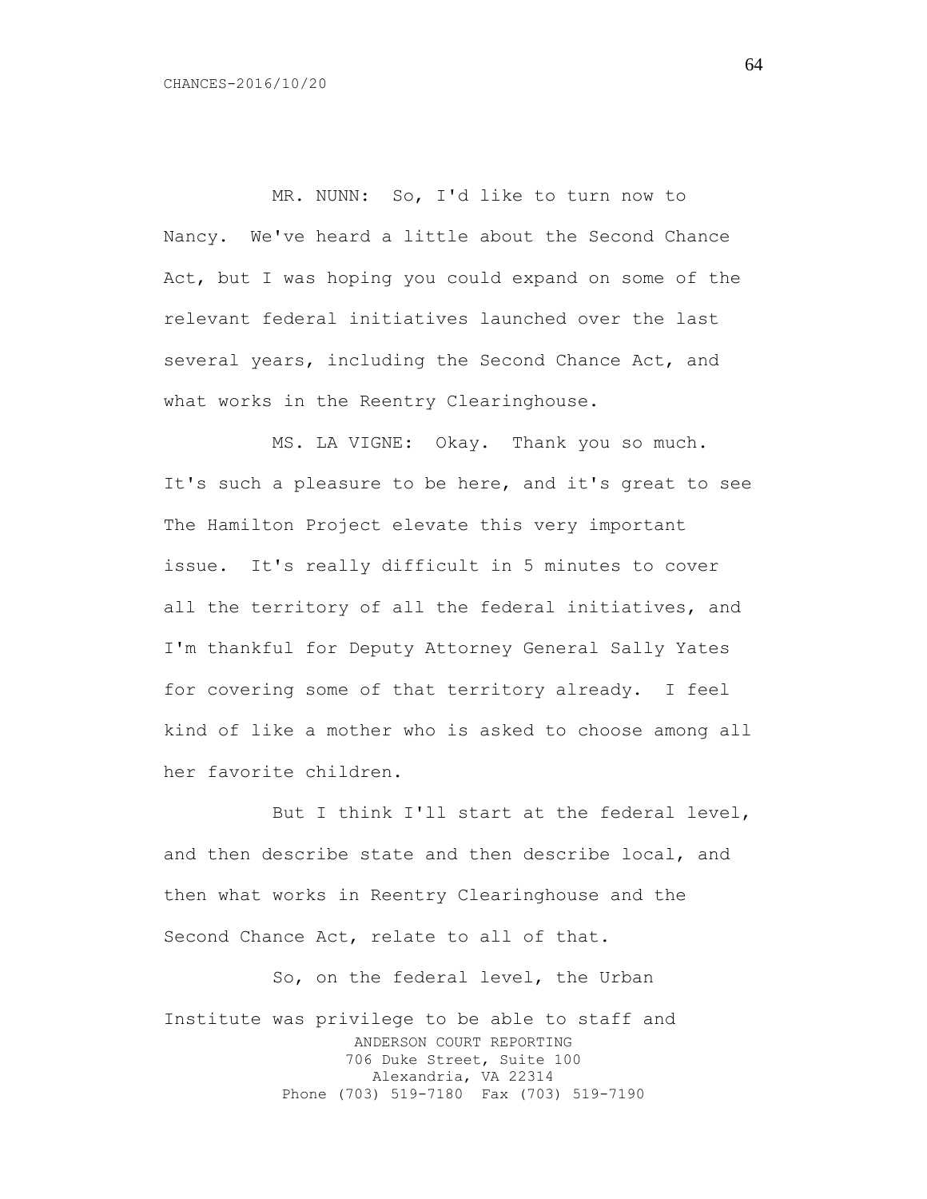MR. NUNN: So, I'd like to turn now to Nancy. We've heard a little about the Second Chance Act, but I was hoping you could expand on some of the relevant federal initiatives launched over the last several years, including the Second Chance Act, and what works in the Reentry Clearinghouse.

MS. LA VIGNE: Okay. Thank you so much. It's such a pleasure to be here, and it's great to see The Hamilton Project elevate this very important issue. It's really difficult in 5 minutes to cover all the territory of all the federal initiatives, and I'm thankful for Deputy Attorney General Sally Yates for covering some of that territory already. I feel kind of like a mother who is asked to choose among all her favorite children.

But I think I'll start at the federal level, and then describe state and then describe local, and then what works in Reentry Clearinghouse and the Second Chance Act, relate to all of that.

ANDERSON COURT REPORTING 706 Duke Street, Suite 100 Alexandria, VA 22314 Phone (703) 519-7180 Fax (703) 519-7190 So, on the federal level, the Urban Institute was privilege to be able to staff and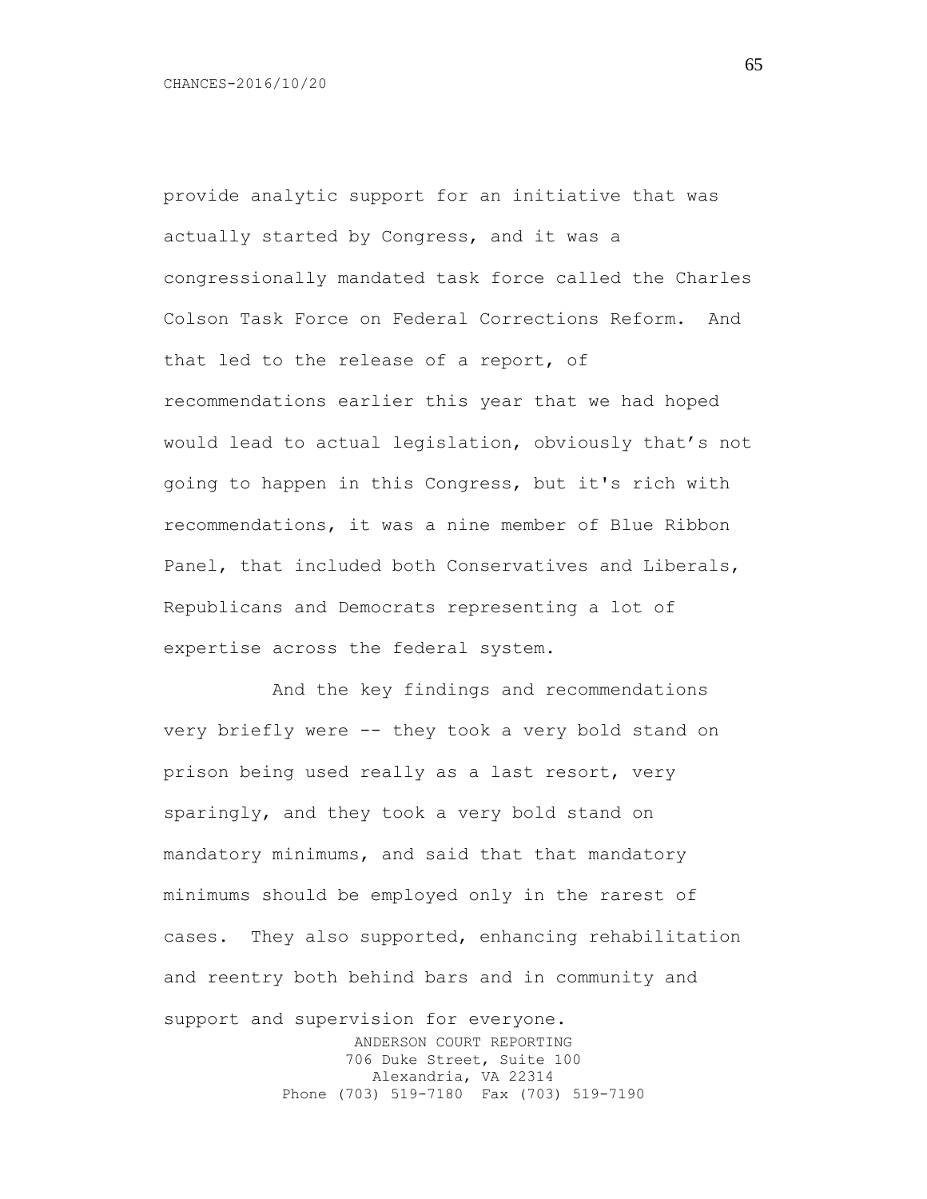provide analytic support for an initiative that was actually started by Congress, and it was a congressionally mandated task force called the Charles Colson Task Force on Federal Corrections Reform. And that led to the release of a report, of recommendations earlier this year that we had hoped would lead to actual legislation, obviously that's not going to happen in this Congress, but it's rich with recommendations, it was a nine member of Blue Ribbon Panel, that included both Conservatives and Liberals, Republicans and Democrats representing a lot of expertise across the federal system.

ANDERSON COURT REPORTING 706 Duke Street, Suite 100 Alexandria, VA 22314 And the key findings and recommendations very briefly were -- they took a very bold stand on prison being used really as a last resort, very sparingly, and they took a very bold stand on mandatory minimums, and said that that mandatory minimums should be employed only in the rarest of cases. They also supported, enhancing rehabilitation and reentry both behind bars and in community and support and supervision for everyone.

Phone (703) 519-7180 Fax (703) 519-7190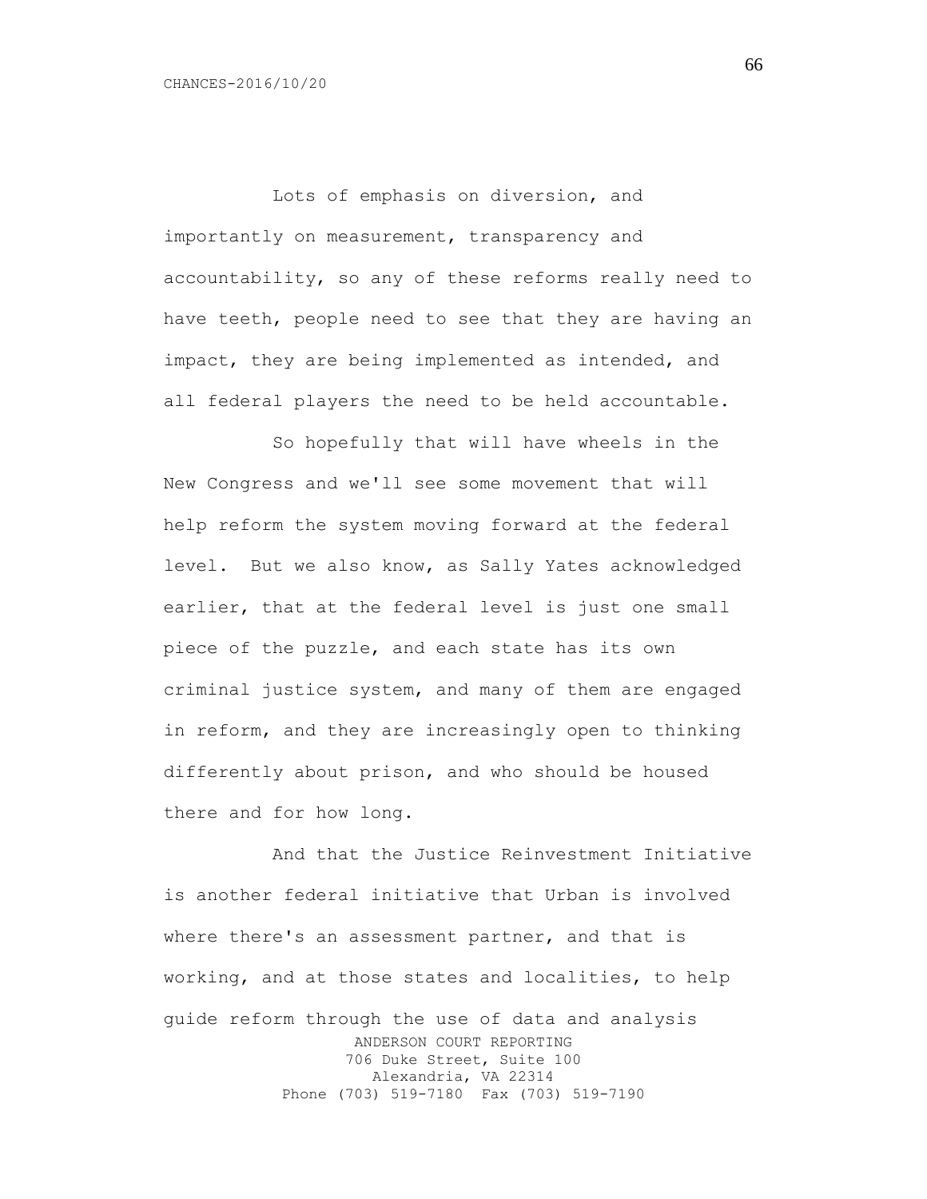Lots of emphasis on diversion, and importantly on measurement, transparency and accountability, so any of these reforms really need to have teeth, people need to see that they are having an impact, they are being implemented as intended, and all federal players the need to be held accountable.

So hopefully that will have wheels in the New Congress and we'll see some movement that will help reform the system moving forward at the federal level. But we also know, as Sally Yates acknowledged earlier, that at the federal level is just one small piece of the puzzle, and each state has its own criminal justice system, and many of them are engaged in reform, and they are increasingly open to thinking differently about prison, and who should be housed there and for how long.

ANDERSON COURT REPORTING 706 Duke Street, Suite 100 Alexandria, VA 22314 Phone (703) 519-7180 Fax (703) 519-7190 And that the Justice Reinvestment Initiative is another federal initiative that Urban is involved where there's an assessment partner, and that is working, and at those states and localities, to help guide reform through the use of data and analysis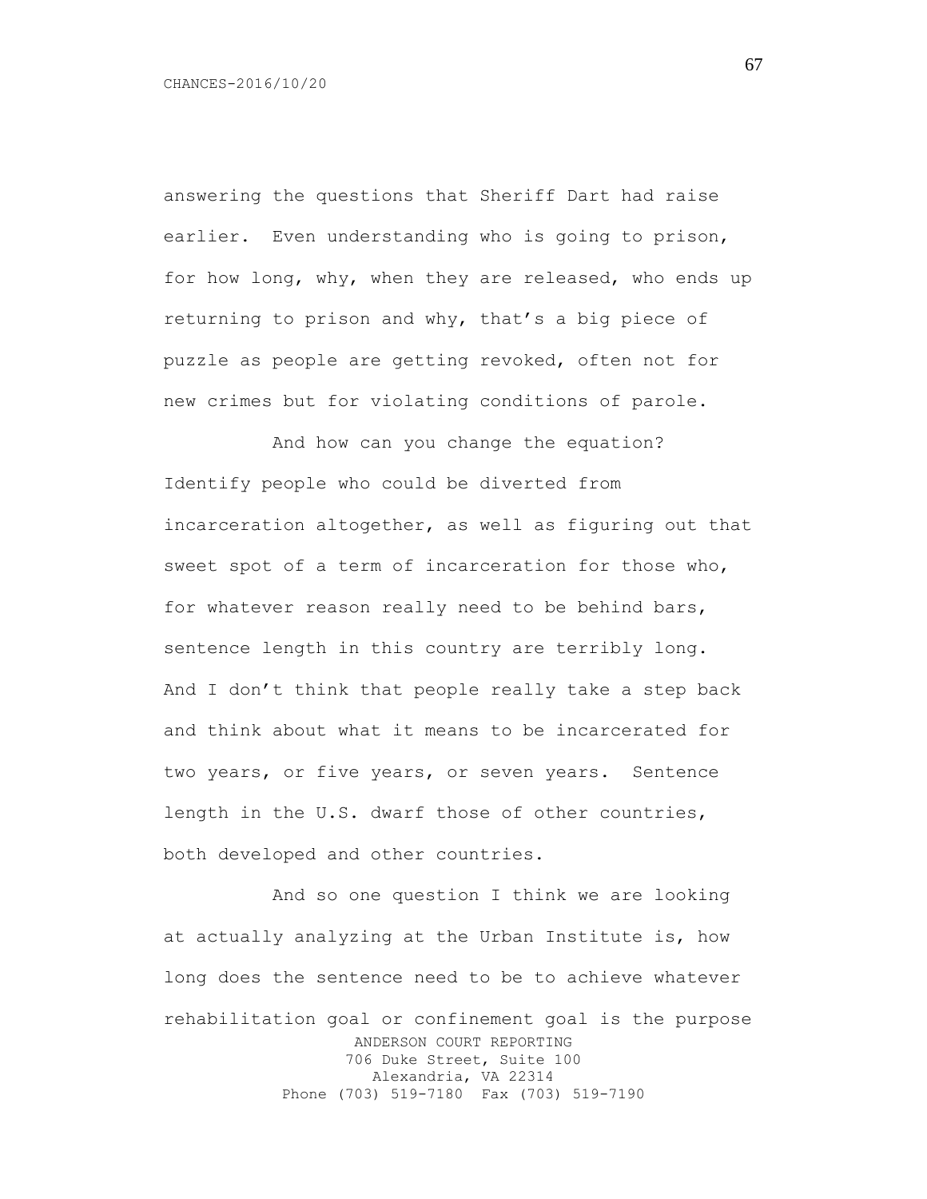answering the questions that Sheriff Dart had raise earlier. Even understanding who is going to prison, for how long, why, when they are released, who ends up returning to prison and why, that's a big piece of puzzle as people are getting revoked, often not for new crimes but for violating conditions of parole.

And how can you change the equation? Identify people who could be diverted from incarceration altogether, as well as figuring out that sweet spot of a term of incarceration for those who, for whatever reason really need to be behind bars, sentence length in this country are terribly long. And I don't think that people really take a step back and think about what it means to be incarcerated for two years, or five years, or seven years. Sentence length in the U.S. dwarf those of other countries, both developed and other countries.

ANDERSON COURT REPORTING 706 Duke Street, Suite 100 Alexandria, VA 22314 Phone (703) 519-7180 Fax (703) 519-7190 And so one question I think we are looking at actually analyzing at the Urban Institute is, how long does the sentence need to be to achieve whatever rehabilitation goal or confinement goal is the purpose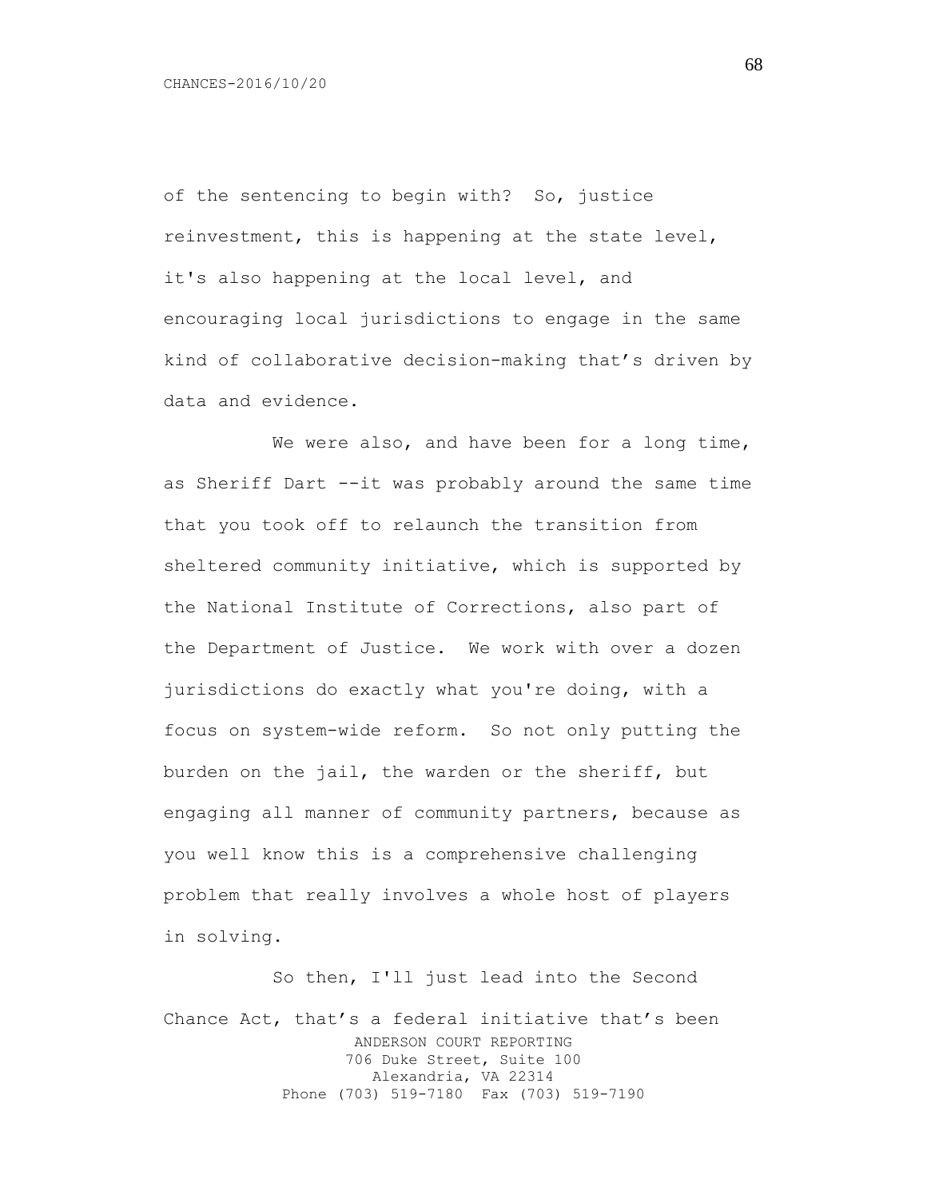of the sentencing to begin with? So, justice reinvestment, this is happening at the state level, it's also happening at the local level, and encouraging local jurisdictions to engage in the same kind of collaborative decision-making that's driven by data and evidence.

We were also, and have been for a long time, as Sheriff Dart --it was probably around the same time that you took off to relaunch the transition from sheltered community initiative, which is supported by the National Institute of Corrections, also part of the Department of Justice. We work with over a dozen jurisdictions do exactly what you're doing, with a focus on system-wide reform. So not only putting the burden on the jail, the warden or the sheriff, but engaging all manner of community partners, because as you well know this is a comprehensive challenging problem that really involves a whole host of players in solving.

ANDERSON COURT REPORTING 706 Duke Street, Suite 100 Alexandria, VA 22314 Phone (703) 519-7180 Fax (703) 519-7190 So then, I'll just lead into the Second Chance Act, that's a federal initiative that's been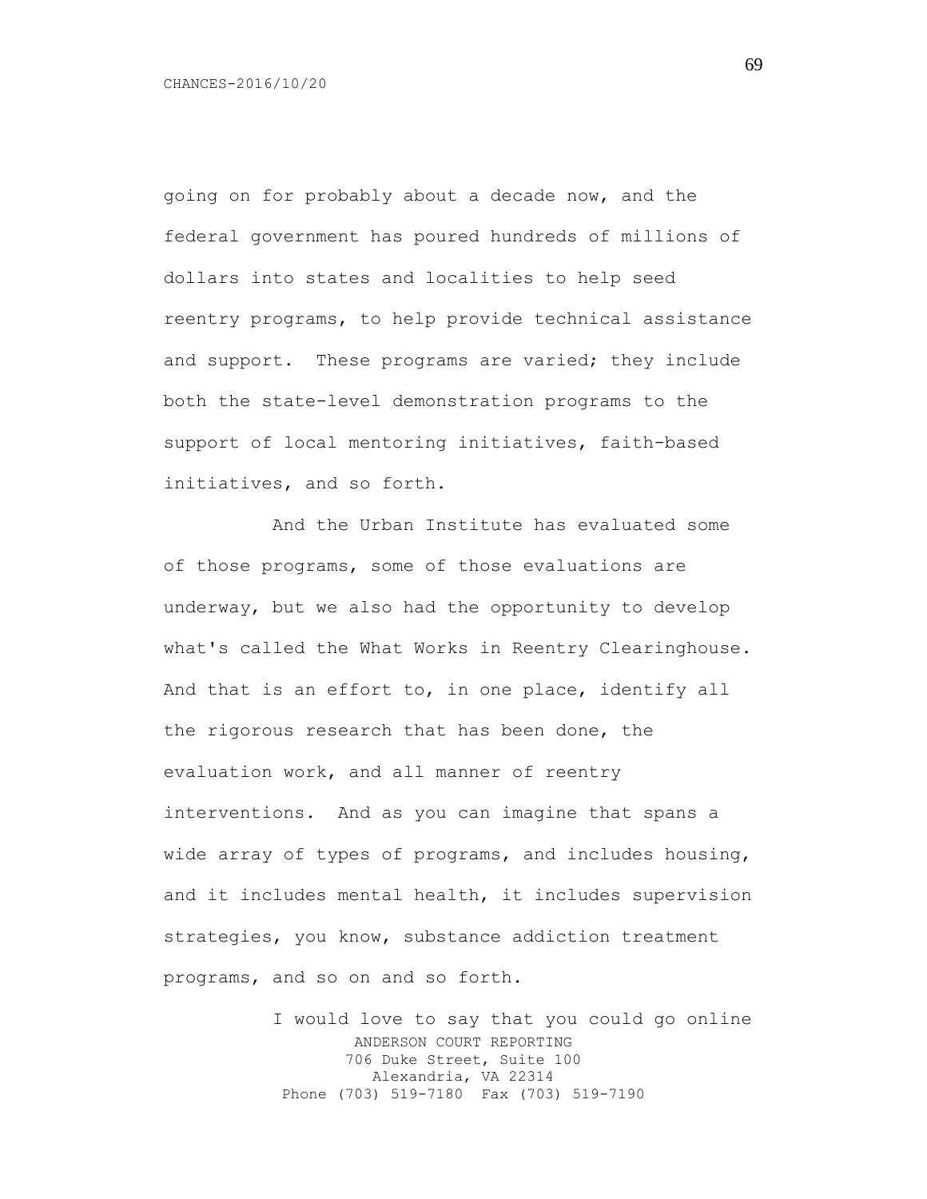going on for probably about a decade now, and the federal government has poured hundreds of millions of dollars into states and localities to help seed reentry programs, to help provide technical assistance and support. These programs are varied; they include both the state-level demonstration programs to the support of local mentoring initiatives, faith-based initiatives, and so forth.

And the Urban Institute has evaluated some of those programs, some of those evaluations are underway, but we also had the opportunity to develop what's called the What Works in Reentry Clearinghouse. And that is an effort to, in one place, identify all the rigorous research that has been done, the evaluation work, and all manner of reentry interventions. And as you can imagine that spans a wide array of types of programs, and includes housing, and it includes mental health, it includes supervision strategies, you know, substance addiction treatment programs, and so on and so forth.

> ANDERSON COURT REPORTING 706 Duke Street, Suite 100 Alexandria, VA 22314 Phone (703) 519-7180 Fax (703) 519-7190 I would love to say that you could go online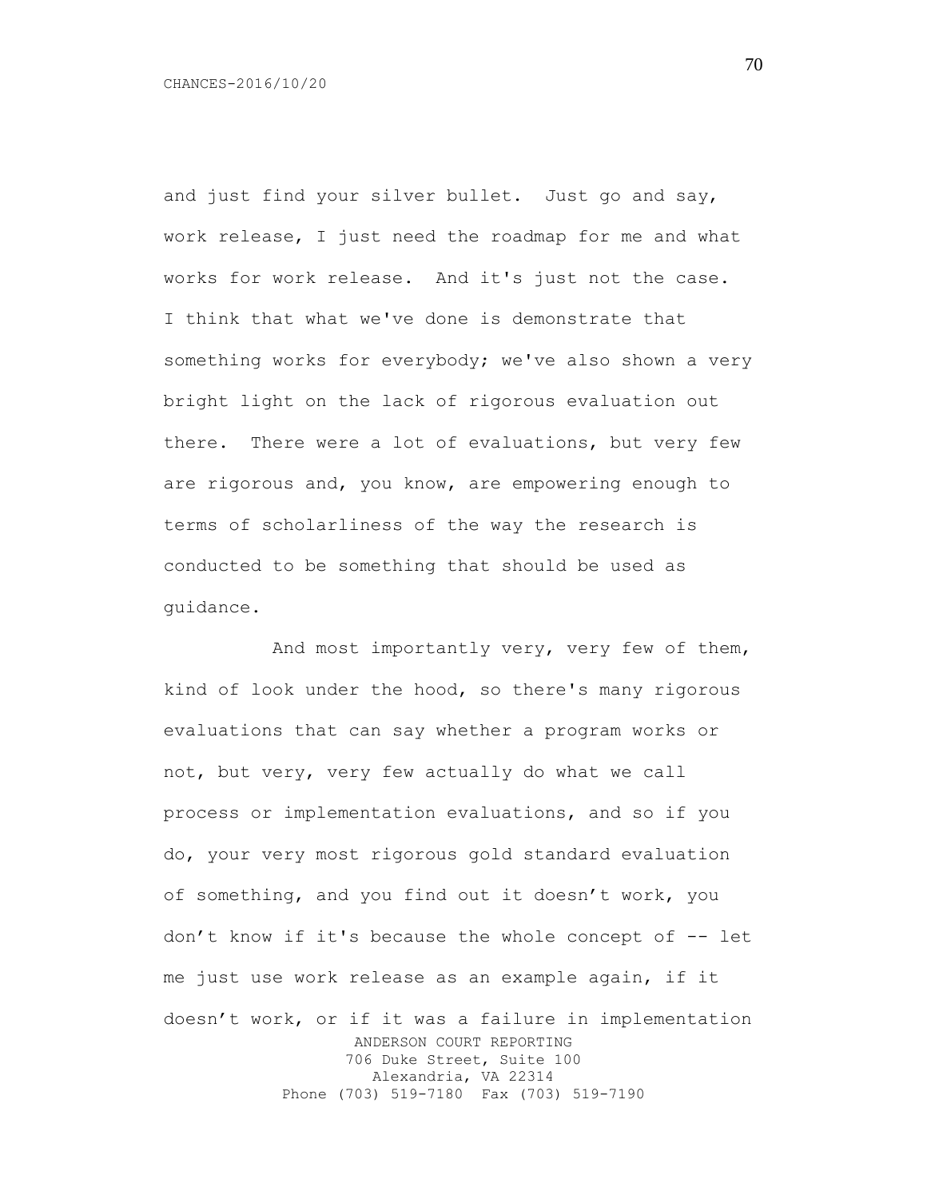and just find your silver bullet. Just go and say, work release, I just need the roadmap for me and what works for work release. And it's just not the case. I think that what we've done is demonstrate that something works for everybody; we've also shown a very bright light on the lack of rigorous evaluation out there. There were a lot of evaluations, but very few are rigorous and, you know, are empowering enough to terms of scholarliness of the way the research is conducted to be something that should be used as guidance.

ANDERSON COURT REPORTING 706 Duke Street, Suite 100 Alexandria, VA 22314 Phone (703) 519-7180 Fax (703) 519-7190 And most importantly very, very few of them, kind of look under the hood, so there's many rigorous evaluations that can say whether a program works or not, but very, very few actually do what we call process or implementation evaluations, and so if you do, your very most rigorous gold standard evaluation of something, and you find out it doesn't work, you don't know if it's because the whole concept of -- let me just use work release as an example again, if it doesn't work, or if it was a failure in implementation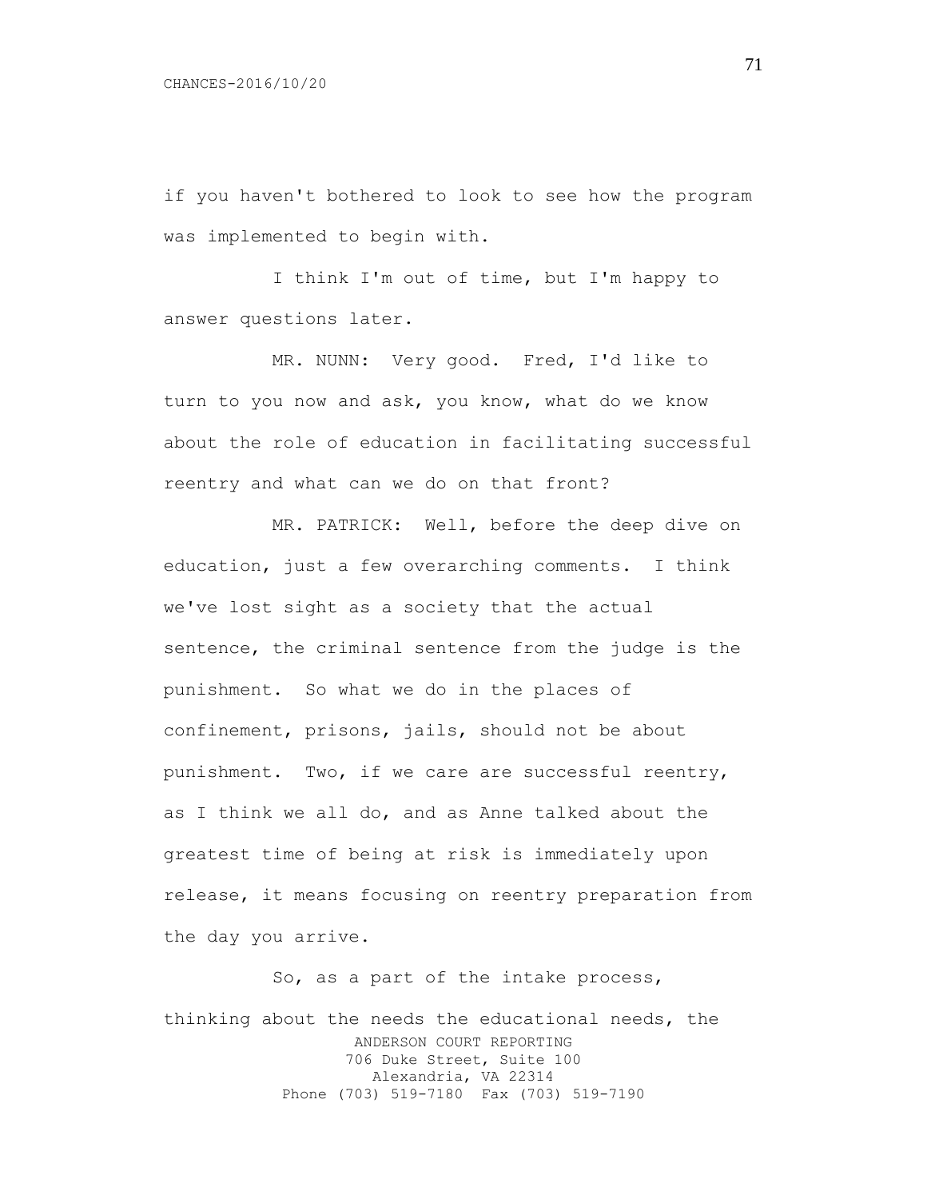if you haven't bothered to look to see how the program was implemented to begin with.

I think I'm out of time, but I'm happy to answer questions later.

MR. NUNN: Very good. Fred, I'd like to turn to you now and ask, you know, what do we know about the role of education in facilitating successful reentry and what can we do on that front?

MR. PATRICK: Well, before the deep dive on education, just a few overarching comments. I think we've lost sight as a society that the actual sentence, the criminal sentence from the judge is the punishment. So what we do in the places of confinement, prisons, jails, should not be about punishment. Two, if we care are successful reentry, as I think we all do, and as Anne talked about the greatest time of being at risk is immediately upon release, it means focusing on reentry preparation from the day you arrive.

ANDERSON COURT REPORTING 706 Duke Street, Suite 100 Alexandria, VA 22314 Phone (703) 519-7180 Fax (703) 519-7190 So, as a part of the intake process, thinking about the needs the educational needs, the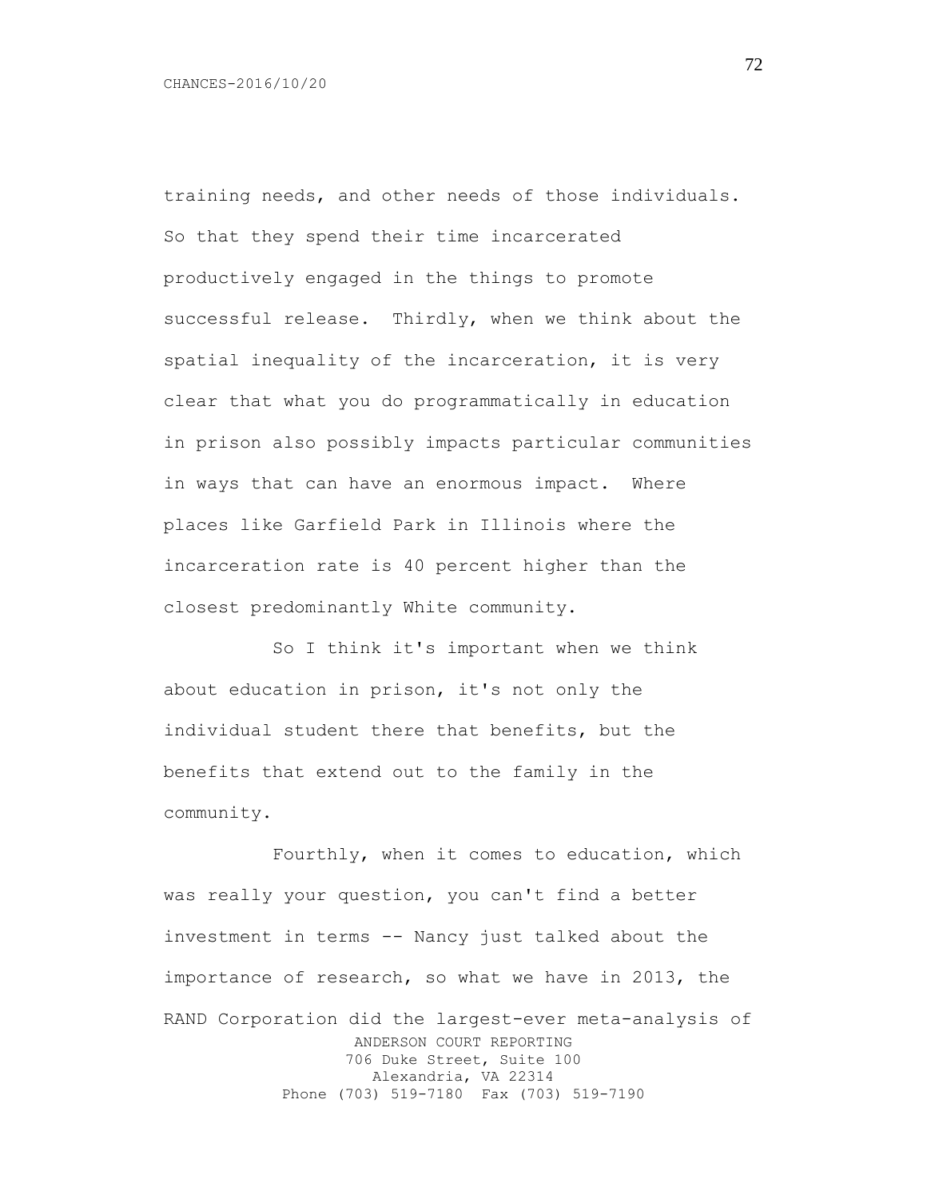training needs, and other needs of those individuals. So that they spend their time incarcerated productively engaged in the things to promote successful release. Thirdly, when we think about the spatial inequality of the incarceration, it is very clear that what you do programmatically in education in prison also possibly impacts particular communities in ways that can have an enormous impact. Where places like Garfield Park in Illinois where the incarceration rate is 40 percent higher than the closest predominantly White community.

So I think it's important when we think about education in prison, it's not only the individual student there that benefits, but the benefits that extend out to the family in the community.

ANDERSON COURT REPORTING 706 Duke Street, Suite 100 Alexandria, VA 22314 Phone (703) 519-7180 Fax (703) 519-7190 Fourthly, when it comes to education, which was really your question, you can't find a better investment in terms -- Nancy just talked about the importance of research, so what we have in 2013, the RAND Corporation did the largest-ever meta-analysis of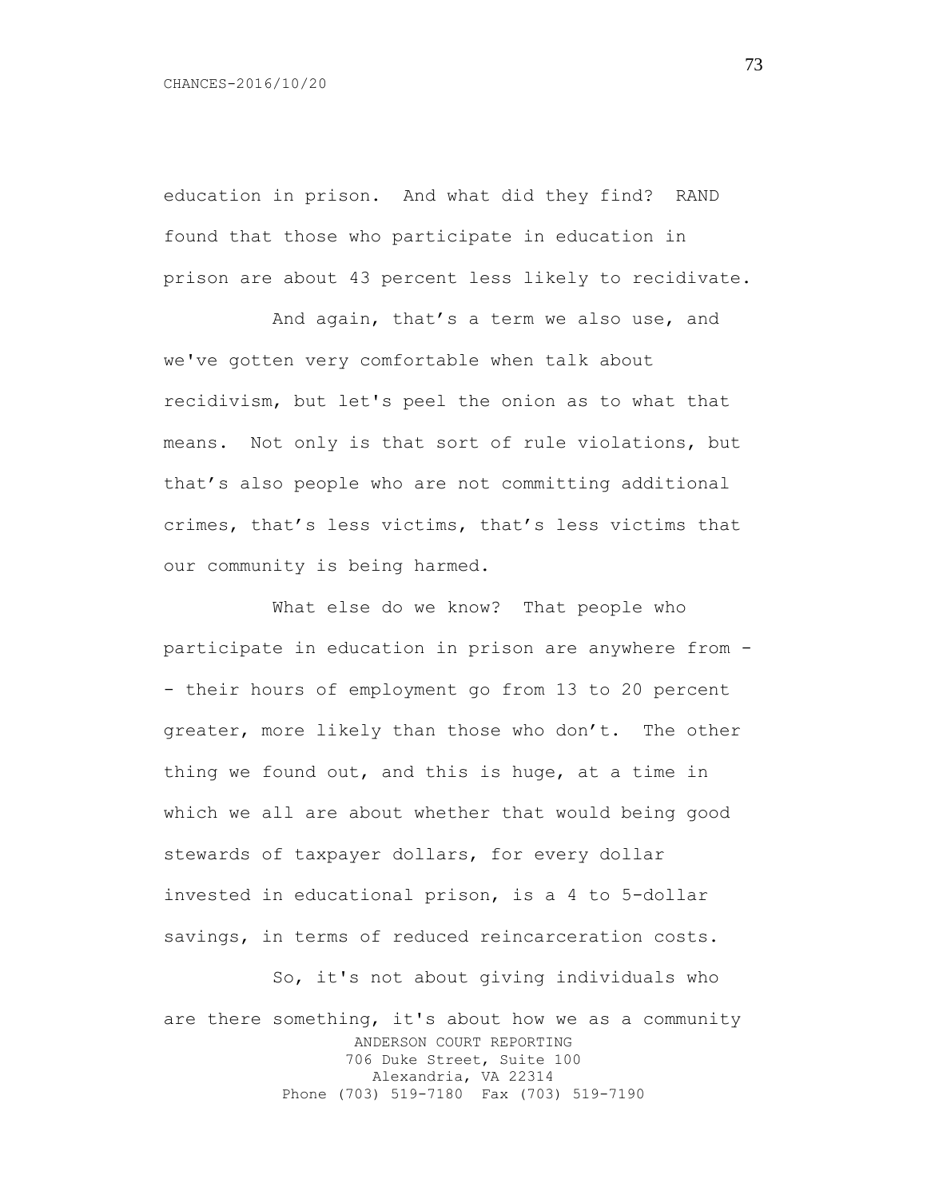education in prison. And what did they find? RAND found that those who participate in education in prison are about 43 percent less likely to recidivate.

And again, that's a term we also use, and we've gotten very comfortable when talk about recidivism, but let's peel the onion as to what that means. Not only is that sort of rule violations, but that's also people who are not committing additional crimes, that's less victims, that's less victims that our community is being harmed.

What else do we know? That people who participate in education in prison are anywhere from - - their hours of employment go from 13 to 20 percent greater, more likely than those who don't. The other thing we found out, and this is huge, at a time in which we all are about whether that would being good stewards of taxpayer dollars, for every dollar invested in educational prison, is a 4 to 5-dollar savings, in terms of reduced reincarceration costs.

ANDERSON COURT REPORTING 706 Duke Street, Suite 100 Alexandria, VA 22314 Phone (703) 519-7180 Fax (703) 519-7190 So, it's not about giving individuals who are there something, it's about how we as a community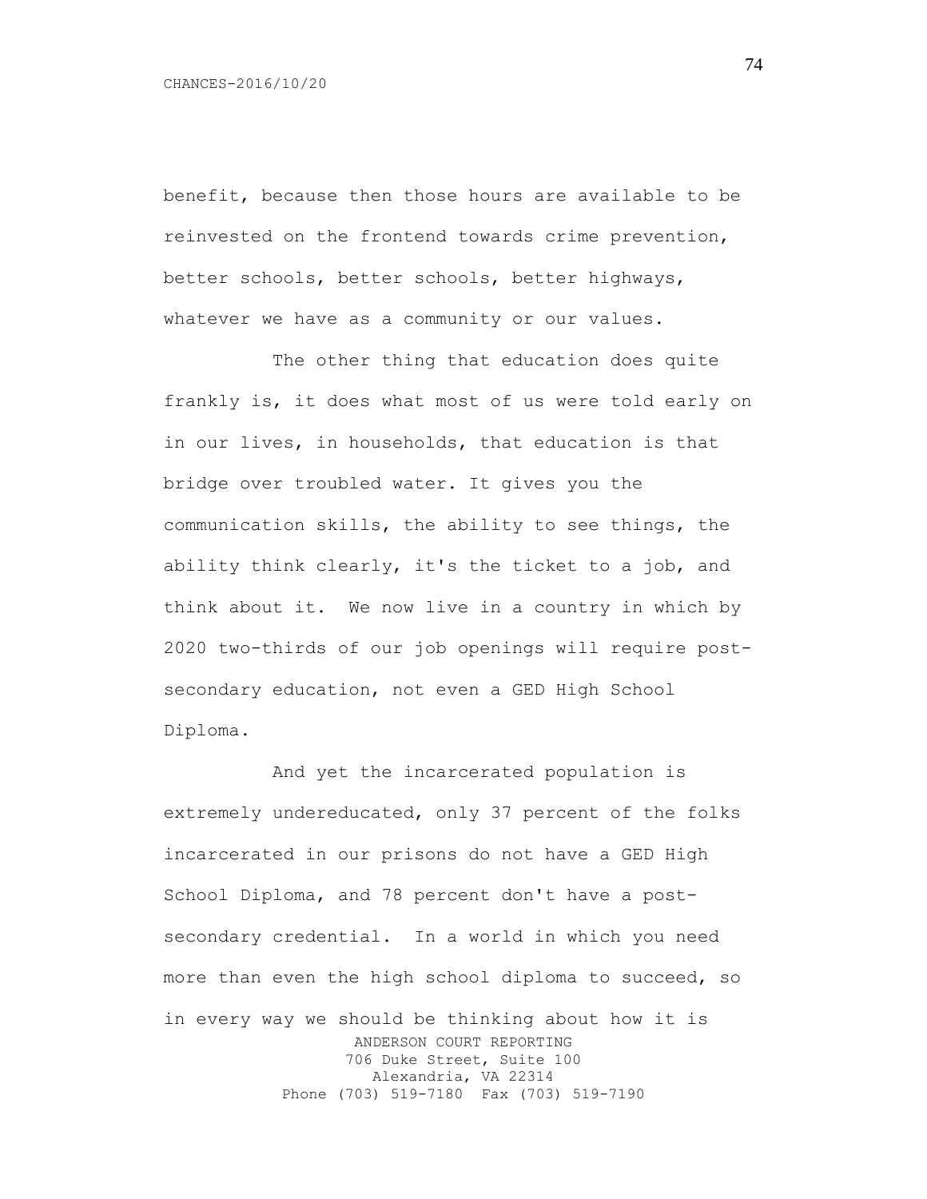benefit, because then those hours are available to be reinvested on the frontend towards crime prevention, better schools, better schools, better highways, whatever we have as a community or our values.

The other thing that education does quite frankly is, it does what most of us were told early on in our lives, in households, that education is that bridge over troubled water. It gives you the communication skills, the ability to see things, the ability think clearly, it's the ticket to a job, and think about it. We now live in a country in which by 2020 two-thirds of our job openings will require postsecondary education, not even a GED High School Diploma.

ANDERSON COURT REPORTING 706 Duke Street, Suite 100 Alexandria, VA 22314 Phone (703) 519-7180 Fax (703) 519-7190 And yet the incarcerated population is extremely undereducated, only 37 percent of the folks incarcerated in our prisons do not have a GED High School Diploma, and 78 percent don't have a postsecondary credential. In a world in which you need more than even the high school diploma to succeed, so in every way we should be thinking about how it is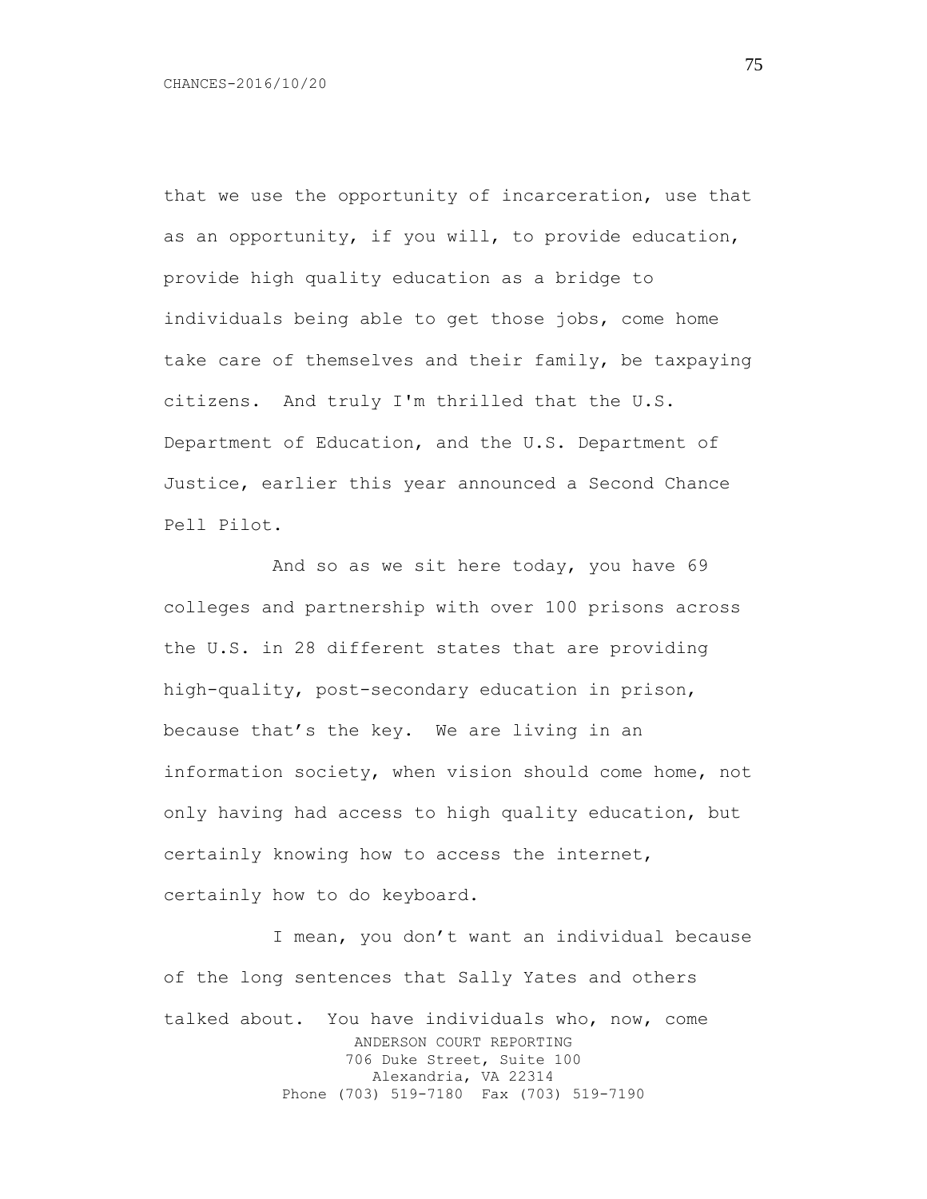that we use the opportunity of incarceration, use that as an opportunity, if you will, to provide education, provide high quality education as a bridge to individuals being able to get those jobs, come home take care of themselves and their family, be taxpaying citizens. And truly I'm thrilled that the U.S. Department of Education, and the U.S. Department of Justice, earlier this year announced a Second Chance Pell Pilot.

And so as we sit here today, you have 69 colleges and partnership with over 100 prisons across the U.S. in 28 different states that are providing high-quality, post-secondary education in prison, because that's the key. We are living in an information society, when vision should come home, not only having had access to high quality education, but certainly knowing how to access the internet, certainly how to do keyboard.

ANDERSON COURT REPORTING 706 Duke Street, Suite 100 Alexandria, VA 22314 Phone (703) 519-7180 Fax (703) 519-7190 I mean, you don't want an individual because of the long sentences that Sally Yates and others talked about. You have individuals who, now, come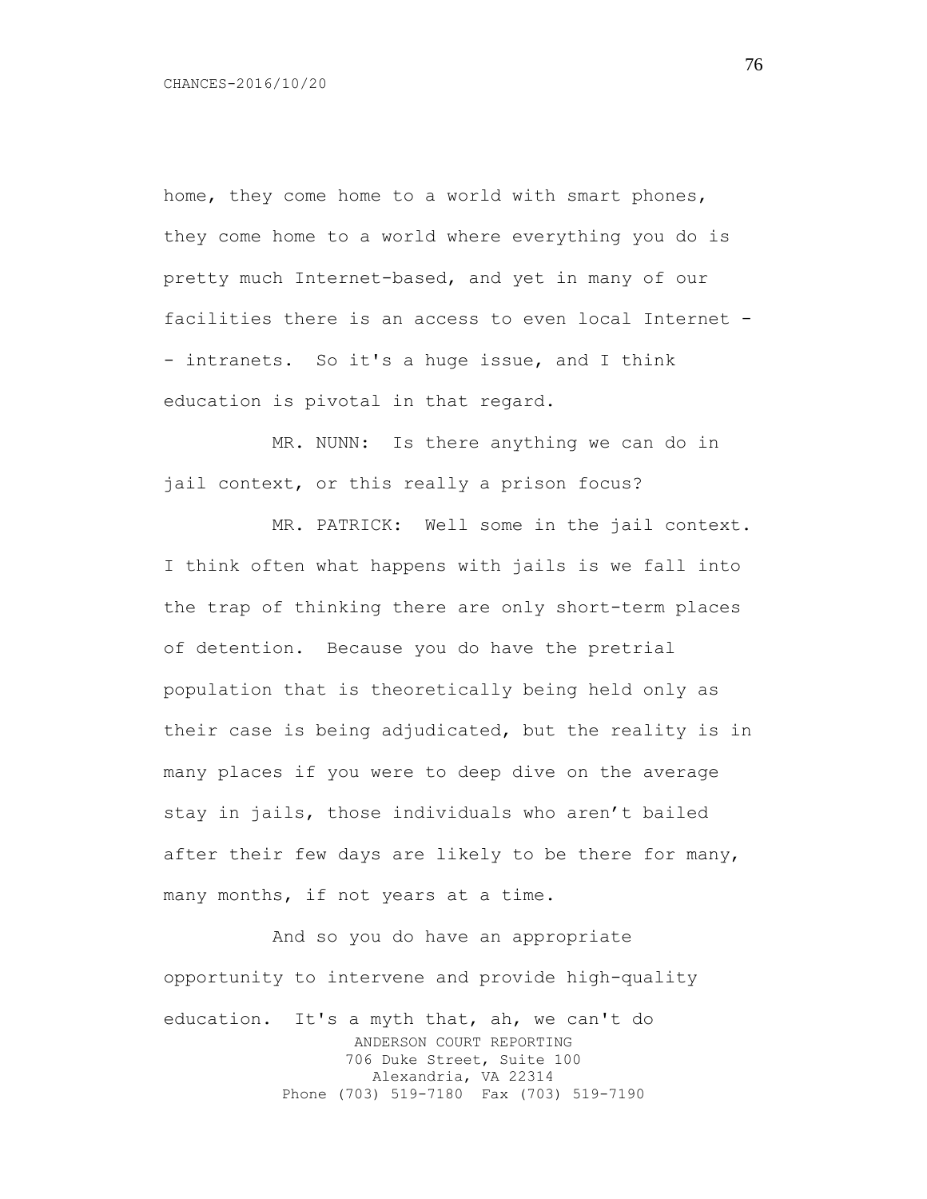home, they come home to a world with smart phones, they come home to a world where everything you do is pretty much Internet-based, and yet in many of our facilities there is an access to even local Internet - - intranets. So it's a huge issue, and I think education is pivotal in that regard.

MR. NUNN: Is there anything we can do in jail context, or this really a prison focus?

MR. PATRICK: Well some in the jail context. I think often what happens with jails is we fall into the trap of thinking there are only short-term places of detention. Because you do have the pretrial population that is theoretically being held only as their case is being adjudicated, but the reality is in many places if you were to deep dive on the average stay in jails, those individuals who aren't bailed after their few days are likely to be there for many, many months, if not years at a time.

ANDERSON COURT REPORTING 706 Duke Street, Suite 100 Alexandria, VA 22314 Phone (703) 519-7180 Fax (703) 519-7190 And so you do have an appropriate opportunity to intervene and provide high-quality education. It's a myth that, ah, we can't do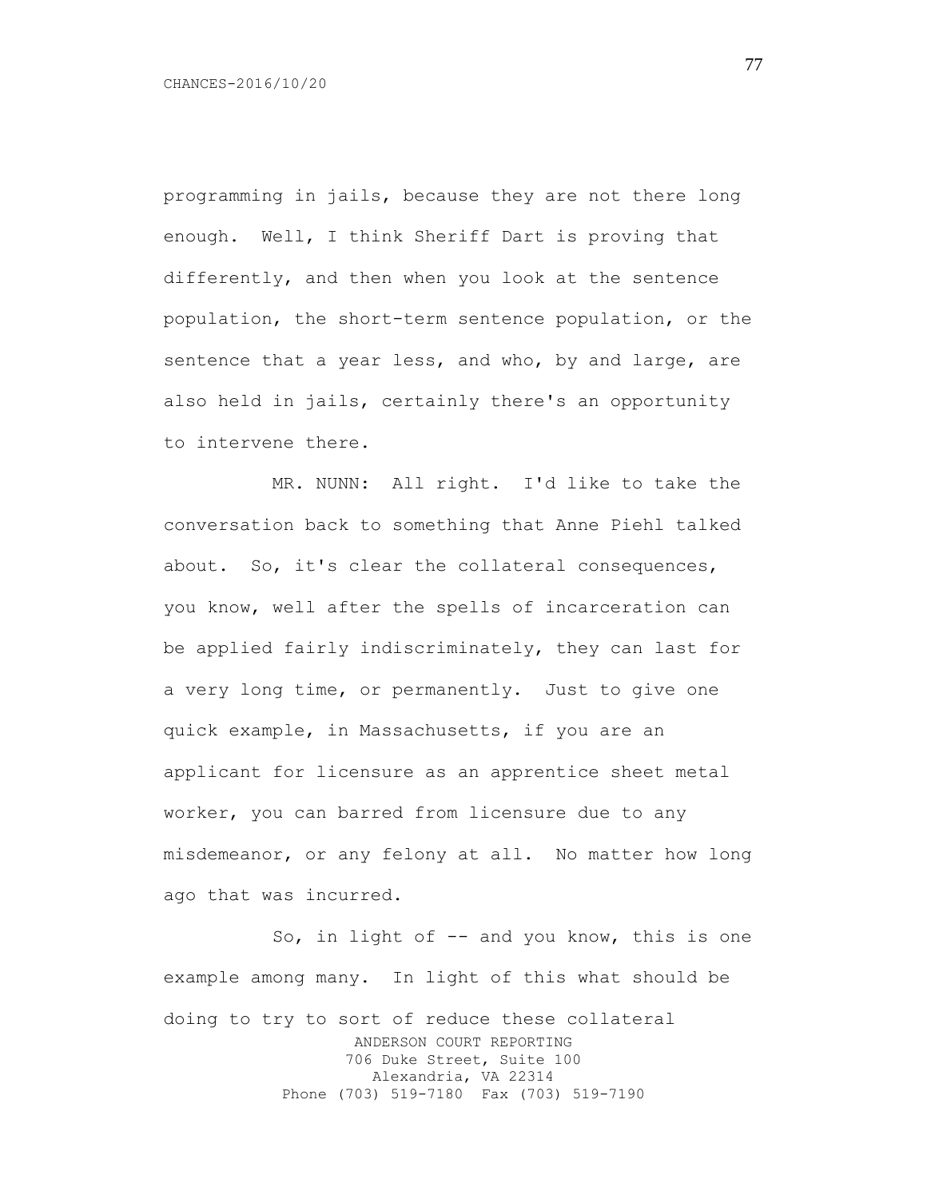programming in jails, because they are not there long enough. Well, I think Sheriff Dart is proving that differently, and then when you look at the sentence population, the short-term sentence population, or the sentence that a year less, and who, by and large, are also held in jails, certainly there's an opportunity to intervene there.

MR. NUNN: All right. I'd like to take the conversation back to something that Anne Piehl talked about. So, it's clear the collateral consequences, you know, well after the spells of incarceration can be applied fairly indiscriminately, they can last for a very long time, or permanently. Just to give one quick example, in Massachusetts, if you are an applicant for licensure as an apprentice sheet metal worker, you can barred from licensure due to any misdemeanor, or any felony at all. No matter how long ago that was incurred.

ANDERSON COURT REPORTING 706 Duke Street, Suite 100 Alexandria, VA 22314 Phone (703) 519-7180 Fax (703) 519-7190 So, in light of -- and you know, this is one example among many. In light of this what should be doing to try to sort of reduce these collateral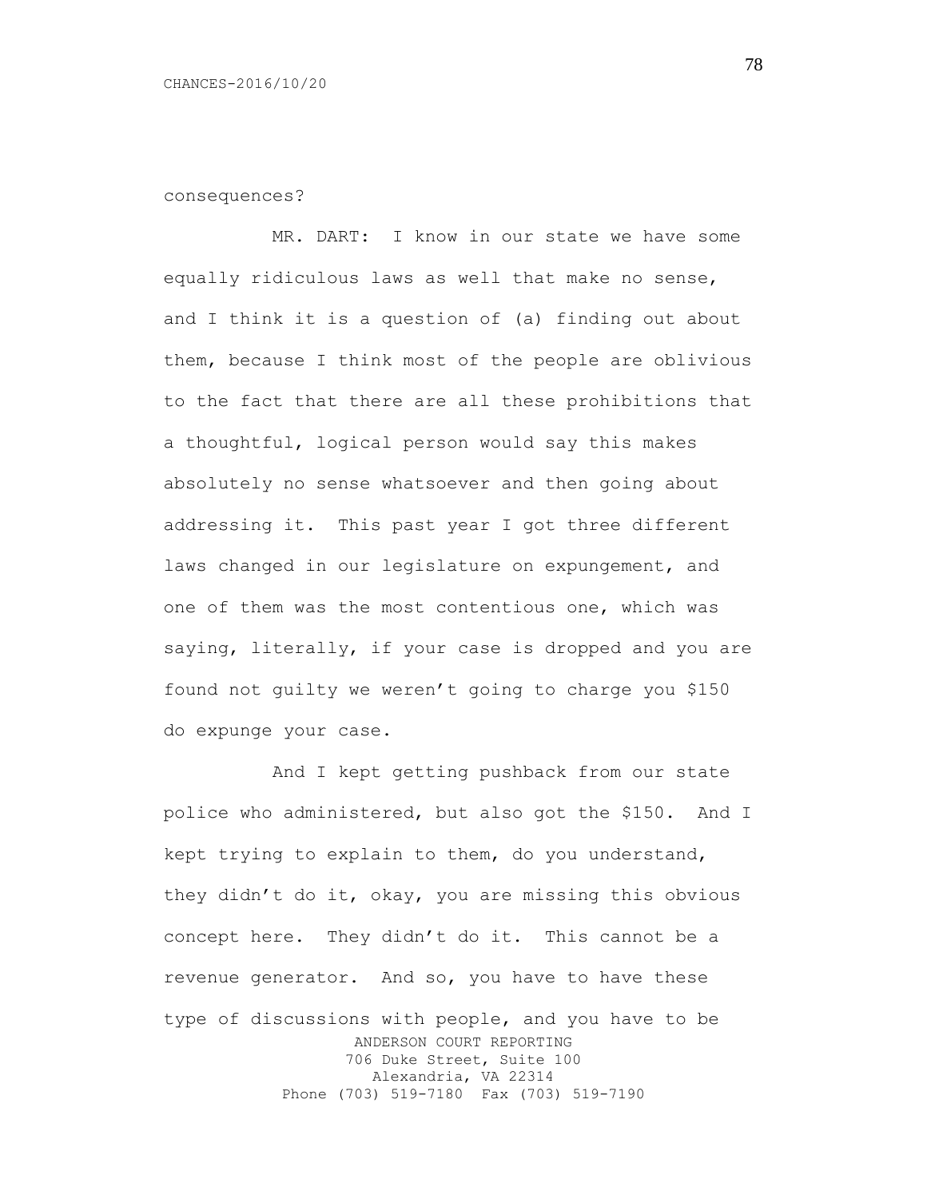consequences?

MR. DART: I know in our state we have some equally ridiculous laws as well that make no sense, and I think it is a question of (a) finding out about them, because I think most of the people are oblivious to the fact that there are all these prohibitions that a thoughtful, logical person would say this makes absolutely no sense whatsoever and then going about addressing it. This past year I got three different laws changed in our legislature on expungement, and one of them was the most contentious one, which was saying, literally, if your case is dropped and you are found not guilty we weren't going to charge you \$150 do expunge your case.

ANDERSON COURT REPORTING 706 Duke Street, Suite 100 Alexandria, VA 22314 Phone (703) 519-7180 Fax (703) 519-7190 And I kept getting pushback from our state police who administered, but also got the \$150. And I kept trying to explain to them, do you understand, they didn't do it, okay, you are missing this obvious concept here. They didn't do it. This cannot be a revenue generator. And so, you have to have these type of discussions with people, and you have to be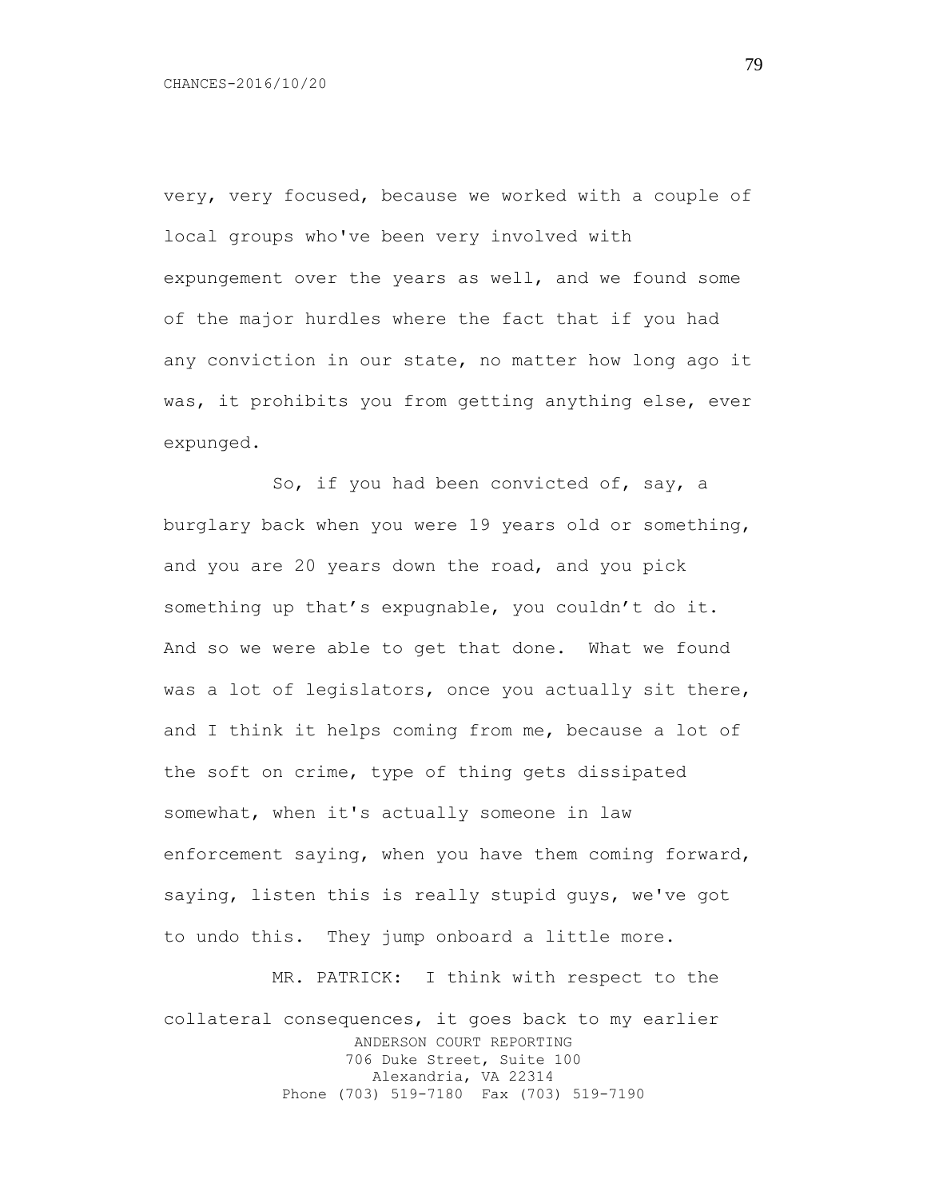very, very focused, because we worked with a couple of local groups who've been very involved with expungement over the years as well, and we found some of the major hurdles where the fact that if you had any conviction in our state, no matter how long ago it was, it prohibits you from getting anything else, ever expunged.

So, if you had been convicted of, say, a burglary back when you were 19 years old or something, and you are 20 years down the road, and you pick something up that's expugnable, you couldn't do it. And so we were able to get that done. What we found was a lot of legislators, once you actually sit there, and I think it helps coming from me, because a lot of the soft on crime, type of thing gets dissipated somewhat, when it's actually someone in law enforcement saying, when you have them coming forward, saying, listen this is really stupid guys, we've got to undo this. They jump onboard a little more.

ANDERSON COURT REPORTING 706 Duke Street, Suite 100 Alexandria, VA 22314 Phone (703) 519-7180 Fax (703) 519-7190 MR. PATRICK: I think with respect to the collateral consequences, it goes back to my earlier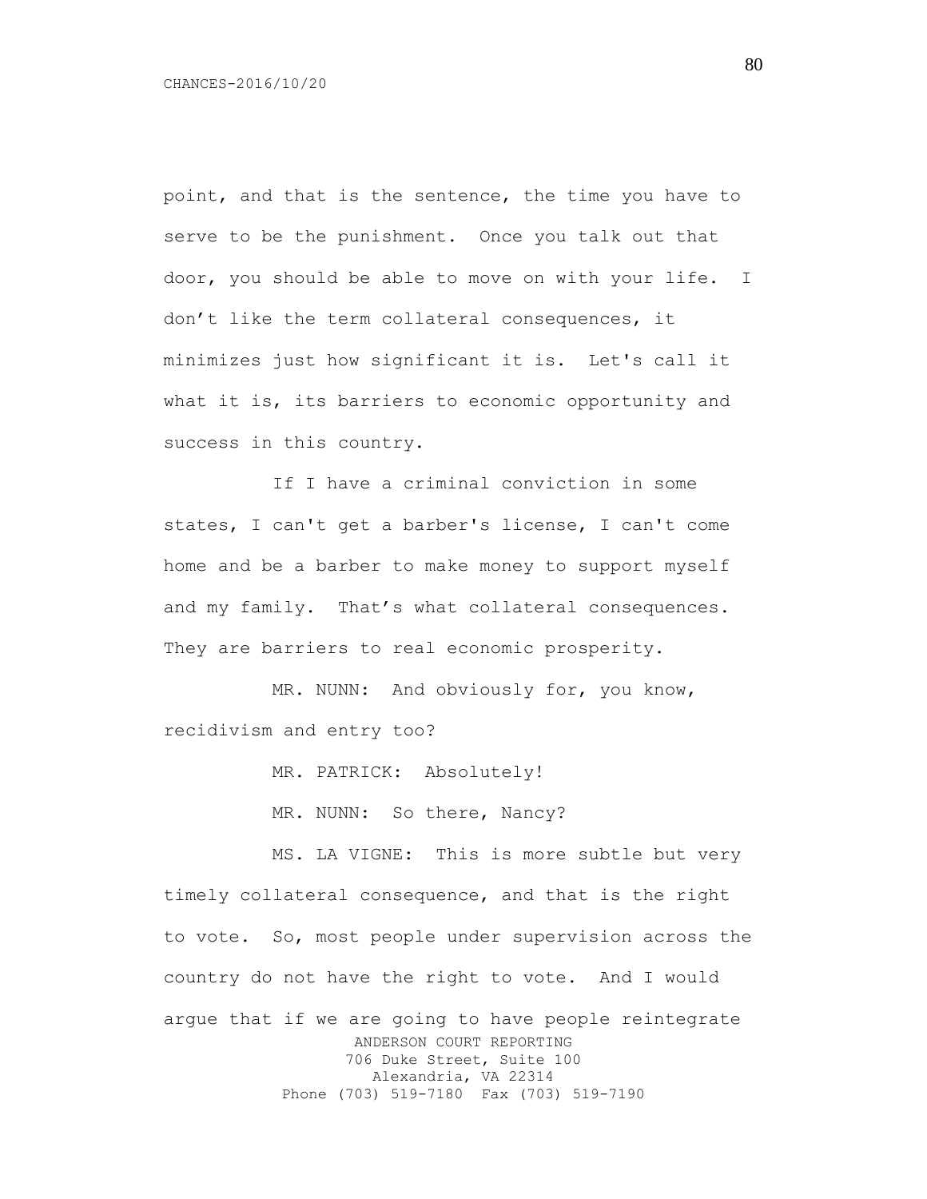point, and that is the sentence, the time you have to serve to be the punishment. Once you talk out that door, you should be able to move on with your life. I don't like the term collateral consequences, it minimizes just how significant it is. Let's call it what it is, its barriers to economic opportunity and success in this country.

If I have a criminal conviction in some states, I can't get a barber's license, I can't come home and be a barber to make money to support myself and my family. That's what collateral consequences. They are barriers to real economic prosperity.

MR. NUNN: And obviously for, you know, recidivism and entry too?

MR. PATRICK: Absolutely!

MR. NUNN: So there, Nancy?

ANDERSON COURT REPORTING 706 Duke Street, Suite 100 Alexandria, VA 22314 Phone (703) 519-7180 Fax (703) 519-7190 MS. LA VIGNE: This is more subtle but very timely collateral consequence, and that is the right to vote. So, most people under supervision across the country do not have the right to vote. And I would argue that if we are going to have people reintegrate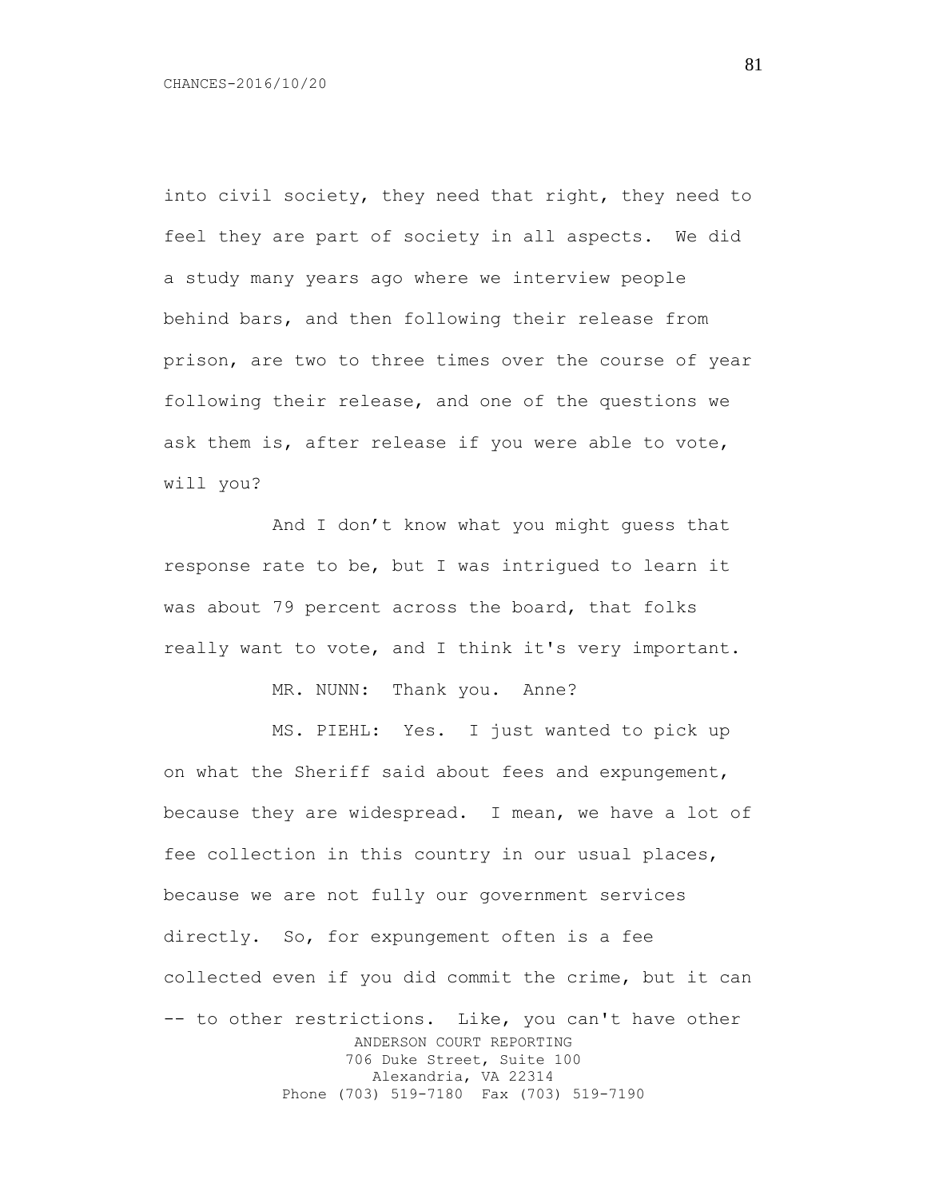into civil society, they need that right, they need to feel they are part of society in all aspects. We did a study many years ago where we interview people behind bars, and then following their release from prison, are two to three times over the course of year following their release, and one of the questions we ask them is, after release if you were able to vote, will you?

And I don't know what you might guess that response rate to be, but I was intrigued to learn it was about 79 percent across the board, that folks really want to vote, and I think it's very important.

MR. NUNN: Thank you. Anne?

ANDERSON COURT REPORTING 706 Duke Street, Suite 100 Alexandria, VA 22314 Phone (703) 519-7180 Fax (703) 519-7190 MS. PIEHL: Yes. I just wanted to pick up on what the Sheriff said about fees and expungement, because they are widespread. I mean, we have a lot of fee collection in this country in our usual places, because we are not fully our government services directly. So, for expungement often is a fee collected even if you did commit the crime, but it can -- to other restrictions. Like, you can't have other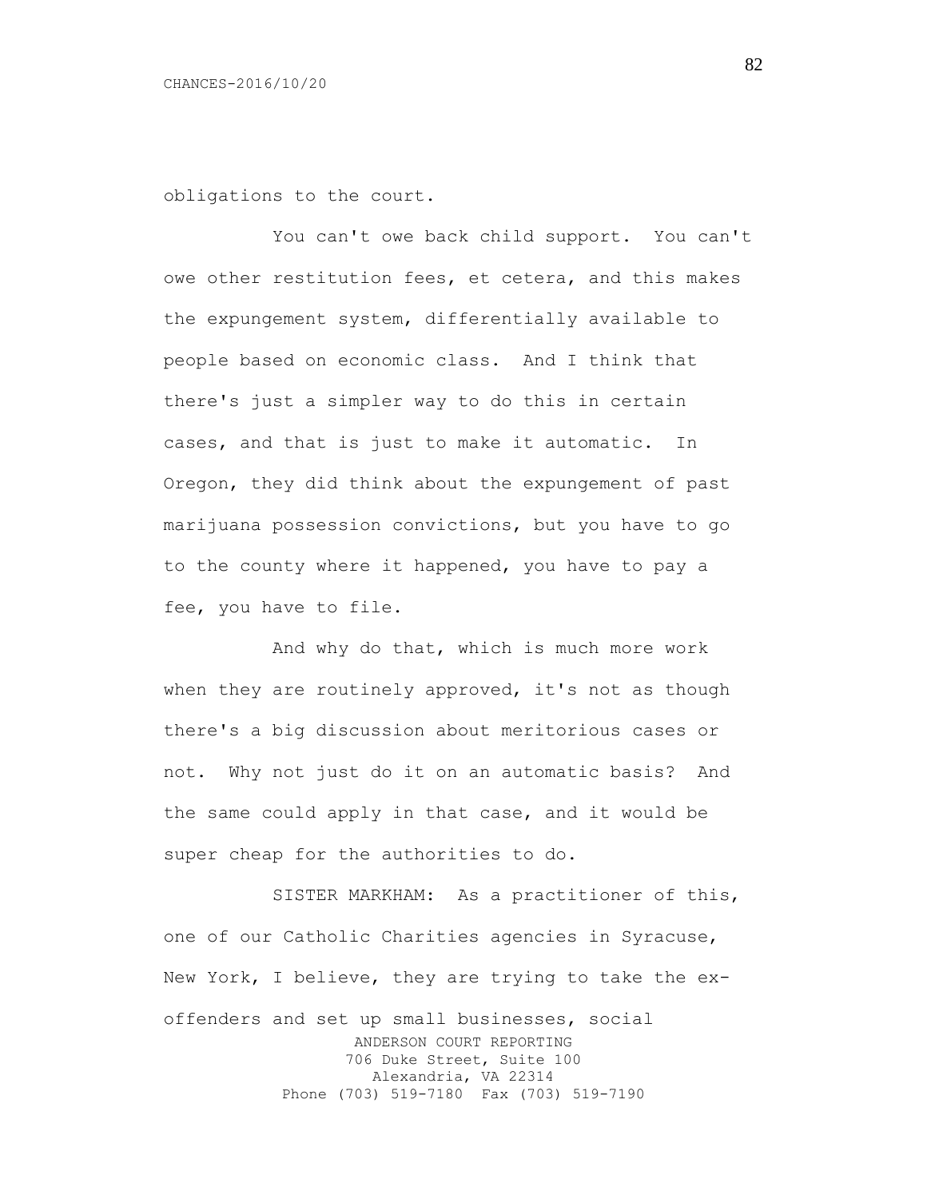obligations to the court.

You can't owe back child support. You can't owe other restitution fees, et cetera, and this makes the expungement system, differentially available to people based on economic class. And I think that there's just a simpler way to do this in certain cases, and that is just to make it automatic. In Oregon, they did think about the expungement of past marijuana possession convictions, but you have to go to the county where it happened, you have to pay a fee, you have to file.

And why do that, which is much more work when they are routinely approved, it's not as though there's a big discussion about meritorious cases or not. Why not just do it on an automatic basis? And the same could apply in that case, and it would be super cheap for the authorities to do.

ANDERSON COURT REPORTING 706 Duke Street, Suite 100 Alexandria, VA 22314 Phone (703) 519-7180 Fax (703) 519-7190 SISTER MARKHAM: As a practitioner of this, one of our Catholic Charities agencies in Syracuse, New York, I believe, they are trying to take the exoffenders and set up small businesses, social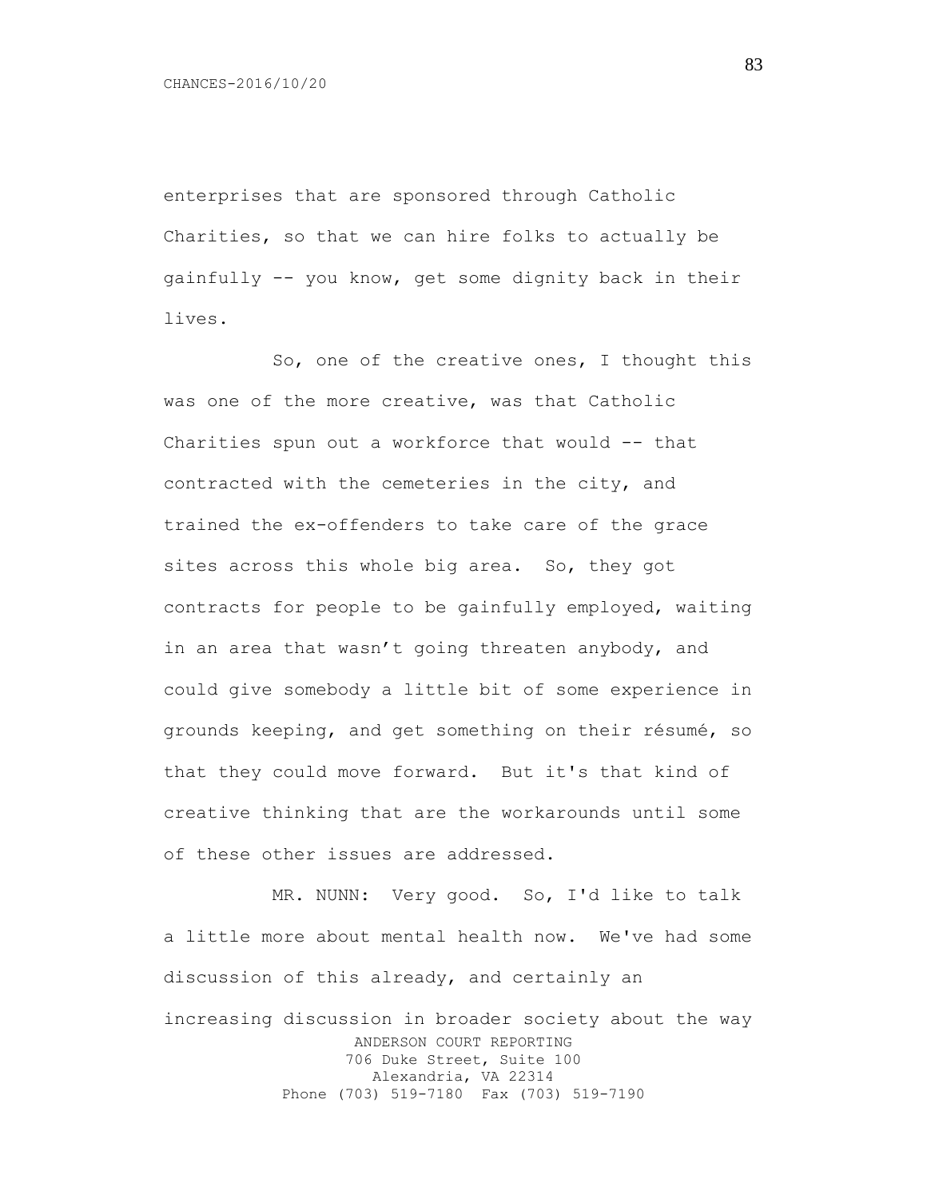enterprises that are sponsored through Catholic Charities, so that we can hire folks to actually be gainfully -- you know, get some dignity back in their lives.

So, one of the creative ones, I thought this was one of the more creative, was that Catholic Charities spun out a workforce that would -- that contracted with the cemeteries in the city, and trained the ex-offenders to take care of the grace sites across this whole big area. So, they got contracts for people to be gainfully employed, waiting in an area that wasn't going threaten anybody, and could give somebody a little bit of some experience in grounds keeping, and get something on their résumé, so that they could move forward. But it's that kind of creative thinking that are the workarounds until some of these other issues are addressed.

ANDERSON COURT REPORTING 706 Duke Street, Suite 100 Alexandria, VA 22314 Phone (703) 519-7180 Fax (703) 519-7190 MR. NUNN: Very good. So, I'd like to talk a little more about mental health now. We've had some discussion of this already, and certainly an increasing discussion in broader society about the way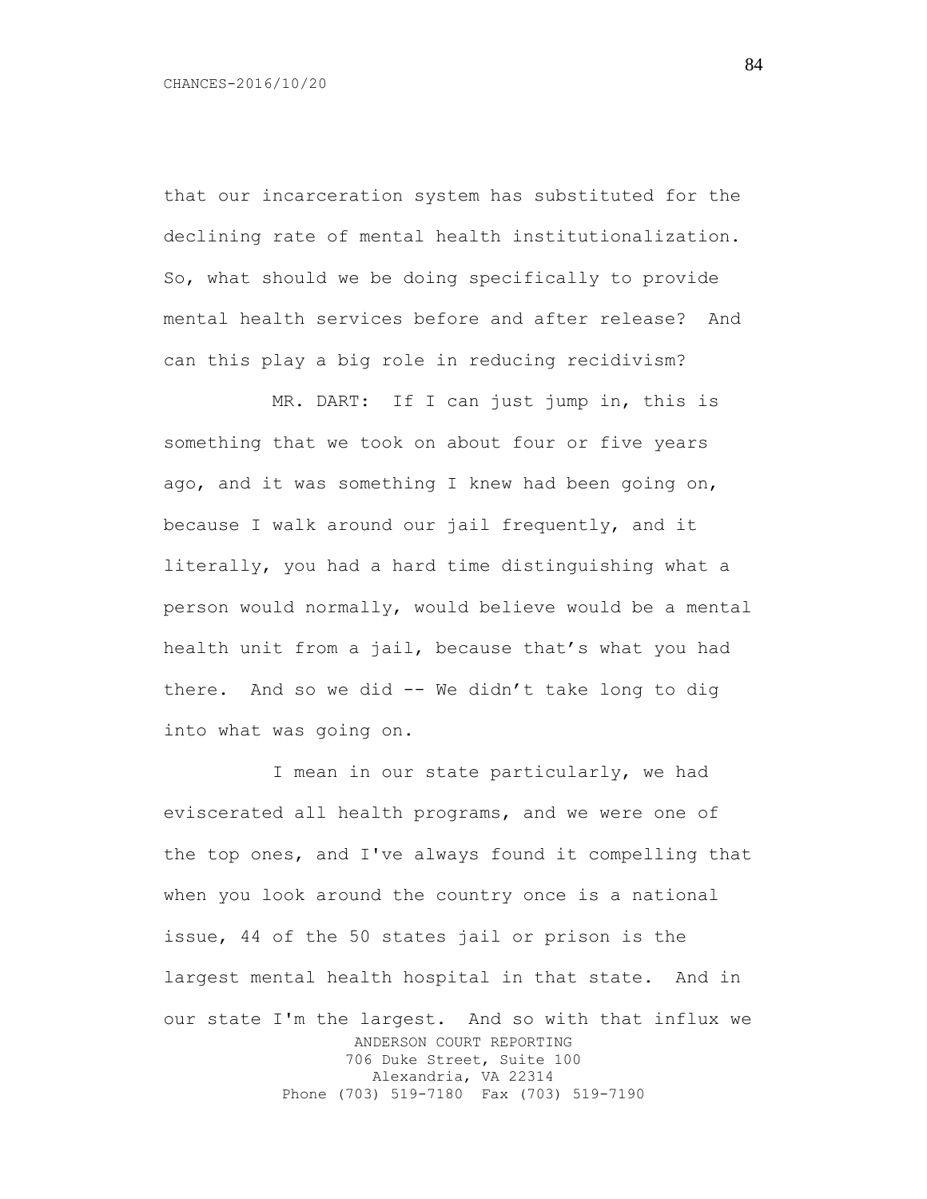that our incarceration system has substituted for the declining rate of mental health institutionalization. So, what should we be doing specifically to provide mental health services before and after release? And can this play a big role in reducing recidivism?

MR. DART: If I can just jump in, this is something that we took on about four or five years ago, and it was something I knew had been going on, because I walk around our jail frequently, and it literally, you had a hard time distinguishing what a person would normally, would believe would be a mental health unit from a jail, because that's what you had there. And so we did -- We didn't take long to dig into what was going on.

ANDERSON COURT REPORTING 706 Duke Street, Suite 100 Alexandria, VA 22314 Phone (703) 519-7180 Fax (703) 519-7190 I mean in our state particularly, we had eviscerated all health programs, and we were one of the top ones, and I've always found it compelling that when you look around the country once is a national issue, 44 of the 50 states jail or prison is the largest mental health hospital in that state. And in our state I'm the largest. And so with that influx we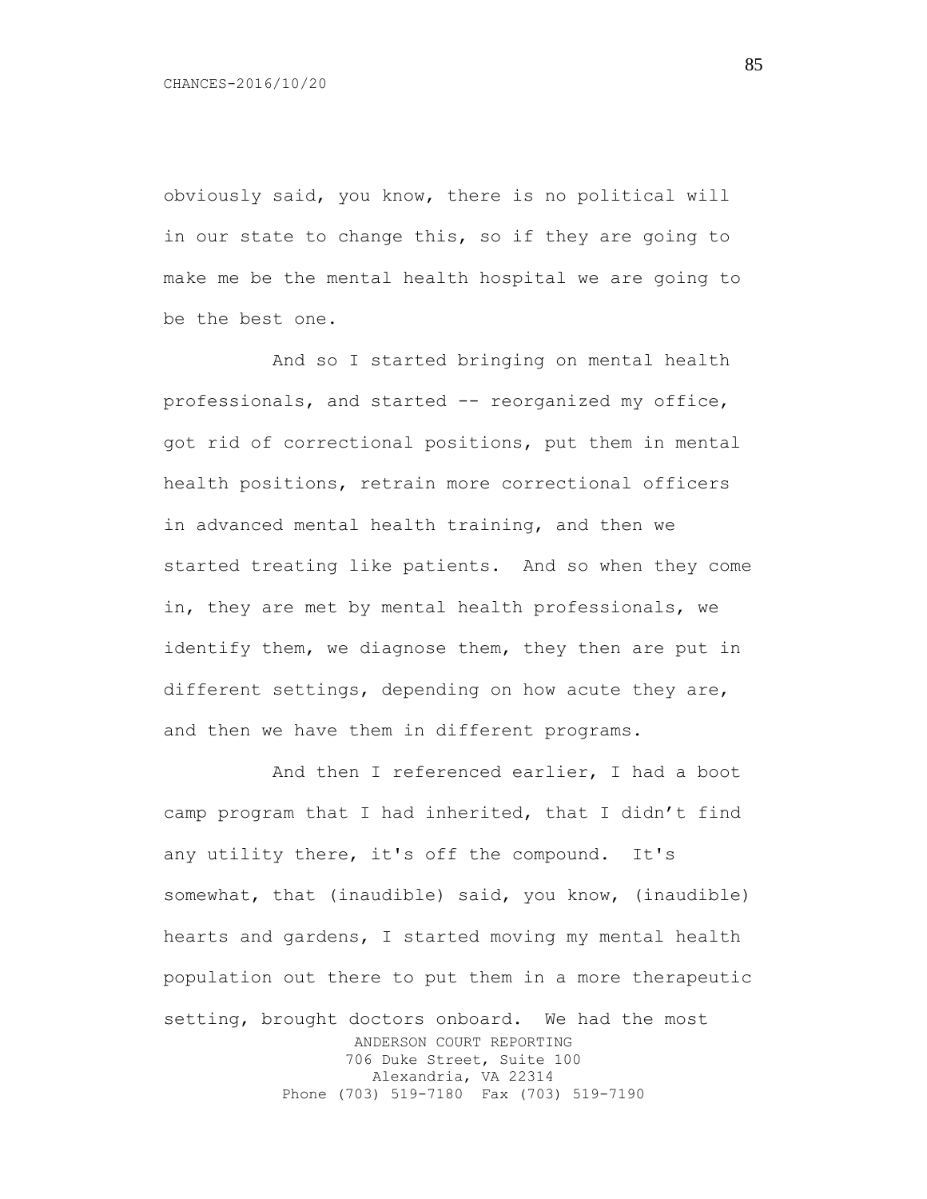obviously said, you know, there is no political will in our state to change this, so if they are going to make me be the mental health hospital we are going to be the best one.

And so I started bringing on mental health professionals, and started -- reorganized my office, got rid of correctional positions, put them in mental health positions, retrain more correctional officers in advanced mental health training, and then we started treating like patients. And so when they come in, they are met by mental health professionals, we identify them, we diagnose them, they then are put in different settings, depending on how acute they are, and then we have them in different programs.

ANDERSON COURT REPORTING 706 Duke Street, Suite 100 Alexandria, VA 22314 Phone (703) 519-7180 Fax (703) 519-7190 And then I referenced earlier, I had a boot camp program that I had inherited, that I didn't find any utility there, it's off the compound. It's somewhat, that (inaudible) said, you know, (inaudible) hearts and gardens, I started moving my mental health population out there to put them in a more therapeutic setting, brought doctors onboard. We had the most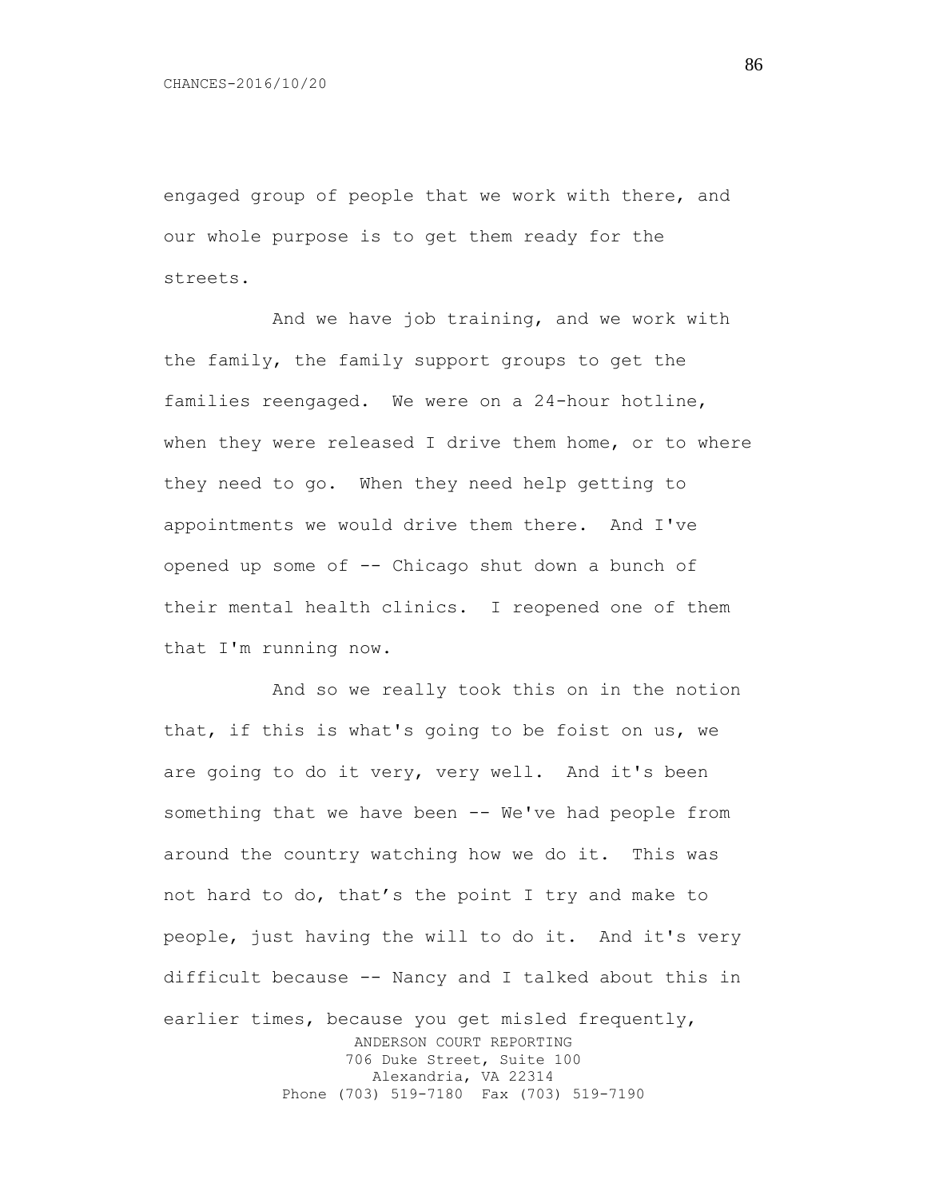engaged group of people that we work with there, and our whole purpose is to get them ready for the streets.

And we have job training, and we work with the family, the family support groups to get the families reengaged. We were on a 24-hour hotline, when they were released I drive them home, or to where they need to go. When they need help getting to appointments we would drive them there. And I've opened up some of -- Chicago shut down a bunch of their mental health clinics. I reopened one of them that I'm running now.

ANDERSON COURT REPORTING 706 Duke Street, Suite 100 Alexandria, VA 22314 Phone (703) 519-7180 Fax (703) 519-7190 And so we really took this on in the notion that, if this is what's going to be foist on us, we are going to do it very, very well. And it's been something that we have been -- We've had people from around the country watching how we do it. This was not hard to do, that's the point I try and make to people, just having the will to do it. And it's very difficult because -- Nancy and I talked about this in earlier times, because you get misled frequently,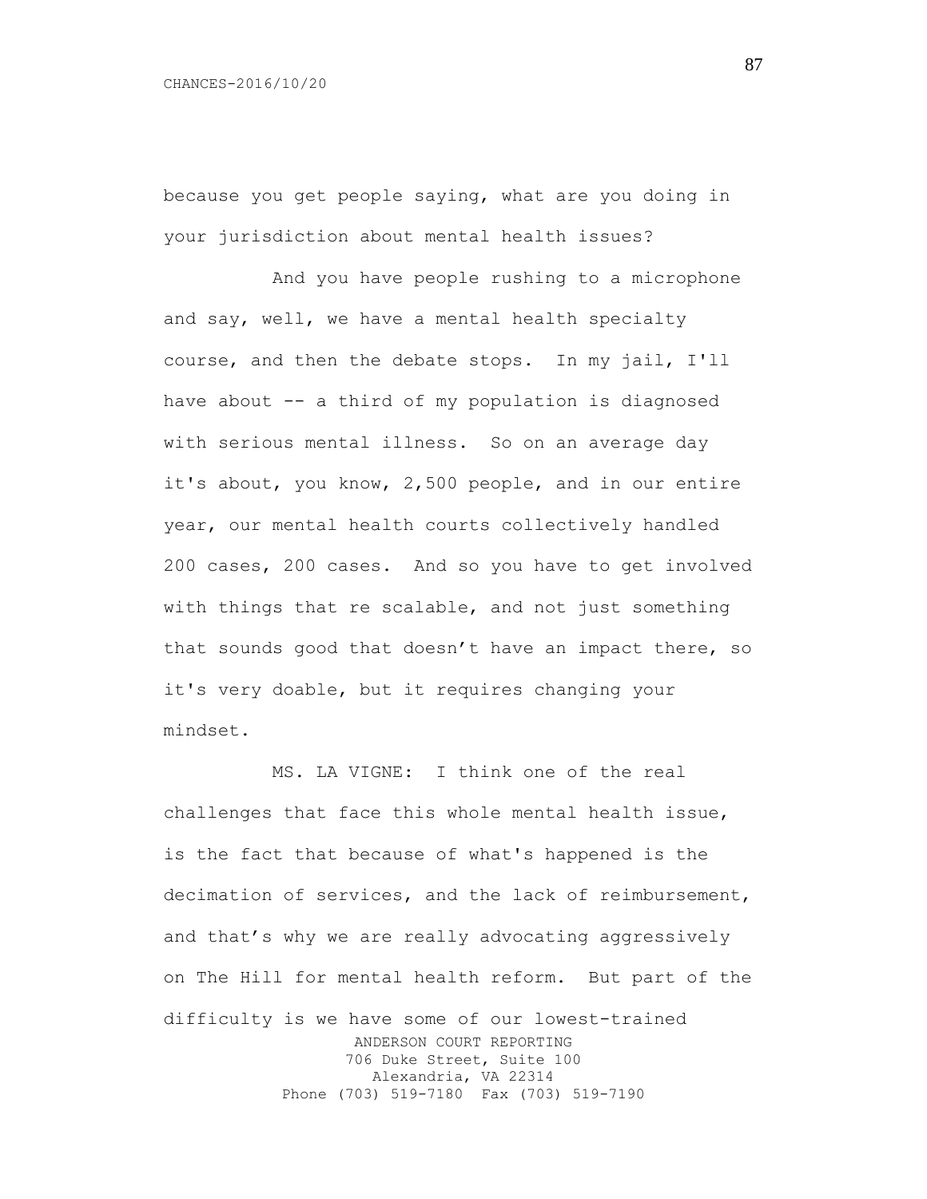because you get people saying, what are you doing in your jurisdiction about mental health issues?

And you have people rushing to a microphone and say, well, we have a mental health specialty course, and then the debate stops. In my jail, I'll have about -- a third of my population is diagnosed with serious mental illness. So on an average day it's about, you know, 2,500 people, and in our entire year, our mental health courts collectively handled 200 cases, 200 cases. And so you have to get involved with things that re scalable, and not just something that sounds good that doesn't have an impact there, so it's very doable, but it requires changing your mindset.

ANDERSON COURT REPORTING 706 Duke Street, Suite 100 Alexandria, VA 22314 Phone (703) 519-7180 Fax (703) 519-7190 MS. LA VIGNE: I think one of the real challenges that face this whole mental health issue, is the fact that because of what's happened is the decimation of services, and the lack of reimbursement, and that's why we are really advocating aggressively on The Hill for mental health reform. But part of the difficulty is we have some of our lowest-trained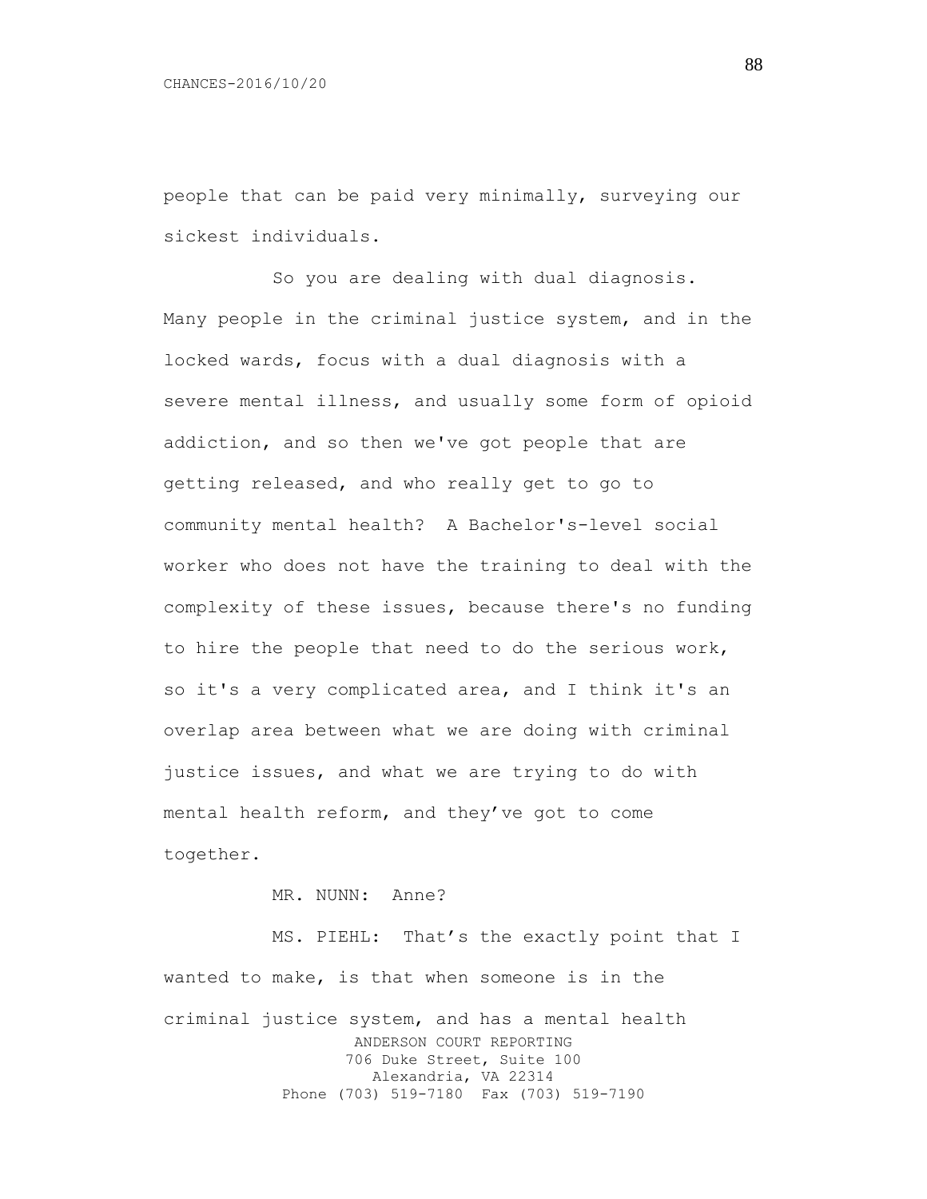people that can be paid very minimally, surveying our sickest individuals.

So you are dealing with dual diagnosis. Many people in the criminal justice system, and in the locked wards, focus with a dual diagnosis with a severe mental illness, and usually some form of opioid addiction, and so then we've got people that are getting released, and who really get to go to community mental health? A Bachelor's-level social worker who does not have the training to deal with the complexity of these issues, because there's no funding to hire the people that need to do the serious work, so it's a very complicated area, and I think it's an overlap area between what we are doing with criminal justice issues, and what we are trying to do with mental health reform, and they've got to come together.

ANDERSON COURT REPORTING 706 Duke Street, Suite 100 Alexandria, VA 22314 Phone (703) 519-7180 Fax (703) 519-7190 MR. NUNN: Anne? MS. PIEHL: That's the exactly point that I wanted to make, is that when someone is in the criminal justice system, and has a mental health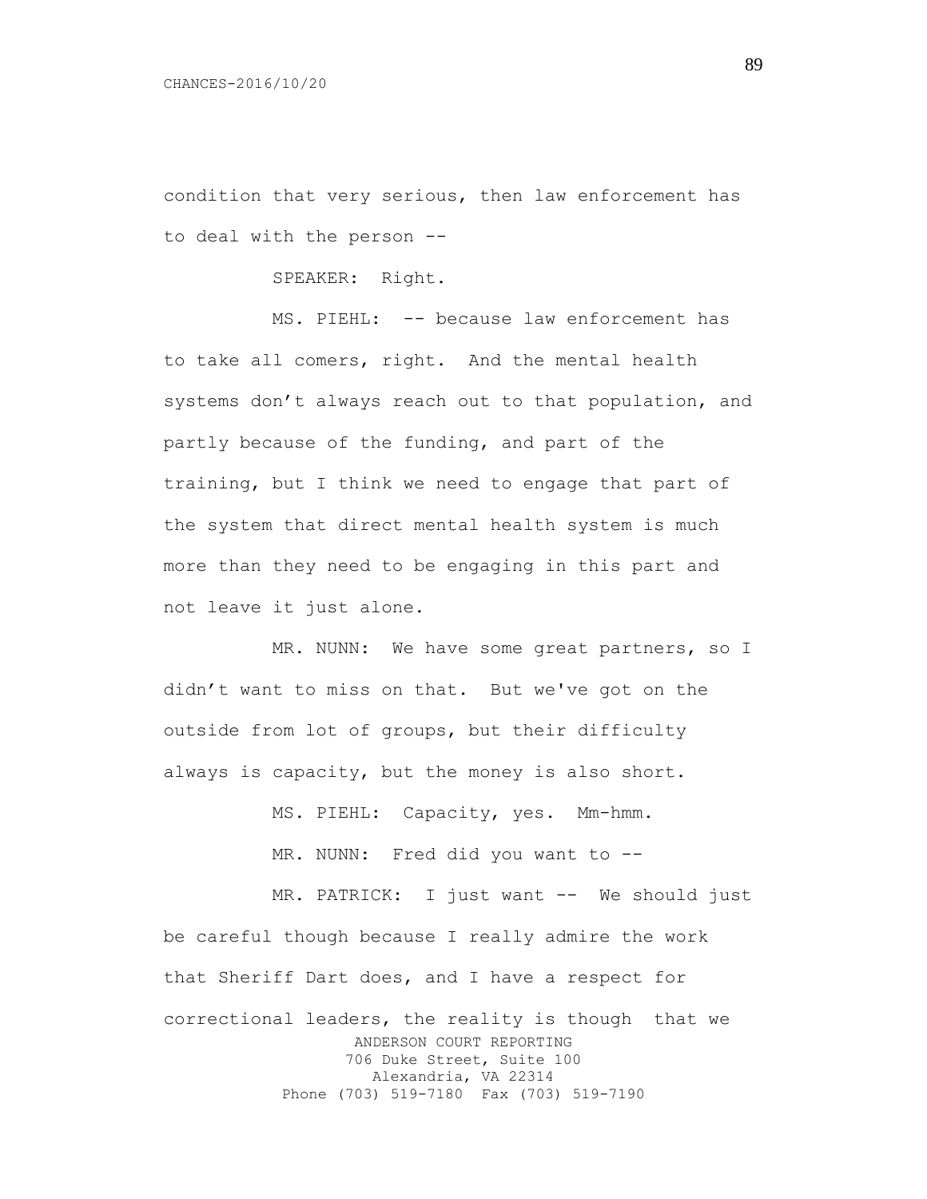condition that very serious, then law enforcement has to deal with the person --

SPEAKER: Right.

MS. PIEHL: -- because law enforcement has to take all comers, right. And the mental health systems don't always reach out to that population, and partly because of the funding, and part of the training, but I think we need to engage that part of the system that direct mental health system is much more than they need to be engaging in this part and not leave it just alone.

MR. NUNN: We have some great partners, so I didn't want to miss on that. But we've got on the outside from lot of groups, but their difficulty always is capacity, but the money is also short.

> MS. PIEHL: Capacity, yes. Mm-hmm. MR. NUNN: Fred did you want to --

ANDERSON COURT REPORTING 706 Duke Street, Suite 100 Alexandria, VA 22314 Phone (703) 519-7180 Fax (703) 519-7190 MR. PATRICK: I just want -- We should just be careful though because I really admire the work that Sheriff Dart does, and I have a respect for correctional leaders, the reality is though that we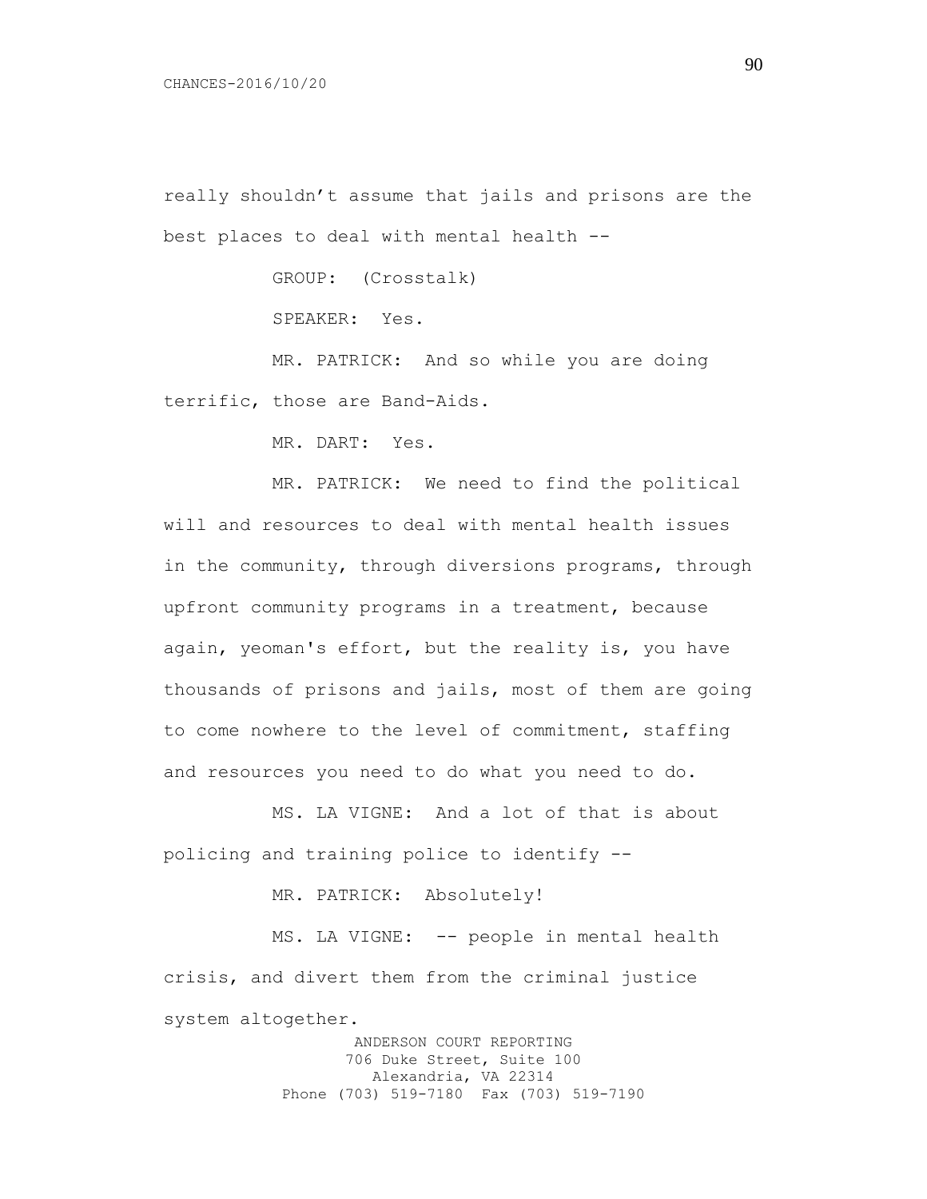really shouldn't assume that jails and prisons are the best places to deal with mental health --

GROUP: (Crosstalk)

SPEAKER: Yes.

MR. PATRICK: And so while you are doing terrific, those are Band-Aids.

MR. DART: Yes.

MR. PATRICK: We need to find the political will and resources to deal with mental health issues in the community, through diversions programs, through upfront community programs in a treatment, because again, yeoman's effort, but the reality is, you have thousands of prisons and jails, most of them are going to come nowhere to the level of commitment, staffing and resources you need to do what you need to do.

MS. LA VIGNE: And a lot of that is about policing and training police to identify --

MR. PATRICK: Absolutely!

MS. LA VIGNE: -- people in mental health crisis, and divert them from the criminal justice system altogether.

> ANDERSON COURT REPORTING 706 Duke Street, Suite 100 Alexandria, VA 22314 Phone (703) 519-7180 Fax (703) 519-7190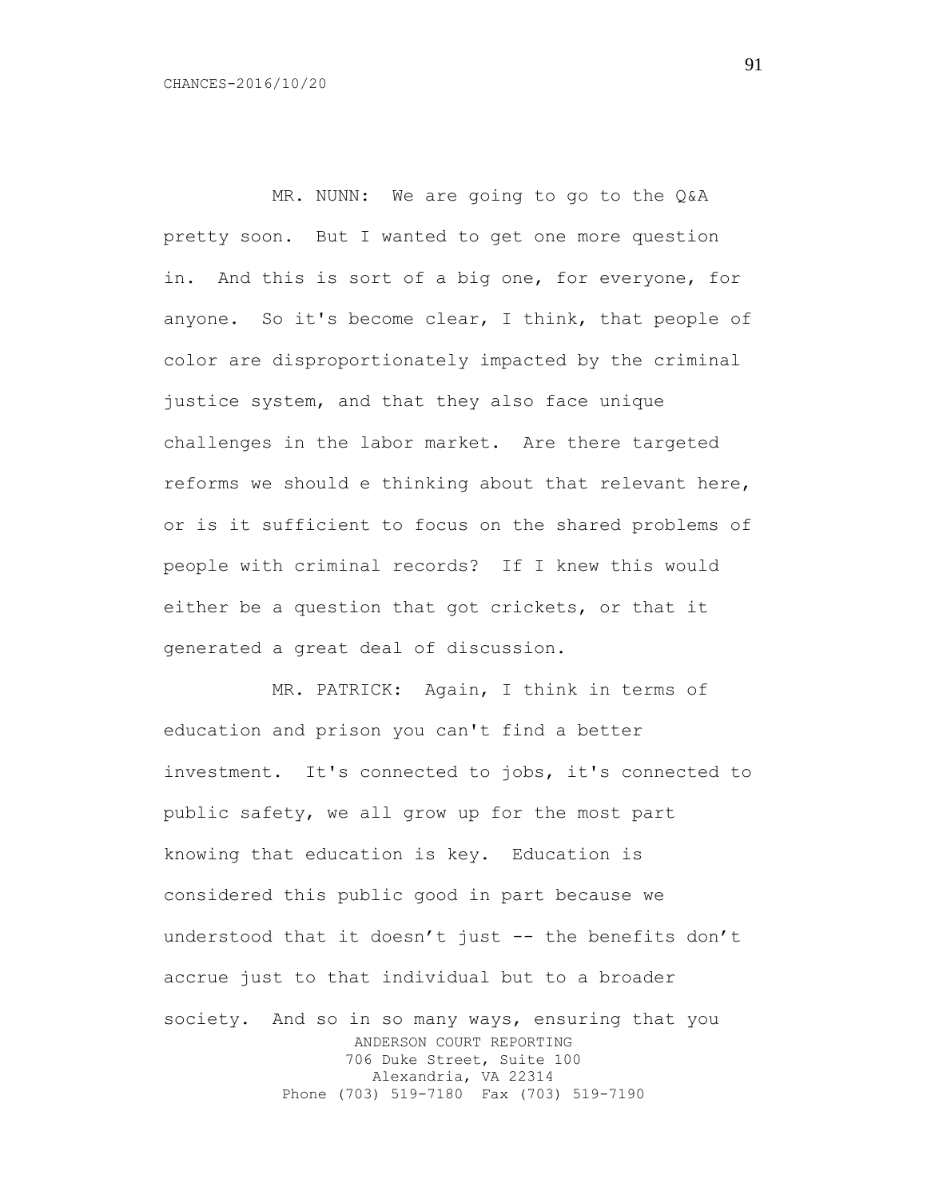MR. NUNN: We are going to go to the Q&A pretty soon. But I wanted to get one more question in. And this is sort of a big one, for everyone, for anyone. So it's become clear, I think, that people of color are disproportionately impacted by the criminal justice system, and that they also face unique challenges in the labor market. Are there targeted reforms we should e thinking about that relevant here, or is it sufficient to focus on the shared problems of people with criminal records? If I knew this would either be a question that got crickets, or that it generated a great deal of discussion.

ANDERSON COURT REPORTING 706 Duke Street, Suite 100 Alexandria, VA 22314 Phone (703) 519-7180 Fax (703) 519-7190 MR. PATRICK: Again, I think in terms of education and prison you can't find a better investment. It's connected to jobs, it's connected to public safety, we all grow up for the most part knowing that education is key. Education is considered this public good in part because we understood that it doesn't just -- the benefits don't accrue just to that individual but to a broader society. And so in so many ways, ensuring that you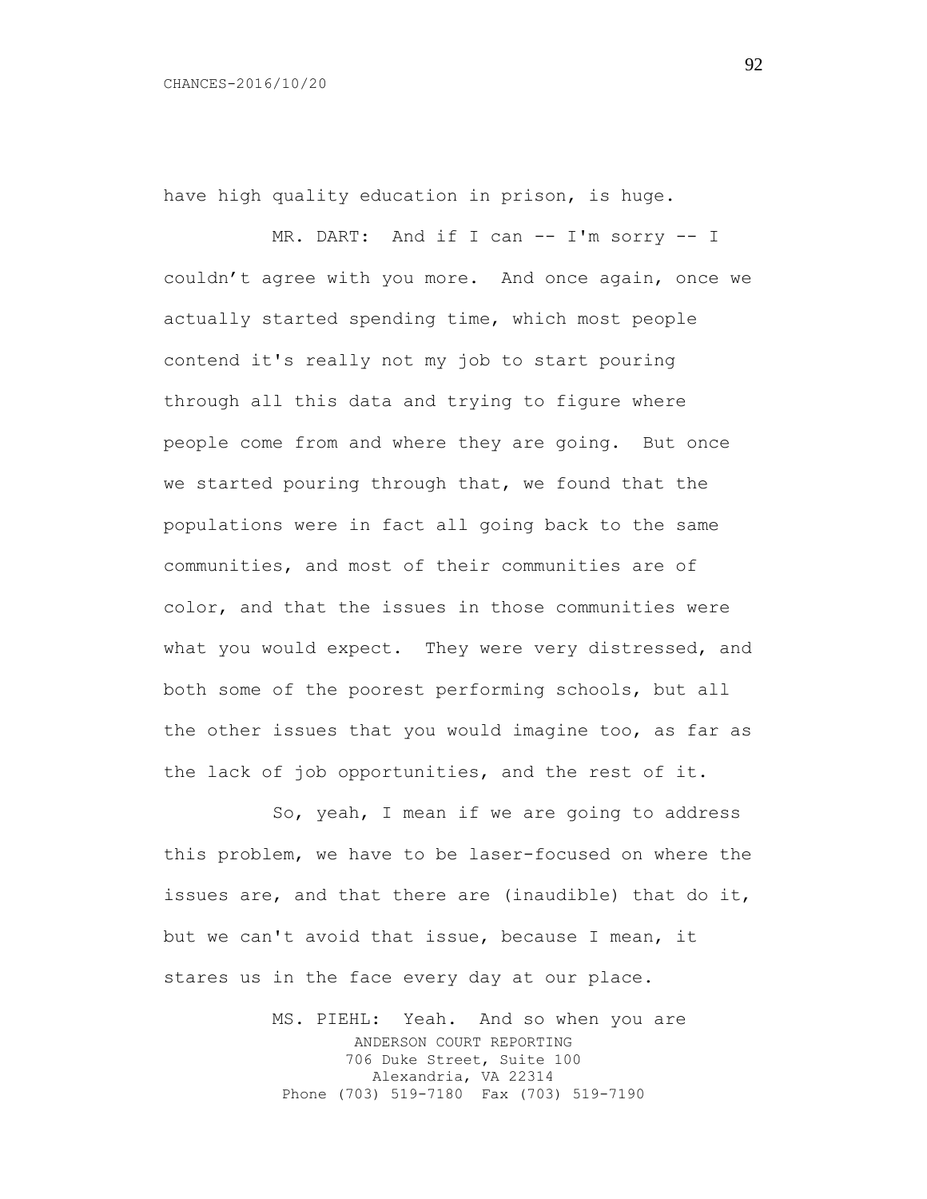have high quality education in prison, is huge.

MR. DART: And if I can -- I'm sorry -- I couldn't agree with you more. And once again, once we actually started spending time, which most people contend it's really not my job to start pouring through all this data and trying to figure where people come from and where they are going. But once we started pouring through that, we found that the populations were in fact all going back to the same communities, and most of their communities are of color, and that the issues in those communities were what you would expect. They were very distressed, and both some of the poorest performing schools, but all the other issues that you would imagine too, as far as the lack of job opportunities, and the rest of it.

So, yeah, I mean if we are going to address this problem, we have to be laser-focused on where the issues are, and that there are (inaudible) that do it, but we can't avoid that issue, because I mean, it stares us in the face every day at our place.

> ANDERSON COURT REPORTING 706 Duke Street, Suite 100 Alexandria, VA 22314 Phone (703) 519-7180 Fax (703) 519-7190 MS. PIEHL: Yeah. And so when you are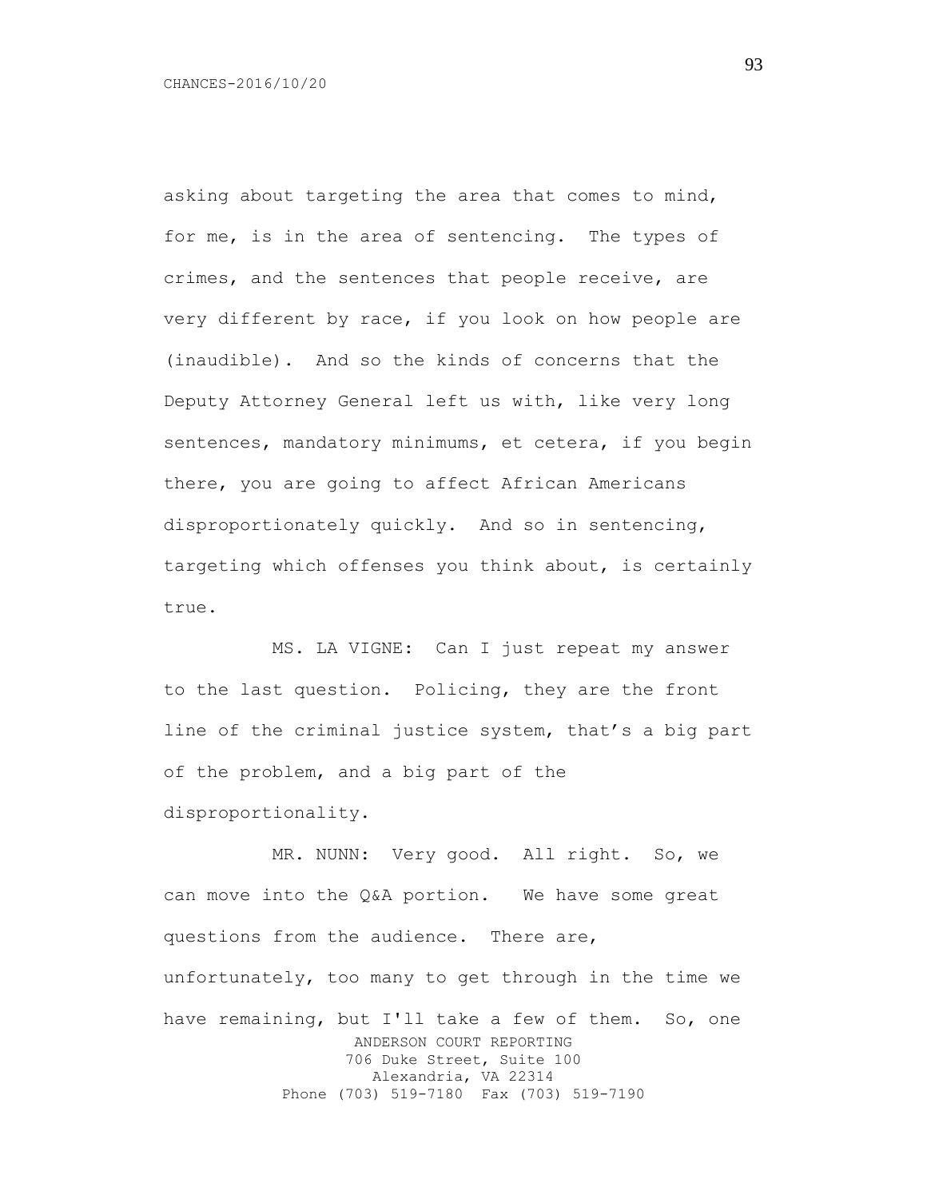asking about targeting the area that comes to mind, for me, is in the area of sentencing. The types of crimes, and the sentences that people receive, are very different by race, if you look on how people are (inaudible). And so the kinds of concerns that the Deputy Attorney General left us with, like very long sentences, mandatory minimums, et cetera, if you begin there, you are going to affect African Americans disproportionately quickly. And so in sentencing, targeting which offenses you think about, is certainly true.

MS. LA VIGNE: Can I just repeat my answer to the last question. Policing, they are the front line of the criminal justice system, that's a big part of the problem, and a big part of the disproportionality.

ANDERSON COURT REPORTING 706 Duke Street, Suite 100 Alexandria, VA 22314 Phone (703) 519-7180 Fax (703) 519-7190 MR. NUNN: Very good. All right. So, we can move into the Q&A portion. We have some great questions from the audience. There are, unfortunately, too many to get through in the time we have remaining, but I'll take a few of them. So, one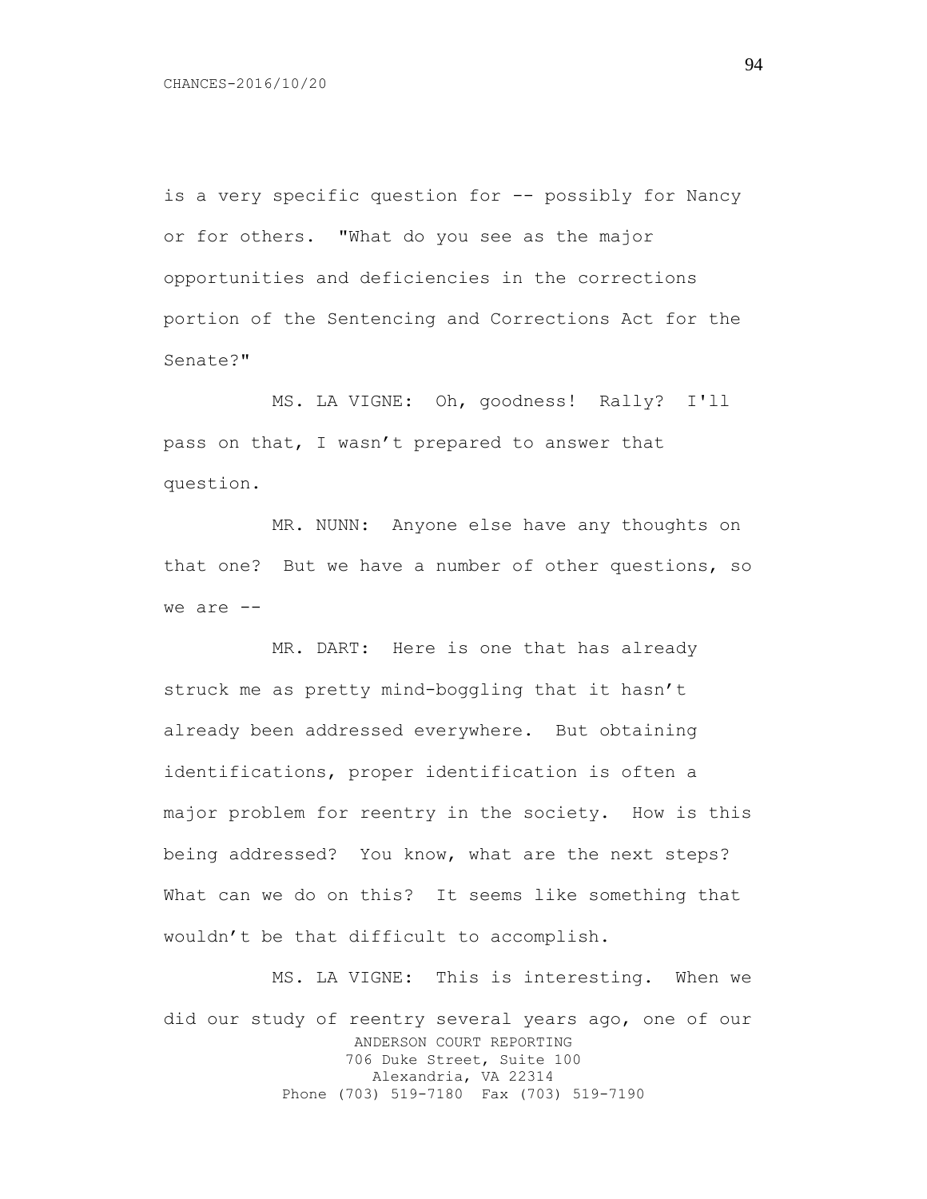is a very specific question for -- possibly for Nancy or for others. "What do you see as the major opportunities and deficiencies in the corrections portion of the Sentencing and Corrections Act for the Senate?"

MS. LA VIGNE: Oh, goodness! Rally? I'll pass on that, I wasn't prepared to answer that question.

MR. NUNN: Anyone else have any thoughts on that one? But we have a number of other questions, so we are --

MR. DART: Here is one that has already struck me as pretty mind-boggling that it hasn't already been addressed everywhere. But obtaining identifications, proper identification is often a major problem for reentry in the society. How is this being addressed? You know, what are the next steps? What can we do on this? It seems like something that wouldn't be that difficult to accomplish.

ANDERSON COURT REPORTING 706 Duke Street, Suite 100 Alexandria, VA 22314 Phone (703) 519-7180 Fax (703) 519-7190 MS. LA VIGNE: This is interesting. When we did our study of reentry several years ago, one of our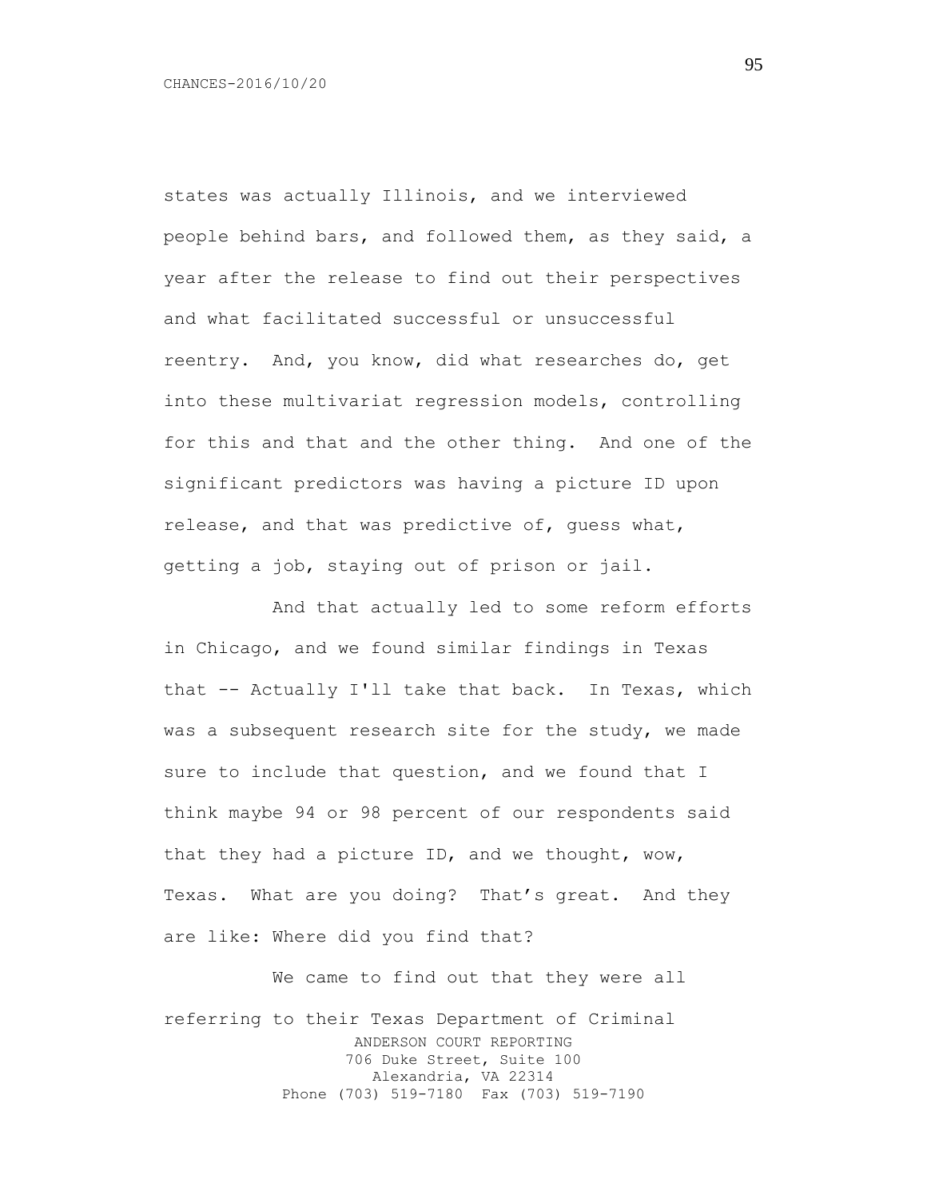states was actually Illinois, and we interviewed people behind bars, and followed them, as they said, a year after the release to find out their perspectives and what facilitated successful or unsuccessful reentry. And, you know, did what researches do, get into these multivariat regression models, controlling for this and that and the other thing. And one of the significant predictors was having a picture ID upon release, and that was predictive of, guess what, getting a job, staying out of prison or jail.

And that actually led to some reform efforts in Chicago, and we found similar findings in Texas that -- Actually I'll take that back. In Texas, which was a subsequent research site for the study, we made sure to include that question, and we found that I think maybe 94 or 98 percent of our respondents said that they had a picture ID, and we thought, wow, Texas. What are you doing? That's great. And they are like: Where did you find that?

ANDERSON COURT REPORTING 706 Duke Street, Suite 100 Alexandria, VA 22314 Phone (703) 519-7180 Fax (703) 519-7190 We came to find out that they were all referring to their Texas Department of Criminal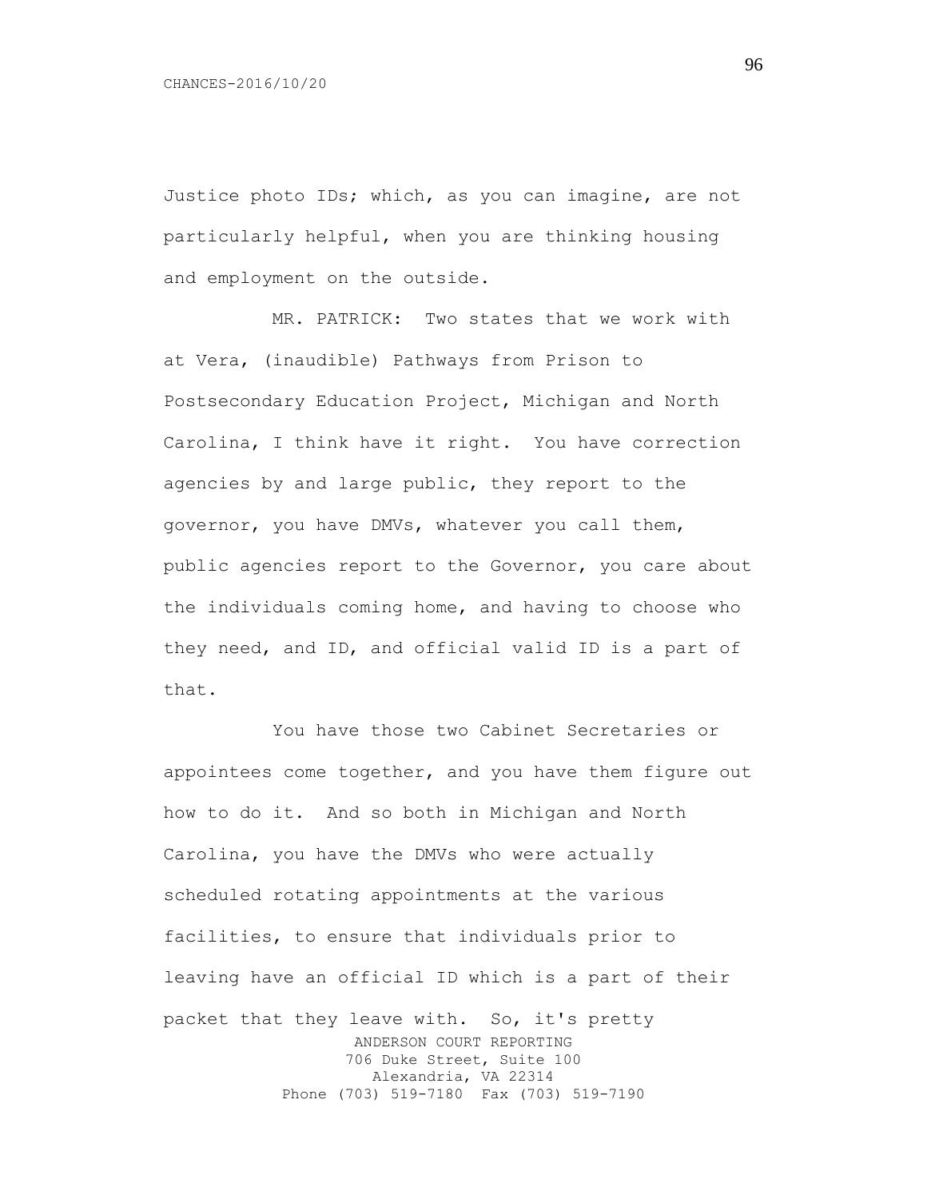Justice photo IDs; which, as you can imagine, are not particularly helpful, when you are thinking housing and employment on the outside.

MR. PATRICK: Two states that we work with at Vera, (inaudible) Pathways from Prison to Postsecondary Education Project, Michigan and North Carolina, I think have it right. You have correction agencies by and large public, they report to the governor, you have DMVs, whatever you call them, public agencies report to the Governor, you care about the individuals coming home, and having to choose who they need, and ID, and official valid ID is a part of that.

ANDERSON COURT REPORTING 706 Duke Street, Suite 100 Alexandria, VA 22314 Phone (703) 519-7180 Fax (703) 519-7190 You have those two Cabinet Secretaries or appointees come together, and you have them figure out how to do it. And so both in Michigan and North Carolina, you have the DMVs who were actually scheduled rotating appointments at the various facilities, to ensure that individuals prior to leaving have an official ID which is a part of their packet that they leave with. So, it's pretty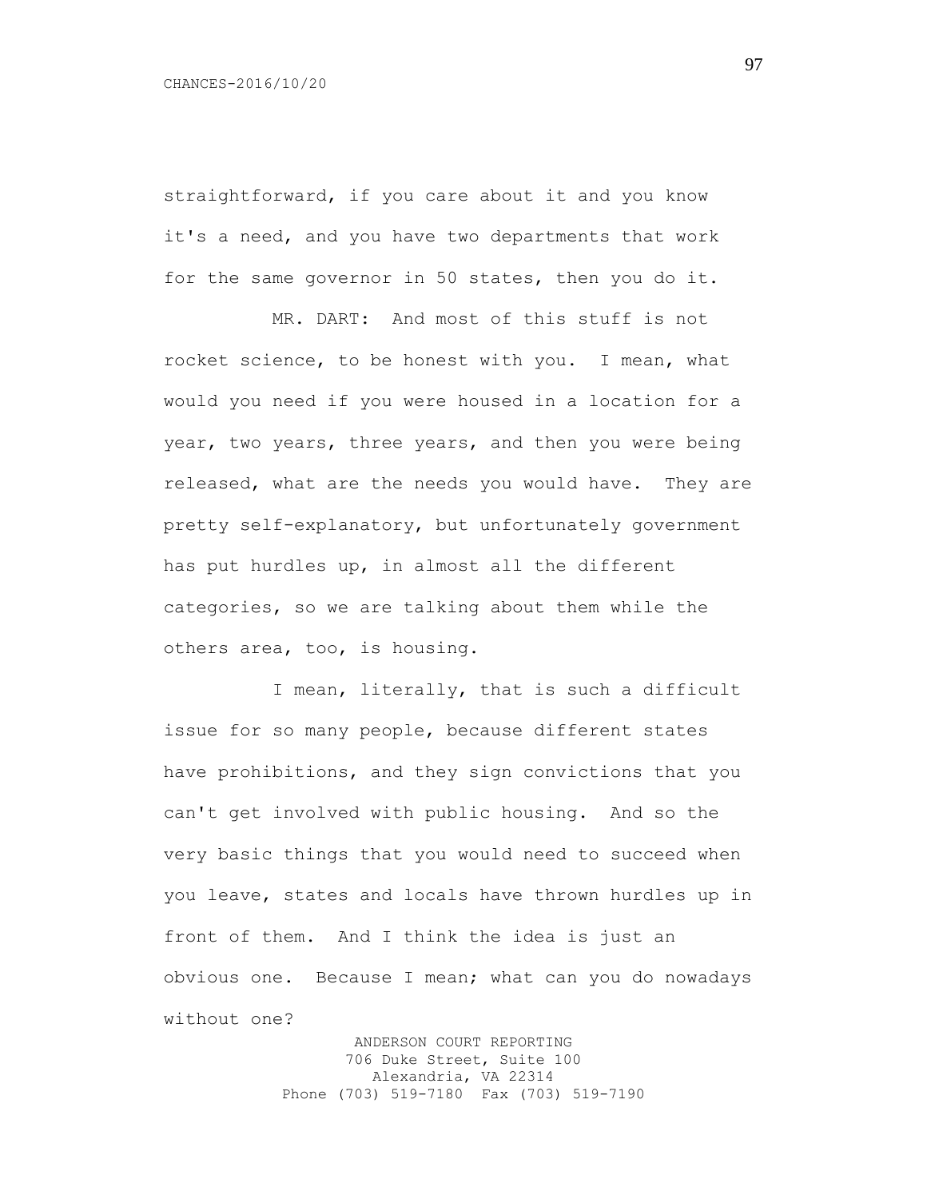straightforward, if you care about it and you know it's a need, and you have two departments that work for the same governor in 50 states, then you do it.

MR. DART: And most of this stuff is not rocket science, to be honest with you. I mean, what would you need if you were housed in a location for a year, two years, three years, and then you were being released, what are the needs you would have. They are pretty self-explanatory, but unfortunately government has put hurdles up, in almost all the different categories, so we are talking about them while the others area, too, is housing.

I mean, literally, that is such a difficult issue for so many people, because different states have prohibitions, and they sign convictions that you can't get involved with public housing. And so the very basic things that you would need to succeed when you leave, states and locals have thrown hurdles up in front of them. And I think the idea is just an obvious one. Because I mean; what can you do nowadays without one?

> ANDERSON COURT REPORTING 706 Duke Street, Suite 100 Alexandria, VA 22314 Phone (703) 519-7180 Fax (703) 519-7190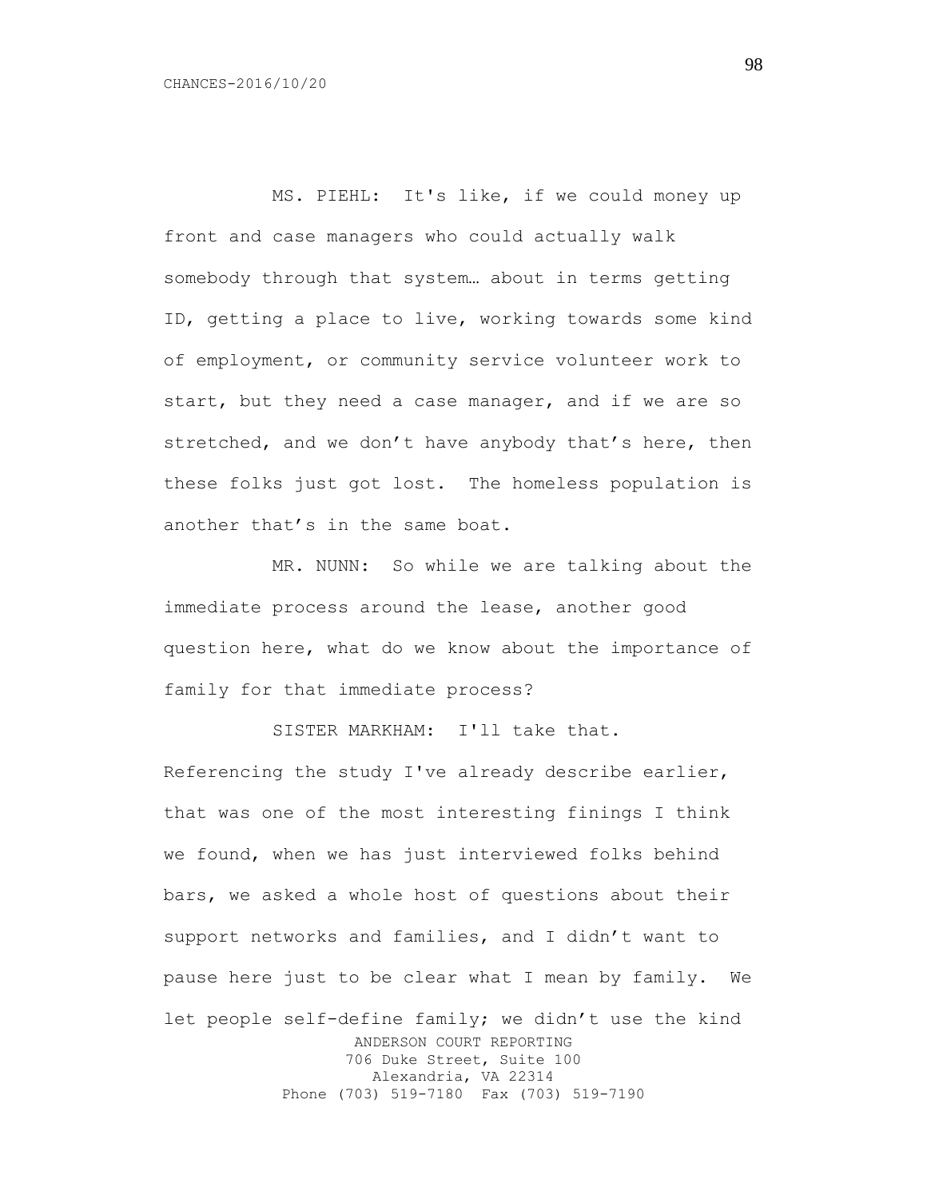MS. PIEHL: It's like, if we could money up front and case managers who could actually walk somebody through that system… about in terms getting ID, getting a place to live, working towards some kind of employment, or community service volunteer work to start, but they need a case manager, and if we are so stretched, and we don't have anybody that's here, then these folks just got lost. The homeless population is another that's in the same boat.

MR. NUNN: So while we are talking about the immediate process around the lease, another good question here, what do we know about the importance of family for that immediate process?

SISTER MARKHAM: I'll take that.

ANDERSON COURT REPORTING 706 Duke Street, Suite 100 Alexandria, VA 22314 Phone (703) 519-7180 Fax (703) 519-7190 Referencing the study I've already describe earlier, that was one of the most interesting finings I think we found, when we has just interviewed folks behind bars, we asked a whole host of questions about their support networks and families, and I didn't want to pause here just to be clear what I mean by family. We let people self-define family; we didn't use the kind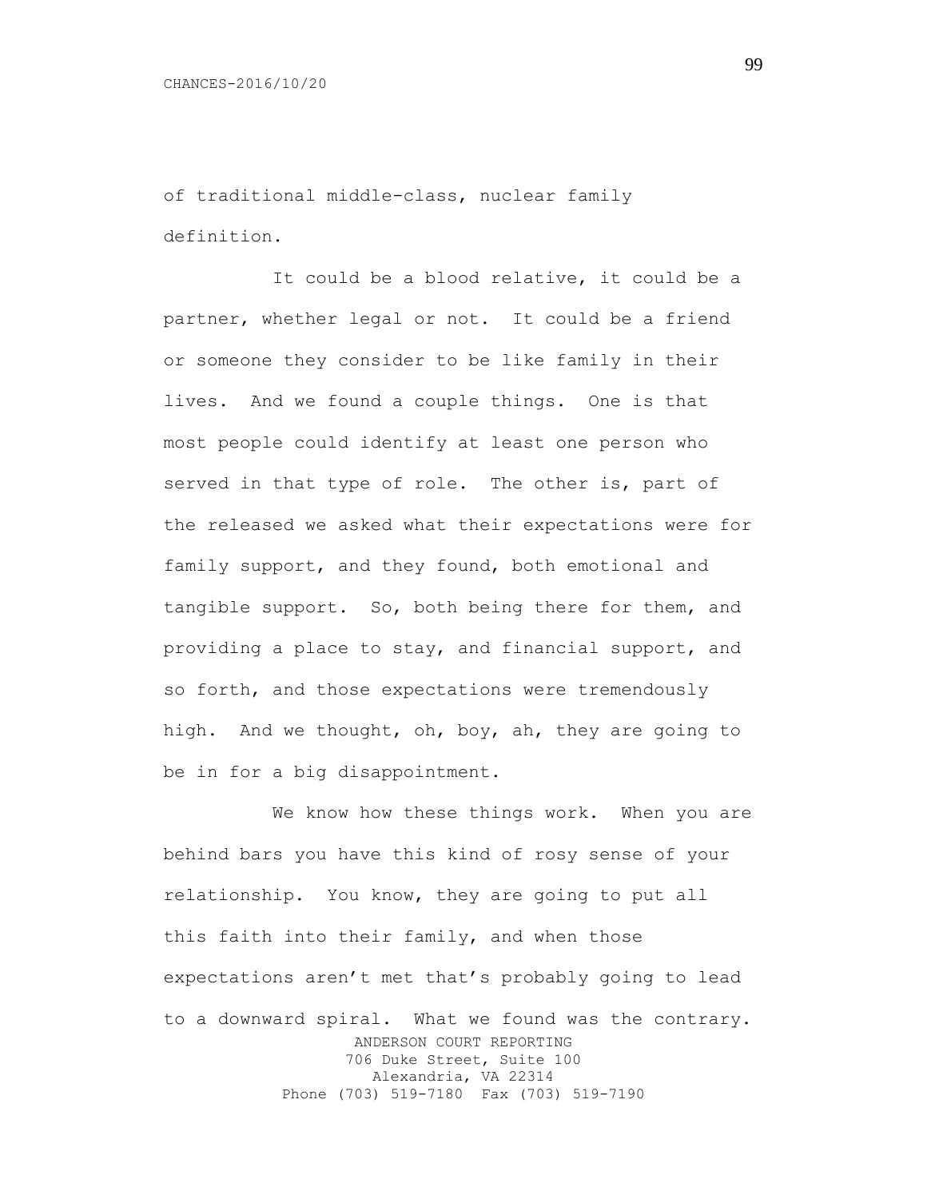of traditional middle-class, nuclear family definition.

It could be a blood relative, it could be a partner, whether legal or not. It could be a friend or someone they consider to be like family in their lives. And we found a couple things. One is that most people could identify at least one person who served in that type of role. The other is, part of the released we asked what their expectations were for family support, and they found, both emotional and tangible support. So, both being there for them, and providing a place to stay, and financial support, and so forth, and those expectations were tremendously high. And we thought, oh, boy, ah, they are going to be in for a big disappointment.

ANDERSON COURT REPORTING 706 Duke Street, Suite 100 Alexandria, VA 22314 Phone (703) 519-7180 Fax (703) 519-7190 We know how these things work. When you are behind bars you have this kind of rosy sense of your relationship. You know, they are going to put all this faith into their family, and when those expectations aren't met that's probably going to lead to a downward spiral. What we found was the contrary.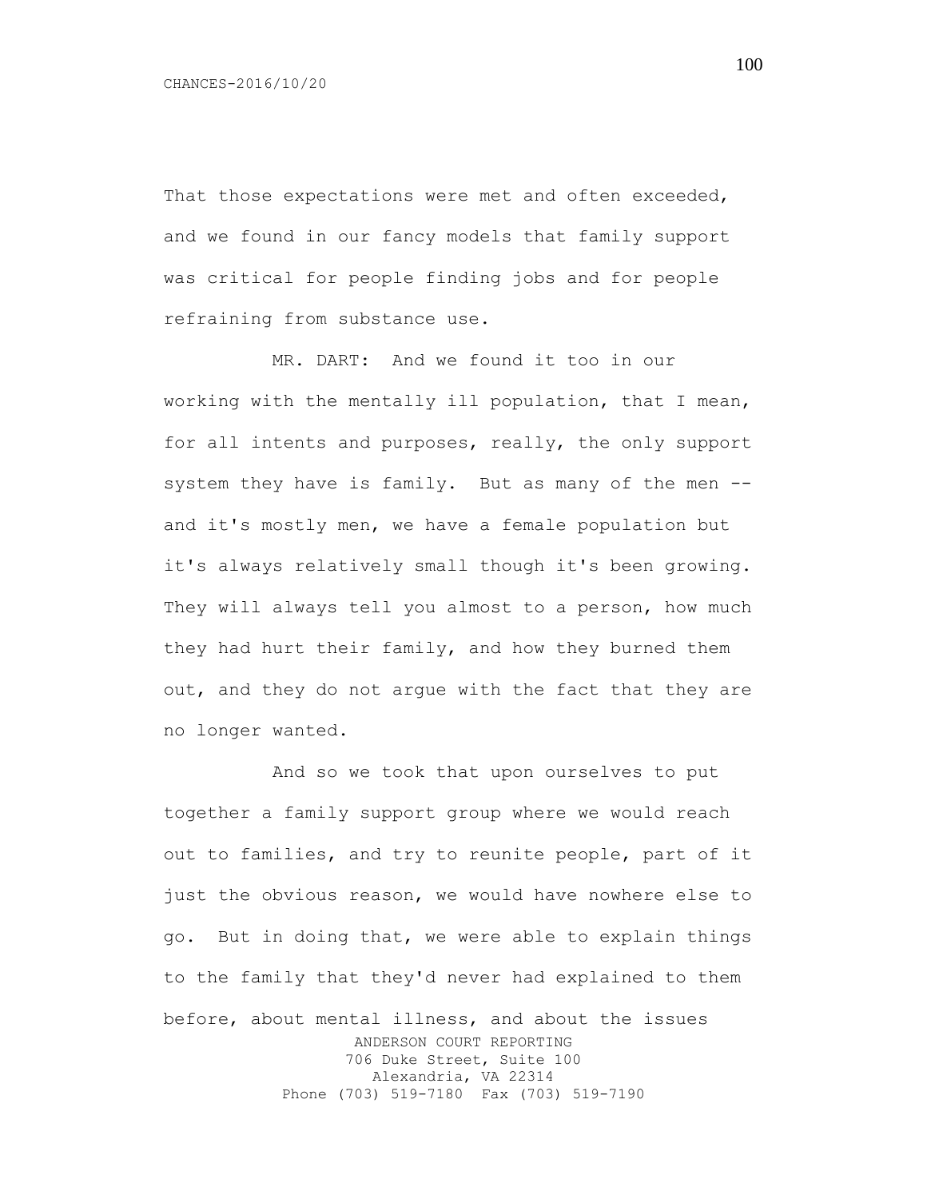That those expectations were met and often exceeded, and we found in our fancy models that family support was critical for people finding jobs and for people refraining from substance use.

MR. DART: And we found it too in our working with the mentally ill population, that I mean, for all intents and purposes, really, the only support system they have is family. But as many of the men - and it's mostly men, we have a female population but it's always relatively small though it's been growing. They will always tell you almost to a person, how much they had hurt their family, and how they burned them out, and they do not argue with the fact that they are no longer wanted.

ANDERSON COURT REPORTING 706 Duke Street, Suite 100 Alexandria, VA 22314 Phone (703) 519-7180 Fax (703) 519-7190 And so we took that upon ourselves to put together a family support group where we would reach out to families, and try to reunite people, part of it just the obvious reason, we would have nowhere else to go. But in doing that, we were able to explain things to the family that they'd never had explained to them before, about mental illness, and about the issues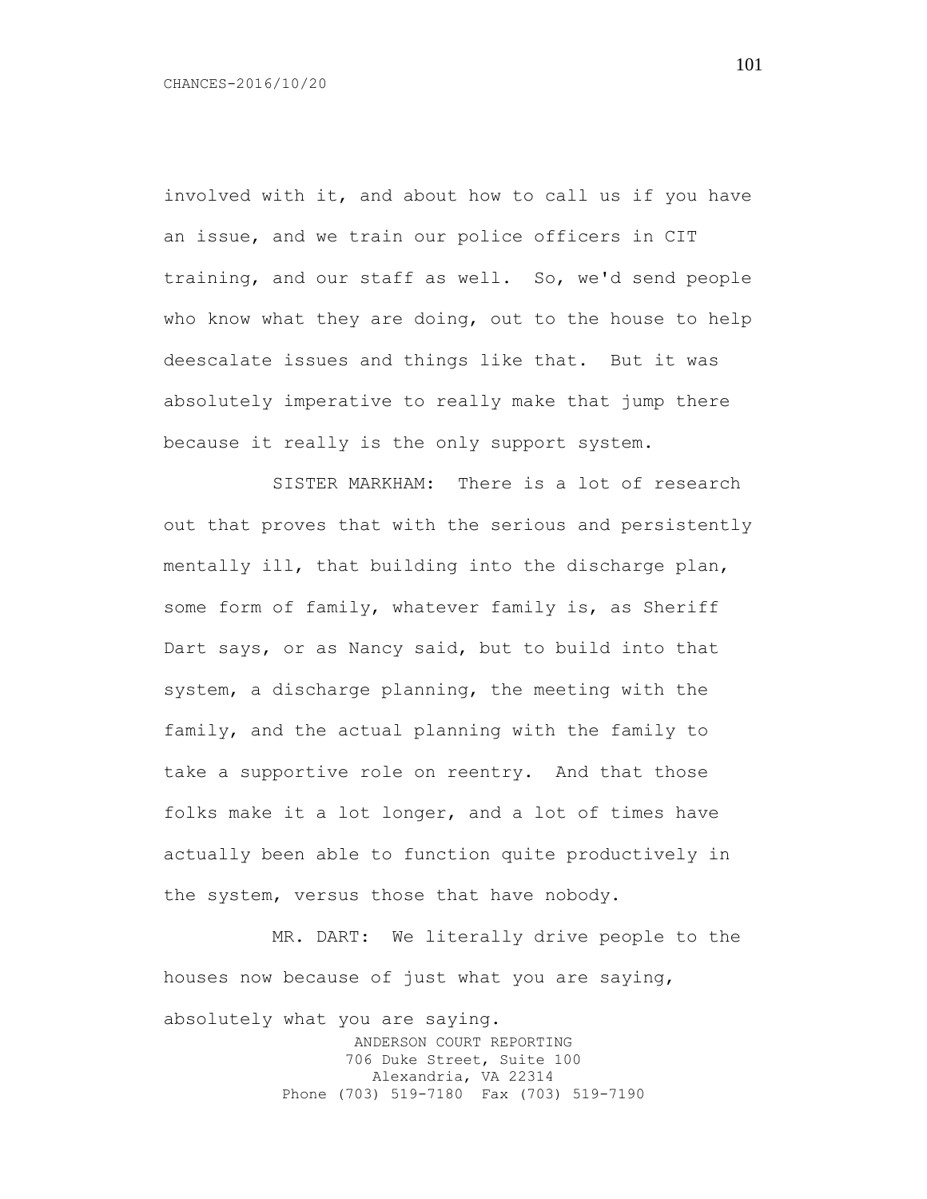involved with it, and about how to call us if you have an issue, and we train our police officers in CIT training, and our staff as well. So, we'd send people who know what they are doing, out to the house to help deescalate issues and things like that. But it was absolutely imperative to really make that jump there because it really is the only support system.

SISTER MARKHAM: There is a lot of research out that proves that with the serious and persistently mentally ill, that building into the discharge plan, some form of family, whatever family is, as Sheriff Dart says, or as Nancy said, but to build into that system, a discharge planning, the meeting with the family, and the actual planning with the family to take a supportive role on reentry. And that those folks make it a lot longer, and a lot of times have actually been able to function quite productively in the system, versus those that have nobody.

ANDERSON COURT REPORTING 706 Duke Street, Suite 100 Alexandria, VA 22314 Phone (703) 519-7180 Fax (703) 519-7190 MR. DART: We literally drive people to the houses now because of just what you are saying, absolutely what you are saying.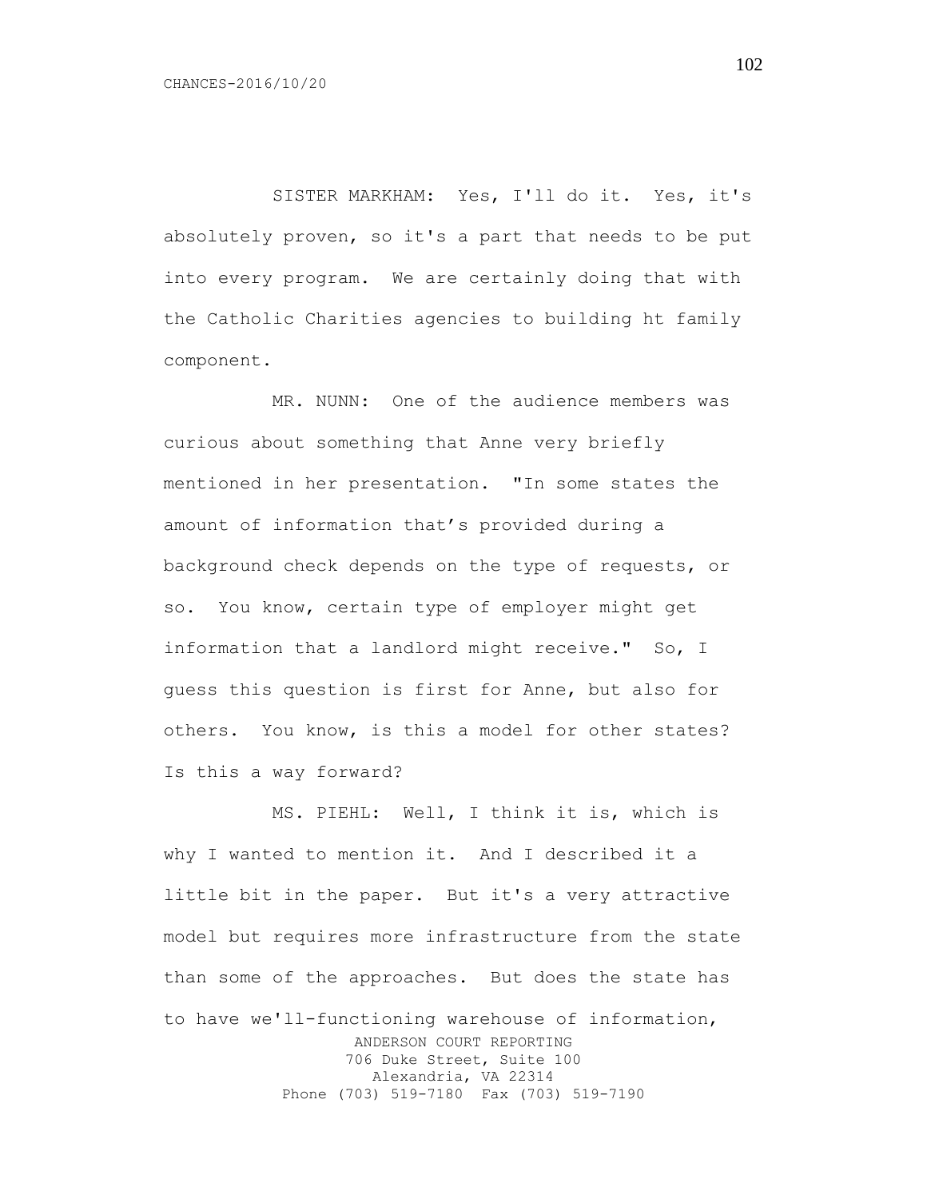SISTER MARKHAM: Yes, I'll do it. Yes, it's absolutely proven, so it's a part that needs to be put into every program. We are certainly doing that with the Catholic Charities agencies to building ht family component.

MR. NUNN: One of the audience members was curious about something that Anne very briefly mentioned in her presentation. "In some states the amount of information that's provided during a background check depends on the type of requests, or so. You know, certain type of employer might get information that a landlord might receive." So, I guess this question is first for Anne, but also for others. You know, is this a model for other states? Is this a way forward?

ANDERSON COURT REPORTING 706 Duke Street, Suite 100 Alexandria, VA 22314 Phone (703) 519-7180 Fax (703) 519-7190 MS. PIEHL: Well, I think it is, which is why I wanted to mention it. And I described it a little bit in the paper. But it's a very attractive model but requires more infrastructure from the state than some of the approaches. But does the state has to have we'll-functioning warehouse of information,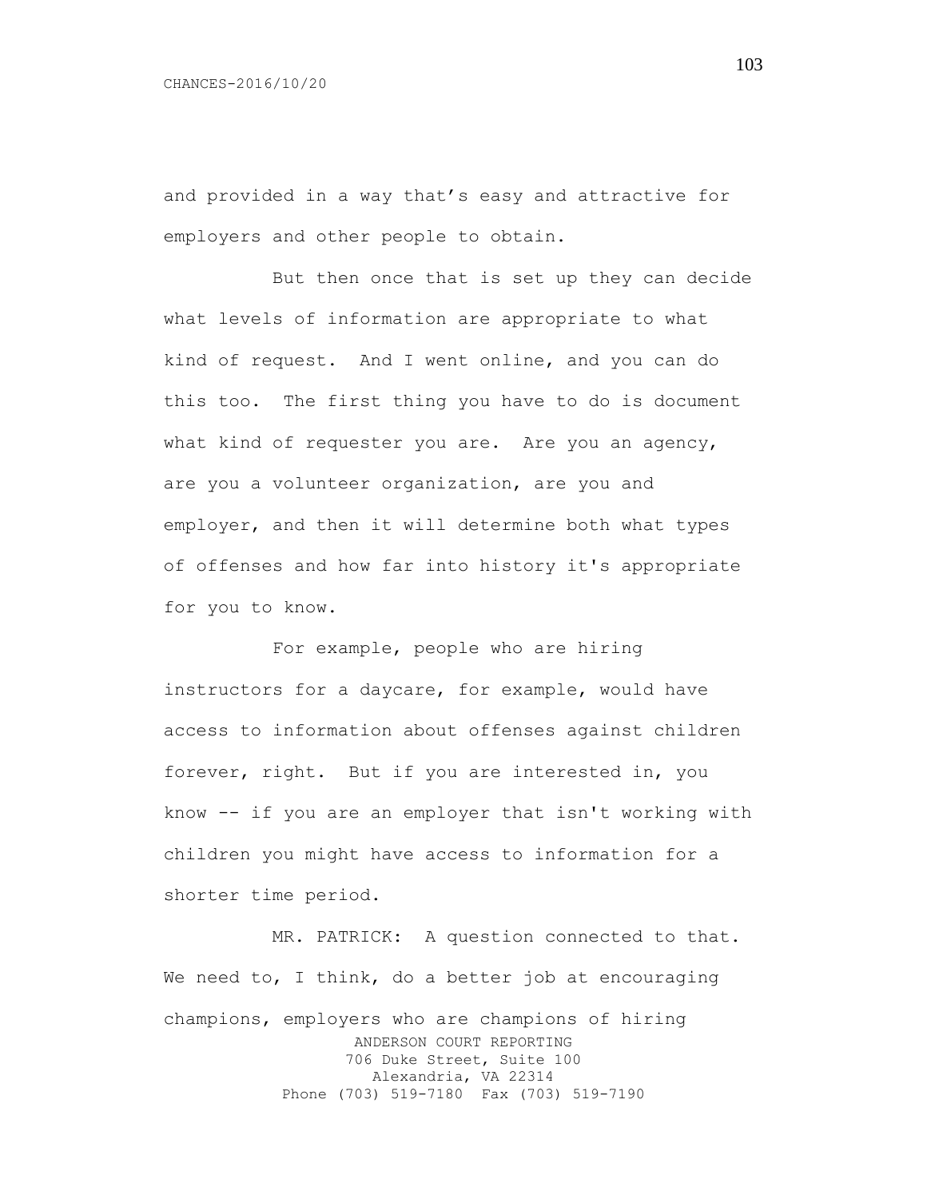and provided in a way that's easy and attractive for employers and other people to obtain.

But then once that is set up they can decide what levels of information are appropriate to what kind of request. And I went online, and you can do this too. The first thing you have to do is document what kind of requester you are. Are you an agency, are you a volunteer organization, are you and employer, and then it will determine both what types of offenses and how far into history it's appropriate for you to know.

For example, people who are hiring instructors for a daycare, for example, would have access to information about offenses against children forever, right. But if you are interested in, you know -- if you are an employer that isn't working with children you might have access to information for a shorter time period.

ANDERSON COURT REPORTING 706 Duke Street, Suite 100 Alexandria, VA 22314 Phone (703) 519-7180 Fax (703) 519-7190 MR. PATRICK: A question connected to that. We need to, I think, do a better job at encouraging champions, employers who are champions of hiring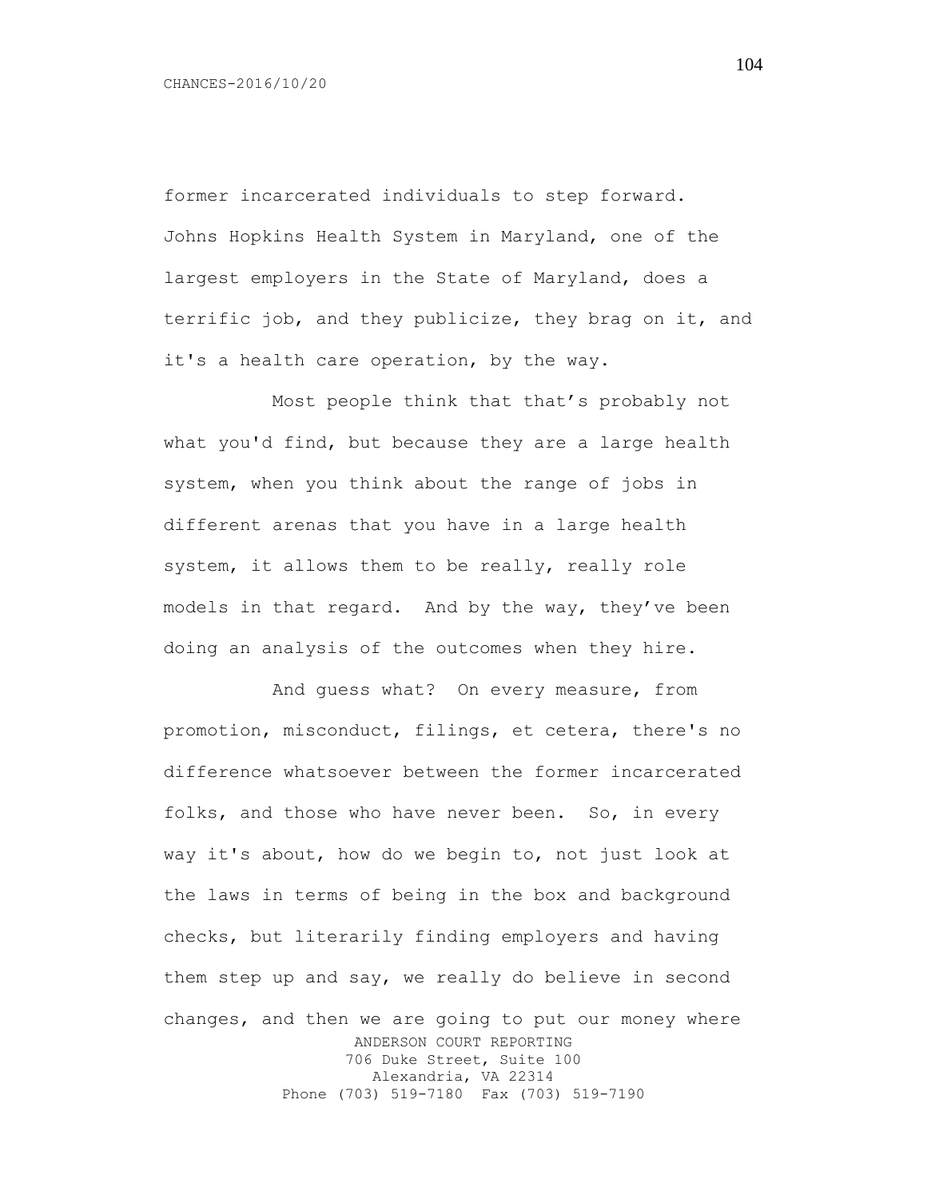former incarcerated individuals to step forward. Johns Hopkins Health System in Maryland, one of the largest employers in the State of Maryland, does a terrific job, and they publicize, they brag on it, and it's a health care operation, by the way.

Most people think that that's probably not what you'd find, but because they are a large health system, when you think about the range of jobs in different arenas that you have in a large health system, it allows them to be really, really role models in that regard. And by the way, they've been doing an analysis of the outcomes when they hire.

ANDERSON COURT REPORTING 706 Duke Street, Suite 100 Alexandria, VA 22314 Phone (703) 519-7180 Fax (703) 519-7190 And guess what? On every measure, from promotion, misconduct, filings, et cetera, there's no difference whatsoever between the former incarcerated folks, and those who have never been. So, in every way it's about, how do we begin to, not just look at the laws in terms of being in the box and background checks, but literarily finding employers and having them step up and say, we really do believe in second changes, and then we are going to put our money where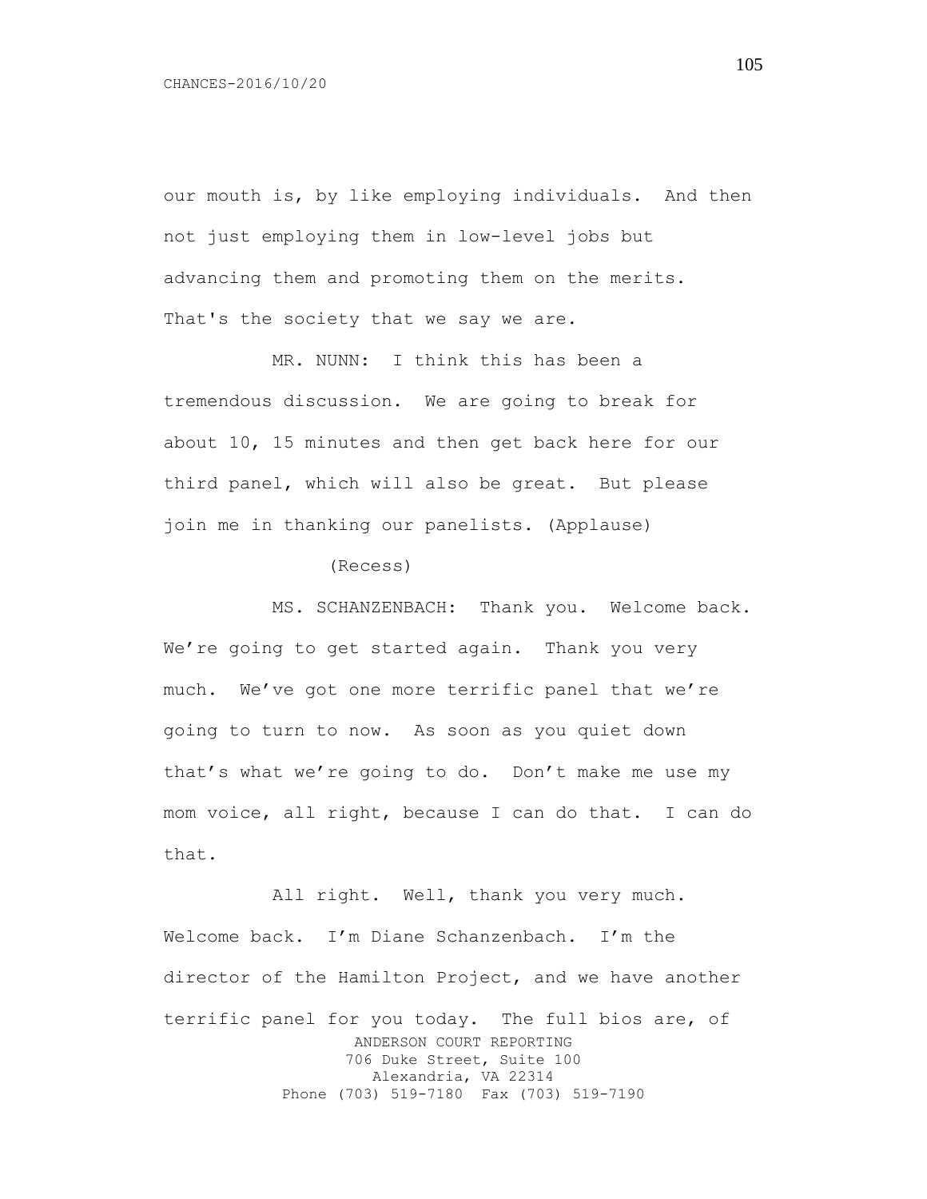our mouth is, by like employing individuals. And then not just employing them in low-level jobs but advancing them and promoting them on the merits. That's the society that we say we are.

MR. NUNN: I think this has been a tremendous discussion. We are going to break for about 10, 15 minutes and then get back here for our third panel, which will also be great. But please join me in thanking our panelists. (Applause)

(Recess)

MS. SCHANZENBACH: Thank you. Welcome back. We're going to get started again. Thank you very much. We've got one more terrific panel that we're going to turn to now. As soon as you quiet down that's what we're going to do. Don't make me use my mom voice, all right, because I can do that. I can do that.

ANDERSON COURT REPORTING 706 Duke Street, Suite 100 Alexandria, VA 22314 Phone (703) 519-7180 Fax (703) 519-7190 All right. Well, thank you very much. Welcome back. I'm Diane Schanzenbach. I'm the director of the Hamilton Project, and we have another terrific panel for you today. The full bios are, of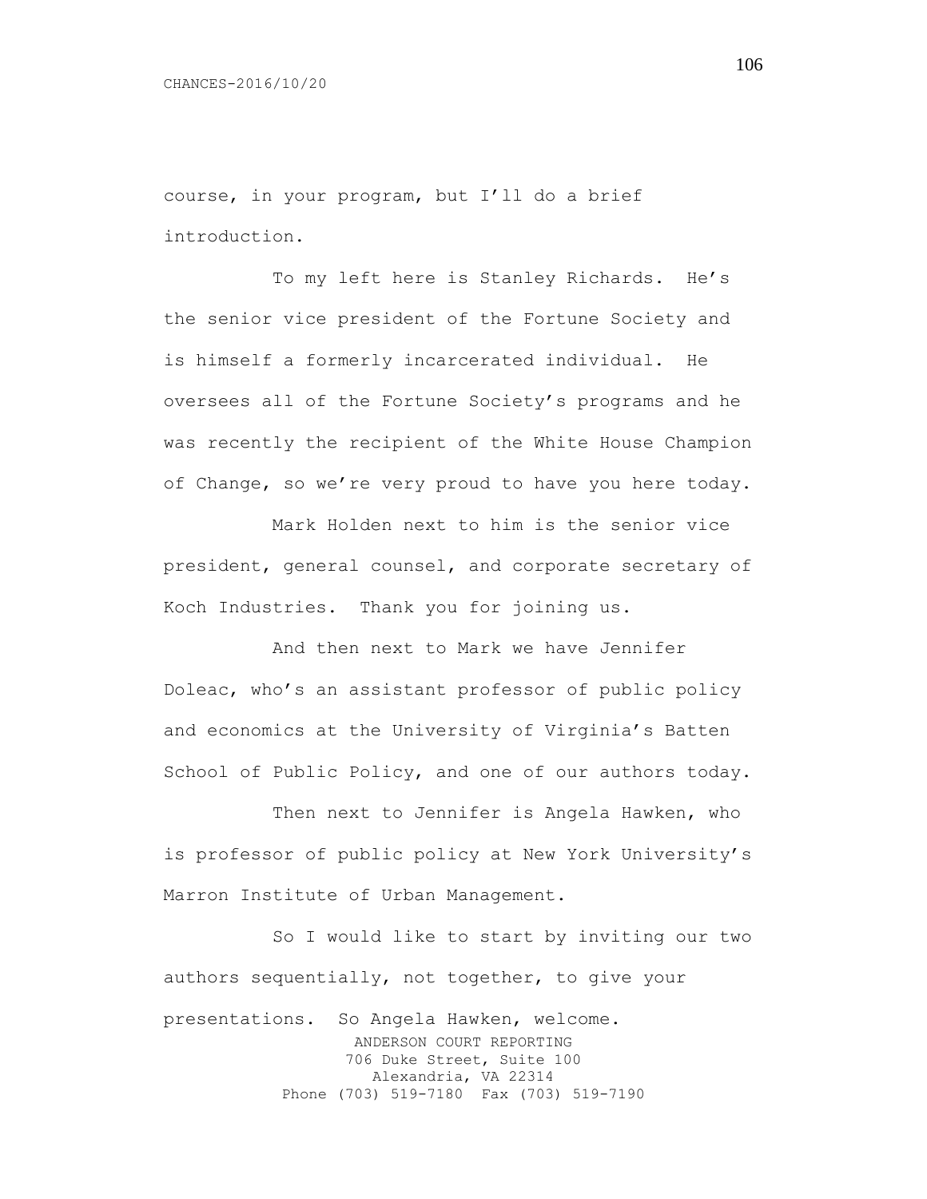course, in your program, but I'll do a brief introduction.

To my left here is Stanley Richards. He's the senior vice president of the Fortune Society and is himself a formerly incarcerated individual. He oversees all of the Fortune Society's programs and he was recently the recipient of the White House Champion of Change, so we're very proud to have you here today.

Mark Holden next to him is the senior vice president, general counsel, and corporate secretary of Koch Industries. Thank you for joining us.

And then next to Mark we have Jennifer Doleac, who's an assistant professor of public policy and economics at the University of Virginia's Batten School of Public Policy, and one of our authors today.

Then next to Jennifer is Angela Hawken, who is professor of public policy at New York University's Marron Institute of Urban Management.

ANDERSON COURT REPORTING 706 Duke Street, Suite 100 Alexandria, VA 22314 Phone (703) 519-7180 Fax (703) 519-7190 So I would like to start by inviting our two authors sequentially, not together, to give your presentations. So Angela Hawken, welcome.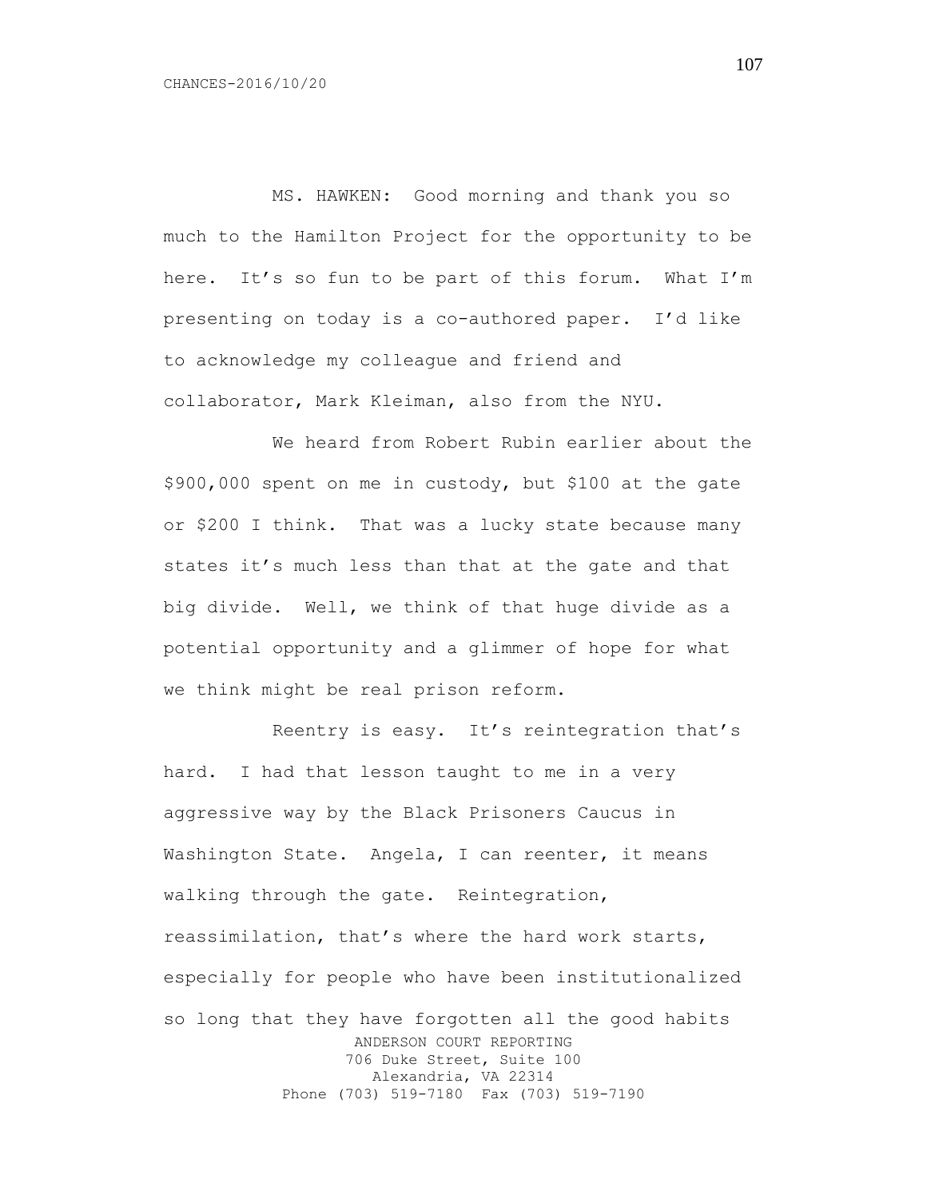MS. HAWKEN: Good morning and thank you so much to the Hamilton Project for the opportunity to be here. It's so fun to be part of this forum. What I'm presenting on today is a co-authored paper. I'd like to acknowledge my colleague and friend and collaborator, Mark Kleiman, also from the NYU.

We heard from Robert Rubin earlier about the \$900,000 spent on me in custody, but \$100 at the gate or \$200 I think. That was a lucky state because many states it's much less than that at the gate and that big divide. Well, we think of that huge divide as a potential opportunity and a glimmer of hope for what we think might be real prison reform.

ANDERSON COURT REPORTING 706 Duke Street, Suite 100 Alexandria, VA 22314 Phone (703) 519-7180 Fax (703) 519-7190 Reentry is easy. It's reintegration that's hard. I had that lesson taught to me in a very aggressive way by the Black Prisoners Caucus in Washington State. Angela, I can reenter, it means walking through the gate. Reintegration, reassimilation, that's where the hard work starts, especially for people who have been institutionalized so long that they have forgotten all the good habits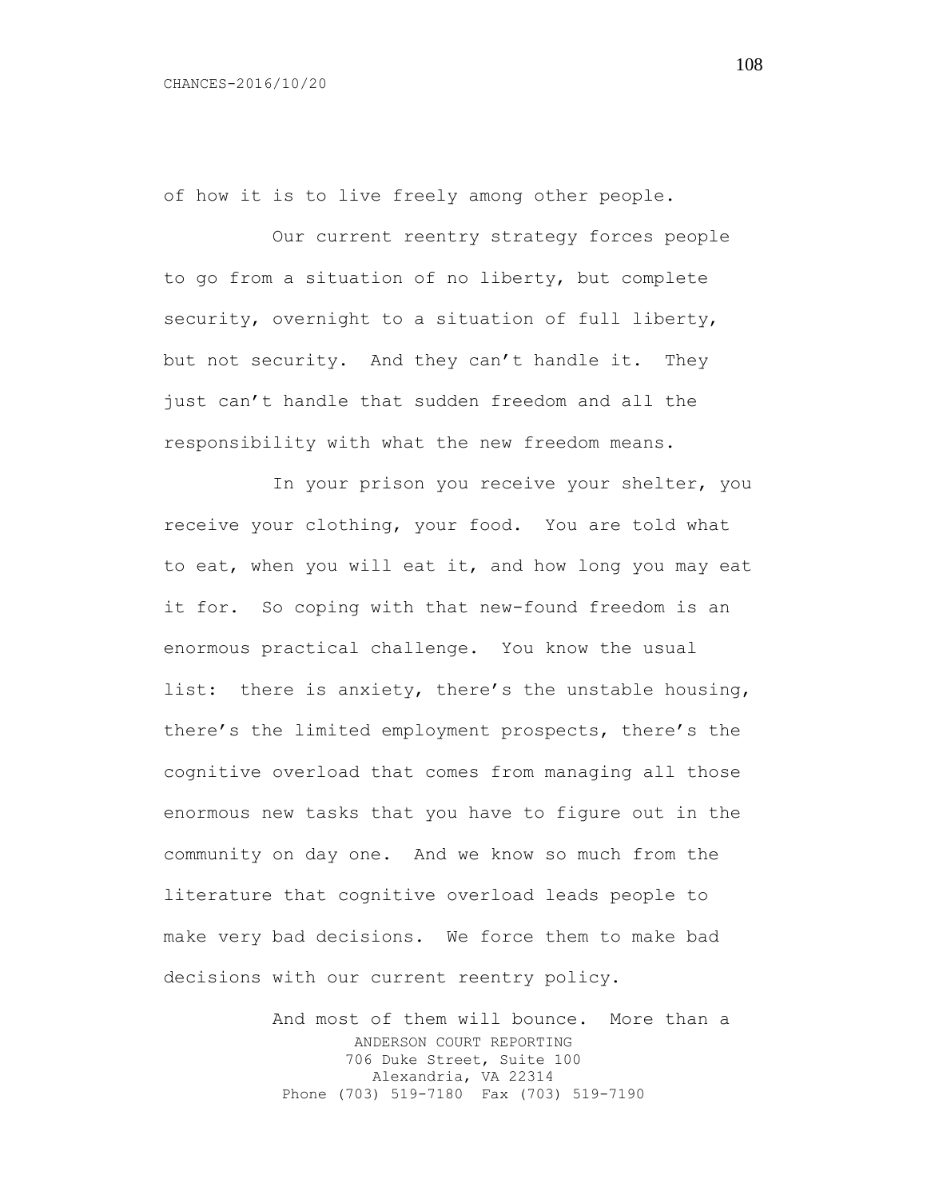of how it is to live freely among other people.

Our current reentry strategy forces people to go from a situation of no liberty, but complete security, overnight to a situation of full liberty, but not security. And they can't handle it. They just can't handle that sudden freedom and all the responsibility with what the new freedom means.

In your prison you receive your shelter, you receive your clothing, your food. You are told what to eat, when you will eat it, and how long you may eat it for. So coping with that new-found freedom is an enormous practical challenge. You know the usual list: there is anxiety, there's the unstable housing, there's the limited employment prospects, there's the cognitive overload that comes from managing all those enormous new tasks that you have to figure out in the community on day one. And we know so much from the literature that cognitive overload leads people to make very bad decisions. We force them to make bad decisions with our current reentry policy.

> ANDERSON COURT REPORTING 706 Duke Street, Suite 100 Alexandria, VA 22314 Phone (703) 519-7180 Fax (703) 519-7190 And most of them will bounce. More than a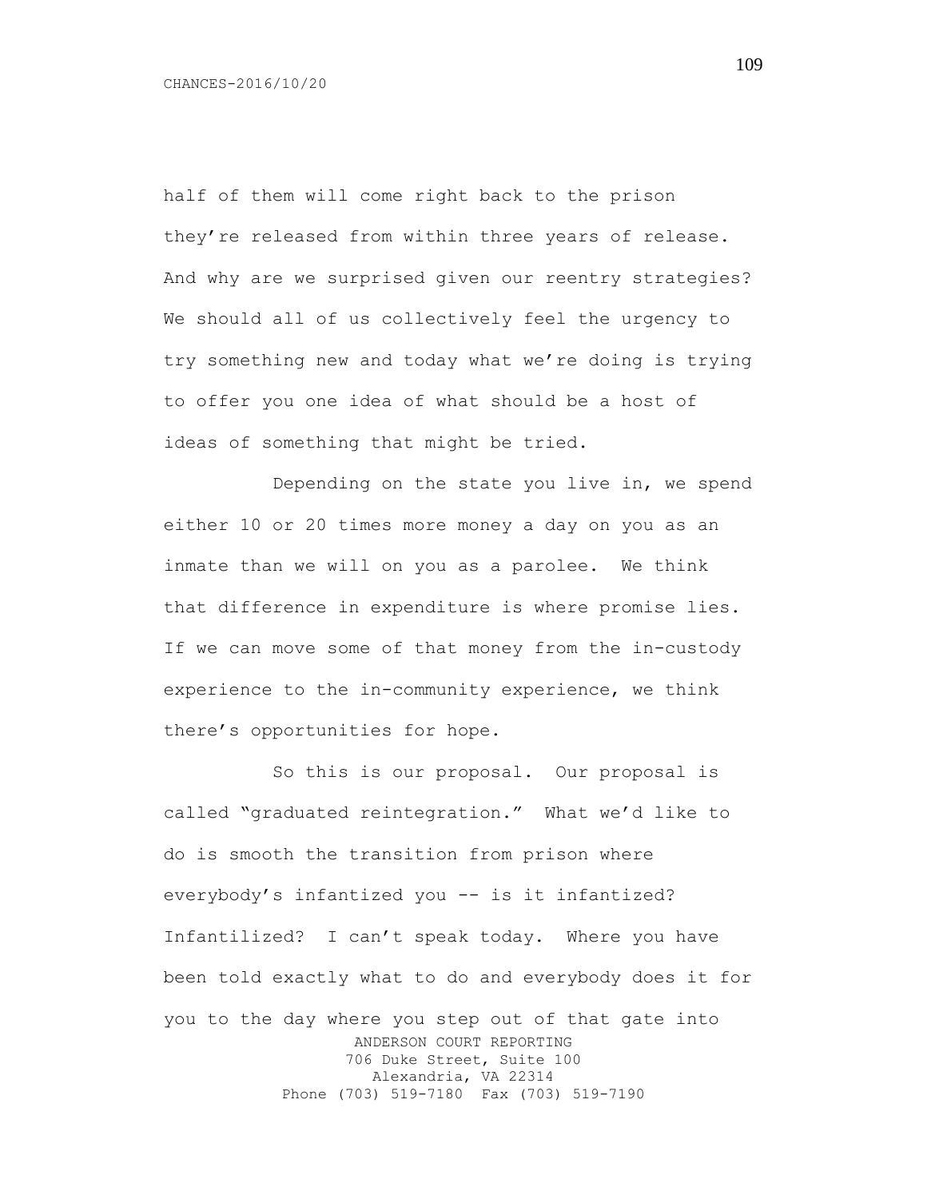half of them will come right back to the prison they're released from within three years of release. And why are we surprised given our reentry strategies? We should all of us collectively feel the urgency to try something new and today what we're doing is trying to offer you one idea of what should be a host of ideas of something that might be tried.

Depending on the state you live in, we spend either 10 or 20 times more money a day on you as an inmate than we will on you as a parolee. We think that difference in expenditure is where promise lies. If we can move some of that money from the in-custody experience to the in-community experience, we think there's opportunities for hope.

ANDERSON COURT REPORTING 706 Duke Street, Suite 100 Alexandria, VA 22314 Phone (703) 519-7180 Fax (703) 519-7190 So this is our proposal. Our proposal is called "graduated reintegration." What we'd like to do is smooth the transition from prison where everybody's infantized you -- is it infantized? Infantilized? I can't speak today. Where you have been told exactly what to do and everybody does it for you to the day where you step out of that gate into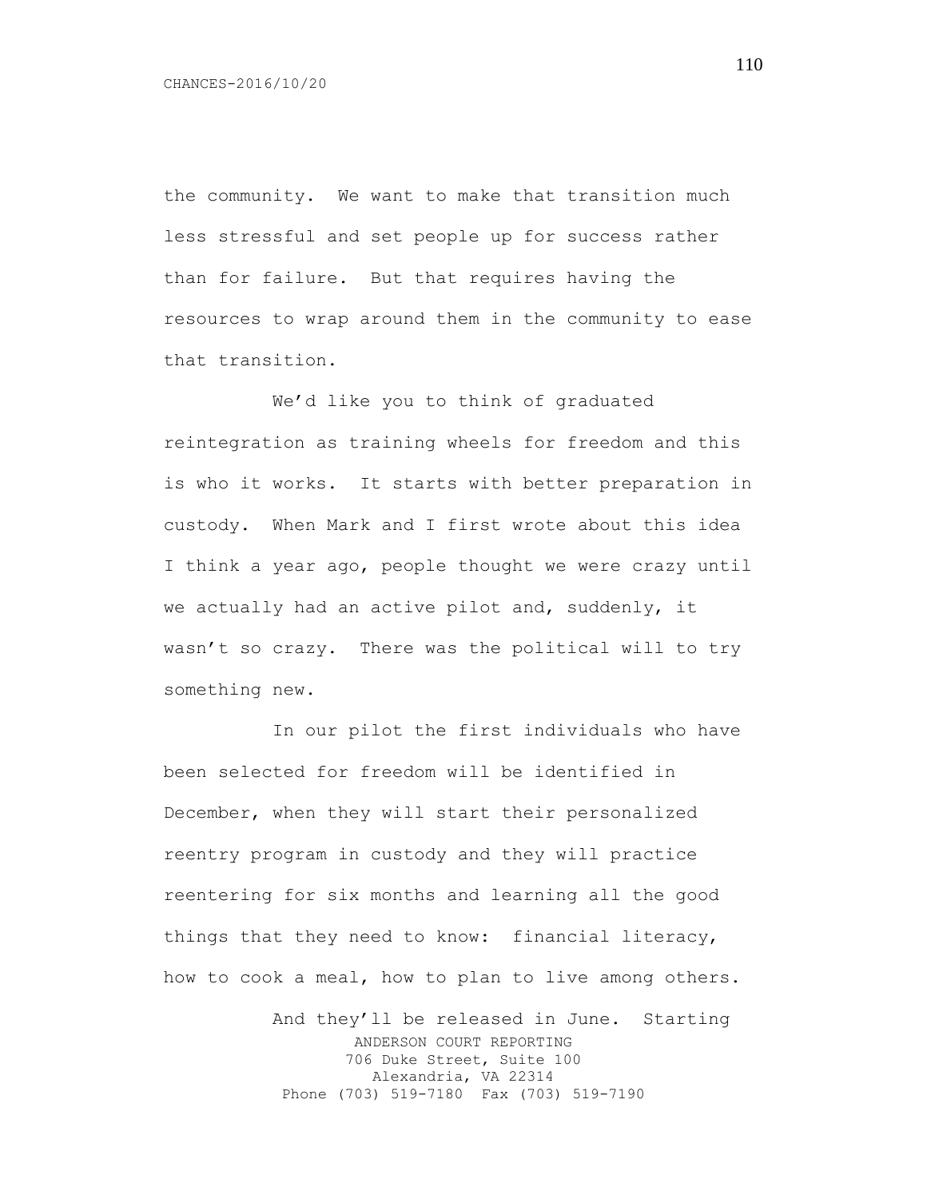the community. We want to make that transition much less stressful and set people up for success rather than for failure. But that requires having the resources to wrap around them in the community to ease that transition.

We'd like you to think of graduated reintegration as training wheels for freedom and this is who it works. It starts with better preparation in custody. When Mark and I first wrote about this idea I think a year ago, people thought we were crazy until we actually had an active pilot and, suddenly, it wasn't so crazy. There was the political will to try something new.

In our pilot the first individuals who have been selected for freedom will be identified in December, when they will start their personalized reentry program in custody and they will practice reentering for six months and learning all the good things that they need to know: financial literacy, how to cook a meal, how to plan to live among others.

> ANDERSON COURT REPORTING 706 Duke Street, Suite 100 Alexandria, VA 22314 Phone (703) 519-7180 Fax (703) 519-7190 And they'll be released in June. Starting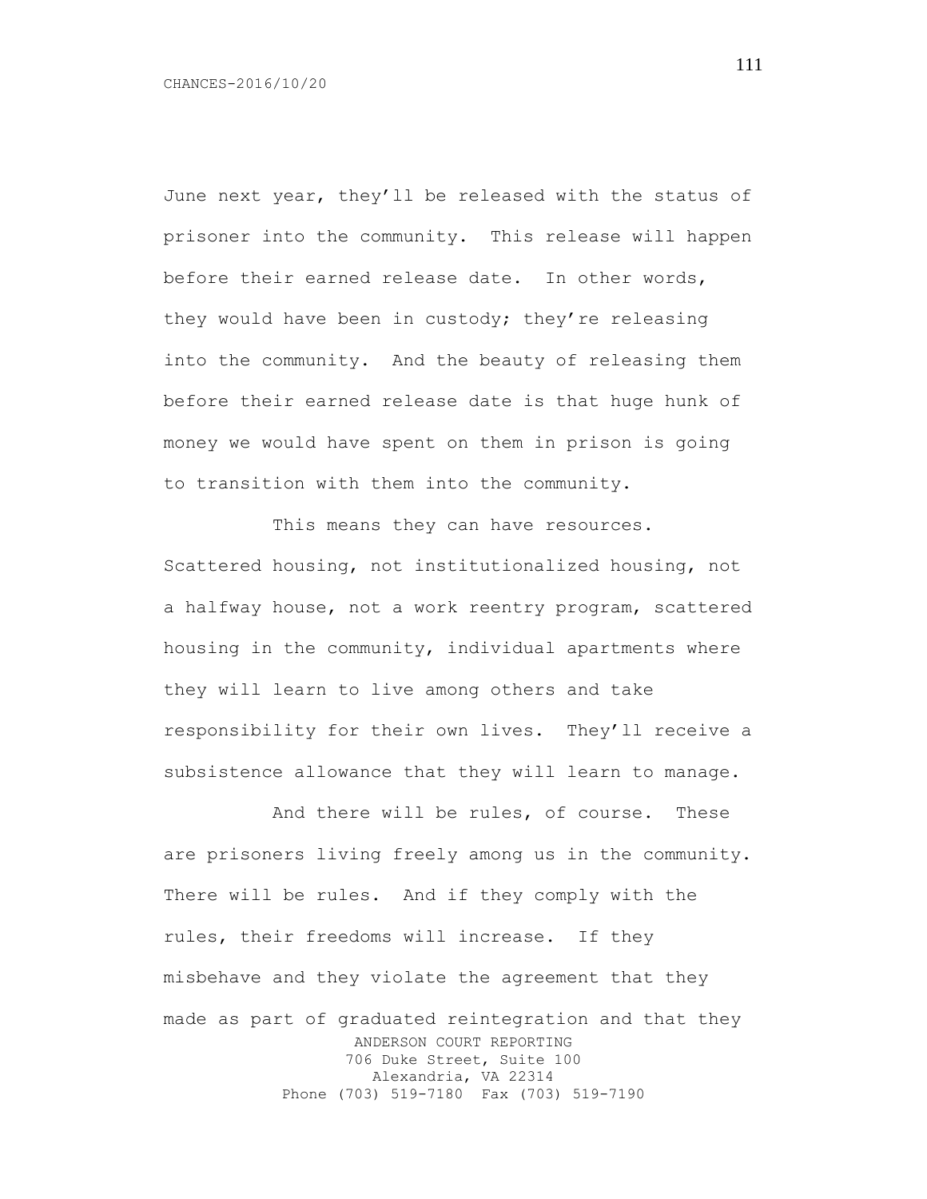June next year, they'll be released with the status of prisoner into the community. This release will happen before their earned release date. In other words, they would have been in custody; they're releasing into the community. And the beauty of releasing them before their earned release date is that huge hunk of money we would have spent on them in prison is going to transition with them into the community.

This means they can have resources. Scattered housing, not institutionalized housing, not a halfway house, not a work reentry program, scattered housing in the community, individual apartments where they will learn to live among others and take responsibility for their own lives. They'll receive a subsistence allowance that they will learn to manage.

ANDERSON COURT REPORTING 706 Duke Street, Suite 100 Alexandria, VA 22314 Phone (703) 519-7180 Fax (703) 519-7190 And there will be rules, of course. These are prisoners living freely among us in the community. There will be rules. And if they comply with the rules, their freedoms will increase. If they misbehave and they violate the agreement that they made as part of graduated reintegration and that they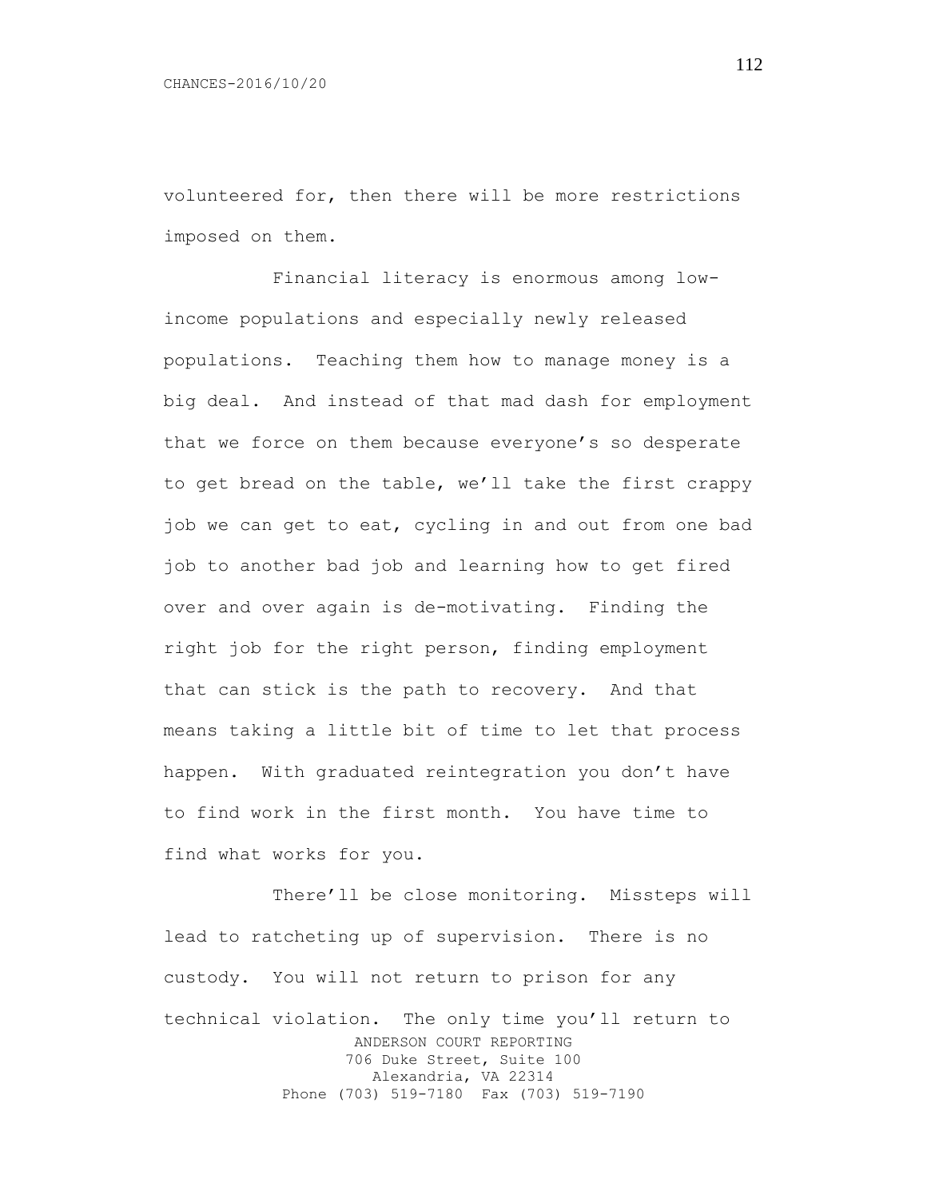volunteered for, then there will be more restrictions imposed on them.

Financial literacy is enormous among lowincome populations and especially newly released populations. Teaching them how to manage money is a big deal. And instead of that mad dash for employment that we force on them because everyone's so desperate to get bread on the table, we'll take the first crappy job we can get to eat, cycling in and out from one bad job to another bad job and learning how to get fired over and over again is de-motivating. Finding the right job for the right person, finding employment that can stick is the path to recovery. And that means taking a little bit of time to let that process happen. With graduated reintegration you don't have to find work in the first month. You have time to find what works for you.

ANDERSON COURT REPORTING 706 Duke Street, Suite 100 Alexandria, VA 22314 Phone (703) 519-7180 Fax (703) 519-7190 There'll be close monitoring. Missteps will lead to ratcheting up of supervision. There is no custody. You will not return to prison for any technical violation. The only time you'll return to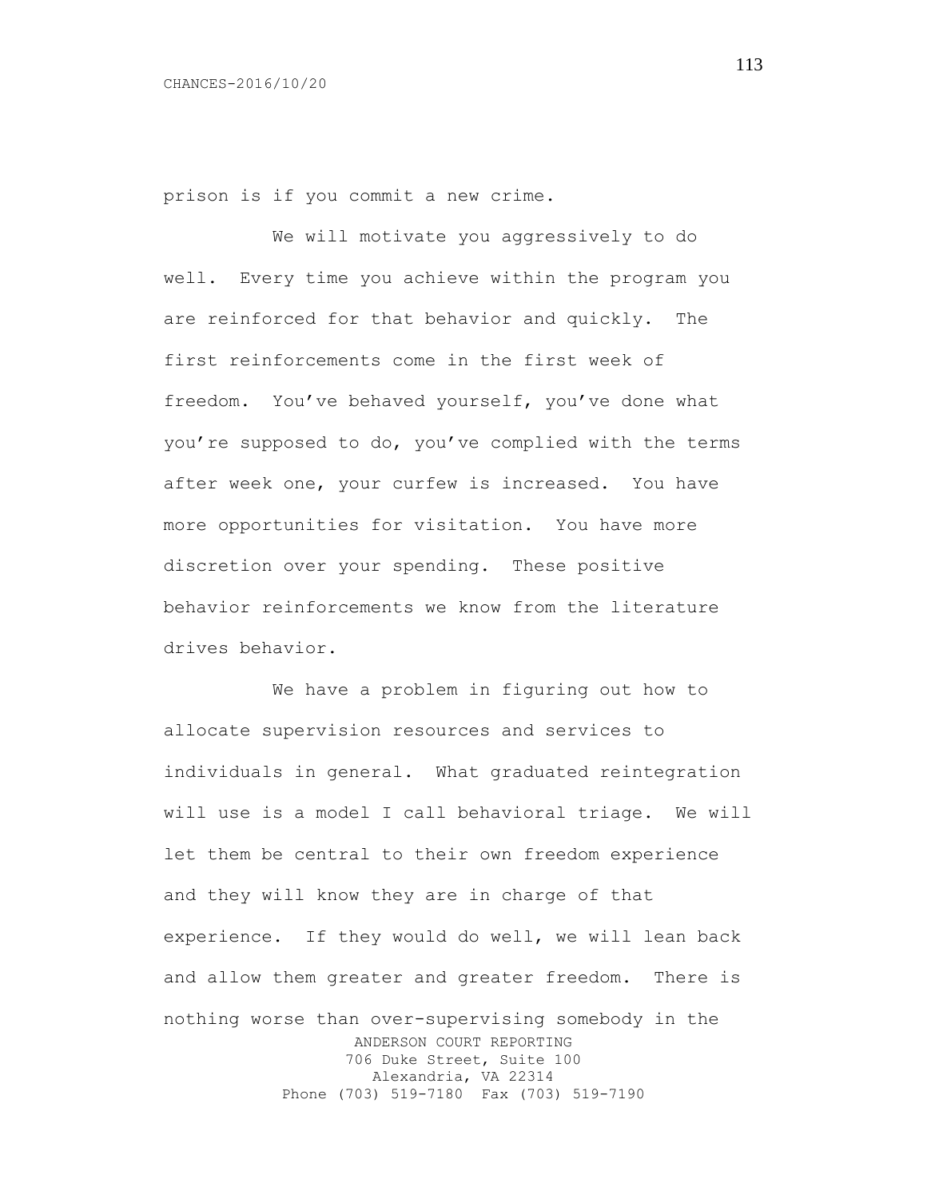prison is if you commit a new crime.

We will motivate you aggressively to do well. Every time you achieve within the program you are reinforced for that behavior and quickly. The first reinforcements come in the first week of freedom. You've behaved yourself, you've done what you're supposed to do, you've complied with the terms after week one, your curfew is increased. You have more opportunities for visitation. You have more discretion over your spending. These positive behavior reinforcements we know from the literature drives behavior.

ANDERSON COURT REPORTING 706 Duke Street, Suite 100 Alexandria, VA 22314 Phone (703) 519-7180 Fax (703) 519-7190 We have a problem in figuring out how to allocate supervision resources and services to individuals in general. What graduated reintegration will use is a model I call behavioral triage. We will let them be central to their own freedom experience and they will know they are in charge of that experience. If they would do well, we will lean back and allow them greater and greater freedom. There is nothing worse than over-supervising somebody in the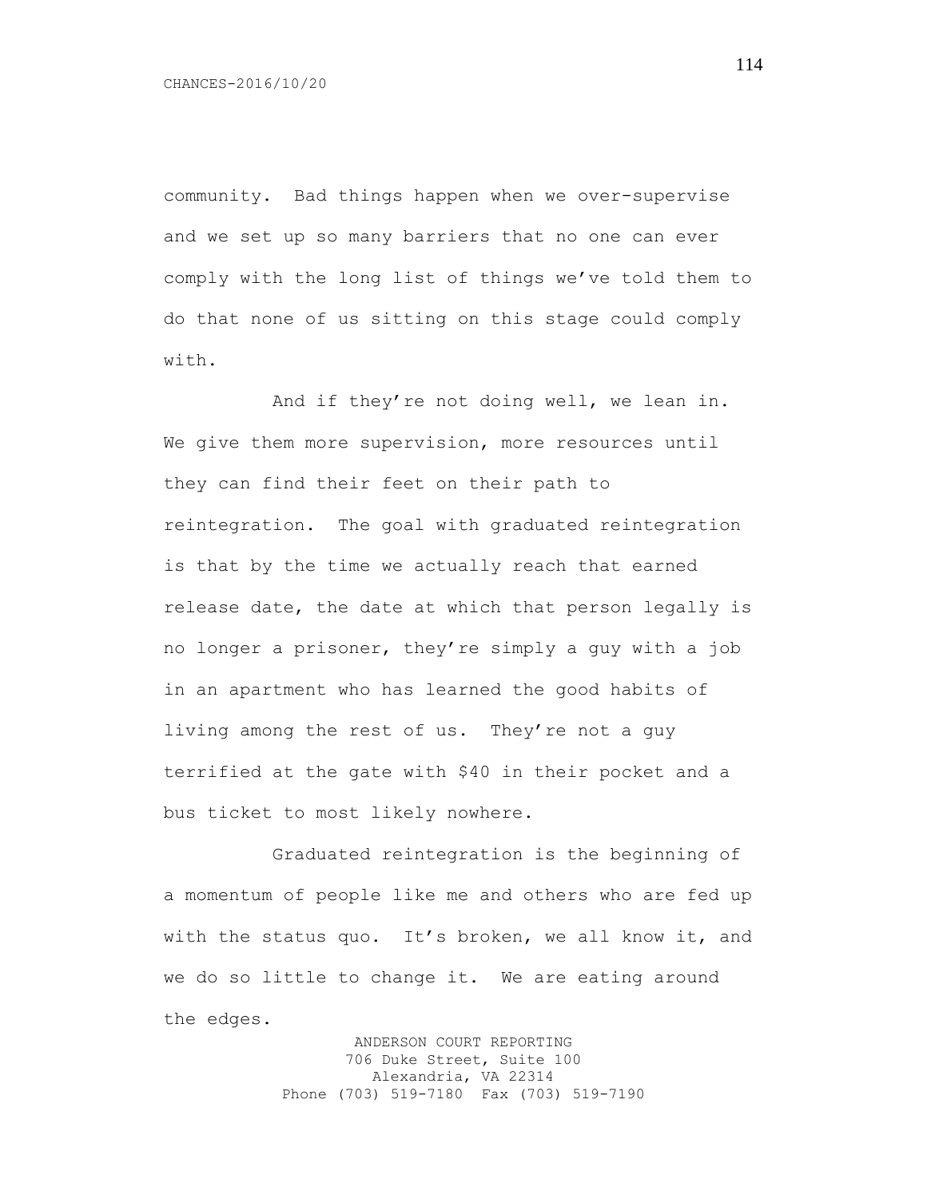community. Bad things happen when we over-supervise and we set up so many barriers that no one can ever comply with the long list of things we've told them to do that none of us sitting on this stage could comply with.

And if they're not doing well, we lean in. We give them more supervision, more resources until they can find their feet on their path to reintegration. The goal with graduated reintegration is that by the time we actually reach that earned release date, the date at which that person legally is no longer a prisoner, they're simply a guy with a job in an apartment who has learned the good habits of living among the rest of us. They're not a guy terrified at the gate with \$40 in their pocket and a bus ticket to most likely nowhere.

Graduated reintegration is the beginning of a momentum of people like me and others who are fed up with the status quo. It's broken, we all know it, and we do so little to change it. We are eating around the edges.

> ANDERSON COURT REPORTING 706 Duke Street, Suite 100 Alexandria, VA 22314 Phone (703) 519-7180 Fax (703) 519-7190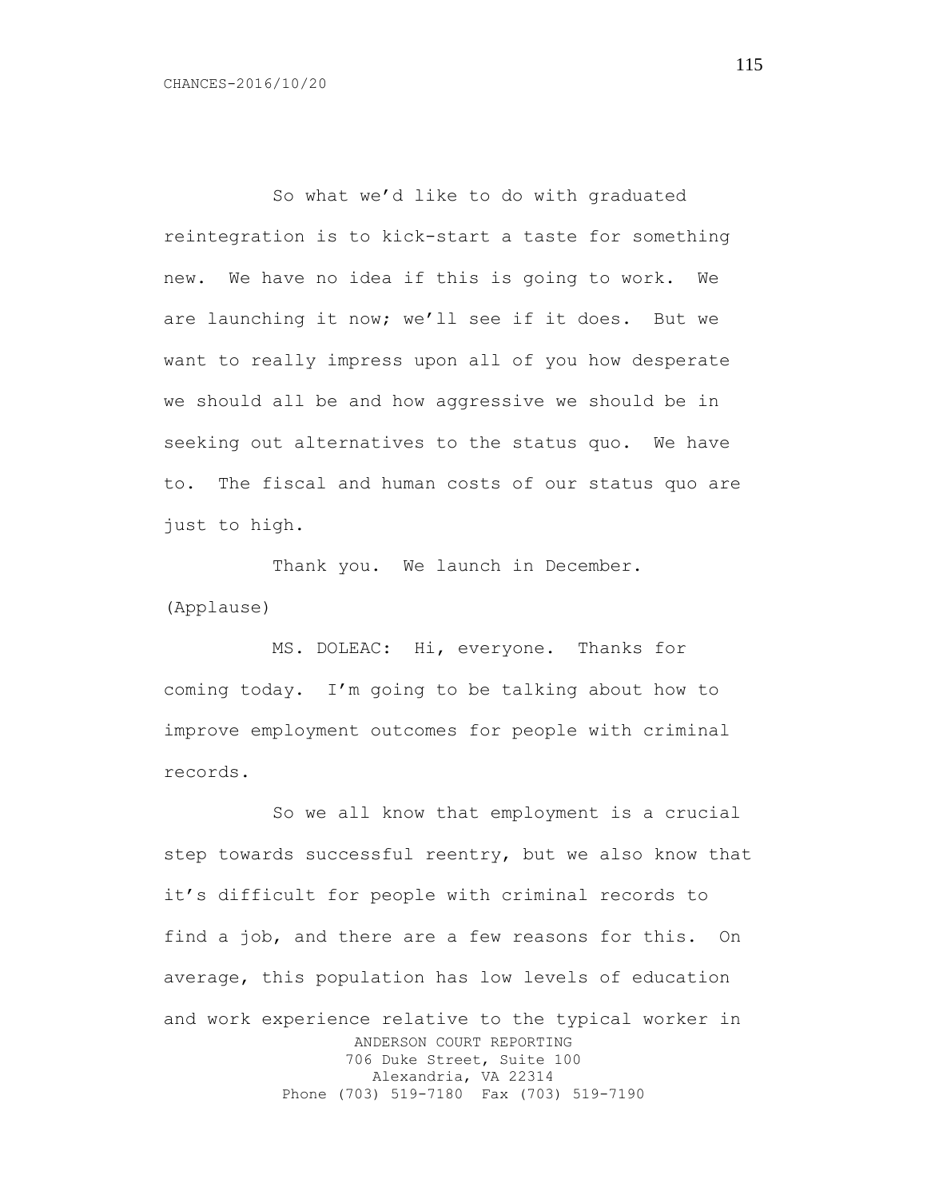So what we'd like to do with graduated reintegration is to kick-start a taste for something new. We have no idea if this is going to work. We are launching it now; we'll see if it does. But we want to really impress upon all of you how desperate we should all be and how aggressive we should be in seeking out alternatives to the status quo. We have to. The fiscal and human costs of our status quo are just to high.

Thank you. We launch in December. (Applause)

MS. DOLEAC: Hi, everyone. Thanks for coming today. I'm going to be talking about how to improve employment outcomes for people with criminal records.

ANDERSON COURT REPORTING 706 Duke Street, Suite 100 Alexandria, VA 22314 Phone (703) 519-7180 Fax (703) 519-7190 So we all know that employment is a crucial step towards successful reentry, but we also know that it's difficult for people with criminal records to find a job, and there are a few reasons for this. On average, this population has low levels of education and work experience relative to the typical worker in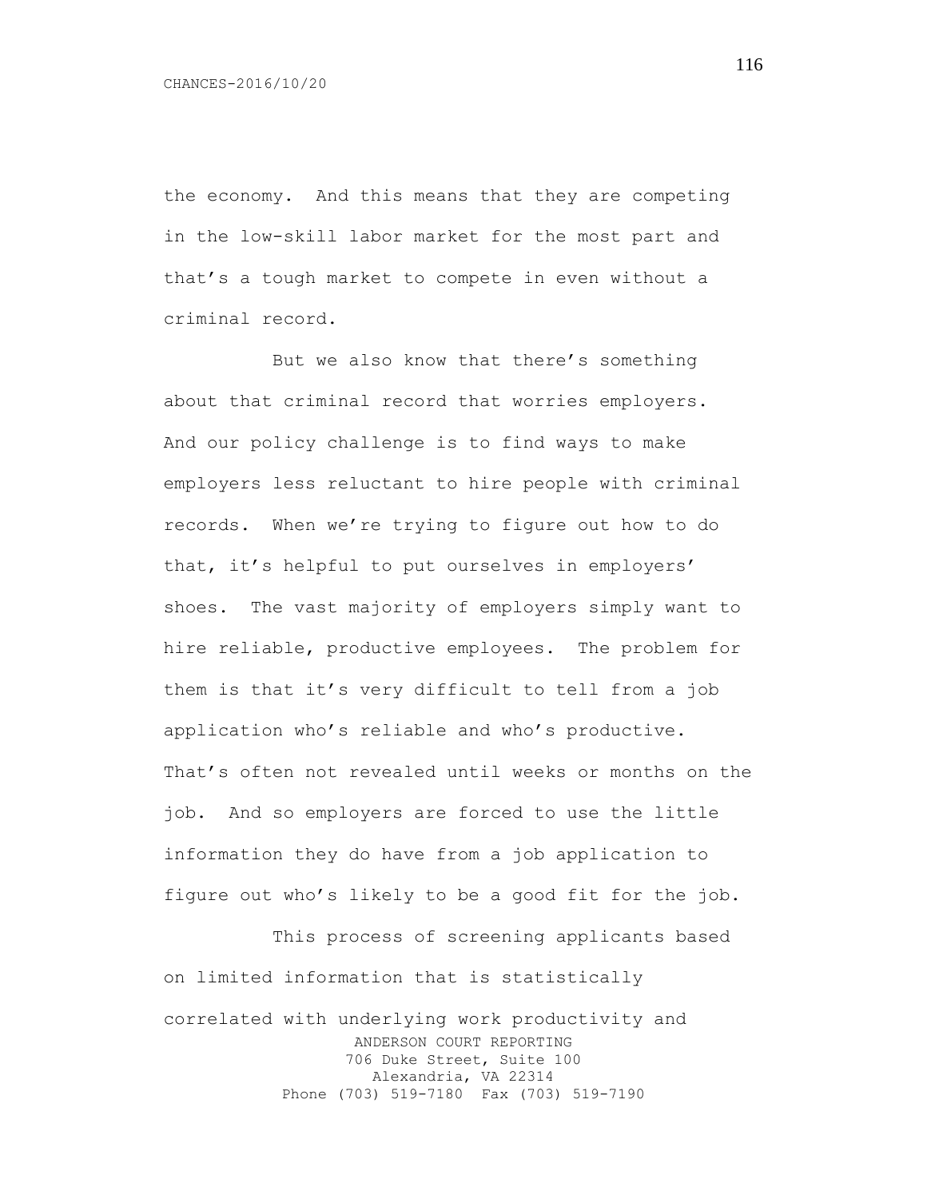the economy. And this means that they are competing in the low-skill labor market for the most part and that's a tough market to compete in even without a criminal record.

But we also know that there's something about that criminal record that worries employers. And our policy challenge is to find ways to make employers less reluctant to hire people with criminal records. When we're trying to figure out how to do that, it's helpful to put ourselves in employers' shoes. The vast majority of employers simply want to hire reliable, productive employees. The problem for them is that it's very difficult to tell from a job application who's reliable and who's productive. That's often not revealed until weeks or months on the job. And so employers are forced to use the little information they do have from a job application to figure out who's likely to be a good fit for the job.

ANDERSON COURT REPORTING 706 Duke Street, Suite 100 Alexandria, VA 22314 Phone (703) 519-7180 Fax (703) 519-7190 This process of screening applicants based on limited information that is statistically correlated with underlying work productivity and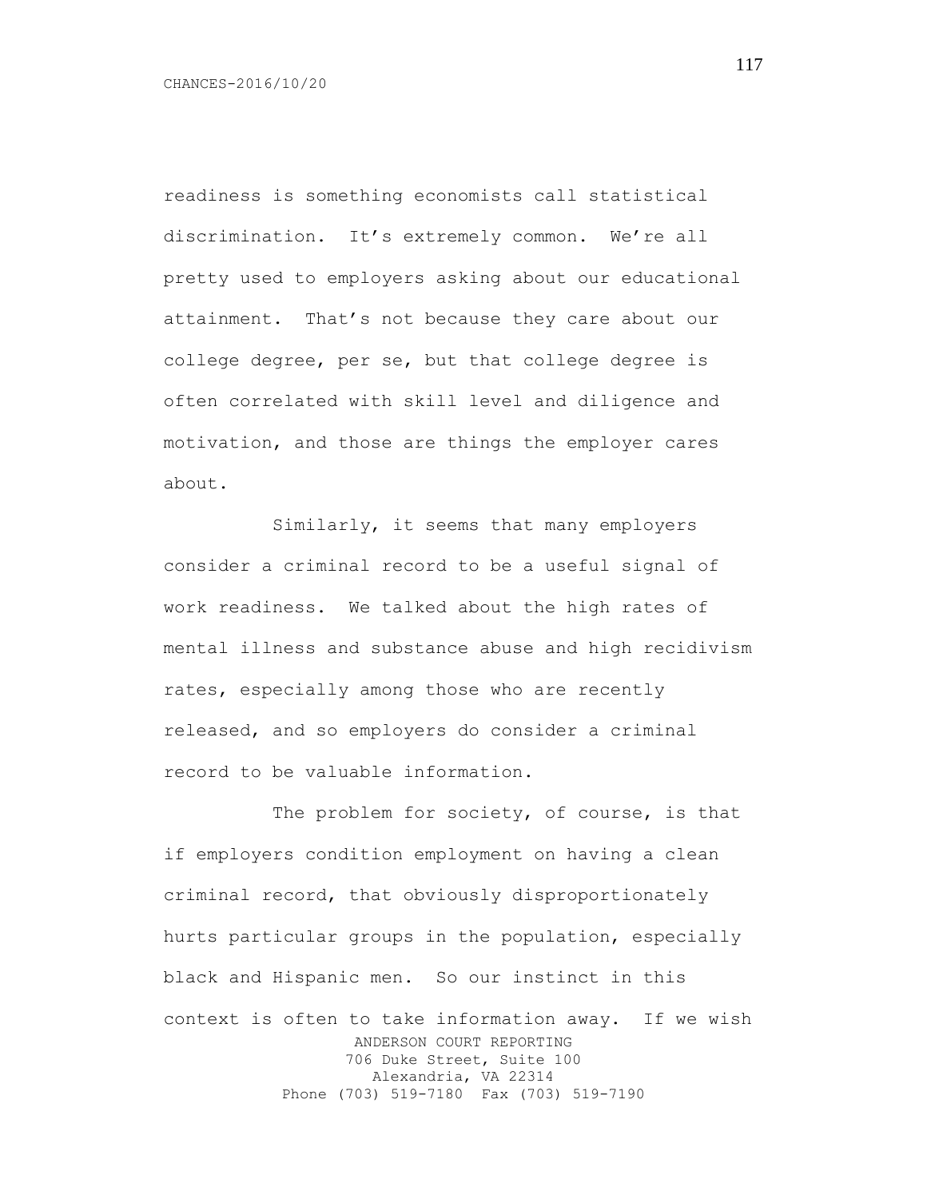readiness is something economists call statistical discrimination. It's extremely common. We're all pretty used to employers asking about our educational attainment. That's not because they care about our college degree, per se, but that college degree is often correlated with skill level and diligence and motivation, and those are things the employer cares about.

Similarly, it seems that many employers consider a criminal record to be a useful signal of work readiness. We talked about the high rates of mental illness and substance abuse and high recidivism rates, especially among those who are recently released, and so employers do consider a criminal record to be valuable information.

ANDERSON COURT REPORTING 706 Duke Street, Suite 100 Alexandria, VA 22314 Phone (703) 519-7180 Fax (703) 519-7190 The problem for society, of course, is that if employers condition employment on having a clean criminal record, that obviously disproportionately hurts particular groups in the population, especially black and Hispanic men. So our instinct in this context is often to take information away. If we wish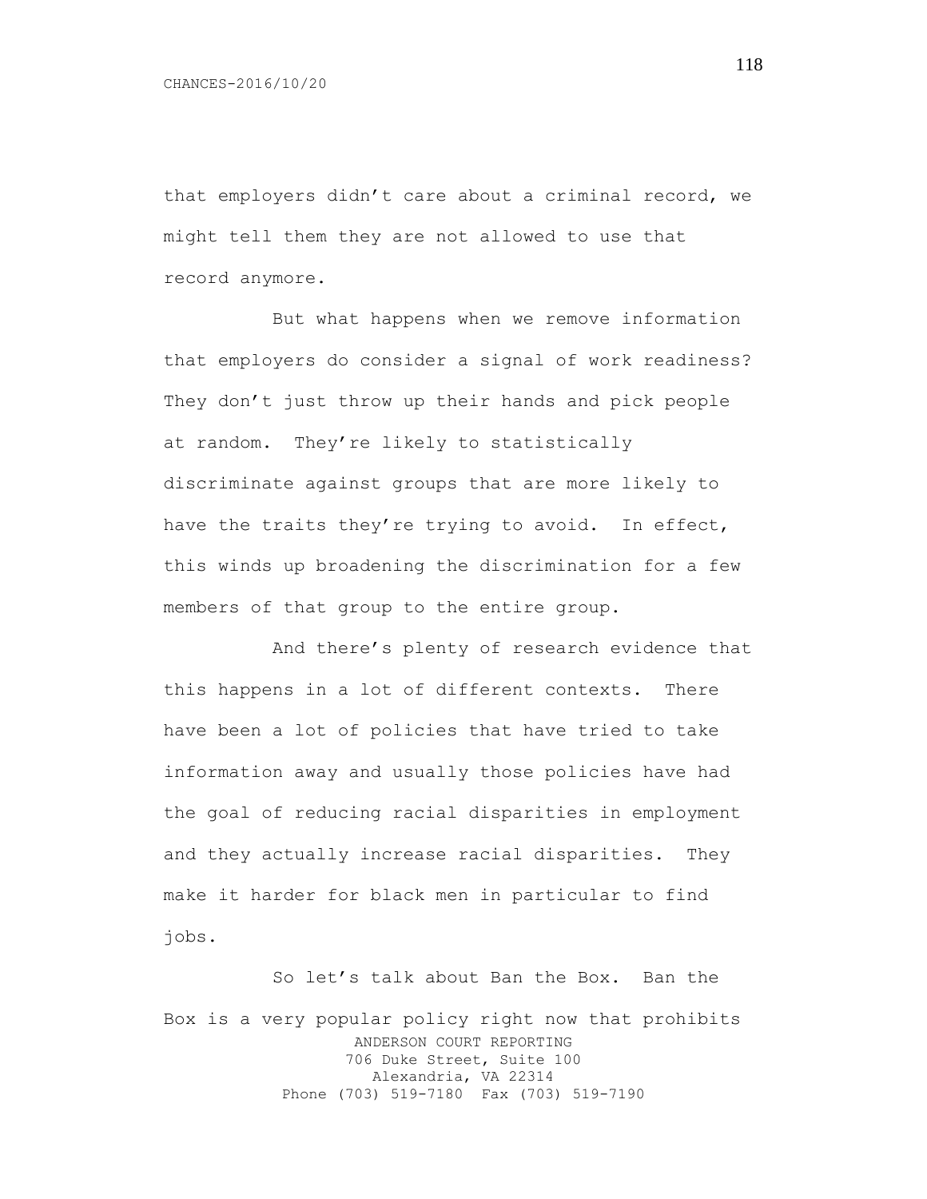that employers didn't care about a criminal record, we might tell them they are not allowed to use that record anymore.

But what happens when we remove information that employers do consider a signal of work readiness? They don't just throw up their hands and pick people at random. They're likely to statistically discriminate against groups that are more likely to have the traits they're trying to avoid. In effect, this winds up broadening the discrimination for a few members of that group to the entire group.

And there's plenty of research evidence that this happens in a lot of different contexts. There have been a lot of policies that have tried to take information away and usually those policies have had the goal of reducing racial disparities in employment and they actually increase racial disparities. They make it harder for black men in particular to find jobs.

ANDERSON COURT REPORTING 706 Duke Street, Suite 100 Alexandria, VA 22314 Phone (703) 519-7180 Fax (703) 519-7190 So let's talk about Ban the Box. Ban the Box is a very popular policy right now that prohibits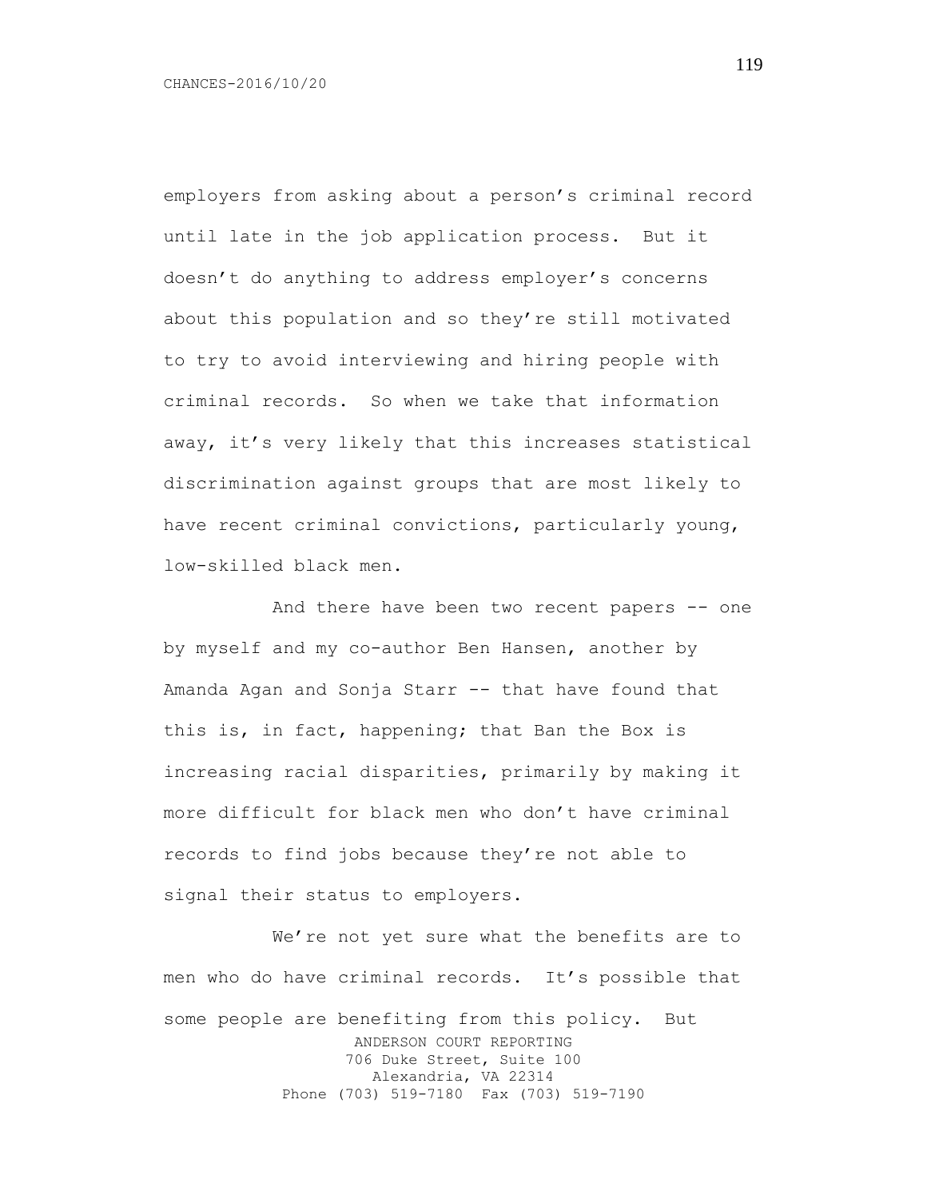employers from asking about a person's criminal record until late in the job application process. But it doesn't do anything to address employer's concerns about this population and so they're still motivated to try to avoid interviewing and hiring people with criminal records. So when we take that information away, it's very likely that this increases statistical discrimination against groups that are most likely to have recent criminal convictions, particularly young, low-skilled black men.

And there have been two recent papers -- one by myself and my co-author Ben Hansen, another by Amanda Agan and Sonja Starr -- that have found that this is, in fact, happening; that Ban the Box is increasing racial disparities, primarily by making it more difficult for black men who don't have criminal records to find jobs because they're not able to signal their status to employers.

ANDERSON COURT REPORTING 706 Duke Street, Suite 100 Alexandria, VA 22314 Phone (703) 519-7180 Fax (703) 519-7190 We're not yet sure what the benefits are to men who do have criminal records. It's possible that some people are benefiting from this policy. But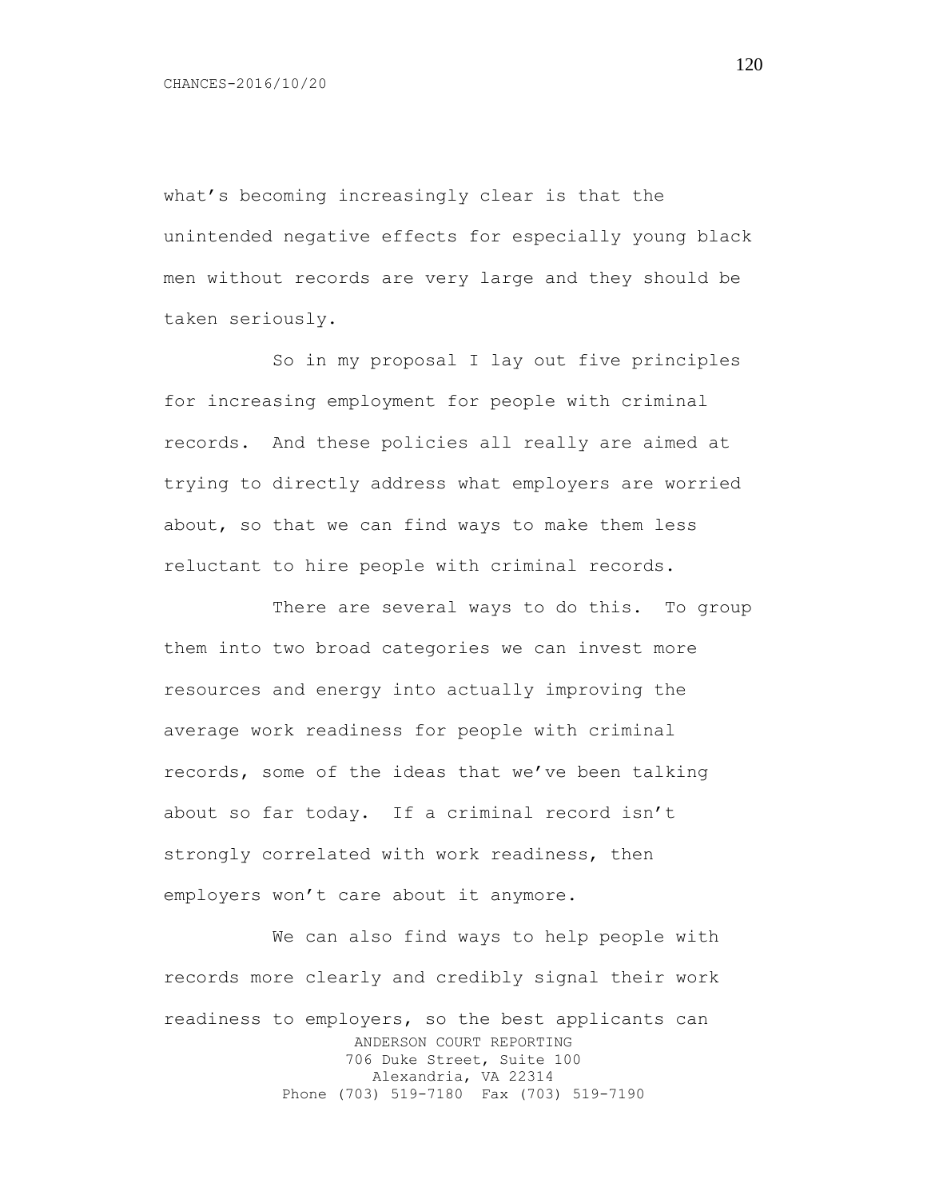what's becoming increasingly clear is that the unintended negative effects for especially young black men without records are very large and they should be taken seriously.

So in my proposal I lay out five principles for increasing employment for people with criminal records. And these policies all really are aimed at trying to directly address what employers are worried about, so that we can find ways to make them less reluctant to hire people with criminal records.

There are several ways to do this. To group them into two broad categories we can invest more resources and energy into actually improving the average work readiness for people with criminal records, some of the ideas that we've been talking about so far today. If a criminal record isn't strongly correlated with work readiness, then employers won't care about it anymore.

ANDERSON COURT REPORTING 706 Duke Street, Suite 100 Alexandria, VA 22314 Phone (703) 519-7180 Fax (703) 519-7190 We can also find ways to help people with records more clearly and credibly signal their work readiness to employers, so the best applicants can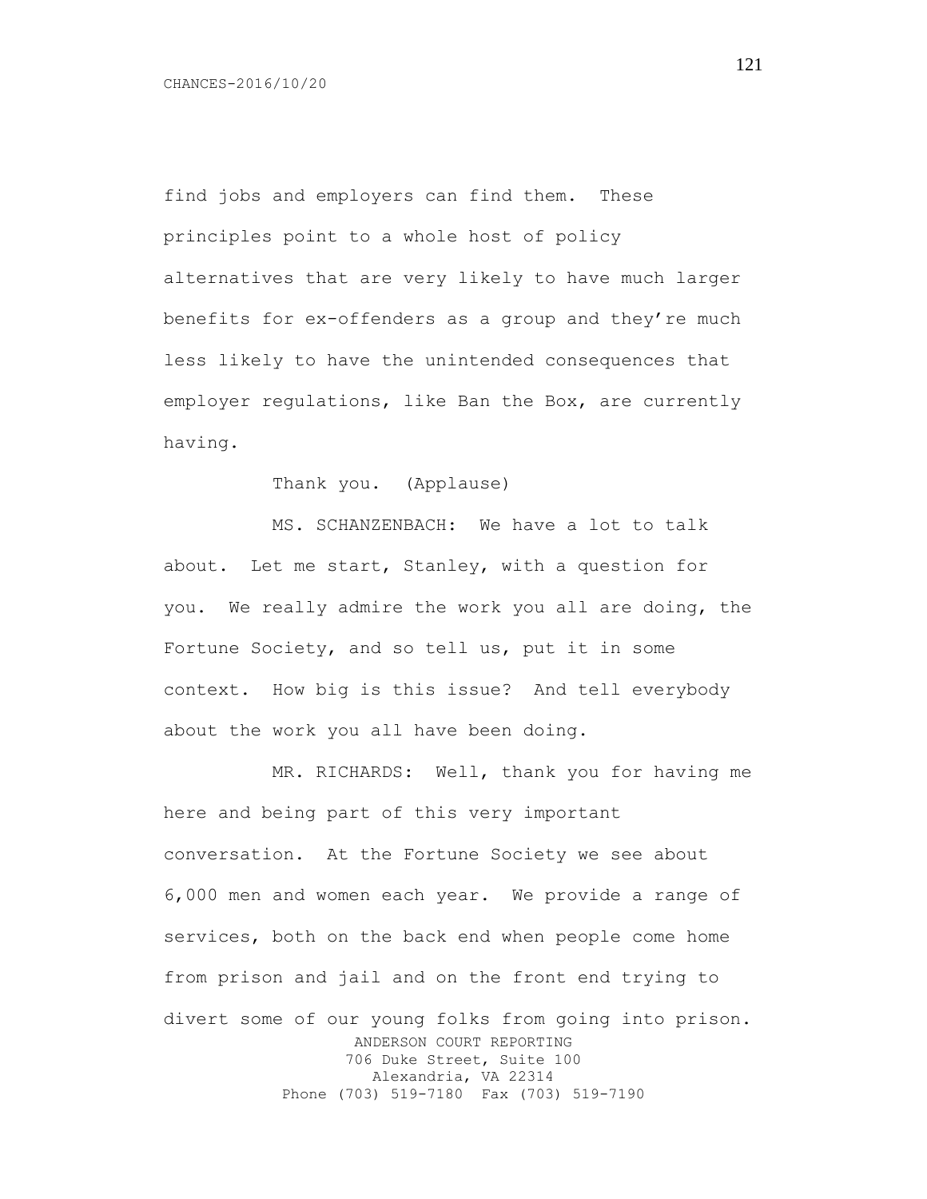find jobs and employers can find them. These principles point to a whole host of policy alternatives that are very likely to have much larger benefits for ex-offenders as a group and they're much less likely to have the unintended consequences that employer regulations, like Ban the Box, are currently having.

Thank you. (Applause)

MS. SCHANZENBACH: We have a lot to talk about. Let me start, Stanley, with a question for you. We really admire the work you all are doing, the Fortune Society, and so tell us, put it in some context. How big is this issue? And tell everybody about the work you all have been doing.

ANDERSON COURT REPORTING 706 Duke Street, Suite 100 Alexandria, VA 22314 Phone (703) 519-7180 Fax (703) 519-7190 MR. RICHARDS: Well, thank you for having me here and being part of this very important conversation. At the Fortune Society we see about 6,000 men and women each year. We provide a range of services, both on the back end when people come home from prison and jail and on the front end trying to divert some of our young folks from going into prison.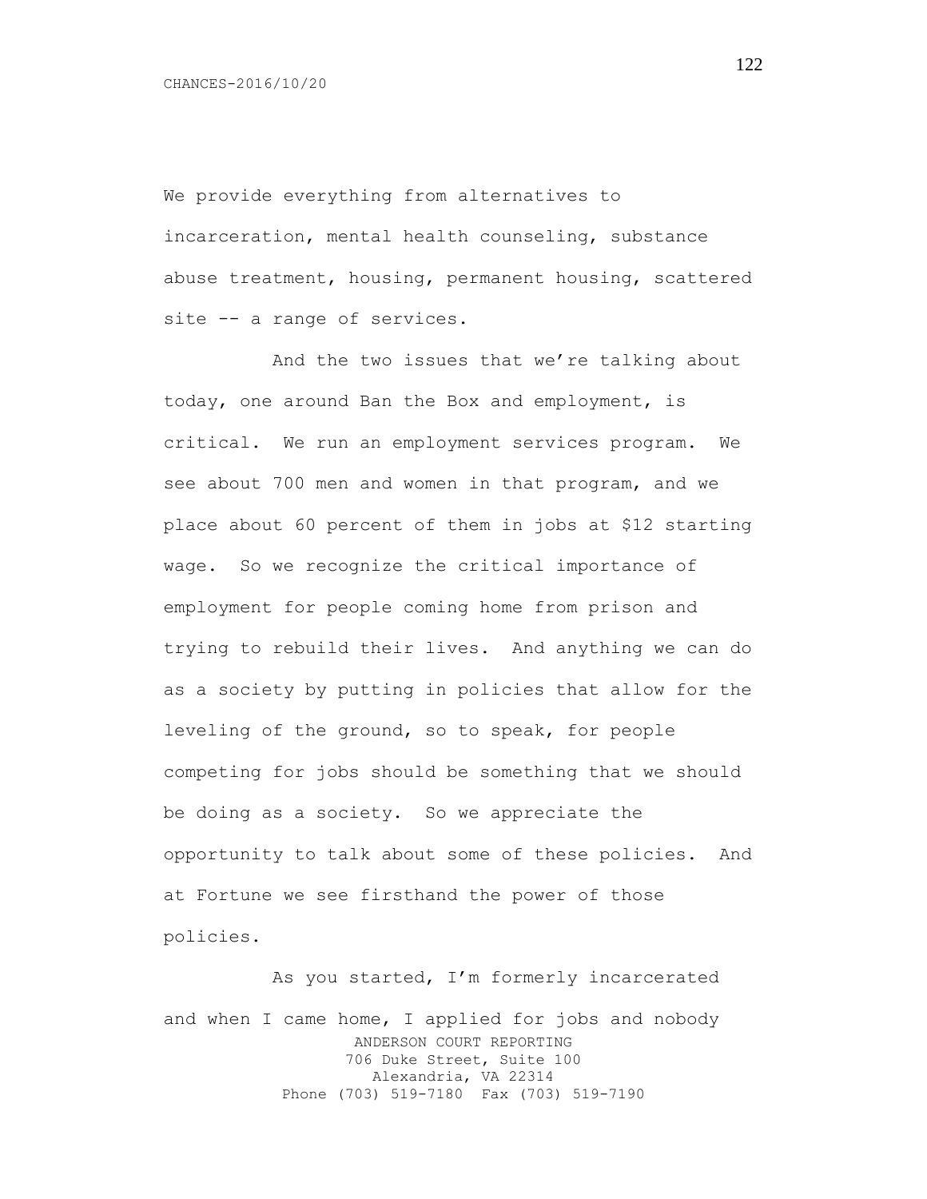We provide everything from alternatives to incarceration, mental health counseling, substance abuse treatment, housing, permanent housing, scattered site -- a range of services.

And the two issues that we're talking about today, one around Ban the Box and employment, is critical. We run an employment services program. We see about 700 men and women in that program, and we place about 60 percent of them in jobs at \$12 starting wage. So we recognize the critical importance of employment for people coming home from prison and trying to rebuild their lives. And anything we can do as a society by putting in policies that allow for the leveling of the ground, so to speak, for people competing for jobs should be something that we should be doing as a society. So we appreciate the opportunity to talk about some of these policies. And at Fortune we see firsthand the power of those policies.

ANDERSON COURT REPORTING 706 Duke Street, Suite 100 Alexandria, VA 22314 Phone (703) 519-7180 Fax (703) 519-7190 As you started, I'm formerly incarcerated and when I came home, I applied for jobs and nobody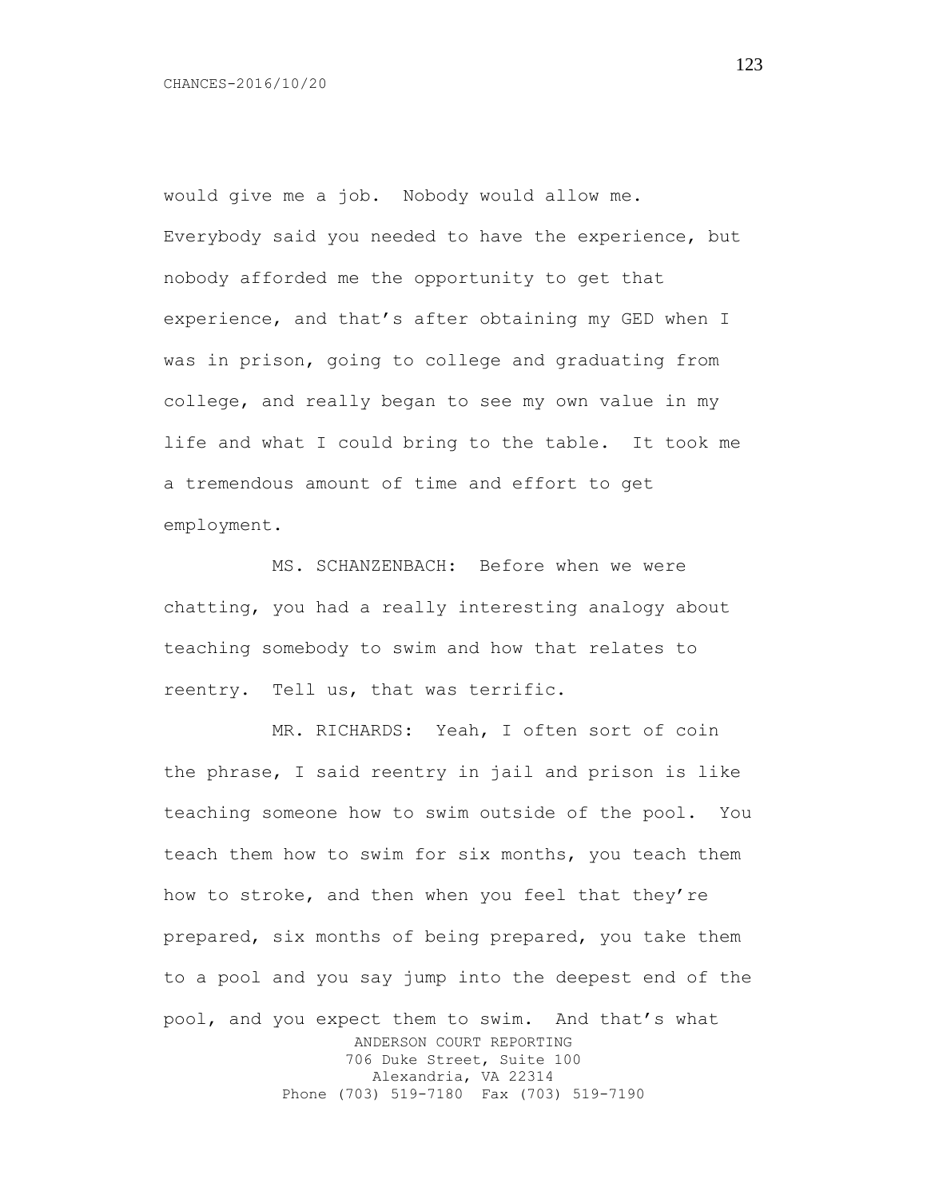would give me a job. Nobody would allow me. Everybody said you needed to have the experience, but nobody afforded me the opportunity to get that experience, and that's after obtaining my GED when I was in prison, going to college and graduating from college, and really began to see my own value in my life and what I could bring to the table. It took me a tremendous amount of time and effort to get employment.

MS. SCHANZENBACH: Before when we were chatting, you had a really interesting analogy about teaching somebody to swim and how that relates to reentry. Tell us, that was terrific.

ANDERSON COURT REPORTING 706 Duke Street, Suite 100 Alexandria, VA 22314 Phone (703) 519-7180 Fax (703) 519-7190 MR. RICHARDS: Yeah, I often sort of coin the phrase, I said reentry in jail and prison is like teaching someone how to swim outside of the pool. You teach them how to swim for six months, you teach them how to stroke, and then when you feel that they're prepared, six months of being prepared, you take them to a pool and you say jump into the deepest end of the pool, and you expect them to swim. And that's what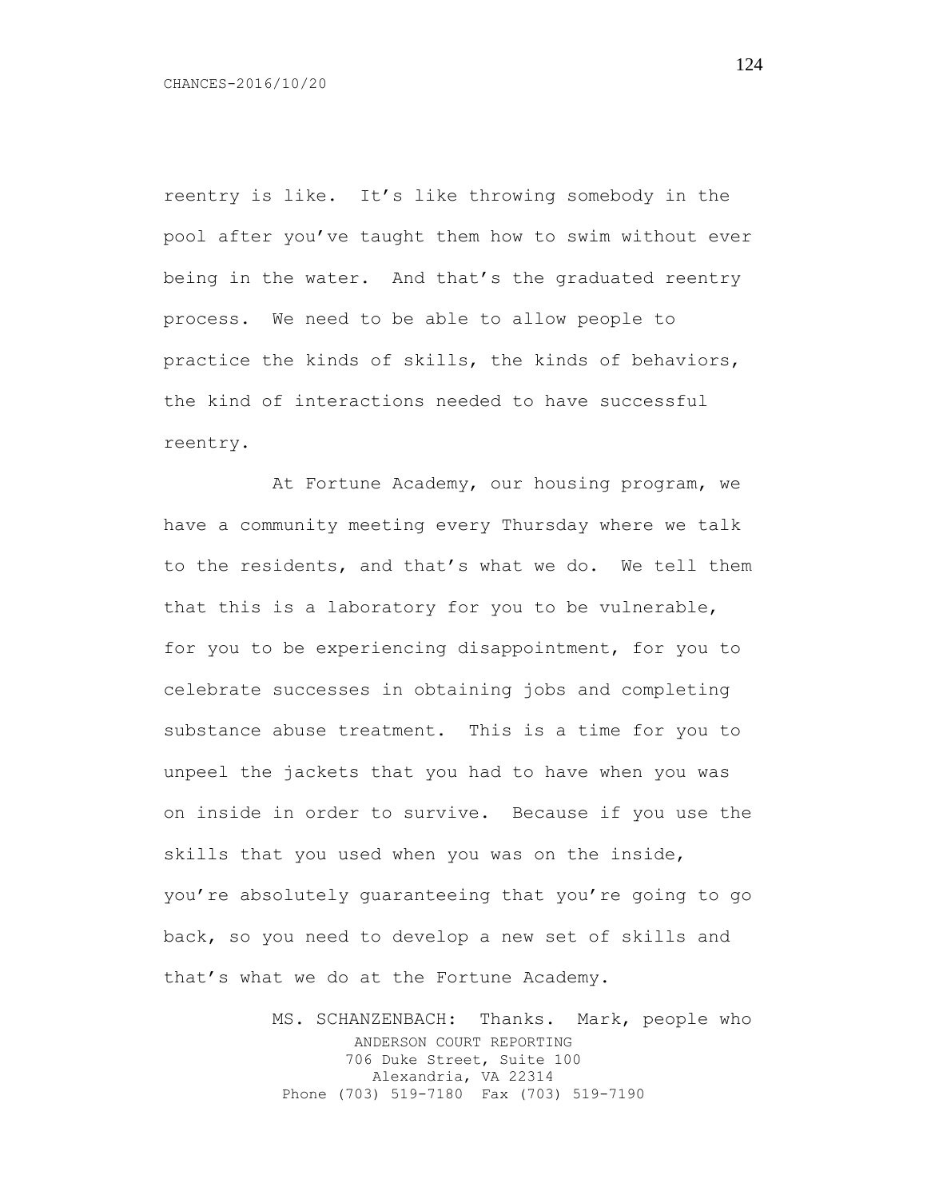reentry is like. It's like throwing somebody in the pool after you've taught them how to swim without ever being in the water. And that's the graduated reentry process. We need to be able to allow people to practice the kinds of skills, the kinds of behaviors, the kind of interactions needed to have successful reentry.

At Fortune Academy, our housing program, we have a community meeting every Thursday where we talk to the residents, and that's what we do. We tell them that this is a laboratory for you to be vulnerable, for you to be experiencing disappointment, for you to celebrate successes in obtaining jobs and completing substance abuse treatment. This is a time for you to unpeel the jackets that you had to have when you was on inside in order to survive. Because if you use the skills that you used when you was on the inside, you're absolutely guaranteeing that you're going to go back, so you need to develop a new set of skills and that's what we do at the Fortune Academy.

> ANDERSON COURT REPORTING 706 Duke Street, Suite 100 Alexandria, VA 22314 Phone (703) 519-7180 Fax (703) 519-7190 MS. SCHANZENBACH: Thanks. Mark, people who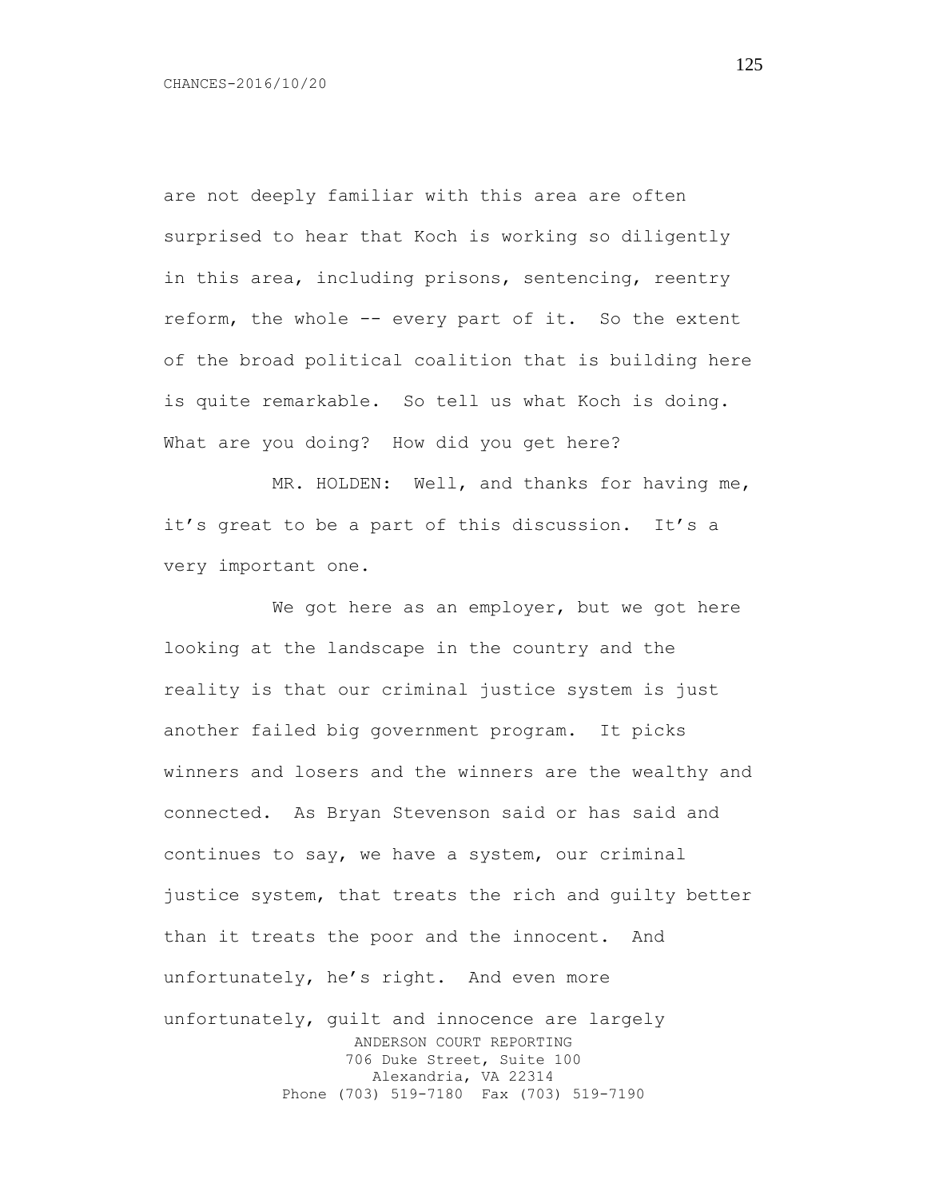are not deeply familiar with this area are often surprised to hear that Koch is working so diligently in this area, including prisons, sentencing, reentry reform, the whole -- every part of it. So the extent of the broad political coalition that is building here is quite remarkable. So tell us what Koch is doing. What are you doing? How did you get here?

MR. HOLDEN: Well, and thanks for having me, it's great to be a part of this discussion. It's a very important one.

ANDERSON COURT REPORTING 706 Duke Street, Suite 100 Alexandria, VA 22314 Phone (703) 519-7180 Fax (703) 519-7190 We got here as an employer, but we got here looking at the landscape in the country and the reality is that our criminal justice system is just another failed big government program. It picks winners and losers and the winners are the wealthy and connected. As Bryan Stevenson said or has said and continues to say, we have a system, our criminal justice system, that treats the rich and guilty better than it treats the poor and the innocent. And unfortunately, he's right. And even more unfortunately, guilt and innocence are largely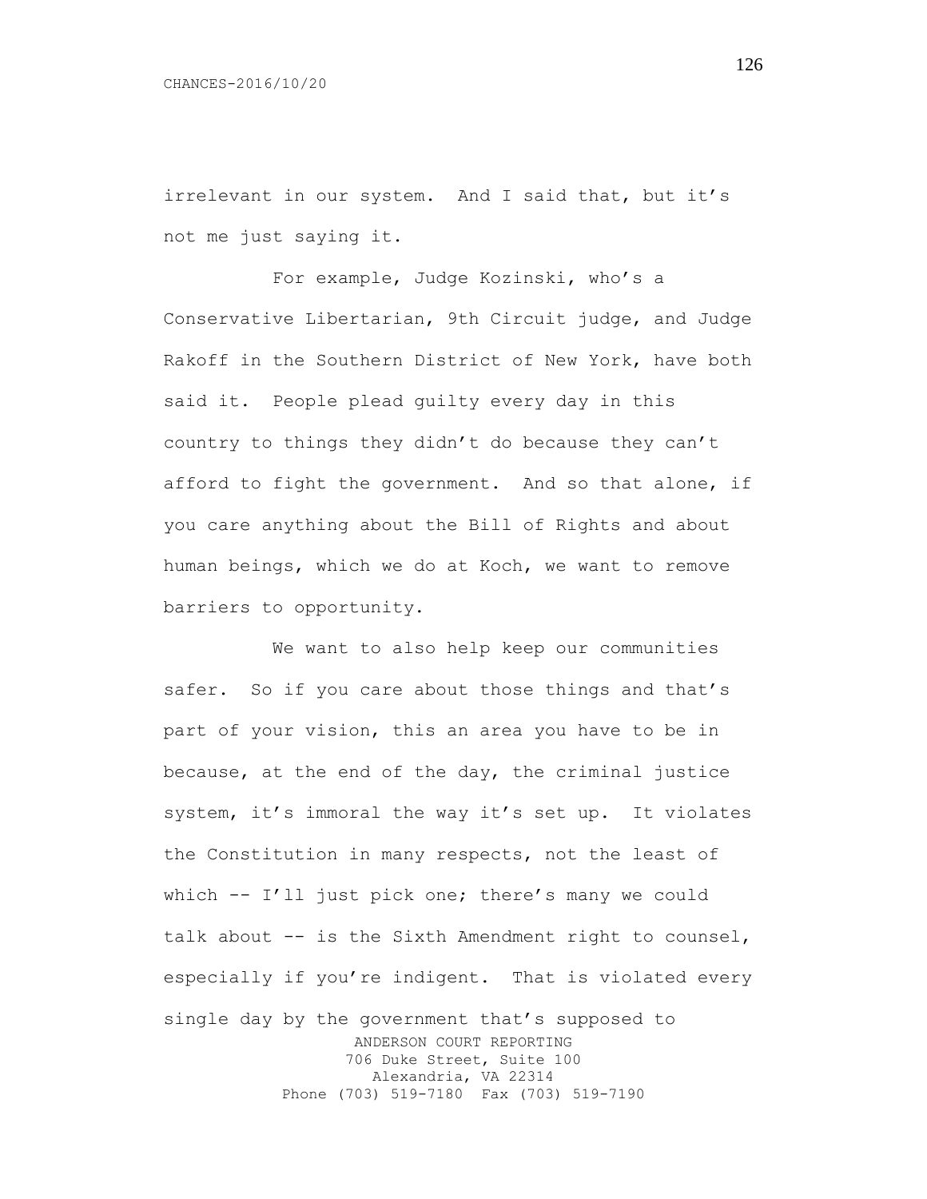irrelevant in our system. And I said that, but it's not me just saying it.

For example, Judge Kozinski, who's a Conservative Libertarian, 9th Circuit judge, and Judge Rakoff in the Southern District of New York, have both said it. People plead guilty every day in this country to things they didn't do because they can't afford to fight the government. And so that alone, if you care anything about the Bill of Rights and about human beings, which we do at Koch, we want to remove barriers to opportunity.

ANDERSON COURT REPORTING 706 Duke Street, Suite 100 Alexandria, VA 22314 Phone (703) 519-7180 Fax (703) 519-7190 We want to also help keep our communities safer. So if you care about those things and that's part of your vision, this an area you have to be in because, at the end of the day, the criminal justice system, it's immoral the way it's set up. It violates the Constitution in many respects, not the least of which -- I'll just pick one; there's many we could talk about -- is the Sixth Amendment right to counsel, especially if you're indigent. That is violated every single day by the government that's supposed to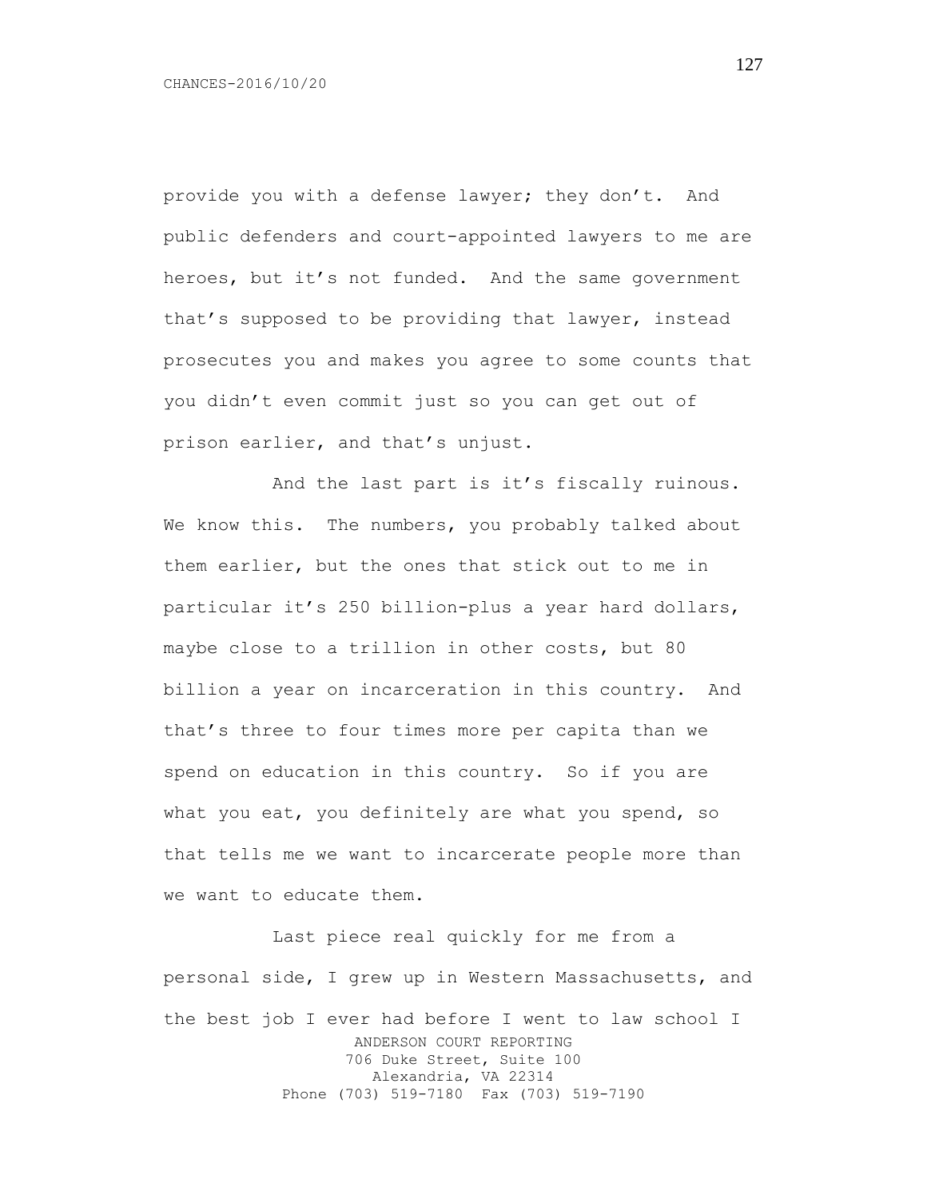provide you with a defense lawyer; they don't. And public defenders and court-appointed lawyers to me are heroes, but it's not funded. And the same government that's supposed to be providing that lawyer, instead prosecutes you and makes you agree to some counts that you didn't even commit just so you can get out of prison earlier, and that's unjust.

And the last part is it's fiscally ruinous. We know this. The numbers, you probably talked about them earlier, but the ones that stick out to me in particular it's 250 billion-plus a year hard dollars, maybe close to a trillion in other costs, but 80 billion a year on incarceration in this country. And that's three to four times more per capita than we spend on education in this country. So if you are what you eat, you definitely are what you spend, so that tells me we want to incarcerate people more than we want to educate them.

ANDERSON COURT REPORTING 706 Duke Street, Suite 100 Alexandria, VA 22314 Phone (703) 519-7180 Fax (703) 519-7190 Last piece real quickly for me from a personal side, I grew up in Western Massachusetts, and the best job I ever had before I went to law school I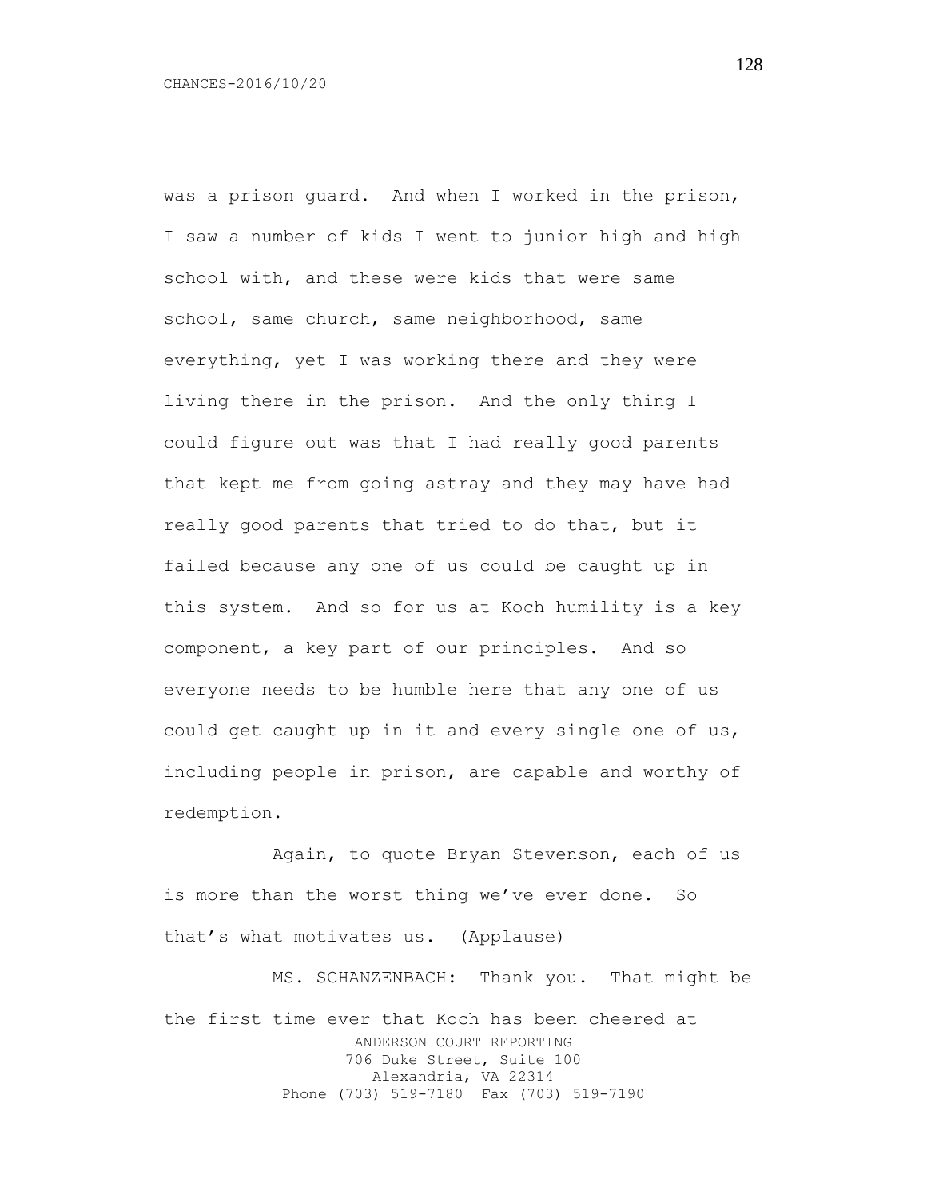was a prison guard. And when I worked in the prison, I saw a number of kids I went to junior high and high school with, and these were kids that were same school, same church, same neighborhood, same everything, yet I was working there and they were living there in the prison. And the only thing I could figure out was that I had really good parents that kept me from going astray and they may have had really good parents that tried to do that, but it failed because any one of us could be caught up in this system. And so for us at Koch humility is a key component, a key part of our principles. And so everyone needs to be humble here that any one of us could get caught up in it and every single one of us, including people in prison, are capable and worthy of redemption.

Again, to quote Bryan Stevenson, each of us is more than the worst thing we've ever done. So that's what motivates us. (Applause)

ANDERSON COURT REPORTING 706 Duke Street, Suite 100 Alexandria, VA 22314 Phone (703) 519-7180 Fax (703) 519-7190 MS. SCHANZENBACH: Thank you. That might be the first time ever that Koch has been cheered at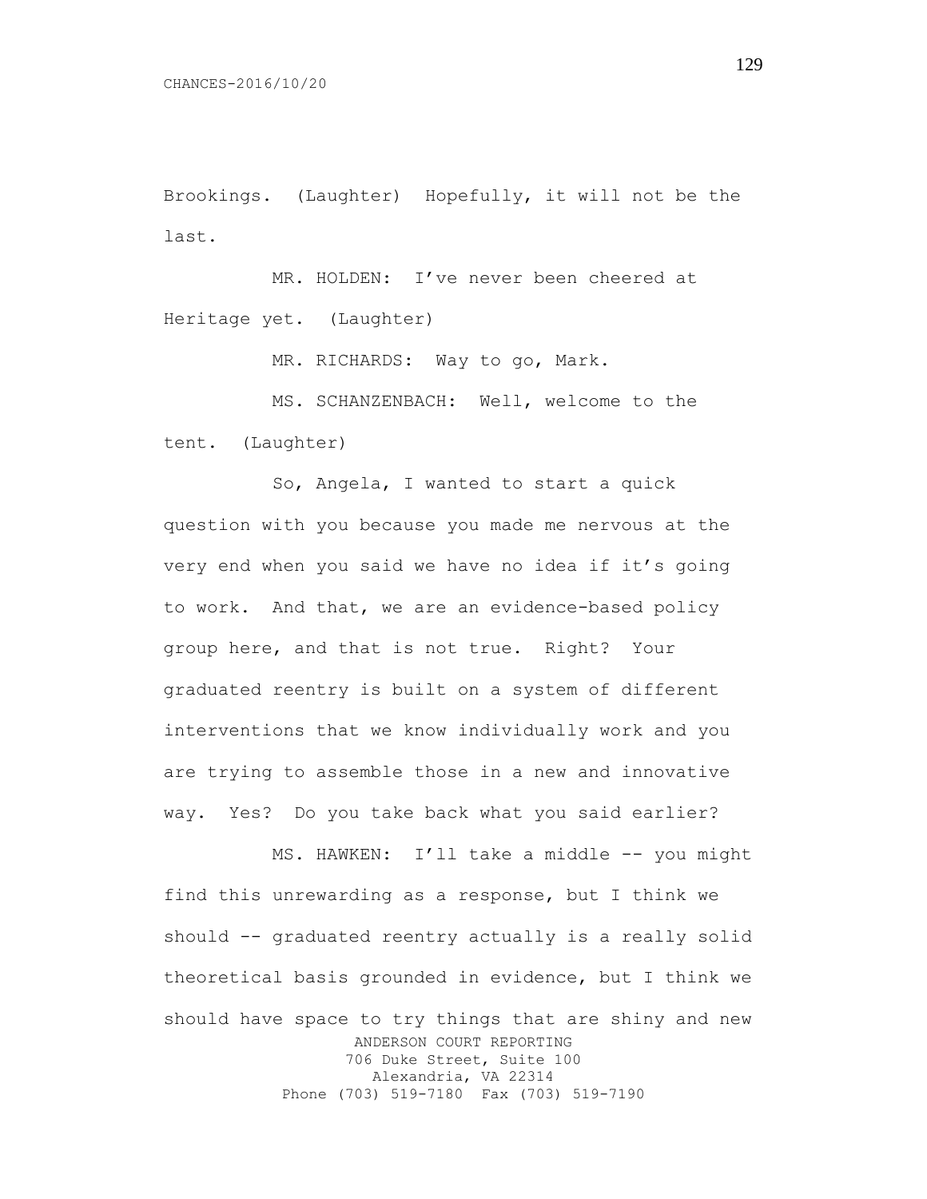Brookings. (Laughter) Hopefully, it will not be the last.

MR. HOLDEN: I've never been cheered at Heritage yet. (Laughter)

MR. RICHARDS: Way to go, Mark.

MS. SCHANZENBACH: Well, welcome to the tent. (Laughter)

So, Angela, I wanted to start a quick question with you because you made me nervous at the very end when you said we have no idea if it's going to work. And that, we are an evidence-based policy group here, and that is not true. Right? Your graduated reentry is built on a system of different interventions that we know individually work and you are trying to assemble those in a new and innovative way. Yes? Do you take back what you said earlier?

ANDERSON COURT REPORTING 706 Duke Street, Suite 100 Alexandria, VA 22314 Phone (703) 519-7180 Fax (703) 519-7190 MS. HAWKEN: I'll take a middle -- you might find this unrewarding as a response, but I think we should -- graduated reentry actually is a really solid theoretical basis grounded in evidence, but I think we should have space to try things that are shiny and new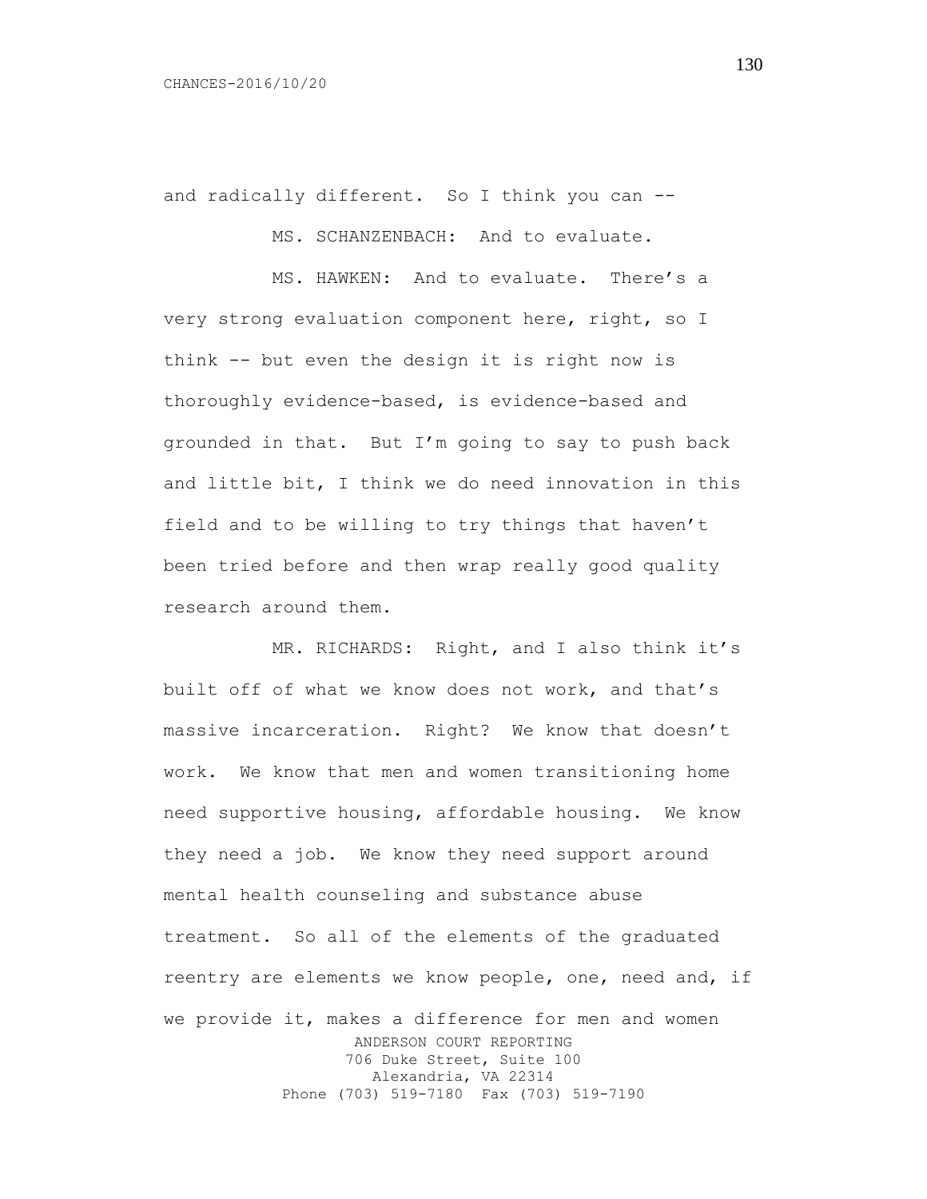and radically different. So I think you can --

MS. SCHANZENBACH: And to evaluate.

MS. HAWKEN: And to evaluate. There's a very strong evaluation component here, right, so I think -- but even the design it is right now is thoroughly evidence-based, is evidence-based and grounded in that. But I'm going to say to push back and little bit, I think we do need innovation in this field and to be willing to try things that haven't been tried before and then wrap really good quality research around them.

ANDERSON COURT REPORTING 706 Duke Street, Suite 100 Alexandria, VA 22314 Phone (703) 519-7180 Fax (703) 519-7190 MR. RICHARDS: Right, and I also think it's built off of what we know does not work, and that's massive incarceration. Right? We know that doesn't work. We know that men and women transitioning home need supportive housing, affordable housing. We know they need a job. We know they need support around mental health counseling and substance abuse treatment. So all of the elements of the graduated reentry are elements we know people, one, need and, if we provide it, makes a difference for men and women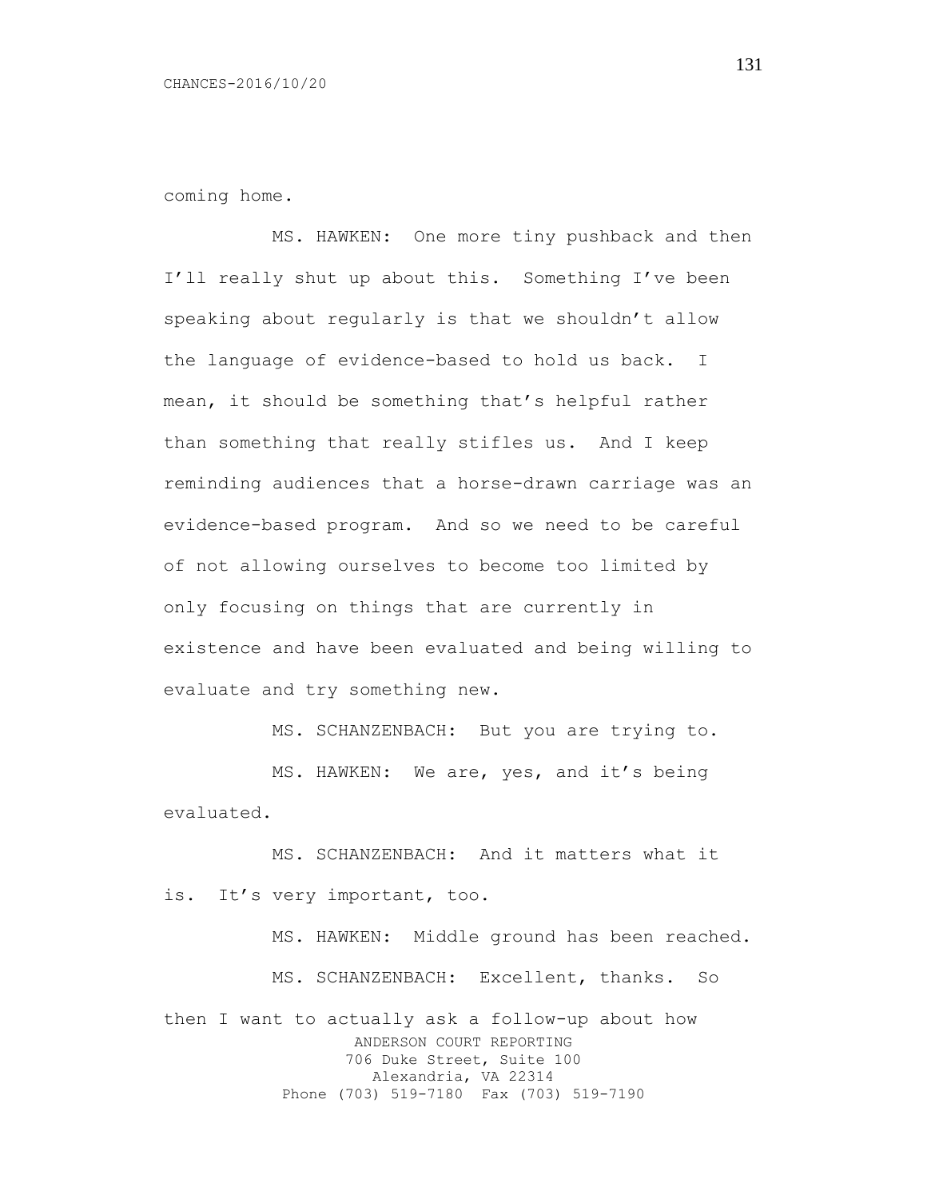coming home.

MS. HAWKEN: One more tiny pushback and then I'll really shut up about this. Something I've been speaking about regularly is that we shouldn't allow the language of evidence-based to hold us back. I mean, it should be something that's helpful rather than something that really stifles us. And I keep reminding audiences that a horse-drawn carriage was an evidence-based program. And so we need to be careful of not allowing ourselves to become too limited by only focusing on things that are currently in existence and have been evaluated and being willing to evaluate and try something new.

MS. SCHANZENBACH: But you are trying to.

MS. HAWKEN: We are, yes, and it's being evaluated.

MS. SCHANZENBACH: And it matters what it is. It's very important, too.

ANDERSON COURT REPORTING 706 Duke Street, Suite 100 Alexandria, VA 22314 Phone (703) 519-7180 Fax (703) 519-7190 MS. HAWKEN: Middle ground has been reached. MS. SCHANZENBACH: Excellent, thanks. So then I want to actually ask a follow-up about how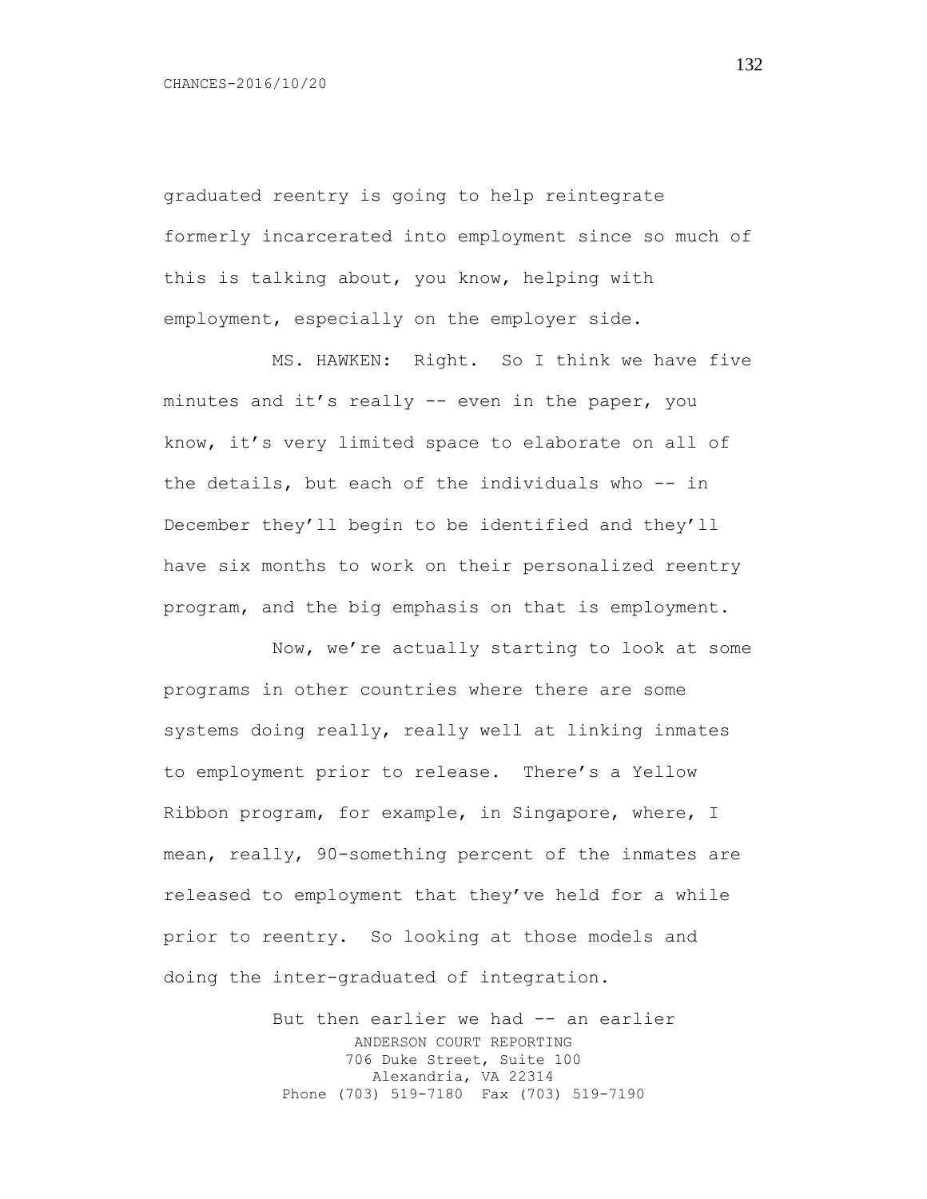graduated reentry is going to help reintegrate formerly incarcerated into employment since so much of this is talking about, you know, helping with employment, especially on the employer side.

MS. HAWKEN: Right. So I think we have five minutes and it's really -- even in the paper, you know, it's very limited space to elaborate on all of the details, but each of the individuals who -- in December they'll begin to be identified and they'll have six months to work on their personalized reentry program, and the big emphasis on that is employment.

Now, we're actually starting to look at some programs in other countries where there are some systems doing really, really well at linking inmates to employment prior to release. There's a Yellow Ribbon program, for example, in Singapore, where, I mean, really, 90-something percent of the inmates are released to employment that they've held for a while prior to reentry. So looking at those models and doing the inter-graduated of integration.

> ANDERSON COURT REPORTING 706 Duke Street, Suite 100 Alexandria, VA 22314 Phone (703) 519-7180 Fax (703) 519-7190 But then earlier we had -- an earlier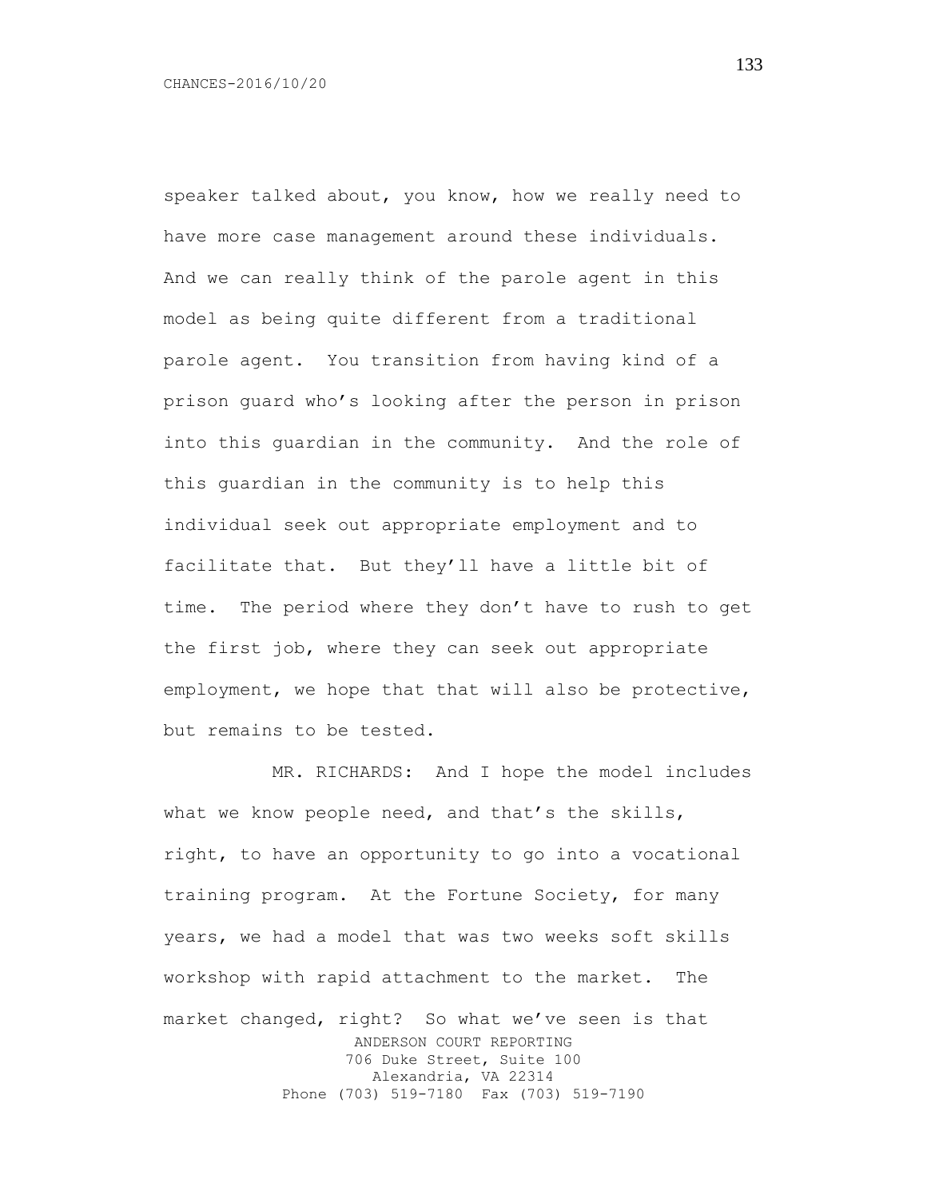speaker talked about, you know, how we really need to have more case management around these individuals. And we can really think of the parole agent in this model as being quite different from a traditional parole agent. You transition from having kind of a prison guard who's looking after the person in prison into this guardian in the community. And the role of this guardian in the community is to help this individual seek out appropriate employment and to facilitate that. But they'll have a little bit of time. The period where they don't have to rush to get the first job, where they can seek out appropriate employment, we hope that that will also be protective, but remains to be tested.

ANDERSON COURT REPORTING 706 Duke Street, Suite 100 Alexandria, VA 22314 Phone (703) 519-7180 Fax (703) 519-7190 MR. RICHARDS: And I hope the model includes what we know people need, and that's the skills, right, to have an opportunity to go into a vocational training program. At the Fortune Society, for many years, we had a model that was two weeks soft skills workshop with rapid attachment to the market. The market changed, right? So what we've seen is that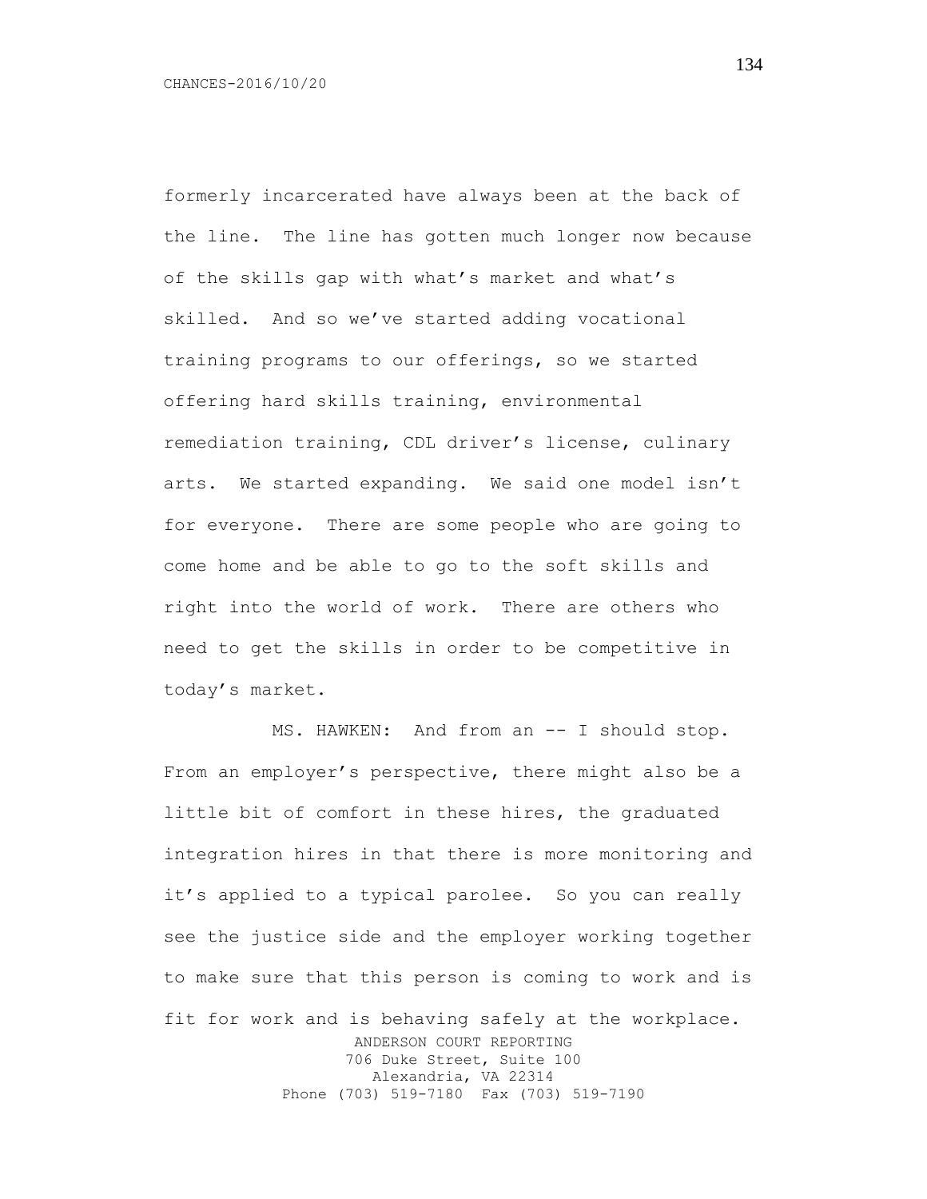formerly incarcerated have always been at the back of the line. The line has gotten much longer now because of the skills gap with what's market and what's skilled. And so we've started adding vocational training programs to our offerings, so we started offering hard skills training, environmental remediation training, CDL driver's license, culinary arts. We started expanding. We said one model isn't for everyone. There are some people who are going to come home and be able to go to the soft skills and right into the world of work. There are others who need to get the skills in order to be competitive in today's market.

ANDERSON COURT REPORTING 706 Duke Street, Suite 100 Alexandria, VA 22314 Phone (703) 519-7180 Fax (703) 519-7190 MS. HAWKEN: And from an -- I should stop. From an employer's perspective, there might also be a little bit of comfort in these hires, the graduated integration hires in that there is more monitoring and it's applied to a typical parolee. So you can really see the justice side and the employer working together to make sure that this person is coming to work and is fit for work and is behaving safely at the workplace.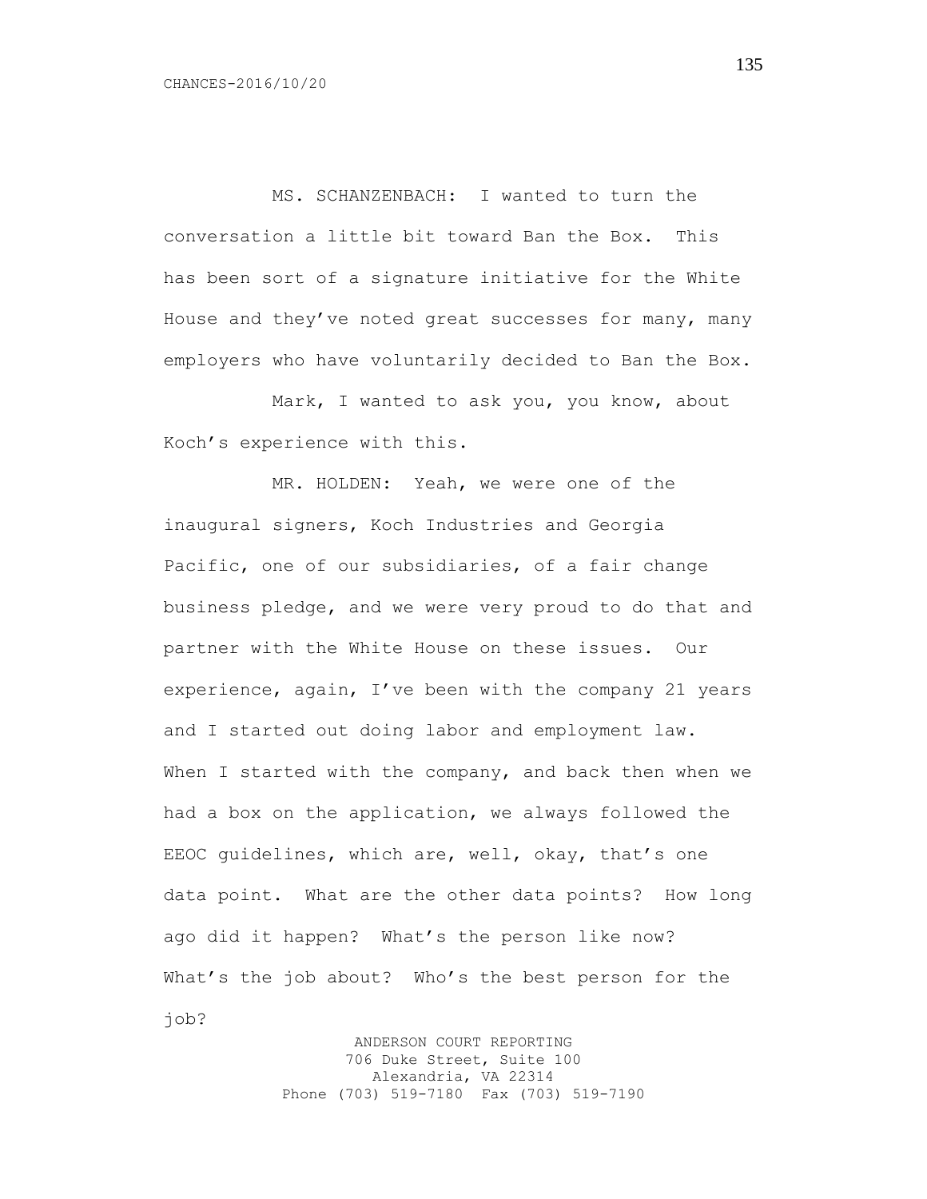MS. SCHANZENBACH: I wanted to turn the conversation a little bit toward Ban the Box. This has been sort of a signature initiative for the White House and they've noted great successes for many, many employers who have voluntarily decided to Ban the Box.

Mark, I wanted to ask you, you know, about Koch's experience with this.

MR. HOLDEN: Yeah, we were one of the inaugural signers, Koch Industries and Georgia Pacific, one of our subsidiaries, of a fair change business pledge, and we were very proud to do that and partner with the White House on these issues. Our experience, again, I've been with the company 21 years and I started out doing labor and employment law. When I started with the company, and back then when we had a box on the application, we always followed the EEOC guidelines, which are, well, okay, that's one data point. What are the other data points? How long ago did it happen? What's the person like now? What's the job about? Who's the best person for the job?

> ANDERSON COURT REPORTING 706 Duke Street, Suite 100 Alexandria, VA 22314 Phone (703) 519-7180 Fax (703) 519-7190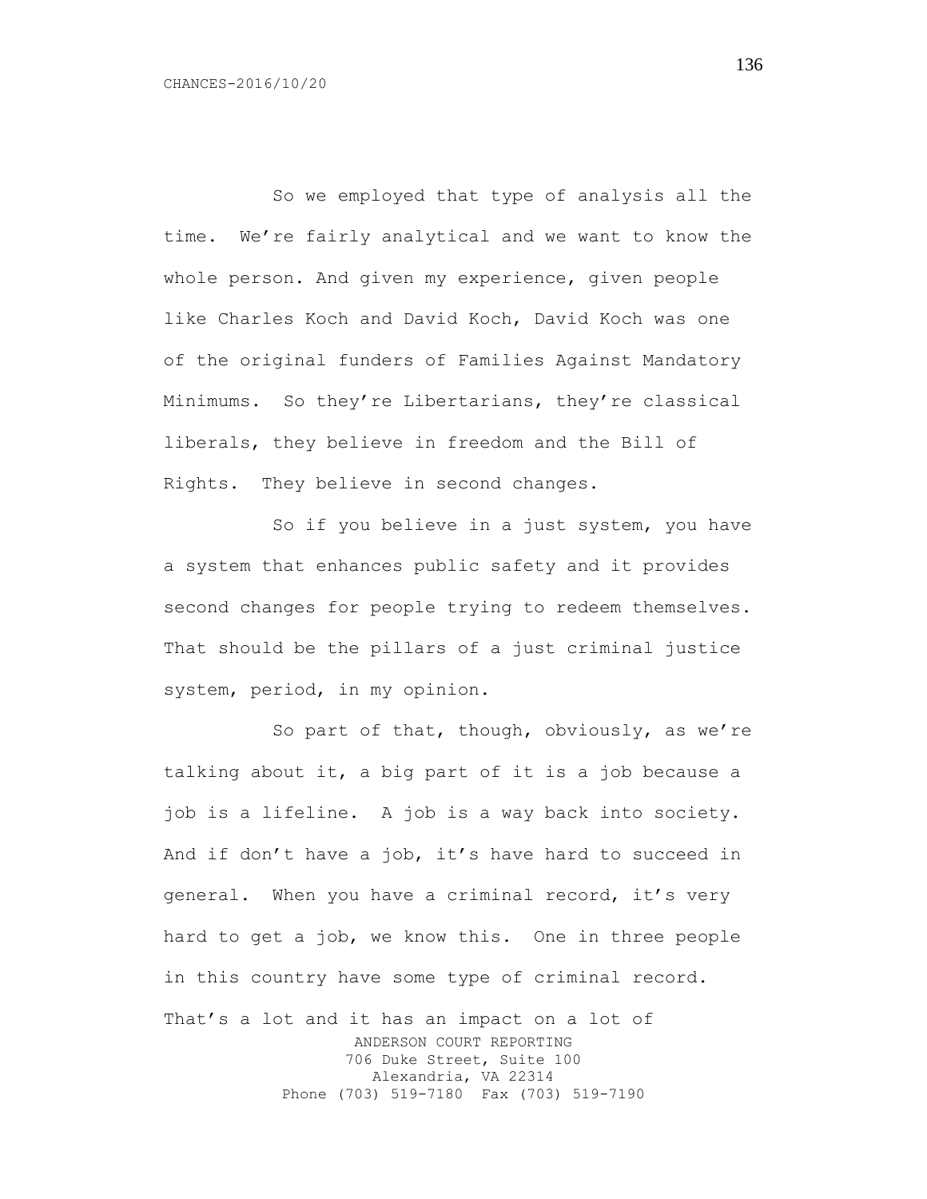So we employed that type of analysis all the time. We're fairly analytical and we want to know the whole person. And given my experience, given people like Charles Koch and David Koch, David Koch was one of the original funders of Families Against Mandatory Minimums. So they're Libertarians, they're classical liberals, they believe in freedom and the Bill of Rights. They believe in second changes.

So if you believe in a just system, you have a system that enhances public safety and it provides second changes for people trying to redeem themselves. That should be the pillars of a just criminal justice system, period, in my opinion.

ANDERSON COURT REPORTING 706 Duke Street, Suite 100 Alexandria, VA 22314 Phone (703) 519-7180 Fax (703) 519-7190 So part of that, though, obviously, as we're talking about it, a big part of it is a job because a job is a lifeline. A job is a way back into society. And if don't have a job, it's have hard to succeed in general. When you have a criminal record, it's very hard to get a job, we know this. One in three people in this country have some type of criminal record. That's a lot and it has an impact on a lot of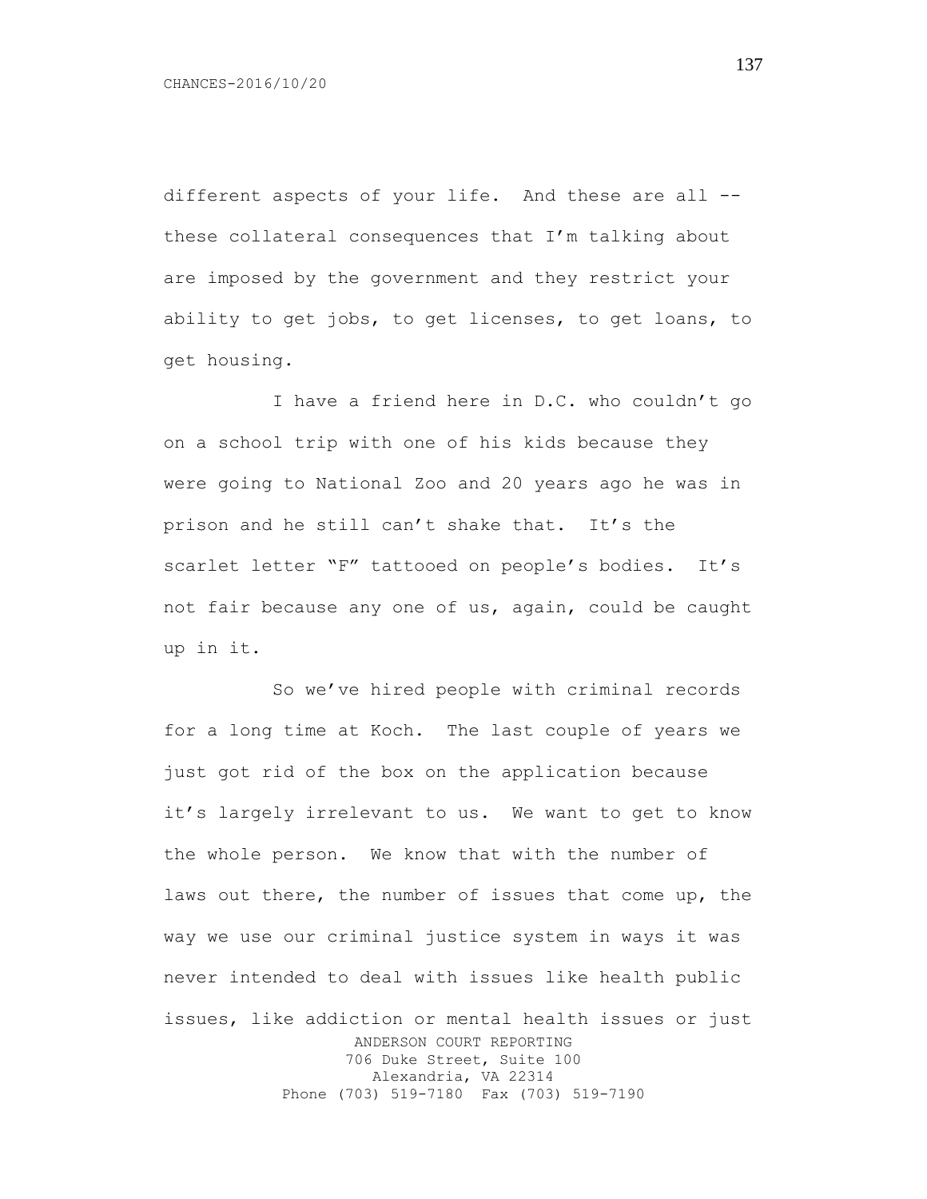different aspects of your life. And these are all - these collateral consequences that I'm talking about are imposed by the government and they restrict your ability to get jobs, to get licenses, to get loans, to get housing.

I have a friend here in D.C. who couldn't go on a school trip with one of his kids because they were going to National Zoo and 20 years ago he was in prison and he still can't shake that. It's the scarlet letter "F" tattooed on people's bodies. It's not fair because any one of us, again, could be caught up in it.

ANDERSON COURT REPORTING 706 Duke Street, Suite 100 Alexandria, VA 22314 Phone (703) 519-7180 Fax (703) 519-7190 So we've hired people with criminal records for a long time at Koch. The last couple of years we just got rid of the box on the application because it's largely irrelevant to us. We want to get to know the whole person. We know that with the number of laws out there, the number of issues that come up, the way we use our criminal justice system in ways it was never intended to deal with issues like health public issues, like addiction or mental health issues or just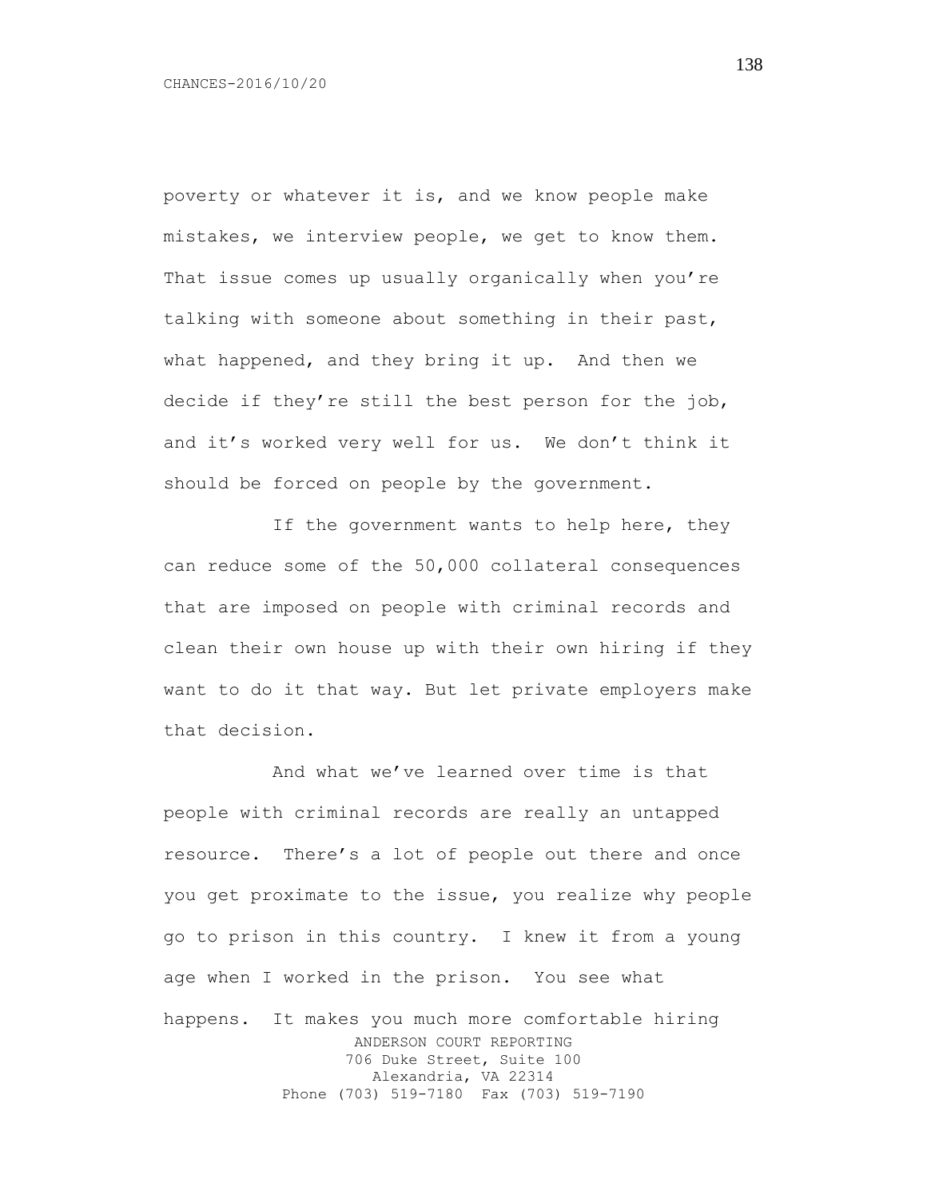poverty or whatever it is, and we know people make mistakes, we interview people, we get to know them. That issue comes up usually organically when you're talking with someone about something in their past, what happened, and they bring it up. And then we decide if they're still the best person for the job, and it's worked very well for us. We don't think it should be forced on people by the government.

If the government wants to help here, they can reduce some of the 50,000 collateral consequences that are imposed on people with criminal records and clean their own house up with their own hiring if they want to do it that way. But let private employers make that decision.

ANDERSON COURT REPORTING 706 Duke Street, Suite 100 Alexandria, VA 22314 Phone (703) 519-7180 Fax (703) 519-7190 And what we've learned over time is that people with criminal records are really an untapped resource. There's a lot of people out there and once you get proximate to the issue, you realize why people go to prison in this country. I knew it from a young age when I worked in the prison. You see what happens. It makes you much more comfortable hiring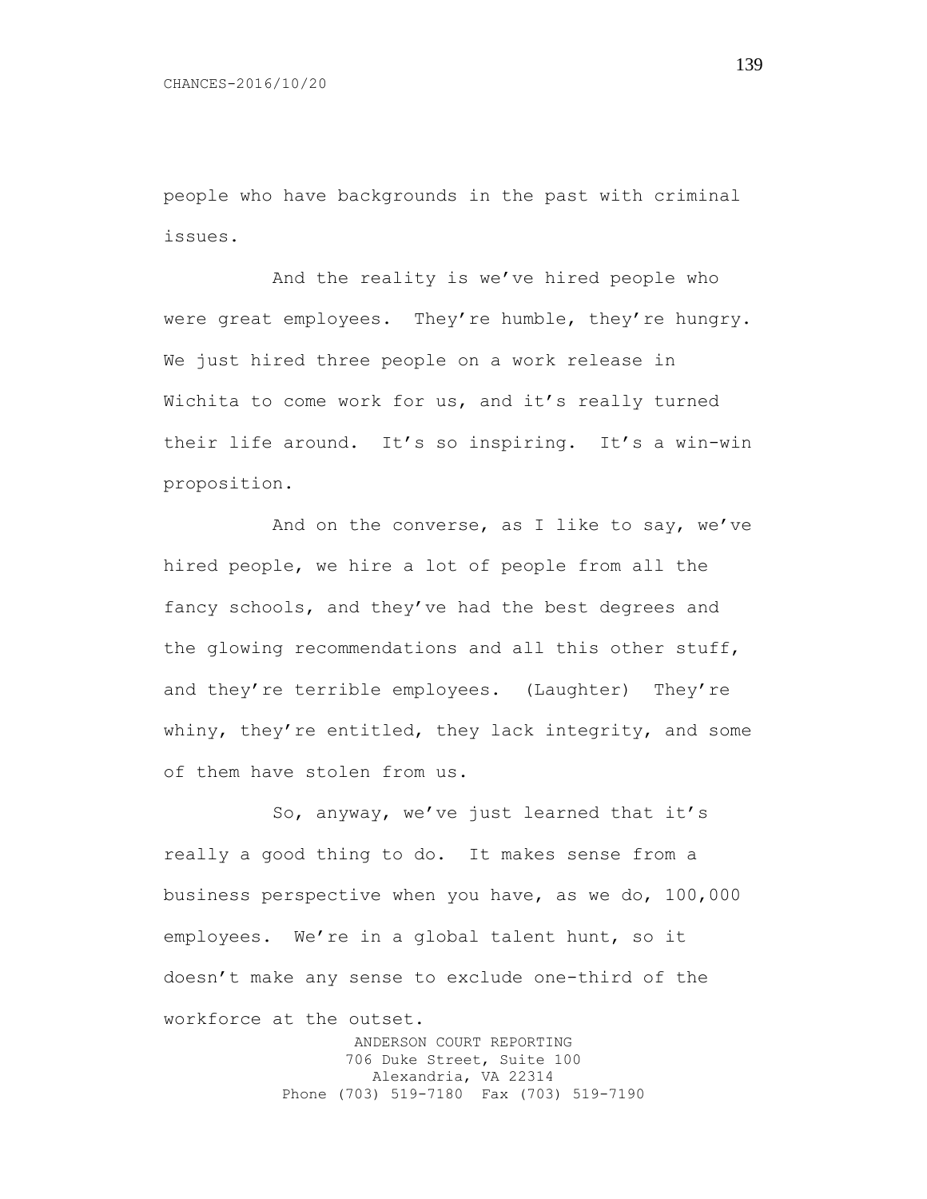people who have backgrounds in the past with criminal issues.

And the reality is we've hired people who were great employees. They're humble, they're hungry. We just hired three people on a work release in Wichita to come work for us, and it's really turned their life around. It's so inspiring. It's a win-win proposition.

And on the converse, as I like to say, we've hired people, we hire a lot of people from all the fancy schools, and they've had the best degrees and the glowing recommendations and all this other stuff, and they're terrible employees. (Laughter) They're whiny, they're entitled, they lack integrity, and some of them have stolen from us.

So, anyway, we've just learned that it's really a good thing to do. It makes sense from a business perspective when you have, as we do, 100,000 employees. We're in a global talent hunt, so it doesn't make any sense to exclude one-third of the workforce at the outset.

> ANDERSON COURT REPORTING 706 Duke Street, Suite 100 Alexandria, VA 22314 Phone (703) 519-7180 Fax (703) 519-7190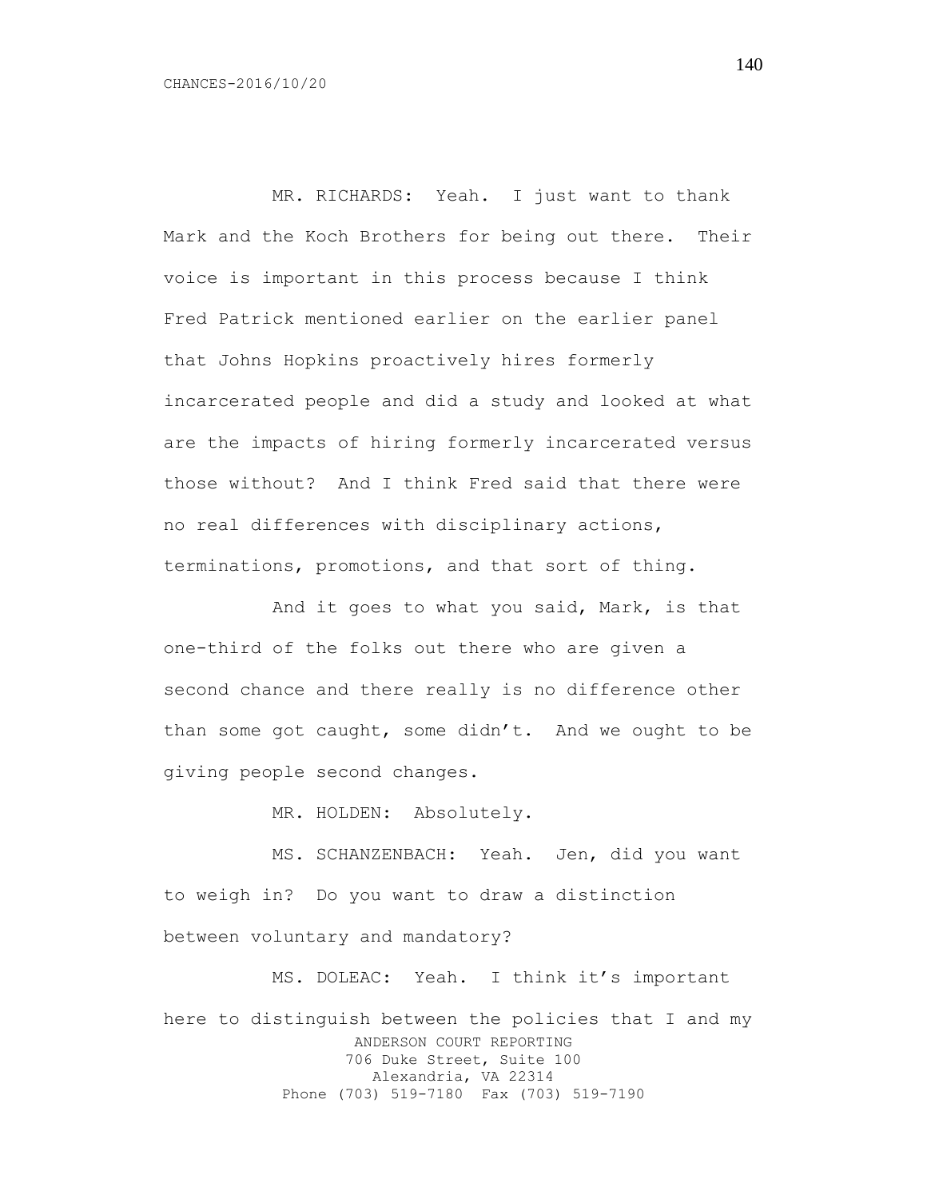MR. RICHARDS: Yeah. I just want to thank Mark and the Koch Brothers for being out there. Their voice is important in this process because I think Fred Patrick mentioned earlier on the earlier panel that Johns Hopkins proactively hires formerly incarcerated people and did a study and looked at what are the impacts of hiring formerly incarcerated versus those without? And I think Fred said that there were no real differences with disciplinary actions, terminations, promotions, and that sort of thing.

And it goes to what you said, Mark, is that one-third of the folks out there who are given a second chance and there really is no difference other than some got caught, some didn't. And we ought to be giving people second changes.

MR. HOLDEN: Absolutely.

MS. SCHANZENBACH: Yeah. Jen, did you want to weigh in? Do you want to draw a distinction between voluntary and mandatory?

ANDERSON COURT REPORTING 706 Duke Street, Suite 100 Alexandria, VA 22314 Phone (703) 519-7180 Fax (703) 519-7190 MS. DOLEAC: Yeah. I think it's important here to distinguish between the policies that I and my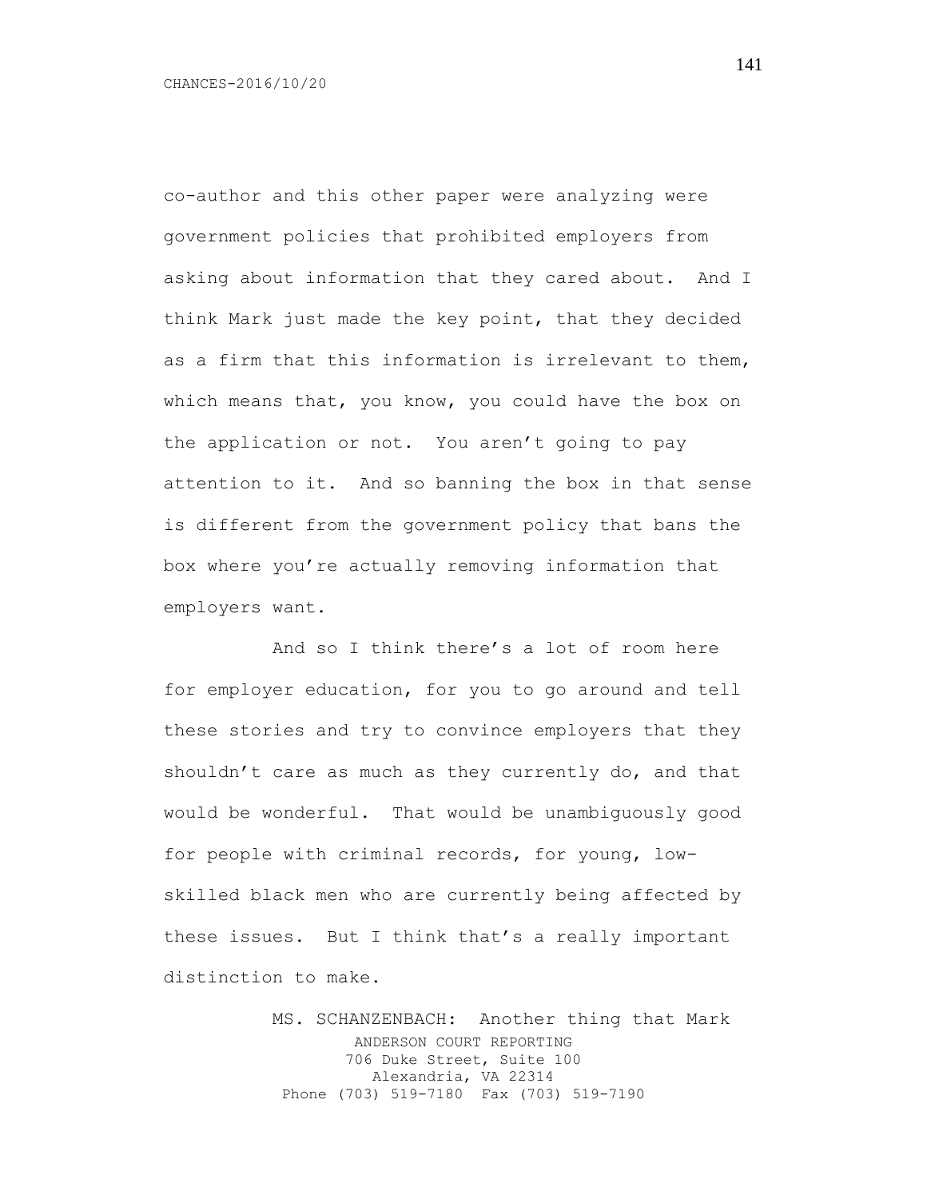co-author and this other paper were analyzing were government policies that prohibited employers from asking about information that they cared about. And I think Mark just made the key point, that they decided as a firm that this information is irrelevant to them, which means that, you know, you could have the box on the application or not. You aren't going to pay attention to it. And so banning the box in that sense is different from the government policy that bans the box where you're actually removing information that employers want.

And so I think there's a lot of room here for employer education, for you to go around and tell these stories and try to convince employers that they shouldn't care as much as they currently do, and that would be wonderful. That would be unambiguously good for people with criminal records, for young, lowskilled black men who are currently being affected by these issues. But I think that's a really important distinction to make.

> ANDERSON COURT REPORTING 706 Duke Street, Suite 100 Alexandria, VA 22314 Phone (703) 519-7180 Fax (703) 519-7190 MS. SCHANZENBACH: Another thing that Mark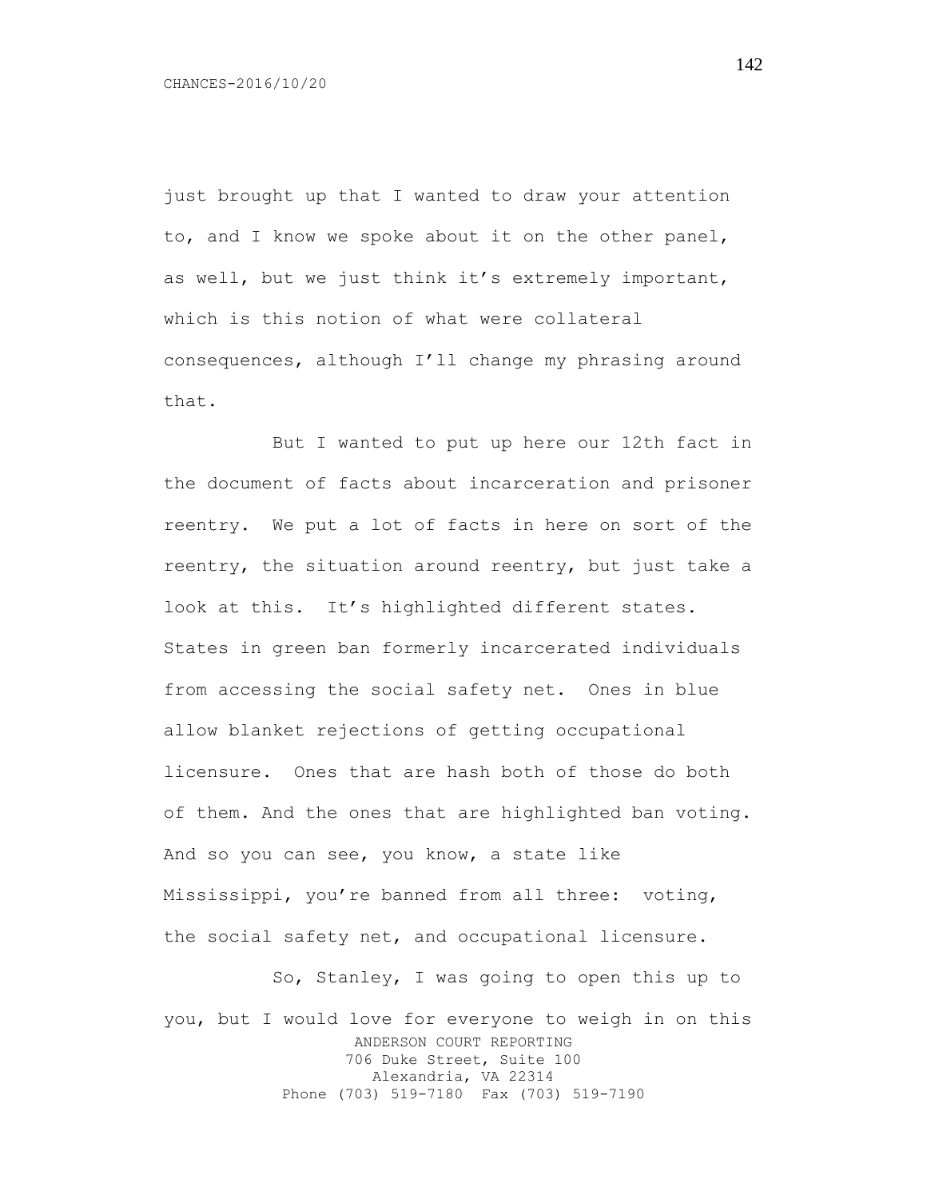just brought up that I wanted to draw your attention to, and I know we spoke about it on the other panel, as well, but we just think it's extremely important, which is this notion of what were collateral consequences, although I'll change my phrasing around that.

But I wanted to put up here our 12th fact in the document of facts about incarceration and prisoner reentry. We put a lot of facts in here on sort of the reentry, the situation around reentry, but just take a look at this. It's highlighted different states. States in green ban formerly incarcerated individuals from accessing the social safety net. Ones in blue allow blanket rejections of getting occupational licensure. Ones that are hash both of those do both of them. And the ones that are highlighted ban voting. And so you can see, you know, a state like Mississippi, you're banned from all three: voting, the social safety net, and occupational licensure.

ANDERSON COURT REPORTING 706 Duke Street, Suite 100 Alexandria, VA 22314 Phone (703) 519-7180 Fax (703) 519-7190 So, Stanley, I was going to open this up to you, but I would love for everyone to weigh in on this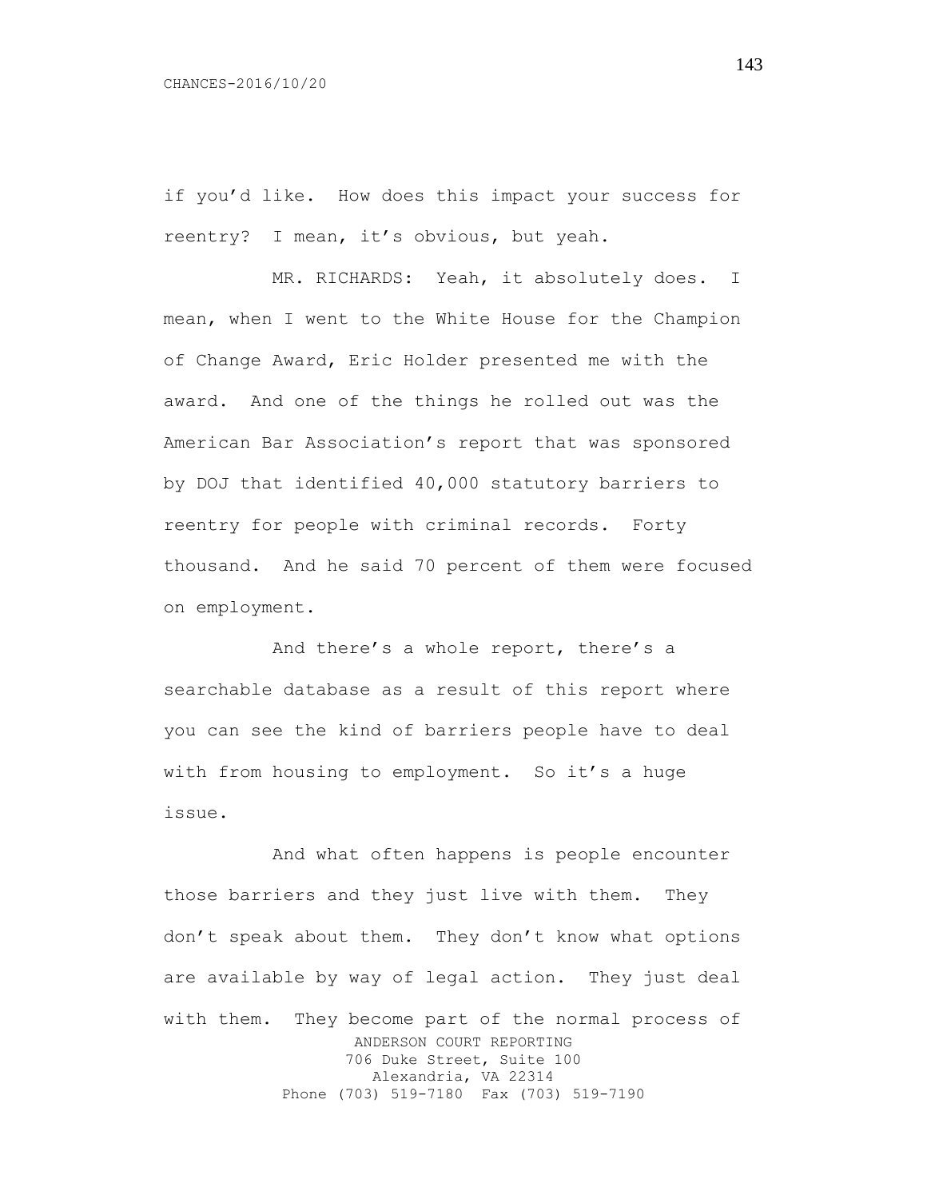if you'd like. How does this impact your success for reentry? I mean, it's obvious, but yeah.

MR. RICHARDS: Yeah, it absolutely does. I mean, when I went to the White House for the Champion of Change Award, Eric Holder presented me with the award. And one of the things he rolled out was the American Bar Association's report that was sponsored by DOJ that identified 40,000 statutory barriers to reentry for people with criminal records. Forty thousand. And he said 70 percent of them were focused on employment.

And there's a whole report, there's a searchable database as a result of this report where you can see the kind of barriers people have to deal with from housing to employment. So it's a huge issue.

ANDERSON COURT REPORTING 706 Duke Street, Suite 100 Alexandria, VA 22314 Phone (703) 519-7180 Fax (703) 519-7190 And what often happens is people encounter those barriers and they just live with them. They don't speak about them. They don't know what options are available by way of legal action. They just deal with them. They become part of the normal process of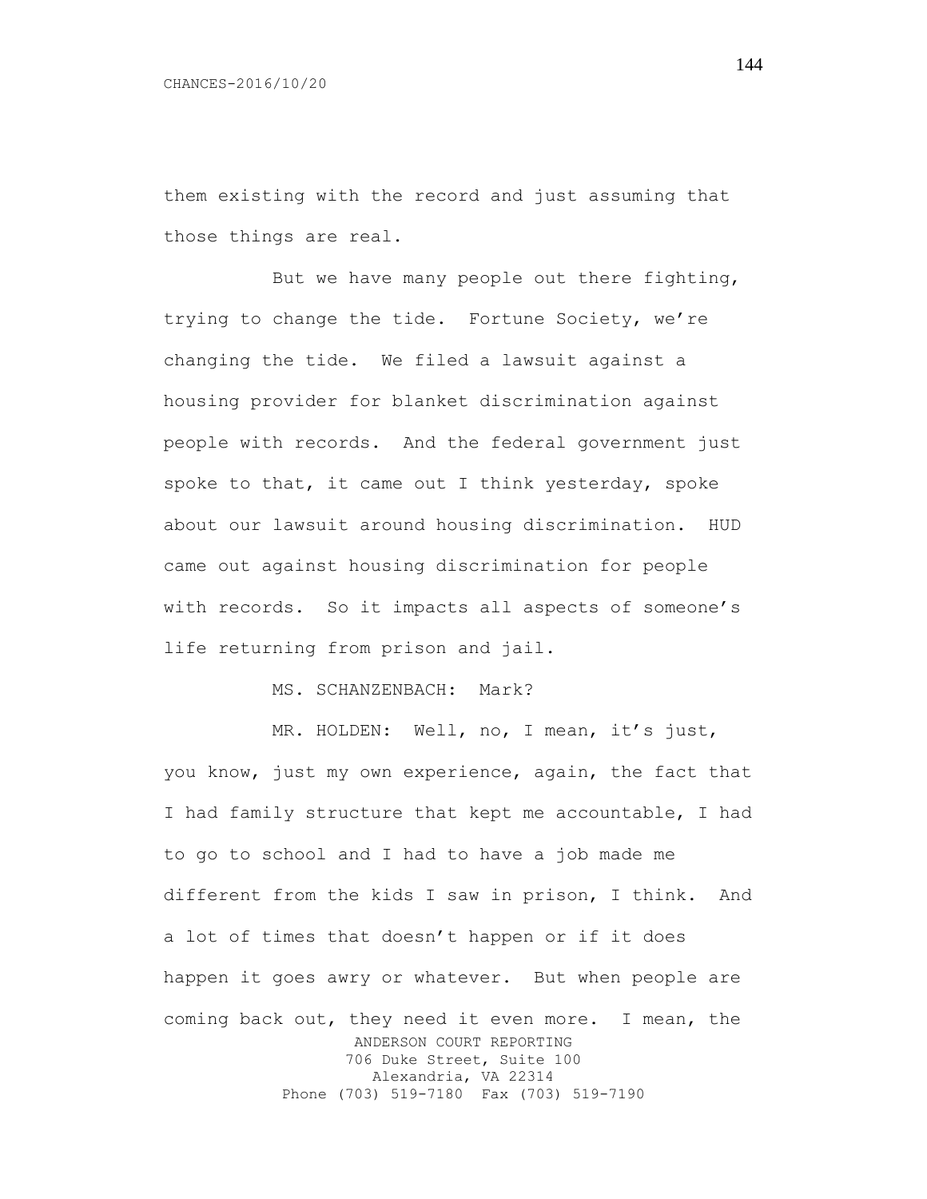them existing with the record and just assuming that those things are real.

But we have many people out there fighting, trying to change the tide. Fortune Society, we're changing the tide. We filed a lawsuit against a housing provider for blanket discrimination against people with records. And the federal government just spoke to that, it came out I think yesterday, spoke about our lawsuit around housing discrimination. HUD came out against housing discrimination for people with records. So it impacts all aspects of someone's life returning from prison and jail.

MS. SCHANZENBACH: Mark?

ANDERSON COURT REPORTING 706 Duke Street, Suite 100 Alexandria, VA 22314 Phone (703) 519-7180 Fax (703) 519-7190 MR. HOLDEN: Well, no, I mean, it's just, you know, just my own experience, again, the fact that I had family structure that kept me accountable, I had to go to school and I had to have a job made me different from the kids I saw in prison, I think. And a lot of times that doesn't happen or if it does happen it goes awry or whatever. But when people are coming back out, they need it even more. I mean, the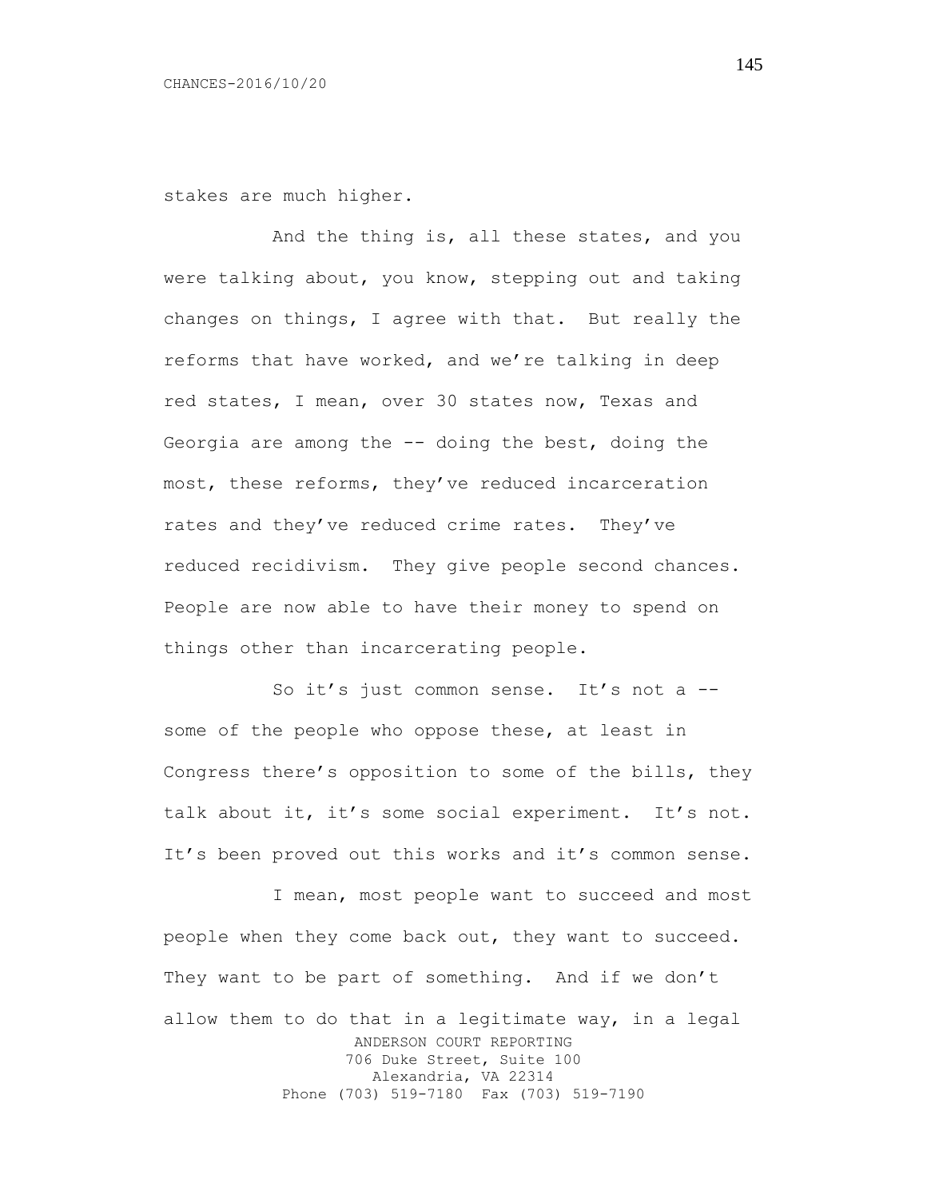stakes are much higher.

And the thing is, all these states, and you were talking about, you know, stepping out and taking changes on things, I agree with that. But really the reforms that have worked, and we're talking in deep red states, I mean, over 30 states now, Texas and Georgia are among the -- doing the best, doing the most, these reforms, they've reduced incarceration rates and they've reduced crime rates. They've reduced recidivism. They give people second chances. People are now able to have their money to spend on things other than incarcerating people.

So it's just common sense. It's not a - some of the people who oppose these, at least in Congress there's opposition to some of the bills, they talk about it, it's some social experiment. It's not. It's been proved out this works and it's common sense.

ANDERSON COURT REPORTING 706 Duke Street, Suite 100 Alexandria, VA 22314 Phone (703) 519-7180 Fax (703) 519-7190 I mean, most people want to succeed and most people when they come back out, they want to succeed. They want to be part of something. And if we don't allow them to do that in a legitimate way, in a legal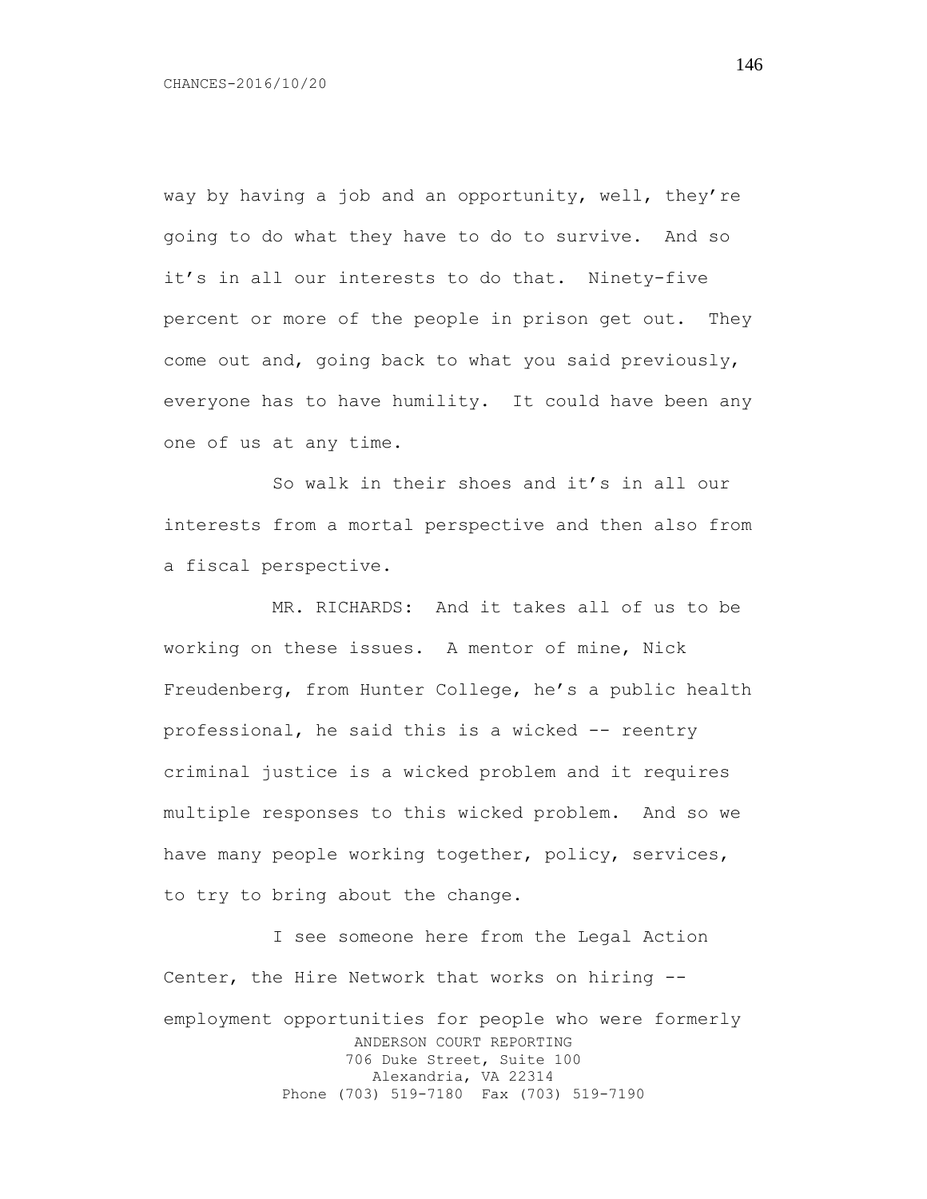way by having a job and an opportunity, well, they're going to do what they have to do to survive. And so it's in all our interests to do that. Ninety-five percent or more of the people in prison get out. They come out and, going back to what you said previously, everyone has to have humility. It could have been any one of us at any time.

So walk in their shoes and it's in all our interests from a mortal perspective and then also from a fiscal perspective.

MR. RICHARDS: And it takes all of us to be working on these issues. A mentor of mine, Nick Freudenberg, from Hunter College, he's a public health professional, he said this is a wicked -- reentry criminal justice is a wicked problem and it requires multiple responses to this wicked problem. And so we have many people working together, policy, services, to try to bring about the change.

ANDERSON COURT REPORTING 706 Duke Street, Suite 100 Alexandria, VA 22314 Phone (703) 519-7180 Fax (703) 519-7190 I see someone here from the Legal Action Center, the Hire Network that works on hiring - employment opportunities for people who were formerly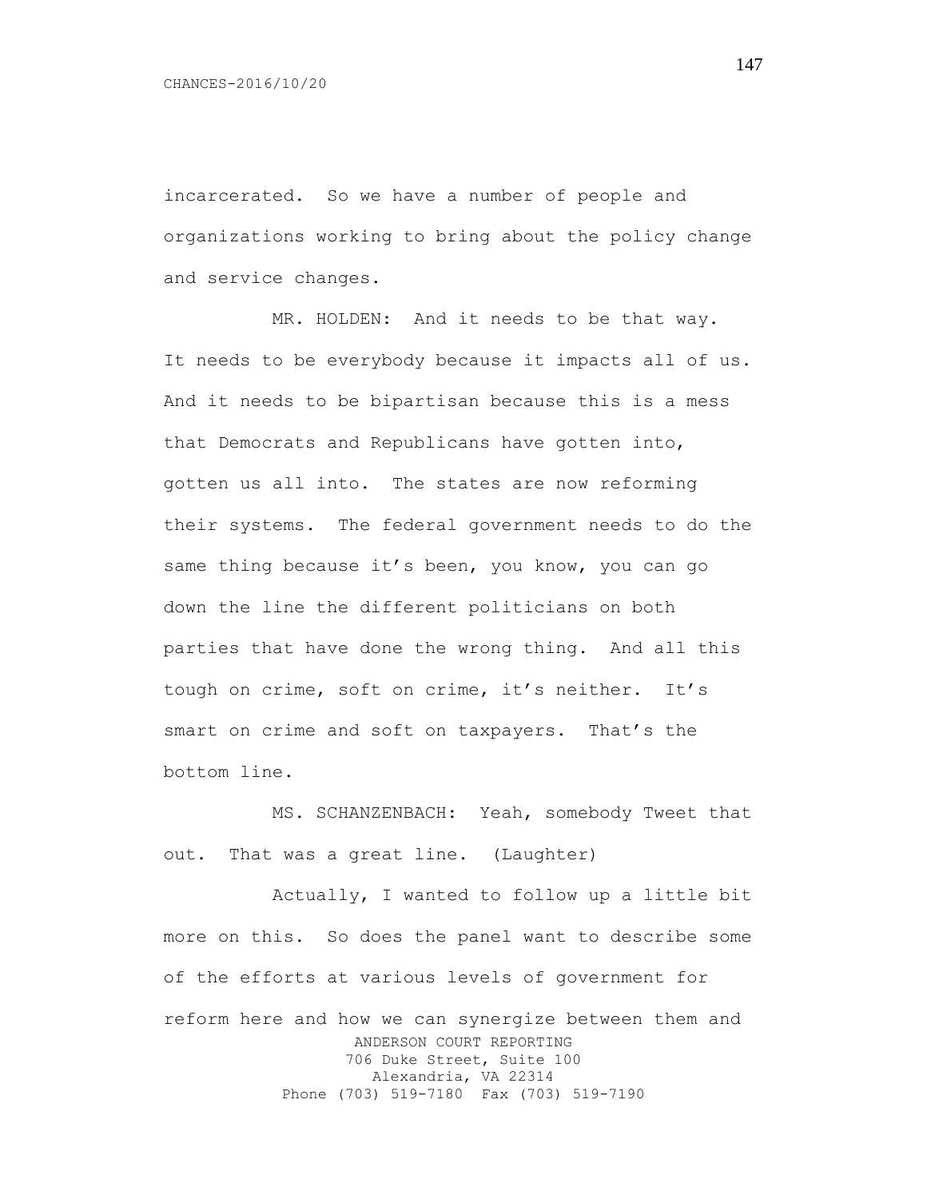incarcerated. So we have a number of people and organizations working to bring about the policy change and service changes.

MR. HOLDEN: And it needs to be that way. It needs to be everybody because it impacts all of us. And it needs to be bipartisan because this is a mess that Democrats and Republicans have gotten into, gotten us all into. The states are now reforming their systems. The federal government needs to do the same thing because it's been, you know, you can go down the line the different politicians on both parties that have done the wrong thing. And all this tough on crime, soft on crime, it's neither. It's smart on crime and soft on taxpayers. That's the bottom line.

MS. SCHANZENBACH: Yeah, somebody Tweet that out. That was a great line. (Laughter)

ANDERSON COURT REPORTING 706 Duke Street, Suite 100 Alexandria, VA 22314 Phone (703) 519-7180 Fax (703) 519-7190 Actually, I wanted to follow up a little bit more on this. So does the panel want to describe some of the efforts at various levels of government for reform here and how we can synergize between them and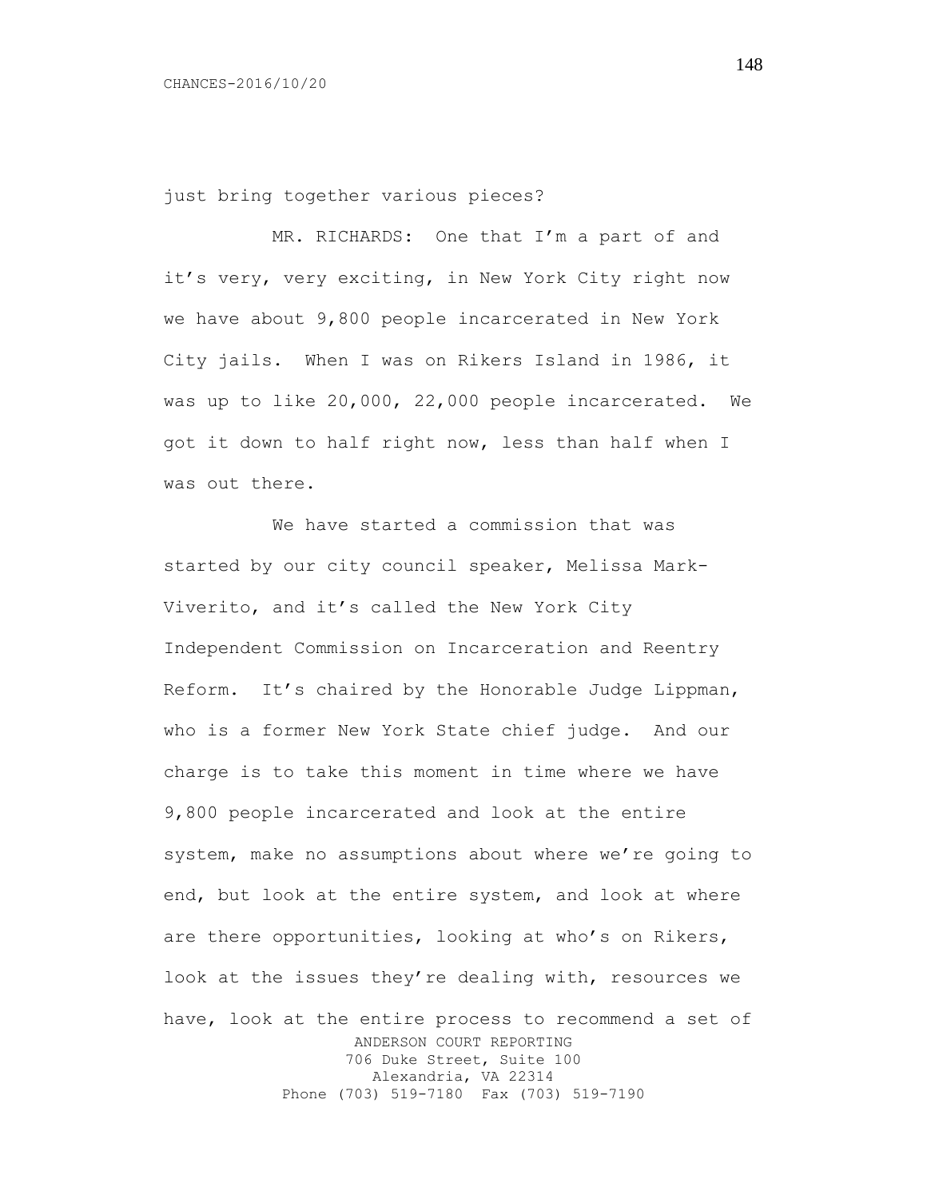just bring together various pieces?

MR. RICHARDS: One that I'm a part of and it's very, very exciting, in New York City right now we have about 9,800 people incarcerated in New York City jails. When I was on Rikers Island in 1986, it was up to like 20,000, 22,000 people incarcerated. We got it down to half right now, less than half when I was out there.

ANDERSON COURT REPORTING 706 Duke Street, Suite 100 Alexandria, VA 22314 Phone (703) 519-7180 Fax (703) 519-7190 We have started a commission that was started by our city council speaker, Melissa Mark-Viverito, and it's called the New York City Independent Commission on Incarceration and Reentry Reform. It's chaired by the Honorable Judge Lippman, who is a former New York State chief judge. And our charge is to take this moment in time where we have 9,800 people incarcerated and look at the entire system, make no assumptions about where we're going to end, but look at the entire system, and look at where are there opportunities, looking at who's on Rikers, look at the issues they're dealing with, resources we have, look at the entire process to recommend a set of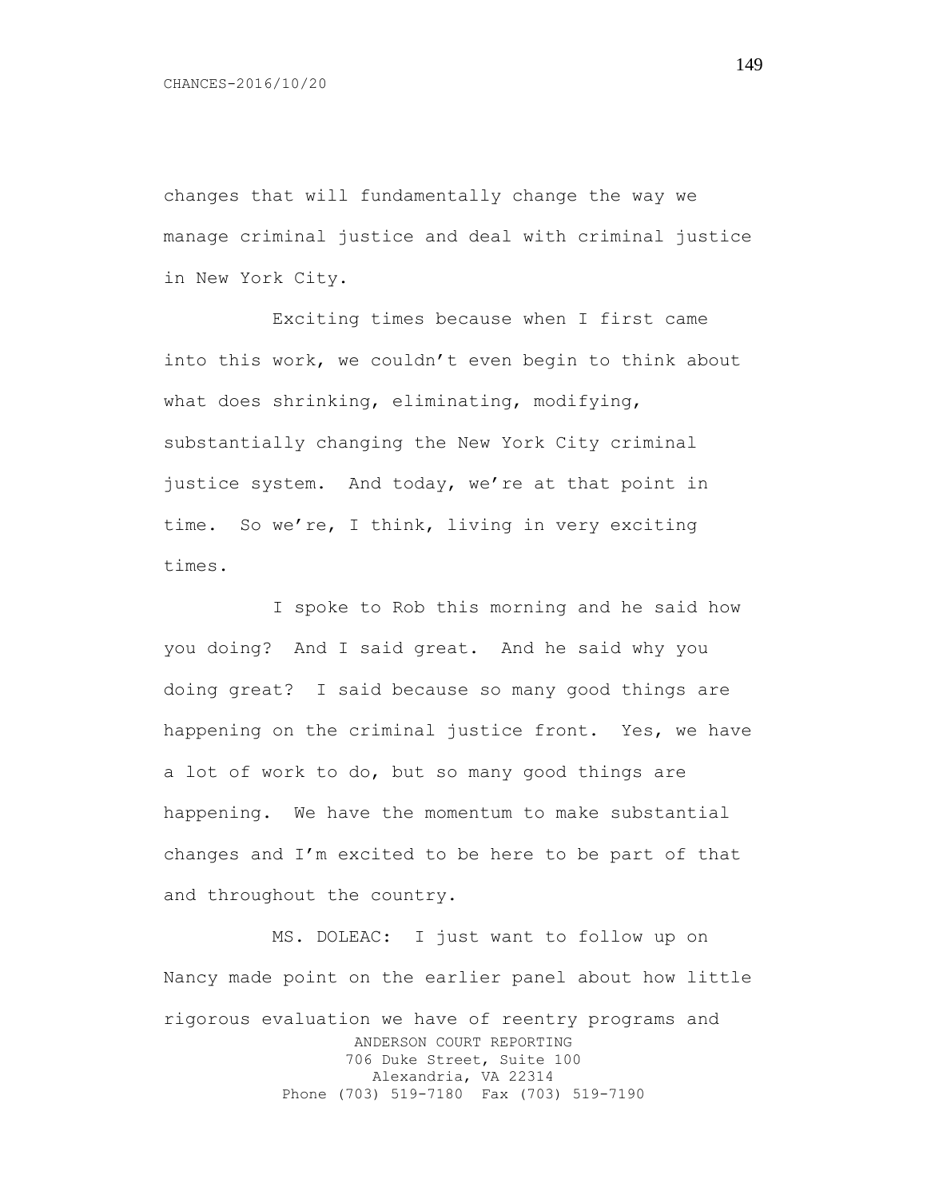changes that will fundamentally change the way we manage criminal justice and deal with criminal justice in New York City.

Exciting times because when I first came into this work, we couldn't even begin to think about what does shrinking, eliminating, modifying, substantially changing the New York City criminal justice system. And today, we're at that point in time. So we're, I think, living in very exciting times.

I spoke to Rob this morning and he said how you doing? And I said great. And he said why you doing great? I said because so many good things are happening on the criminal justice front. Yes, we have a lot of work to do, but so many good things are happening. We have the momentum to make substantial changes and I'm excited to be here to be part of that and throughout the country.

ANDERSON COURT REPORTING 706 Duke Street, Suite 100 Alexandria, VA 22314 Phone (703) 519-7180 Fax (703) 519-7190 MS. DOLEAC: I just want to follow up on Nancy made point on the earlier panel about how little rigorous evaluation we have of reentry programs and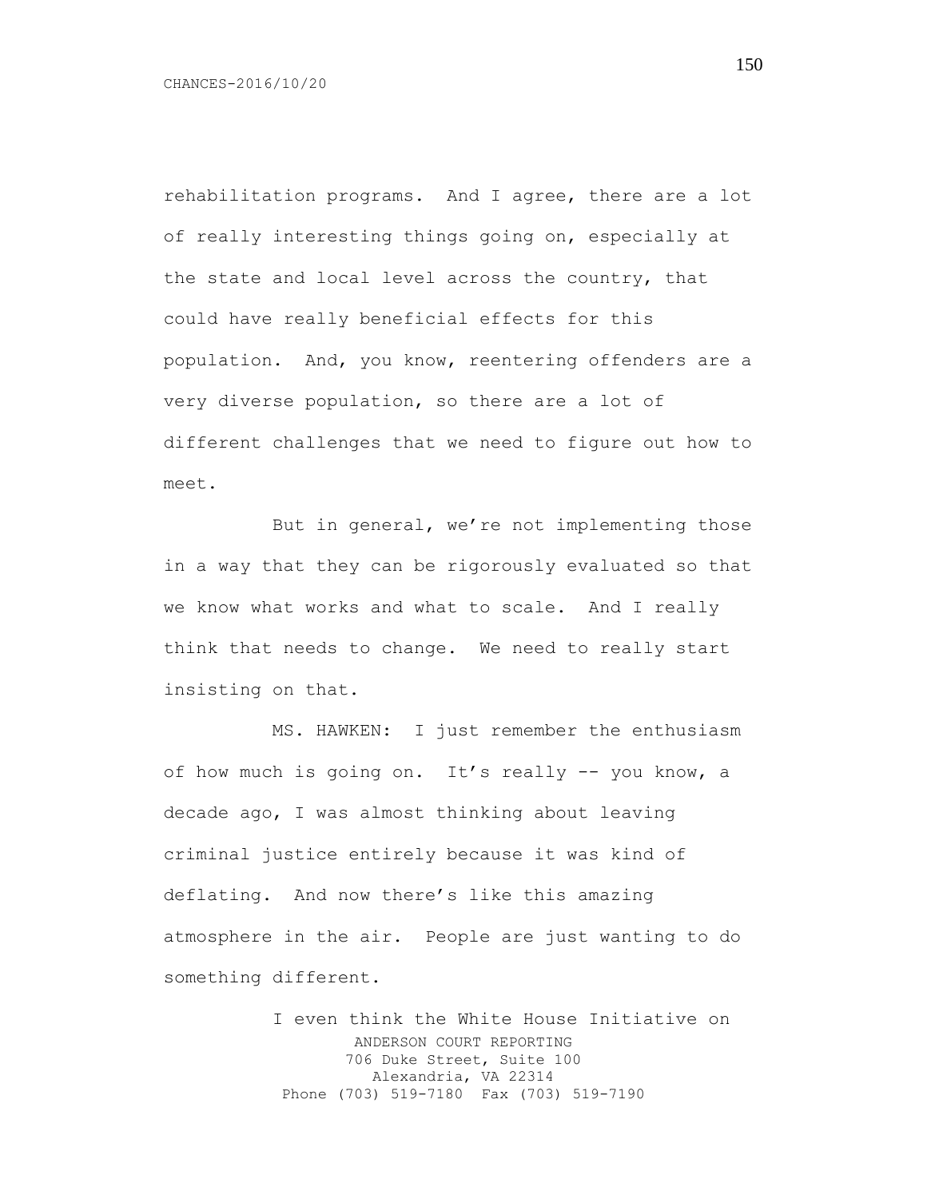rehabilitation programs. And I agree, there are a lot of really interesting things going on, especially at the state and local level across the country, that could have really beneficial effects for this population. And, you know, reentering offenders are a very diverse population, so there are a lot of different challenges that we need to figure out how to meet.

But in general, we're not implementing those in a way that they can be rigorously evaluated so that we know what works and what to scale. And I really think that needs to change. We need to really start insisting on that.

MS. HAWKEN: I just remember the enthusiasm of how much is going on. It's really -- you know, a decade ago, I was almost thinking about leaving criminal justice entirely because it was kind of deflating. And now there's like this amazing atmosphere in the air. People are just wanting to do something different.

> ANDERSON COURT REPORTING 706 Duke Street, Suite 100 Alexandria, VA 22314 Phone (703) 519-7180 Fax (703) 519-7190 I even think the White House Initiative on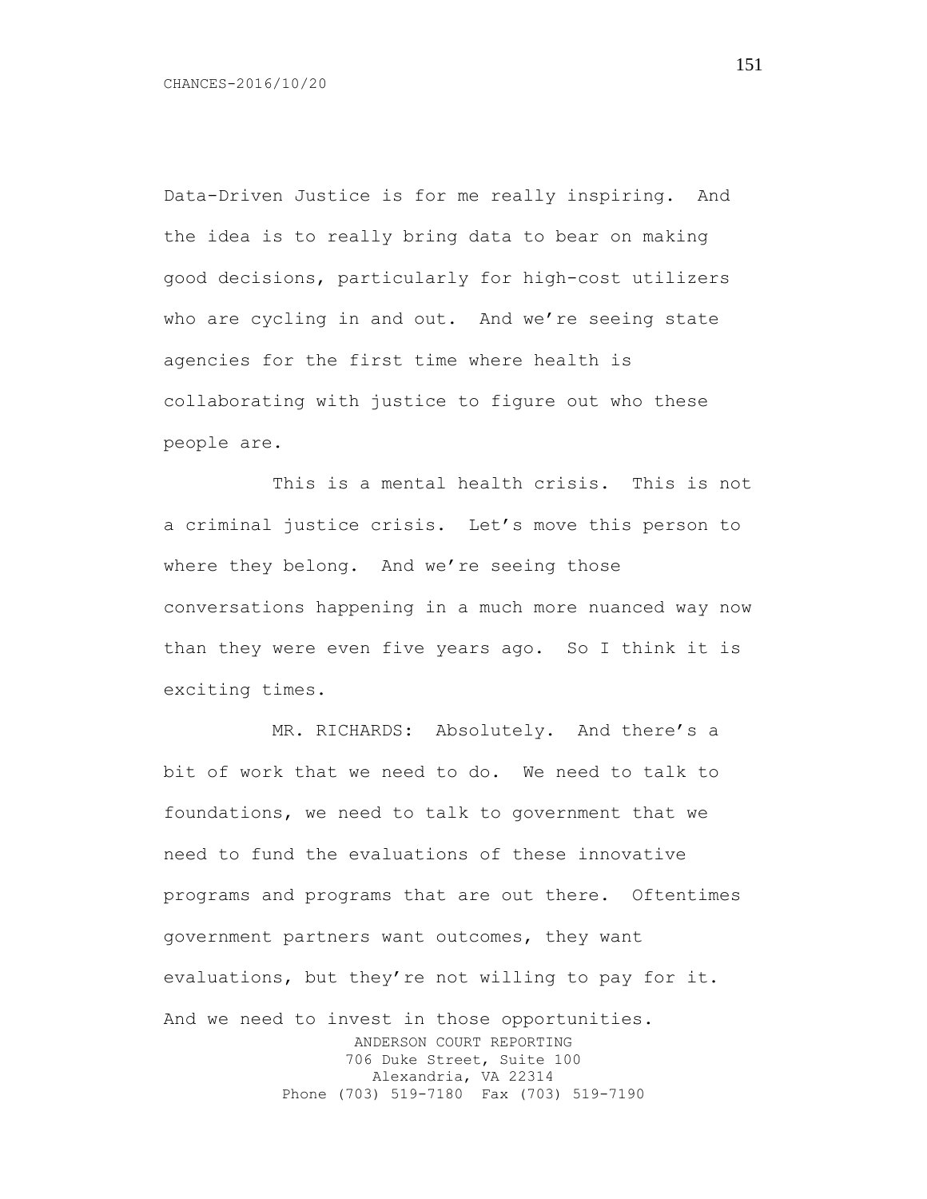Data-Driven Justice is for me really inspiring. And the idea is to really bring data to bear on making good decisions, particularly for high-cost utilizers who are cycling in and out. And we're seeing state agencies for the first time where health is collaborating with justice to figure out who these people are.

This is a mental health crisis. This is not a criminal justice crisis. Let's move this person to where they belong. And we're seeing those conversations happening in a much more nuanced way now than they were even five years ago. So I think it is exciting times.

ANDERSON COURT REPORTING 706 Duke Street, Suite 100 Alexandria, VA 22314 Phone (703) 519-7180 Fax (703) 519-7190 MR. RICHARDS: Absolutely. And there's a bit of work that we need to do. We need to talk to foundations, we need to talk to government that we need to fund the evaluations of these innovative programs and programs that are out there. Oftentimes government partners want outcomes, they want evaluations, but they're not willing to pay for it. And we need to invest in those opportunities.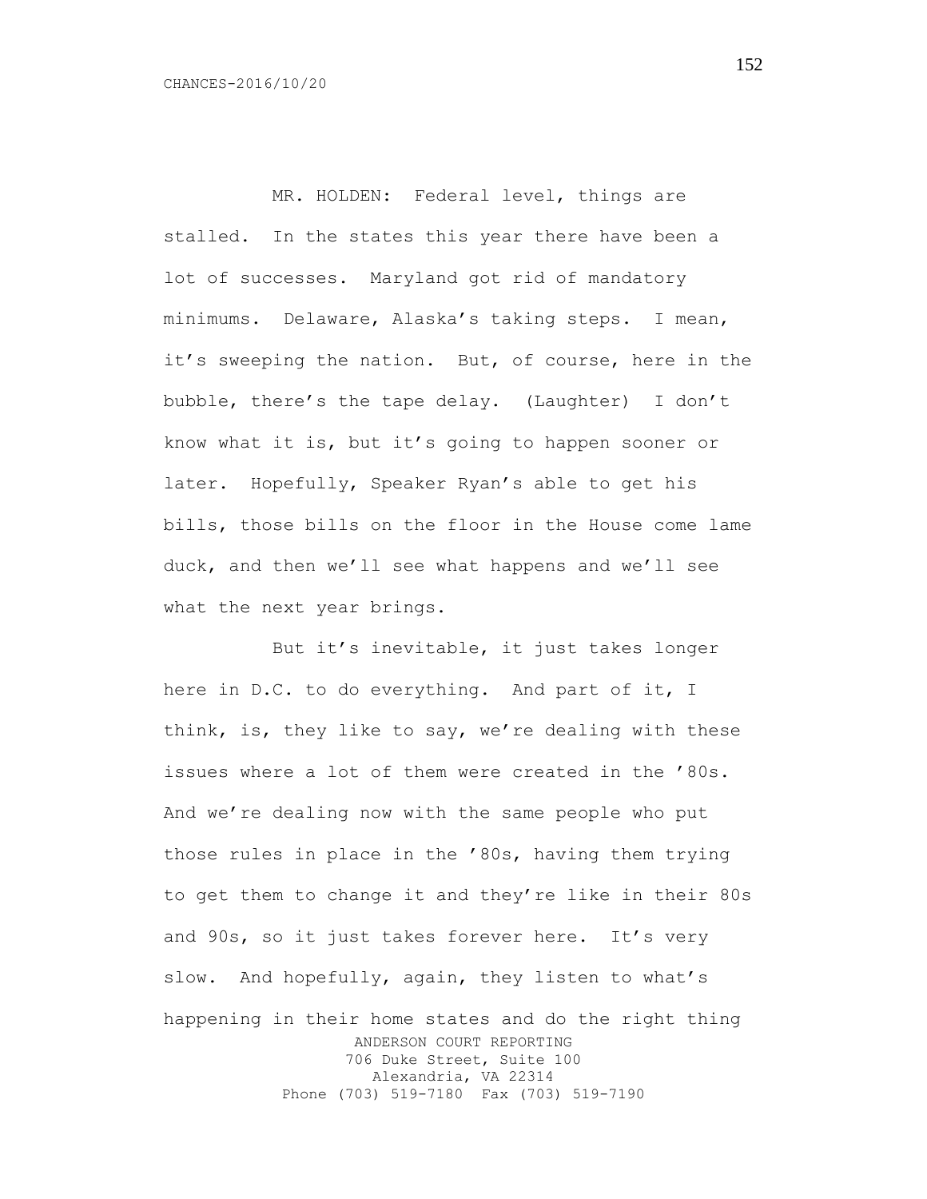MR. HOLDEN: Federal level, things are stalled. In the states this year there have been a lot of successes. Maryland got rid of mandatory minimums. Delaware, Alaska's taking steps. I mean, it's sweeping the nation. But, of course, here in the bubble, there's the tape delay. (Laughter) I don't know what it is, but it's going to happen sooner or later. Hopefully, Speaker Ryan's able to get his bills, those bills on the floor in the House come lame duck, and then we'll see what happens and we'll see what the next year brings.

ANDERSON COURT REPORTING 706 Duke Street, Suite 100 Alexandria, VA 22314 Phone (703) 519-7180 Fax (703) 519-7190 But it's inevitable, it just takes longer here in D.C. to do everything. And part of it, I think, is, they like to say, we're dealing with these issues where a lot of them were created in the '80s. And we're dealing now with the same people who put those rules in place in the '80s, having them trying to get them to change it and they're like in their 80s and 90s, so it just takes forever here. It's very slow. And hopefully, again, they listen to what's happening in their home states and do the right thing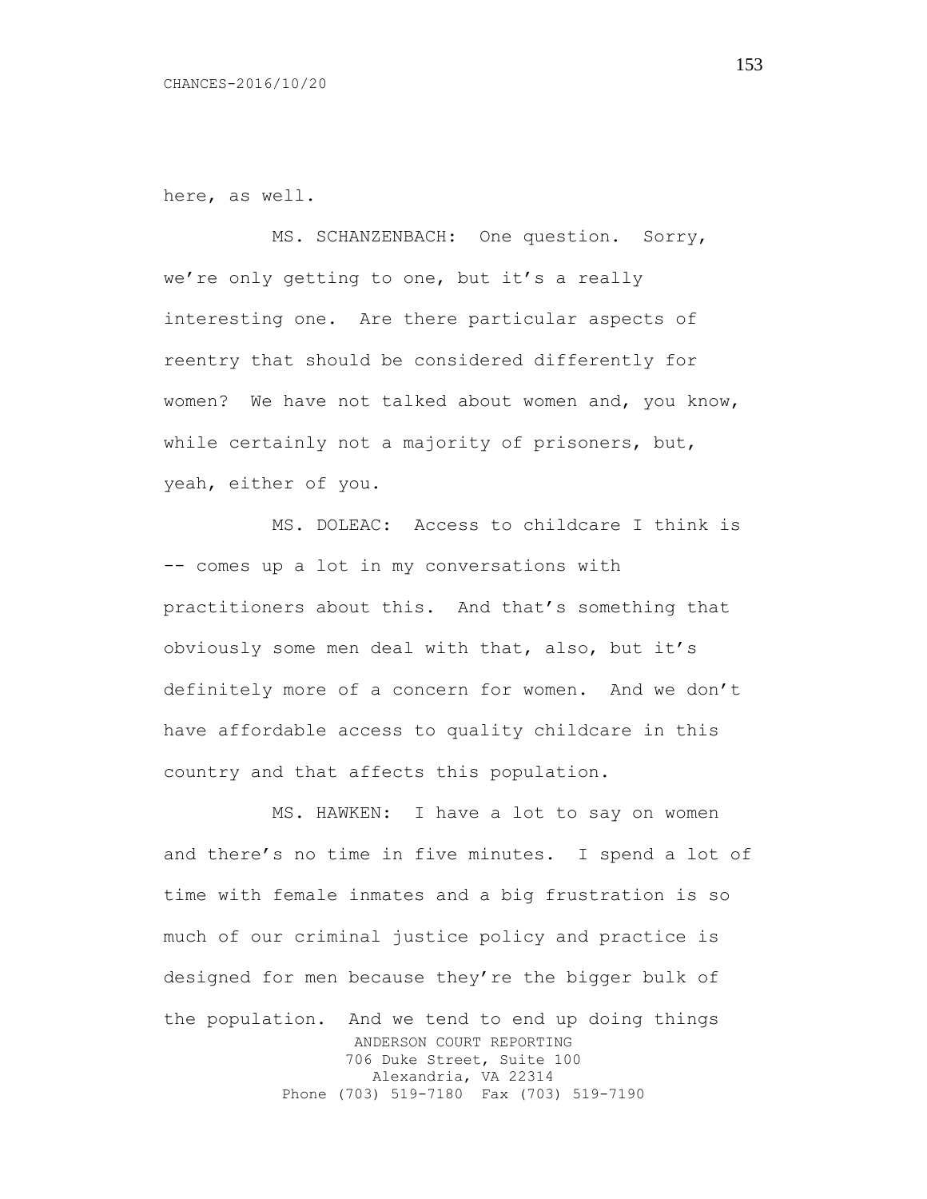here, as well.

MS. SCHANZENBACH: One question. Sorry, we're only getting to one, but it's a really interesting one. Are there particular aspects of reentry that should be considered differently for women? We have not talked about women and, you know, while certainly not a majority of prisoners, but, yeah, either of you.

MS. DOLEAC: Access to childcare I think is -- comes up a lot in my conversations with practitioners about this. And that's something that obviously some men deal with that, also, but it's definitely more of a concern for women. And we don't have affordable access to quality childcare in this country and that affects this population.

ANDERSON COURT REPORTING 706 Duke Street, Suite 100 Alexandria, VA 22314 Phone (703) 519-7180 Fax (703) 519-7190 MS. HAWKEN: I have a lot to say on women and there's no time in five minutes. I spend a lot of time with female inmates and a big frustration is so much of our criminal justice policy and practice is designed for men because they're the bigger bulk of the population. And we tend to end up doing things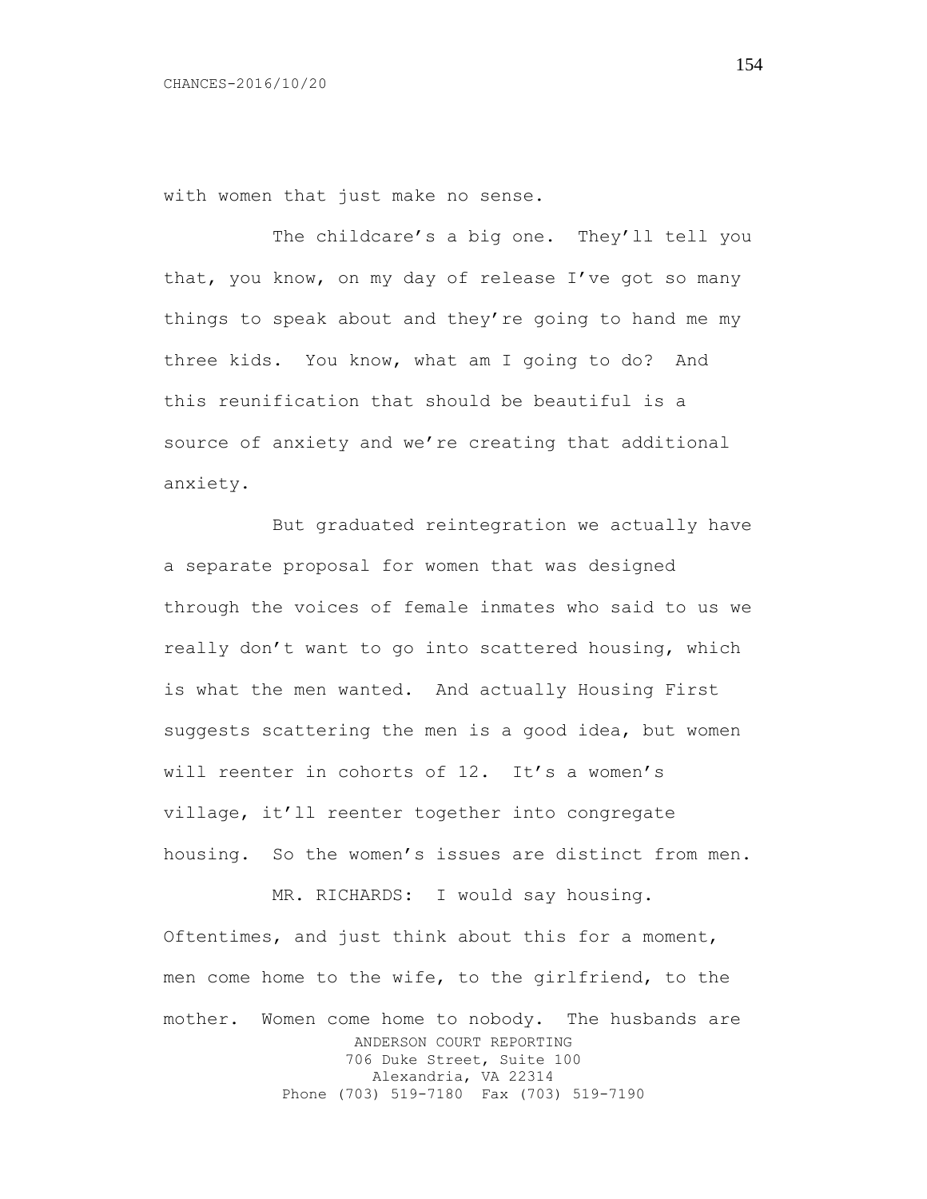with women that just make no sense.

The childcare's a big one. They'll tell you that, you know, on my day of release I've got so many things to speak about and they're going to hand me my three kids. You know, what am I going to do? And this reunification that should be beautiful is a source of anxiety and we're creating that additional anxiety.

But graduated reintegration we actually have a separate proposal for women that was designed through the voices of female inmates who said to us we really don't want to go into scattered housing, which is what the men wanted. And actually Housing First suggests scattering the men is a good idea, but women will reenter in cohorts of 12. It's a women's village, it'll reenter together into congregate housing. So the women's issues are distinct from men.

ANDERSON COURT REPORTING 706 Duke Street, Suite 100 Alexandria, VA 22314 Phone (703) 519-7180 Fax (703) 519-7190 MR. RICHARDS: I would say housing. Oftentimes, and just think about this for a moment, men come home to the wife, to the girlfriend, to the mother. Women come home to nobody. The husbands are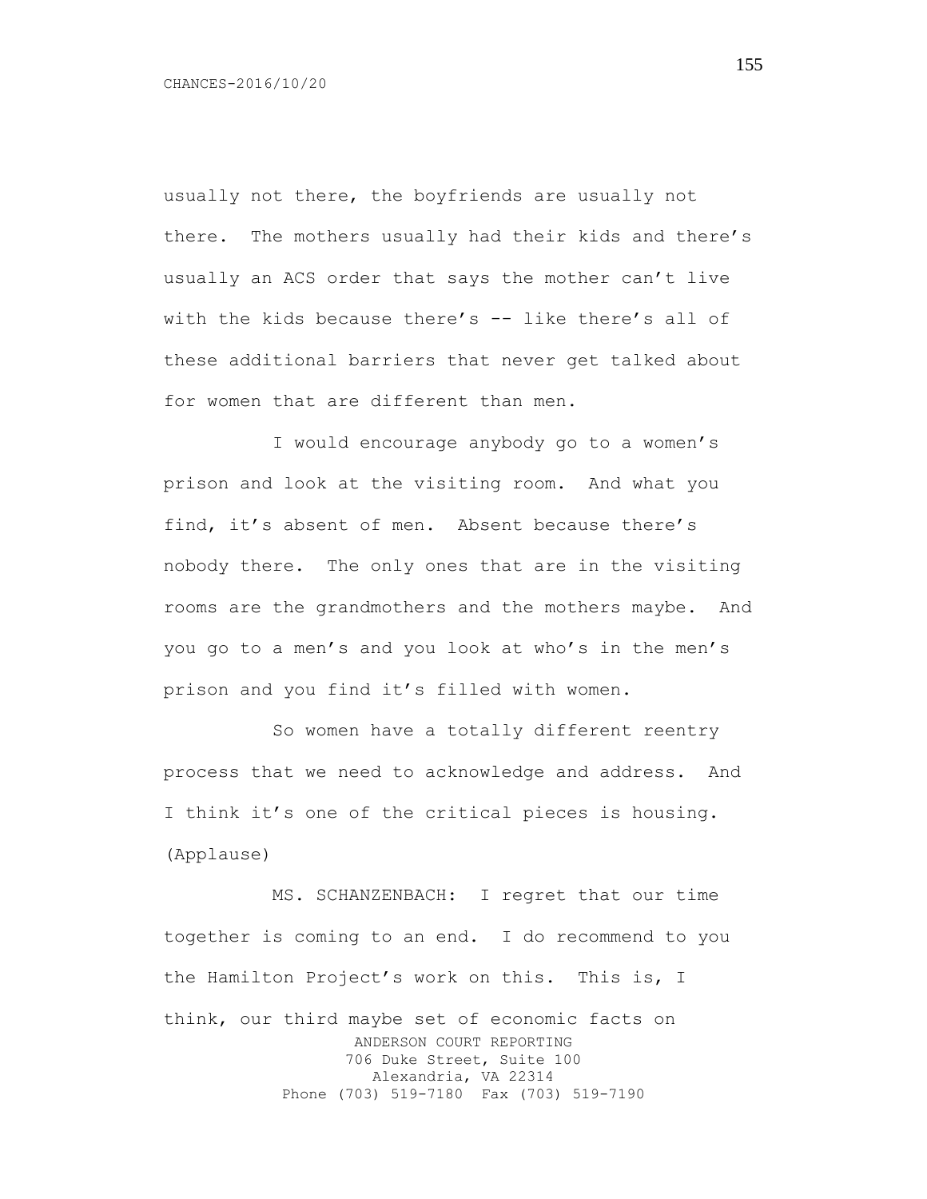usually not there, the boyfriends are usually not there. The mothers usually had their kids and there's usually an ACS order that says the mother can't live with the kids because there's  $-$ - like there's all of these additional barriers that never get talked about for women that are different than men.

I would encourage anybody go to a women's prison and look at the visiting room. And what you find, it's absent of men. Absent because there's nobody there. The only ones that are in the visiting rooms are the grandmothers and the mothers maybe. And you go to a men's and you look at who's in the men's prison and you find it's filled with women.

So women have a totally different reentry process that we need to acknowledge and address. And I think it's one of the critical pieces is housing. (Applause)

ANDERSON COURT REPORTING 706 Duke Street, Suite 100 Alexandria, VA 22314 Phone (703) 519-7180 Fax (703) 519-7190 MS. SCHANZENBACH: I regret that our time together is coming to an end. I do recommend to you the Hamilton Project's work on this. This is, I think, our third maybe set of economic facts on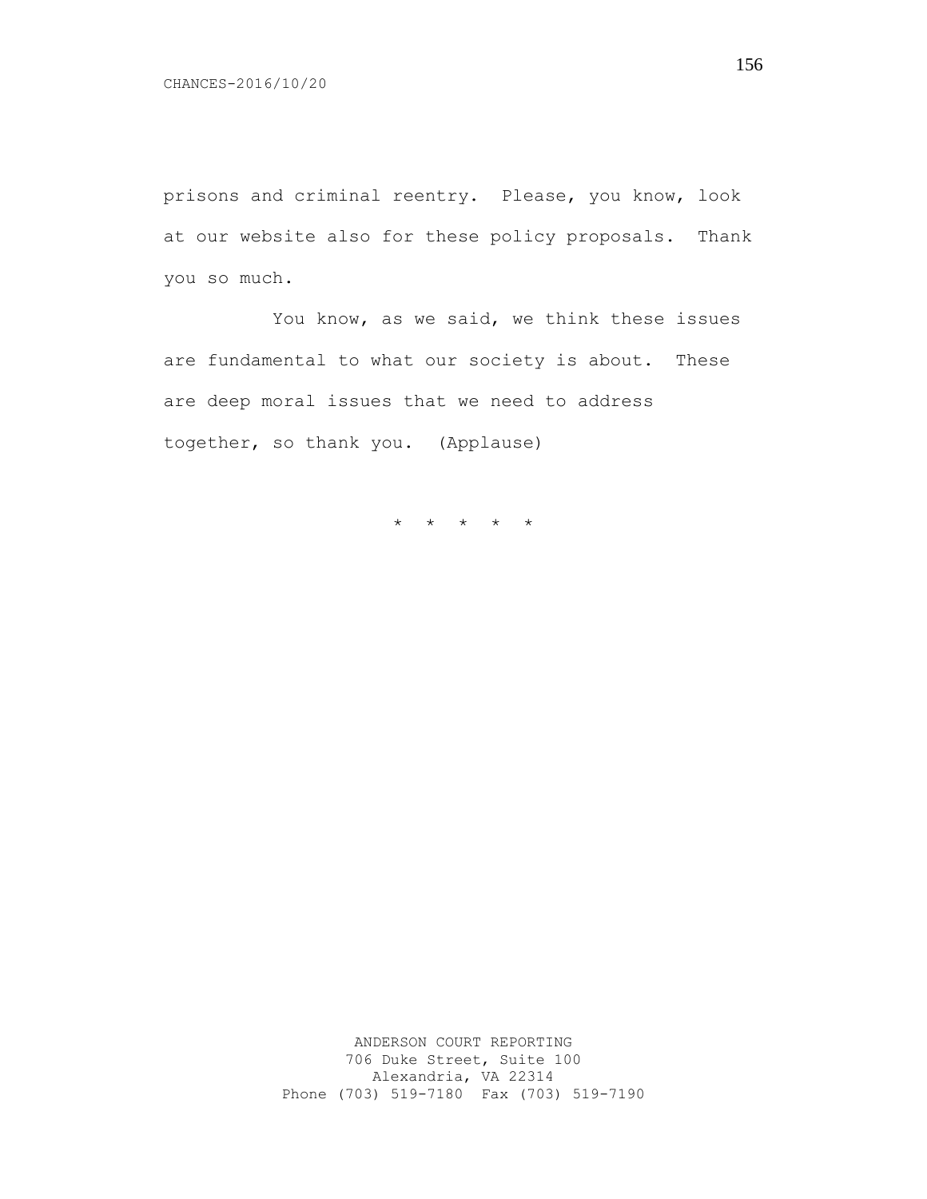prisons and criminal reentry. Please, you know, look at our website also for these policy proposals. Thank you so much.

You know, as we said, we think these issues are fundamental to what our society is about. These are deep moral issues that we need to address together, so thank you. (Applause)

\* \* \* \* \*

ANDERSON COURT REPORTING 706 Duke Street, Suite 100 Alexandria, VA 22314 Phone (703) 519-7180 Fax (703) 519-7190